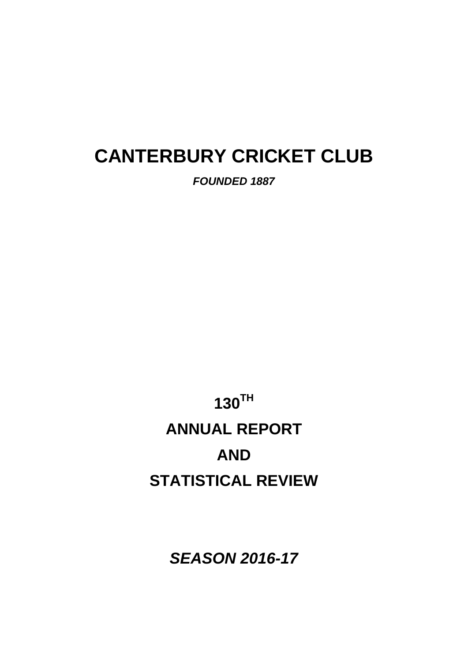# **CANTERBURY CRICKET CLUB**

*FOUNDED 1887* 

**130TH ANNUAL REPORT AND STATISTICAL REVIEW** 

*SEASON 2016-17*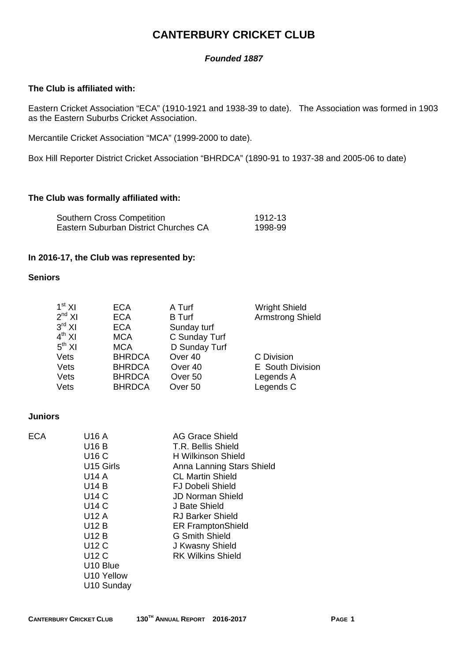# **CANTERBURY CRICKET CLUB**

### *Founded 1887*

#### **The Club is affiliated with:**

Eastern Cricket Association "ECA" (1910-1921 and 1938-39 to date). The Association was formed in 1903 as the Eastern Suburbs Cricket Association.

Mercantile Cricket Association "MCA" (1999-2000 to date).

Box Hill Reporter District Cricket Association "BHRDCA" (1890-91 to 1937-38 and 2005-06 to date)

#### **The Club was formally affiliated with:**

| <b>Southern Cross Competition</b>     | 1912-13 |
|---------------------------------------|---------|
| Eastern Suburban District Churches CA | 1998-99 |

### **In 2016-17, the Club was represented by:**

#### **Seniors**

| 1 <sup>st</sup> XI<br>$2^{nd}$ XI<br>$3^{\text{rd}}$ XI<br>$4^{th}$ XI<br>$5^{th}$ XI | <b>ECA</b><br><b>ECA</b><br><b>ECA</b><br><b>MCA</b><br><b>MCA</b> | A Turf<br><b>B</b> Turf<br>Sunday turf<br>C Sunday Turf<br>D Sunday Turf | <b>Wright Shield</b><br><b>Armstrong Shield</b> |
|---------------------------------------------------------------------------------------|--------------------------------------------------------------------|--------------------------------------------------------------------------|-------------------------------------------------|
| Vets                                                                                  | <b>BHRDCA</b>                                                      | Over <sub>40</sub>                                                       | C Division                                      |
| Vets                                                                                  | <b>BHRDCA</b>                                                      | Over <sub>40</sub>                                                       | E South Division                                |
| Vets                                                                                  | <b>BHRDCA</b>                                                      | Over <sub>50</sub>                                                       | Legends A                                       |
| Vets                                                                                  | <b>BHRDCA</b>                                                      | Over <sub>50</sub>                                                       | Legends C                                       |

### **Juniors**

| <b>ECA</b> | U16 A                 | AG Grace Shield           |
|------------|-----------------------|---------------------------|
|            | U16 B                 | T.R. Bellis Shield        |
|            | U16 C                 | H Wilkinson Shield        |
|            | U <sub>15</sub> Girls | Anna Lanning Stars Shield |
|            | U14 A                 | <b>CL Martin Shield</b>   |
|            | U14 B                 | <b>FJ Dobeli Shield</b>   |
|            | U14 C                 | <b>JD Norman Shield</b>   |
|            | U14 C                 | J Bate Shield             |
|            | U12 A                 | <b>RJ Barker Shield</b>   |
|            | U12 B                 | <b>ER FramptonShield</b>  |
|            | U12 B                 | G Smith Shield            |
|            | U12 C                 | J Kwasny Shield           |
|            | U12 C                 | <b>RK Wilkins Shield</b>  |
|            | U <sub>10</sub> Blue  |                           |
|            | U10 Yellow            |                           |
|            | U10 Sunday            |                           |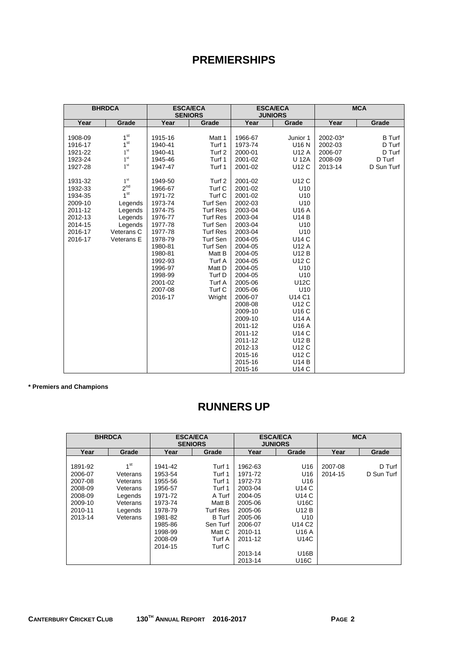# **PREMIERSHIPS**

|         | <b>BHRDCA</b>   |         | <b>ESCA/ECA</b><br><b>SENIORS</b> |         | <b>ESCA/ECA</b><br><b>JUNIORS</b> |          | <b>MCA</b>    |
|---------|-----------------|---------|-----------------------------------|---------|-----------------------------------|----------|---------------|
| Year    | Grade           | Year    | Grade                             | Year    | Grade                             | Year     | Grade         |
|         |                 |         |                                   |         |                                   |          |               |
| 1908-09 | 1 <sup>st</sup> | 1915-16 | Matt 1                            | 1966-67 | Junior 1                          | 2002-03* | <b>B</b> Turf |
| 1916-17 | 1 <sup>st</sup> | 1940-41 | Turf 1                            | 1973-74 | U16 N                             | 2002-03  | D Turf        |
| 1921-22 | 1 <sup>st</sup> | 1940-41 | Turf <sub>2</sub>                 | 2000-01 | U12 A                             | 2006-07  | D Turf        |
| 1923-24 | 1 <sup>st</sup> | 1945-46 | Turf 1                            | 2001-02 | <b>U 12A</b>                      | 2008-09  | D Turf        |
| 1927-28 | 1 <sup>st</sup> | 1947-47 | Turf 1                            | 2001-02 | U12 C                             | 2013-14  | D Sun Turf    |
|         |                 |         |                                   |         |                                   |          |               |
| 1931-32 | 1 <sup>st</sup> | 1949-50 | Turf 2                            | 2001-02 | U12 C                             |          |               |
| 1932-33 | 2 <sup>nd</sup> | 1966-67 | Turf C                            | 2001-02 | U10                               |          |               |
| 1934-35 | 1 <sup>st</sup> | 1971-72 | Turf C                            | 2001-02 | U10                               |          |               |
| 2009-10 | Legends         | 1973-74 | Turf Sen                          | 2002-03 | U10                               |          |               |
| 2011-12 | Legends         | 1974-75 | <b>Turf Res</b>                   | 2003-04 | U16 A                             |          |               |
| 2012-13 | Legends         | 1976-77 | <b>Turf Res</b>                   | 2003-04 | <b>U14 B</b>                      |          |               |
| 2014-15 | Legends         | 1977-78 | Turf Sen                          | 2003-04 | U10                               |          |               |
| 2016-17 | Veterans C      | 1977-78 | <b>Turf Res</b>                   | 2003-04 | U10                               |          |               |
| 2016-17 | Veterans E      | 1978-79 | Turf Sen                          | 2004-05 | <b>U14 C</b>                      |          |               |
|         |                 | 1980-81 | Turf Sen                          | 2004-05 | U12 A                             |          |               |
|         |                 | 1980-81 | Matt B                            | 2004-05 | U12 B                             |          |               |
|         |                 | 1992-93 | Turf A                            | 2004-05 | U12 C                             |          |               |
|         |                 | 1996-97 | Matt D                            | 2004-05 | U <sub>10</sub>                   |          |               |
|         |                 | 1998-99 | Turf D                            | 2004-05 | U10                               |          |               |
|         |                 | 2001-02 | Turf A                            | 2005-06 | U12C                              |          |               |
|         |                 | 2007-08 | Turf C                            | 2005-06 | U10                               |          |               |
|         |                 | 2016-17 | Wright                            | 2006-07 | U14 C1                            |          |               |
|         |                 |         |                                   | 2008-08 | U12 C                             |          |               |
|         |                 |         |                                   | 2009-10 | U16 C                             |          |               |
|         |                 |         |                                   | 2009-10 | <b>U14 A</b>                      |          |               |
|         |                 |         |                                   | 2011-12 | U16 A                             |          |               |
|         |                 |         |                                   | 2011-12 | U14 C                             |          |               |
|         |                 |         |                                   | 2011-12 | U12 B                             |          |               |
|         |                 |         |                                   | 2012-13 | U12 C                             |          |               |
|         |                 |         |                                   | 2015-16 | U12 C                             |          |               |
|         |                 |         |                                   | 2015-16 | U14 B                             |          |               |
|         |                 |         |                                   | 2015-16 | <b>U14 C</b>                      |          |               |

**\* Premiers and Champions** 

# **RUNNERS UP**

|         | <b>BHRDCA</b>   | <b>ESCA/ECA</b><br><b>SENIORS</b> |                 |         | <b>ESCA/ECA</b><br><b>JUNIORS</b> |         | <b>MCA</b> |
|---------|-----------------|-----------------------------------|-----------------|---------|-----------------------------------|---------|------------|
| Year    | Grade           | Year                              | Grade           | Year    | Grade                             | Year    | Grade      |
|         |                 |                                   |                 |         |                                   |         |            |
| 1891-92 | 1 <sup>st</sup> | 1941-42                           | Turf 1          | 1962-63 | U <sub>16</sub>                   | 2007-08 | D Turf     |
| 2006-07 | Veterans        | 1953-54                           | Turf 1          | 1971-72 | U <sub>16</sub>                   | 2014-15 | D Sun Turf |
| 2007-08 | Veterans        | 1955-56                           | Turf 1          | 1972-73 | U <sub>16</sub>                   |         |            |
| 2008-09 | Veterans        | 1956-57                           | Turf 1          | 2003-04 | U14 C                             |         |            |
| 2008-09 | Legends         | 1971-72                           | A Turf          | 2004-05 | U14 C                             |         |            |
| 2009-10 | Veterans        | 1973-74                           | Matt B          | 2005-06 | <b>U16C</b>                       |         |            |
| 2010-11 | Legends         | 1978-79                           | <b>Turf Res</b> | 2005-06 | U12 B                             |         |            |
| 2013-14 | Veterans        | 1981-82                           | <b>B</b> Turf   | 2005-06 | U <sub>10</sub>                   |         |            |
|         |                 | 1985-86                           | Sen Turf        | 2006-07 | U14 C <sub>2</sub>                |         |            |
|         |                 | 1998-99                           | Matt C          | 2010-11 | U <sub>16</sub> A                 |         |            |
|         |                 | 2008-09                           | Turf A          | 2011-12 | U14C                              |         |            |
|         |                 | 2014-15                           | Turf C          |         |                                   |         |            |
|         |                 |                                   |                 | 2013-14 | U16B                              |         |            |
|         |                 |                                   |                 | 2013-14 | U16C                              |         |            |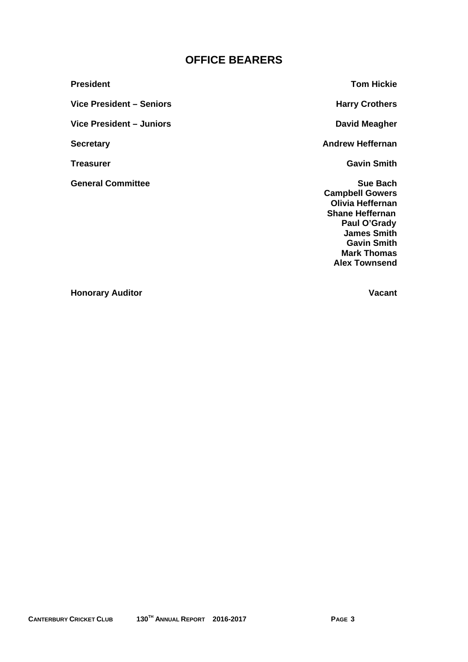# **OFFICE BEARERS**

**President Tom Hickie** Vice President – Seniors **Harry Crothers Harry Crothers** Vice President – Juniors **David Meagher David Meagher David Meagher Secretary Contract Secretary Andrew Heffernan Treasurer Gavin Smith Gavin Smith Gavin Smith** 

**General Committee Sue Bach 2018** Sue Bach **Sue Bach** 

 **Campbell Gowers Olivia Heffernan Shane Heffernan Paul O'Grady James Smith Gavin Smith Mark Thomas Alex Townsend** 

**Honorary Auditor Community Community Community Community Community Community Community Community Community Community**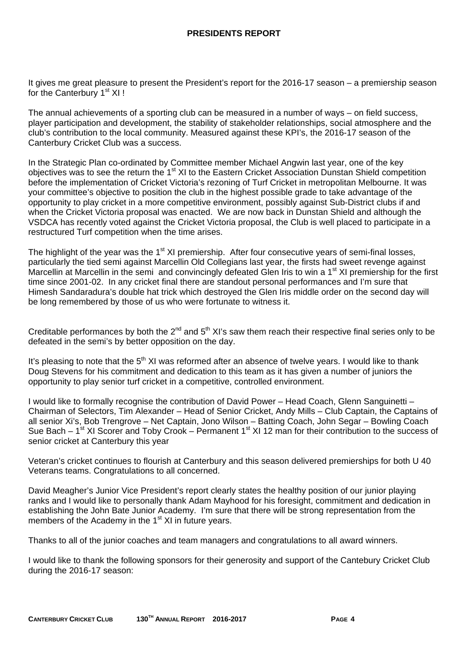It gives me great pleasure to present the President's report for the 2016-17 season – a premiership season for the Canterbury 1<sup>st</sup> XI !

The annual achievements of a sporting club can be measured in a number of ways – on field success, player participation and development, the stability of stakeholder relationships, social atmosphere and the club's contribution to the local community. Measured against these KPI's, the 2016-17 season of the Canterbury Cricket Club was a success.

In the Strategic Plan co-ordinated by Committee member Michael Angwin last year, one of the key objectives was to see the return the 1<sup>st</sup> XI to the Eastern Cricket Association Dunstan Shield competition before the implementation of Cricket Victoria's rezoning of Turf Cricket in metropolitan Melbourne. It was your committee's objective to position the club in the highest possible grade to take advantage of the opportunity to play cricket in a more competitive environment, possibly against Sub-District clubs if and when the Cricket Victoria proposal was enacted. We are now back in Dunstan Shield and although the VSDCA has recently voted against the Cricket Victoria proposal, the Club is well placed to participate in a restructured Turf competition when the time arises.

The highlight of the year was the  $1<sup>st</sup> XI$  premiership. After four consecutive years of semi-final losses, particularly the tied semi against Marcellin Old Collegians last year, the firsts had sweet revenge against Marcellin at Marcellin in the semi and convincingly defeated Glen Iris to win a 1<sup>st</sup> XI premiership for the first time since 2001-02. In any cricket final there are standout personal performances and I'm sure that Himesh Sandaradura's double hat trick which destroyed the Glen Iris middle order on the second day will be long remembered by those of us who were fortunate to witness it.

Creditable performances by both the  $2^{nd}$  and  $5^{th}$  XI's saw them reach their respective final series only to be defeated in the semi's by better opposition on the day.

It's pleasing to note that the 5<sup>th</sup> XI was reformed after an absence of twelve years. I would like to thank Doug Stevens for his commitment and dedication to this team as it has given a number of juniors the opportunity to play senior turf cricket in a competitive, controlled environment.

I would like to formally recognise the contribution of David Power – Head Coach, Glenn Sanguinetti – Chairman of Selectors, Tim Alexander – Head of Senior Cricket, Andy Mills – Club Captain, the Captains of all senior Xi's, Bob Trengrove – Net Captain, Jono Wilson – Batting Coach, John Segar – Bowling Coach Sue Bach –  $1^{st}$  XI Scorer and Toby Crook – Permanent  $1^{st}$  XI 12 man for their contribution to the success of senior cricket at Canterbury this year

Veteran's cricket continues to flourish at Canterbury and this season delivered premierships for both U 40 Veterans teams. Congratulations to all concerned.

David Meagher's Junior Vice President's report clearly states the healthy position of our junior playing ranks and I would like to personally thank Adam Mayhood for his foresight, commitment and dedication in establishing the John Bate Junior Academy. I'm sure that there will be strong representation from the members of the Academy in the  $1<sup>st</sup>$  XI in future years.

Thanks to all of the junior coaches and team managers and congratulations to all award winners.

I would like to thank the following sponsors for their generosity and support of the Cantebury Cricket Club during the 2016-17 season: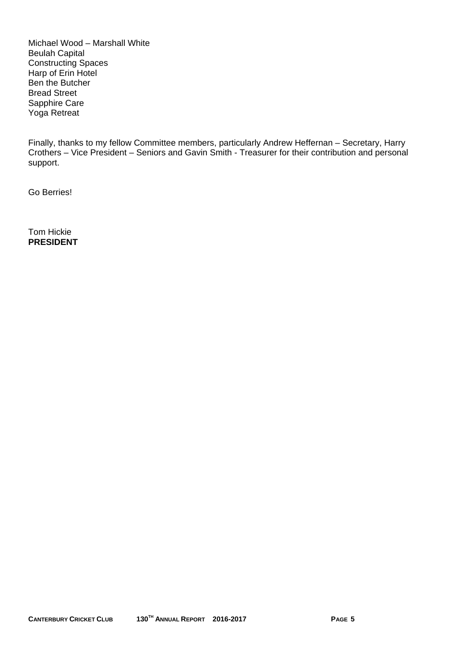Michael Wood – Marshall White Beulah Capital Constructing Spaces Harp of Erin Hotel Ben the Butcher Bread Street Sapphire Care Yoga Retreat

Finally, thanks to my fellow Committee members, particularly Andrew Heffernan – Secretary, Harry Crothers – Vice President – Seniors and Gavin Smith - Treasurer for their contribution and personal support.

Go Berries!

Tom Hickie **PRESIDENT**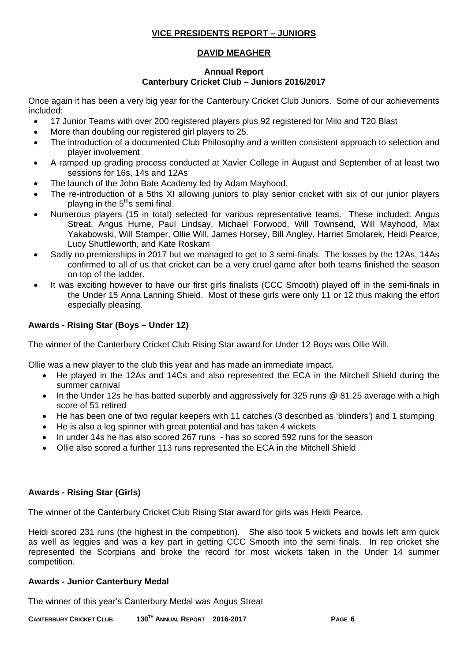### **VICE PRESIDENTS REPORT – JUNIORS**

### **DAVID MEAGHER**

### **Annual Report Canterbury Cricket Club – Juniors 2016/2017**

Once again it has been a very big year for the Canterbury Cricket Club Juniors. Some of our achievements included:

- 17 Junior Teams with over 200 registered players plus 92 registered for Milo and T20 Blast
- More than doubling our registered girl players to 25.
- The introduction of a documented Club Philosophy and a written consistent approach to selection and player involvement
- A ramped up grading process conducted at Xavier College in August and September of at least two sessions for 16s, 14s and 12As
- The launch of the John Bate Academy led by Adam Mayhood.
- The re-introduction of a 5ths XI allowing juniors to play senior cricket with six of our junior players playng in the  $5<sup>th</sup>$ s semi final.
- Numerous players (15 in total) selected for various representative teams. These included: Angus Streat, Angus Hume, Paul Lindsay, Michael Forwood, Will Townsend, Will Mayhood, Max Yakabowski, Will Stamper, Ollie Will, James Horsey, Bill Angley, Harriet Smolarek, Heidi Pearce, Lucy Shuttleworth, and Kate Roskam
- Sadly no premierships in 2017 but we managed to get to 3 semi-finals. The losses by the 12As, 14As confirmed to all of us that cricket can be a very cruel game after both teams finished the season on top of the ladder.
- It was exciting however to have our first girls finalists (CCC Smooth) played off in the semi-finals in the Under 15 Anna Lanning Shield. Most of these girls were only 11 or 12 thus making the effort especially pleasing.

### **Awards - Rising Star (Boys – Under 12)**

The winner of the Canterbury Cricket Club Rising Star award for Under 12 Boys was Ollie Will.

Ollie was a new player to the club this year and has made an immediate impact.

- He played in the 12As and 14Cs and also represented the ECA in the Mitchell Shield during the summer carnival
- In the Under 12s he has batted superbly and aggressively for 325 runs @ 81.25 average with a high score of 51 retired
- He has been one of two regular keepers with 11 catches (3 described as 'blinders') and 1 stumping
- He is also a leg spinner with great potential and has taken 4 wickets
- In under 14s he has also scored 267 runs has so scored 592 runs for the season
- Ollie also scored a further 113 runs represented the ECA in the Mitchell Shield

### **Awards - Rising Star (Girls)**

The winner of the Canterbury Cricket Club Rising Star award for girls was Heidi Pearce.

Heidi scored 231 runs (the highest in the competition). She also took 5 wickets and bowls left arm quick as well as leggies and was a key part in getting CCC Smooth into the semi finals. In rep cricket she represented the Scorpians and broke the record for most wickets taken in the Under 14 summer competition.

### **Awards - Junior Canterbury Medal**

The winner of this year's Canterbury Medal was Angus Streat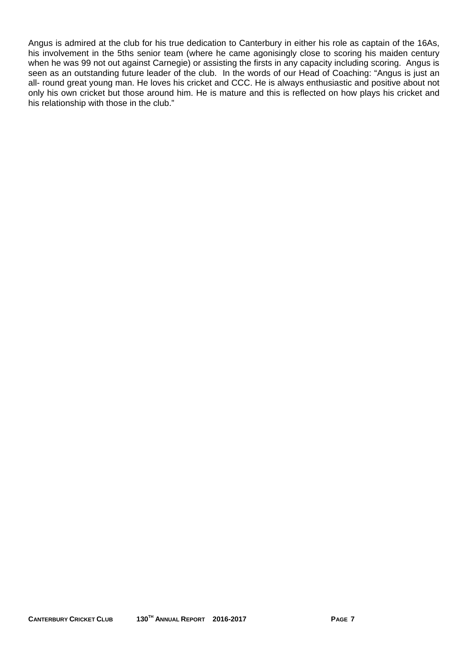Angus is admired at the club for his true dedication to Canterbury in either his role as captain of the 16As, his involvement in the 5ths senior team (where he came agonisingly close to scoring his maiden century when he was 99 not out against Carnegie) or assisting the firsts in any capacity including scoring. Angus is seen as an outstanding future leader of the club. In the words of our Head of Coaching: "Angus is just an all- round great young man. He loves his cricket and CCC. He is always enthusiastic and positive about not only his own cricket but those around him. He is mature and this is reflected on how plays his cricket and his relationship with those in the club."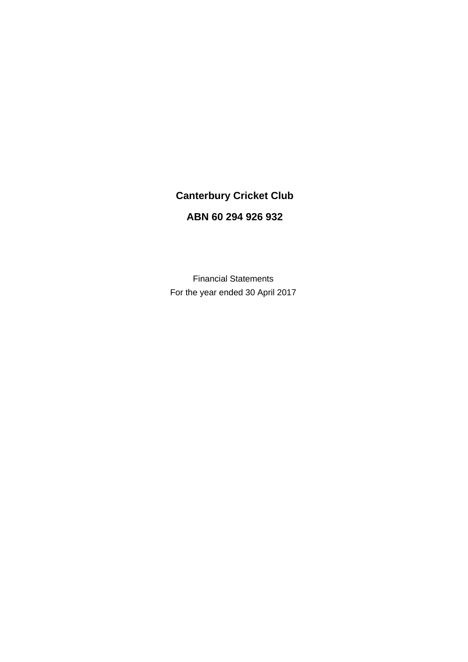# **Canterbury Cricket Club**

### **ABN 60 294 926 932**

Financial Statements For the year ended 30 April 2017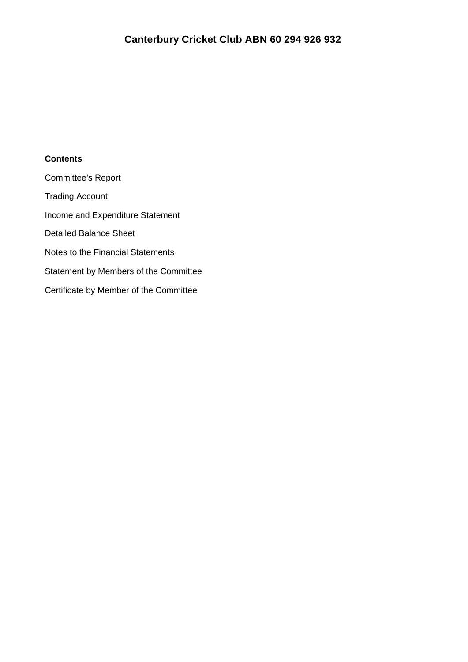### **Contents**

Committee's Report Trading Account Income and Expenditure Statement Detailed Balance Sheet Notes to the Financial Statements Statement by Members of the Committee Certificate by Member of the Committee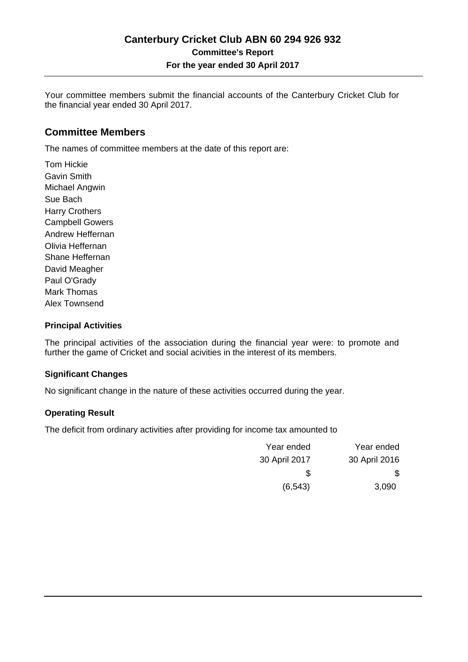Your committee members submit the financial accounts of the Canterbury Cricket Club for the financial year ended 30 April 2017.

### **Committee Members**

The names of committee members at the date of this report are:

Tom Hickie Gavin Smith Michael Angwin Sue Bach Harry Crothers Campbell Gowers Andrew Heffernan Olivia Heffernan Shane Heffernan David Meagher Paul O'Grady Mark Thomas Alex Townsend

### **Principal Activities**

The principal activities of the association during the financial year were: to promote and further the game of Cricket and social acivities in the interest of its members.

#### **Significant Changes**

No significant change in the nature of these activities occurred during the year.

### **Operating Result**

The deficit from ordinary activities after providing for income tax amounted to

| Year ended    | Year ended    |
|---------------|---------------|
| 30 April 2016 | 30 April 2017 |
| \$            | \$.           |
| 3,090         | (6, 543)      |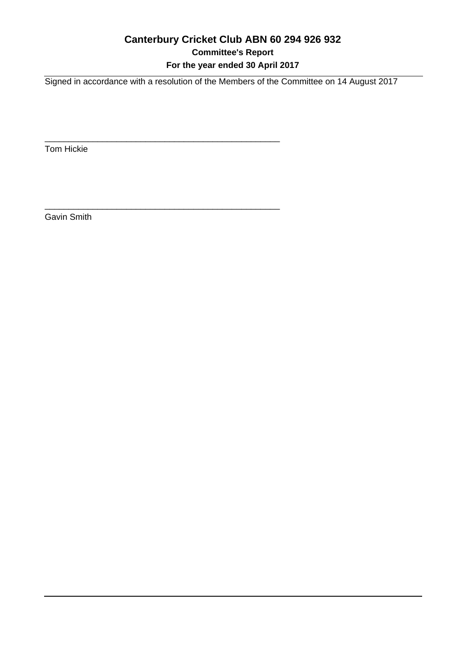### **Canterbury Cricket Club ABN 60 294 926 932 Committee's Report For the year ended 30 April 2017**

Signed in accordance with a resolution of the Members of the Committee on 14 August 2017

\_\_\_\_\_\_\_\_\_\_\_\_\_\_\_\_\_\_\_\_\_\_\_\_\_\_\_\_\_\_\_\_\_\_\_\_\_\_\_\_\_\_\_\_\_\_\_\_\_

\_\_\_\_\_\_\_\_\_\_\_\_\_\_\_\_\_\_\_\_\_\_\_\_\_\_\_\_\_\_\_\_\_\_\_\_\_\_\_\_\_\_\_\_\_\_\_\_\_

Tom Hickie

Gavin Smith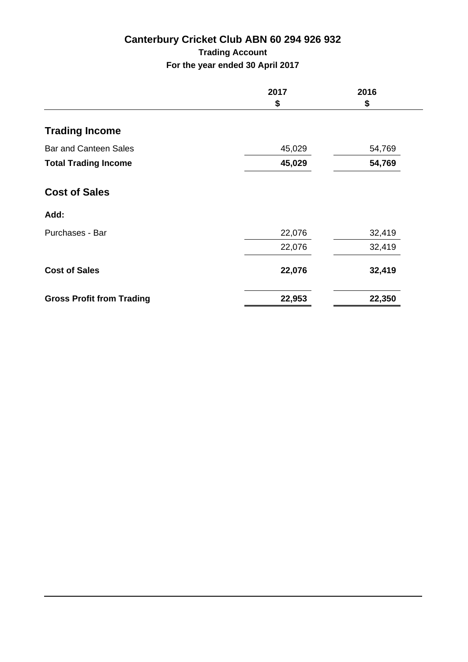# **Canterbury Cricket Club ABN 60 294 926 932 Trading Account**

**For the year ended 30 April 2017**

|                                  | 2017   | 2016   |
|----------------------------------|--------|--------|
|                                  | \$     | \$     |
| <b>Trading Income</b>            |        |        |
| <b>Bar and Canteen Sales</b>     | 45,029 | 54,769 |
| <b>Total Trading Income</b>      | 45,029 | 54,769 |
| <b>Cost of Sales</b>             |        |        |
| Add:                             |        |        |
| Purchases - Bar                  | 22,076 | 32,419 |
|                                  | 22,076 | 32,419 |
| <b>Cost of Sales</b>             | 22,076 | 32,419 |
| <b>Gross Profit from Trading</b> | 22,953 | 22,350 |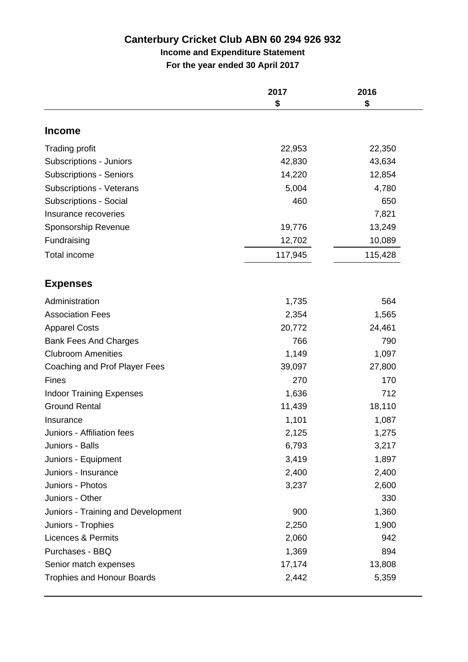# **Income and Expenditure Statement**

**For the year ended 30 April 2017**

|                                    | 2017<br>\$ | 2016<br>\$ |
|------------------------------------|------------|------------|
| <b>Income</b>                      |            |            |
| <b>Trading profit</b>              | 22,953     | 22,350     |
| Subscriptions - Juniors            | 42,830     | 43,634     |
| <b>Subscriptions - Seniors</b>     | 14,220     | 12,854     |
| Subscriptions - Veterans           | 5,004      | 4,780      |
| <b>Subscriptions - Social</b>      | 460        | 650        |
| Insurance recoveries               |            | 7,821      |
| Sponsorship Revenue                | 19,776     | 13,249     |
| Fundraising                        | 12,702     | 10,089     |
| Total income                       | 117,945    | 115,428    |
| <b>Expenses</b>                    |            |            |
| Administration                     | 1,735      | 564        |
| <b>Association Fees</b>            | 2,354      | 1,565      |
| <b>Apparel Costs</b>               | 20,772     | 24,461     |
| <b>Bank Fees And Charges</b>       | 766        | 790        |
| <b>Clubroom Amenities</b>          | 1,149      | 1,097      |
| Coaching and Prof Player Fees      | 39,097     | 27,800     |
| <b>Fines</b>                       | 270        | 170        |
| <b>Indoor Training Expenses</b>    | 1,636      | 712        |
| <b>Ground Rental</b>               | 11,439     | 18,110     |
| Insurance                          | 1,101      | 1,087      |
| Juniors - Affiliation fees         | 2,125      | 1,275      |
| Juniors - Balls                    | 6,793      | 3,217      |
| Juniors - Equipment                | 3,419      | 1,897      |
| Juniors - Insurance                | 2,400      | 2,400      |
| Juniors - Photos                   | 3,237      | 2,600      |
| Juniors - Other                    |            | 330        |
| Juniors - Training and Development | 900        | 1,360      |
| Juniors - Trophies                 | 2,250      | 1,900      |
| <b>Licences &amp; Permits</b>      | 2,060      | 942        |
| Purchases - BBQ                    | 1,369      | 894        |
| Senior match expenses              | 17,174     | 13,808     |
| <b>Trophies and Honour Boards</b>  | 2,442      | 5,359      |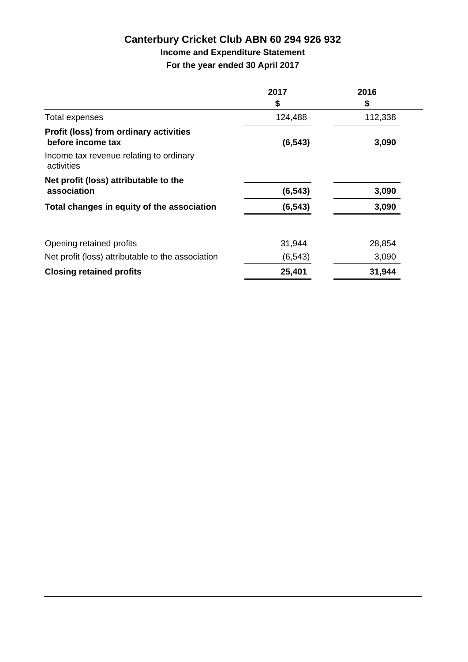# **Income and Expenditure Statement**

**For the year ended 30 April 2017**

|                                                             | 2017     | 2016    |
|-------------------------------------------------------------|----------|---------|
|                                                             | \$       | \$      |
| Total expenses                                              | 124,488  | 112,338 |
| Profit (loss) from ordinary activities<br>before income tax | (6, 543) | 3,090   |
| Income tax revenue relating to ordinary<br>activities       |          |         |
| Net profit (loss) attributable to the                       |          |         |
| association                                                 | (6, 543) | 3,090   |
| Total changes in equity of the association                  | (6, 543) | 3,090   |
| Opening retained profits                                    | 31,944   | 28,854  |
| Net profit (loss) attributable to the association           | (6, 543) | 3,090   |
| <b>Closing retained profits</b>                             | 25,401   | 31,944  |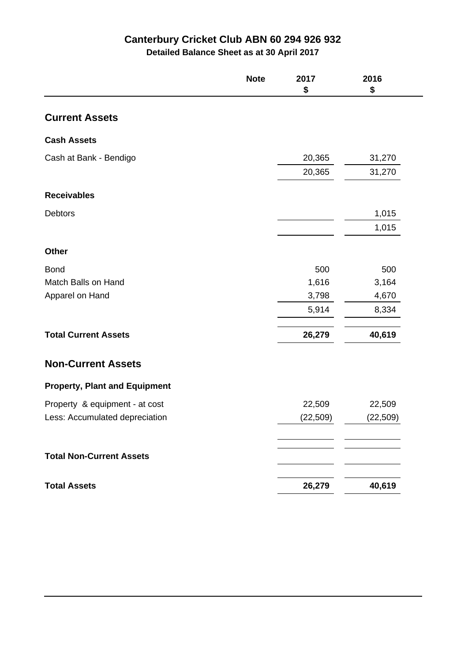**Detailed Balance Sheet as at 30 April 2017**

| <b>Current Assets</b>                |           |           |
|--------------------------------------|-----------|-----------|
|                                      |           |           |
| <b>Cash Assets</b>                   |           |           |
| Cash at Bank - Bendigo               | 20,365    | 31,270    |
|                                      | 20,365    | 31,270    |
| <b>Receivables</b>                   |           |           |
| <b>Debtors</b>                       |           | 1,015     |
|                                      |           | 1,015     |
| <b>Other</b>                         |           |           |
| <b>Bond</b>                          | 500       | 500       |
| Match Balls on Hand                  | 1,616     | 3,164     |
| Apparel on Hand                      | 3,798     | 4,670     |
|                                      | 5,914     | 8,334     |
| <b>Total Current Assets</b>          | 26,279    | 40,619    |
| <b>Non-Current Assets</b>            |           |           |
| <b>Property, Plant and Equipment</b> |           |           |
| Property & equipment - at cost       | 22,509    | 22,509    |
| Less: Accumulated depreciation       | (22, 509) | (22, 509) |
|                                      |           |           |
| <b>Total Non-Current Assets</b>      |           |           |
| <b>Total Assets</b>                  | 26,279    | 40,619    |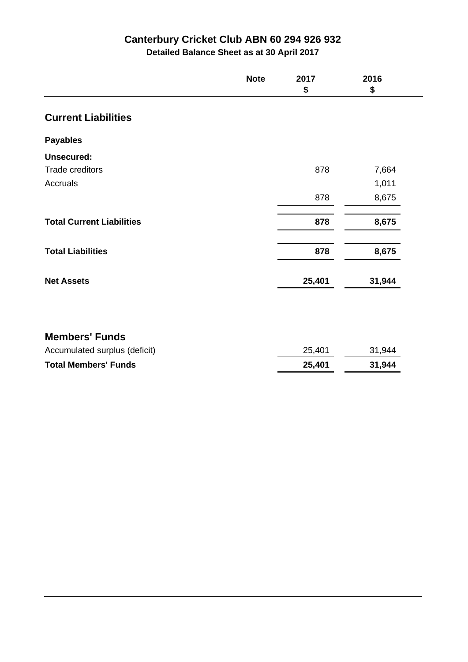**Detailed Balance Sheet as at 30 April 2017**

|                                  | <b>Note</b> | 2017<br>\$ | 2016<br>\$ |
|----------------------------------|-------------|------------|------------|
| <b>Current Liabilities</b>       |             |            |            |
| <b>Payables</b>                  |             |            |            |
| <b>Unsecured:</b>                |             |            |            |
| Trade creditors                  |             | 878        | 7,664      |
| Accruals                         |             |            | 1,011      |
|                                  |             | 878        | 8,675      |
| <b>Total Current Liabilities</b> |             | 878        | 8,675      |
| <b>Total Liabilities</b>         |             | 878        | 8,675      |
| <b>Net Assets</b>                |             | 25,401     | 31,944     |

## **Members' Funds**

| <b>Total Members' Funds</b>   | 25,401 | 31.944 |
|-------------------------------|--------|--------|
| Accumulated surplus (deficit) | 25,401 | 31,944 |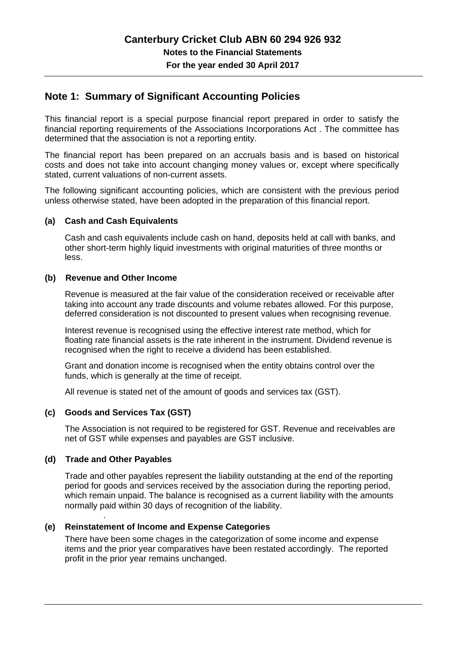### **Note 1: Summary of Significant Accounting Policies**

This financial report is a special purpose financial report prepared in order to satisfy the financial reporting requirements of the Associations Incorporations Act . The committee has determined that the association is not a reporting entity.

The financial report has been prepared on an accruals basis and is based on historical costs and does not take into account changing money values or, except where specifically stated, current valuations of non-current assets.

The following significant accounting policies, which are consistent with the previous period unless otherwise stated, have been adopted in the preparation of this financial report.

#### **(a) Cash and Cash Equivalents**

Cash and cash equivalents include cash on hand, deposits held at call with banks, and other short-term highly liquid investments with original maturities of three months or less.

#### **(b) Revenue and Other Income**

Revenue is measured at the fair value of the consideration received or receivable after taking into account any trade discounts and volume rebates allowed. For this purpose, deferred consideration is not discounted to present values when recognising revenue.

Interest revenue is recognised using the effective interest rate method, which for floating rate financial assets is the rate inherent in the instrument. Dividend revenue is recognised when the right to receive a dividend has been established.

Grant and donation income is recognised when the entity obtains control over the funds, which is generally at the time of receipt.

All revenue is stated net of the amount of goods and services tax (GST).

### **(c) Goods and Services Tax (GST)**

The Association is not required to be registered for GST. Revenue and receivables are net of GST while expenses and payables are GST inclusive.

### **(d) Trade and Other Payables**

.

Trade and other payables represent the liability outstanding at the end of the reporting period for goods and services received by the association during the reporting period, which remain unpaid. The balance is recognised as a current liability with the amounts normally paid within 30 days of recognition of the liability.

### **(e) Reinstatement of Income and Expense Categories**

There have been some chages in the categorization of some income and expense items and the prior year comparatives have been restated accordingly. The reported profit in the prior year remains unchanged.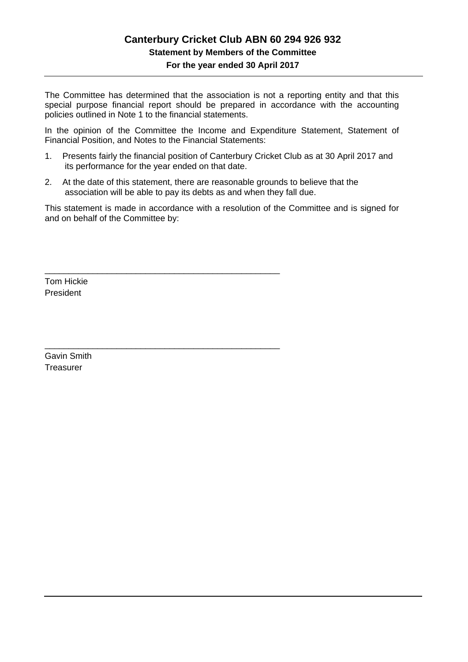# **Canterbury Cricket Club ABN 60 294 926 932 Statement by Members of the Committee**

**For the year ended 30 April 2017**

The Committee has determined that the association is not a reporting entity and that this special purpose financial report should be prepared in accordance with the accounting policies outlined in Note 1 to the financial statements.

In the opinion of the Committee the Income and Expenditure Statement, Statement of Financial Position, and Notes to the Financial Statements:

- 1. Presents fairly the financial position of Canterbury Cricket Club as at 30 April 2017 and its performance for the year ended on that date.
- 2. At the date of this statement, there are reasonable grounds to believe that the association will be able to pay its debts as and when they fall due.

\_\_\_\_\_\_\_\_\_\_\_\_\_\_\_\_\_\_\_\_\_\_\_\_\_\_\_\_\_\_\_\_\_\_\_\_\_\_\_\_\_\_\_\_\_\_\_\_\_

\_\_\_\_\_\_\_\_\_\_\_\_\_\_\_\_\_\_\_\_\_\_\_\_\_\_\_\_\_\_\_\_\_\_\_\_\_\_\_\_\_\_\_\_\_\_\_\_\_

This statement is made in accordance with a resolution of the Committee and is signed for and on behalf of the Committee by:

Tom Hickie President

Gavin Smith Treasurer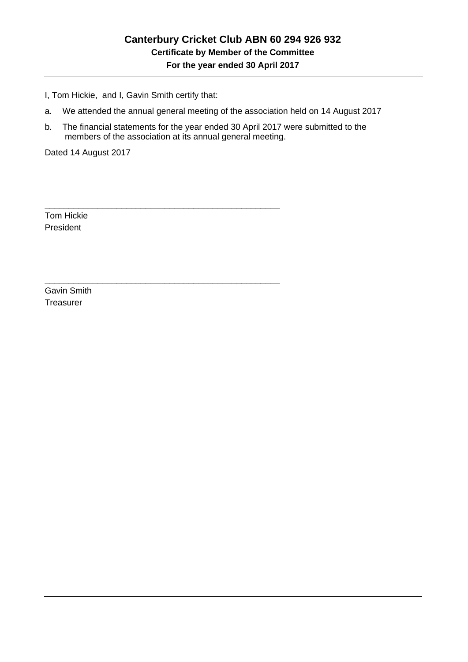I, Tom Hickie, and I, Gavin Smith certify that:

\_\_\_\_\_\_\_\_\_\_\_\_\_\_\_\_\_\_\_\_\_\_\_\_\_\_\_\_\_\_\_\_\_\_\_\_\_\_\_\_\_\_\_\_\_\_\_\_\_

\_\_\_\_\_\_\_\_\_\_\_\_\_\_\_\_\_\_\_\_\_\_\_\_\_\_\_\_\_\_\_\_\_\_\_\_\_\_\_\_\_\_\_\_\_\_\_\_\_

- a. We attended the annual general meeting of the association held on 14 August 2017
- b. The financial statements for the year ended 30 April 2017 were submitted to the members of the association at its annual general meeting.

Dated 14 August 2017

Tom Hickie President

Gavin Smith **Treasurer**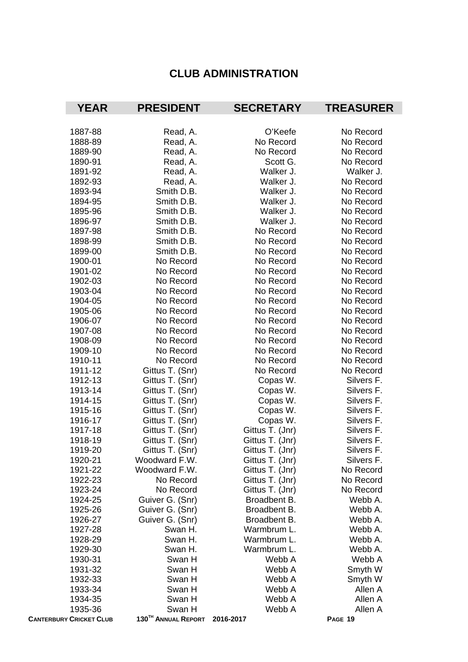# **CLUB ADMINISTRATION**

| <b>YEAR</b>                    | <b>PRESIDENT</b>    | <b>SECRETARY</b> | <b>TREASURER</b> |
|--------------------------------|---------------------|------------------|------------------|
|                                |                     |                  |                  |
| 1887-88                        | Read, A.            | O'Keefe          | No Record        |
| 1888-89                        | Read, A.            | No Record        | No Record        |
| 1889-90                        | Read, A.            | No Record        | No Record        |
| 1890-91                        | Read, A.            | Scott G.         | No Record        |
| 1891-92                        | Read, A.            | Walker J.        | Walker J.        |
| 1892-93                        | Read, A.            | Walker J.        | No Record        |
| 1893-94                        | Smith D.B.          | Walker J.        | No Record        |
| 1894-95                        | Smith D.B.          | Walker J.        | No Record        |
| 1895-96                        | Smith D.B.          | Walker J.        | No Record        |
| 1896-97                        | Smith D.B.          | Walker J.        | No Record        |
| 1897-98                        | Smith D.B.          | No Record        | No Record        |
| 1898-99                        | Smith D.B.          | No Record        | No Record        |
| 1899-00                        | Smith D.B.          | No Record        | No Record        |
| 1900-01                        | No Record           | No Record        | No Record        |
| 1901-02                        | No Record           | No Record        | No Record        |
| 1902-03                        | No Record           | No Record        | No Record        |
| 1903-04                        | No Record           | No Record        | No Record        |
| 1904-05                        | No Record           | No Record        | No Record        |
| 1905-06                        | No Record           | No Record        | No Record        |
| 1906-07                        | No Record           | No Record        | No Record        |
| 1907-08                        | No Record           | No Record        | No Record        |
| 1908-09                        | No Record           | No Record        | No Record        |
| 1909-10                        | No Record           | No Record        | No Record        |
| 1910-11                        | No Record           | No Record        | No Record        |
| 1911-12                        | Gittus T. (Snr)     | No Record        | No Record        |
| 1912-13                        | Gittus T. (Snr)     | Copas W.         | Silvers F.       |
| 1913-14                        | Gittus T. (Snr)     | Copas W.         | Silvers F.       |
| 1914-15                        | Gittus T. (Snr)     | Copas W.         | Silvers F.       |
| 1915-16                        | Gittus T. (Snr)     | Copas W.         | Silvers F.       |
| 1916-17                        | Gittus T. (Snr)     | Copas W.         | Silvers F.       |
| 1917-18                        | Gittus T. (Snr)     | Gittus T. (Jnr)  | Silvers F.       |
| 1918-19                        | Gittus T. (Snr)     | Gittus T. (Jnr)  | Silvers F.       |
| 1919-20                        | Gittus T. (Snr)     | Gittus T. (Jnr)  | Silvers F.       |
| 1920-21                        | Woodward F.W.       | Gittus T. (Jnr)  | Silvers F.       |
| 1921-22                        | Woodward F.W.       | Gittus T. (Jnr)  | No Record        |
| 1922-23                        | No Record           | Gittus T. (Jnr)  | No Record        |
| 1923-24                        | No Record           | Gittus T. (Jnr)  | No Record        |
| 1924-25                        | Guiver G. (Snr)     | Broadbent B.     | Webb A.          |
| 1925-26                        | Guiver G. (Snr)     | Broadbent B.     | Webb A.          |
| 1926-27                        | Guiver G. (Snr)     | Broadbent B.     | Webb A.          |
| 1927-28                        | Swan H.             | Warmbrum L.      | Webb A.          |
| 1928-29                        | Swan H.             | Warmbrum L.      | Webb A.          |
| 1929-30                        | Swan H.             | Warmbrum L.      | Webb A.          |
| 1930-31                        | Swan H              | Webb A           | Webb A           |
| 1931-32                        | Swan H              | Webb A           | Smyth W          |
| 1932-33                        | Swan H              | Webb A           | Smyth W          |
| 1933-34                        | Swan H              | Webb A           | Allen A          |
| 1934-35                        | Swan H              | Webb A           | Allen A          |
| 1935-36                        | Swan H              | Webb A           | Allen A          |
| <b>CANTERBURY CRICKET CLUB</b> | 130TH ANNUAL REPORT | 2016-2017        | PAGE 19          |
|                                |                     |                  |                  |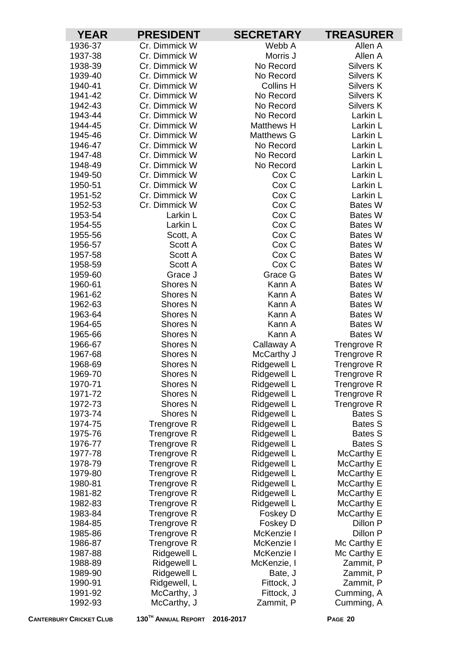| <b>YEAR</b>        | <b>PRESIDENT</b>                   | <b>SECRETARY</b>           | <b>TREASURER</b>           |
|--------------------|------------------------------------|----------------------------|----------------------------|
| 1936-37            | Cr. Dimmick W                      | Webb A                     | Allen A                    |
| 1937-38            | Cr. Dimmick W                      | Morris J                   | Allen A                    |
| 1938-39            | Cr. Dimmick W                      | No Record                  | Silvers K                  |
| 1939-40            | Cr. Dimmick W                      | No Record                  | Silvers K                  |
| 1940-41            | Cr. Dimmick W                      | <b>Collins H</b>           | Silvers K                  |
| 1941-42            | Cr. Dimmick W                      | No Record                  | Silvers K                  |
| 1942-43            | Cr. Dimmick W                      | No Record                  | Silvers K                  |
| 1943-44            | Cr. Dimmick W                      | No Record                  | Larkin L                   |
| 1944-45            | Cr. Dimmick W                      | <b>Matthews H</b>          | Larkin L                   |
| 1945-46            | Cr. Dimmick W                      | <b>Matthews G</b>          | Larkin L                   |
| 1946-47            | Cr. Dimmick W                      | No Record                  | Larkin L                   |
| 1947-48            | Cr. Dimmick W                      | No Record                  | Larkin L                   |
| 1948-49            | Cr. Dimmick W                      | No Record                  | Larkin L                   |
| 1949-50            | Cr. Dimmick W                      | Cox <sub>C</sub>           | Larkin L                   |
| 1950-51            | Cr. Dimmick W                      | Cox C                      | Larkin L                   |
| 1951-52            | Cr. Dimmick W                      | Cox C                      | Larkin L                   |
| 1952-53            | Cr. Dimmick W                      | Cox C                      | Bates W                    |
| 1953-54            | Larkin L                           | Cox <sub>C</sub>           | <b>Bates W</b>             |
| 1954-55            | Larkin L                           | Cox <sub>C</sub>           | <b>Bates W</b>             |
| 1955-56            | Scott, A                           | Cox <sub>C</sub>           | <b>Bates W</b>             |
| 1956-57            | Scott A                            | Cox C                      | Bates W                    |
| 1957-58            | Scott A                            | Cox <sub>C</sub>           | Bates W                    |
| 1958-59            | Scott A                            | Cox C                      | <b>Bates W</b>             |
| 1959-60            | Grace J                            | Grace G                    | <b>Bates W</b>             |
| 1960-61            | Shores <sub>N</sub>                | Kann A                     | Bates W                    |
| 1961-62            | Shores <sub>N</sub>                | Kann A                     | <b>Bates W</b>             |
| 1962-63            | <b>Shores N</b>                    | Kann A                     | <b>Bates W</b>             |
| 1963-64            | <b>Shores N</b>                    | Kann A                     | <b>Bates W</b>             |
| 1964-65            | <b>Shores N</b>                    | Kann A                     | <b>Bates W</b>             |
| 1965-66            | Shores <sub>N</sub>                | Kann A                     | Bates W                    |
| 1966-67            | Shores <sub>N</sub>                | Callaway A                 | <b>Trengrove R</b>         |
| 1967-68            | <b>Shores N</b>                    | McCarthy J                 | <b>Trengrove R</b>         |
| 1968-69            | Shores N                           | Ridgewell L                | <b>Trengrove R</b>         |
| 1969-70            | Shores <sub>N</sub>                | Ridgewell L                | <b>Trengrove R</b>         |
| 1970-71            | Shores <sub>N</sub>                | Ridgewell L                | <b>Trengrove R</b>         |
| 1971-72<br>1972-73 | <b>Shores N</b><br><b>Shores N</b> | Ridgewell L<br>Ridgewell L | Trengrove R<br>Trengrove R |
| 1973-74            | <b>Shores N</b>                    | Ridgewell L                | <b>Bates S</b>             |
| 1974-75            | <b>Trengrove R</b>                 | Ridgewell L                | <b>Bates S</b>             |
| 1975-76            | Trengrove R                        | Ridgewell L                | <b>Bates S</b>             |
| 1976-77            | Trengrove R                        | Ridgewell L                | <b>Bates S</b>             |
| 1977-78            | Trengrove R                        | Ridgewell L                | McCarthy E                 |
| 1978-79            | <b>Trengrove R</b>                 | Ridgewell L                | McCarthy E                 |
| 1979-80            | Trengrove R                        | Ridgewell L                | McCarthy E                 |
| 1980-81            | Trengrove R                        | Ridgewell L                | McCarthy E                 |
| 1981-82            | Trengrove R                        | Ridgewell L                | McCarthy E                 |
| 1982-83            | Trengrove R                        | Ridgewell L                | McCarthy E                 |
| 1983-84            | Trengrove R                        | Foskey D                   | McCarthy E                 |
| 1984-85            | Trengrove R                        | Foskey D                   | Dillon P                   |
| 1985-86            | <b>Trengrove R</b>                 | McKenzie I                 | Dillon P                   |
| 1986-87            | Trengrove R                        | McKenzie I                 | Mc Carthy E                |
| 1987-88            | Ridgewell L                        | McKenzie I                 | Mc Carthy E                |
| 1988-89            | Ridgewell L                        | McKenzie, I                | Zammit, P                  |
| 1989-90            | Ridgewell L                        | Bate, J                    | Zammit, P                  |
| 1990-91            | Ridgewell, L                       | Fittock, J                 | Zammit, P                  |
| 1991-92            | McCarthy, J                        | Fittock, J                 | Cumming, A                 |
| 1992-93            | McCarthy, J                        | Zammit, P                  | Cumming, A                 |
|                    |                                    |                            |                            |

**CANTERBURY CRICKET CLUB 130TH ANNUAL REPORT 2016-2017 PAGE 20**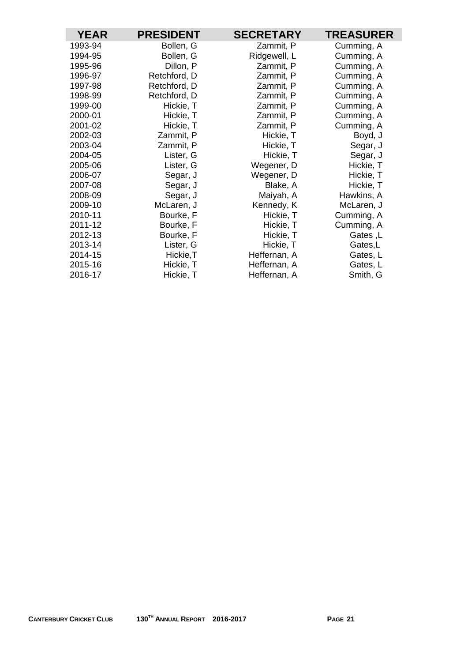| <b>YEAR</b> | <b>PRESIDENT</b> | <b>SECRETARY</b> | <b>TREASURER</b> |
|-------------|------------------|------------------|------------------|
| 1993-94     | Bollen, G        | Zammit, P        | Cumming, A       |
| 1994-95     | Bollen, G        | Ridgewell, L     | Cumming, A       |
| 1995-96     | Dillon, P        | Zammit, P        | Cumming, A       |
| 1996-97     | Retchford, D     | Zammit, P        | Cumming, A       |
| 1997-98     | Retchford, D     | Zammit, P        | Cumming, A       |
| 1998-99     | Retchford, D     | Zammit, P        | Cumming, A       |
| 1999-00     | Hickie, T        | Zammit, P        | Cumming, A       |
| 2000-01     | Hickie, T        | Zammit, P        | Cumming, A       |
| 2001-02     | Hickie, T        | Zammit, P        | Cumming, A       |
| 2002-03     | Zammit, P        | Hickie, T        | Boyd, J          |
| 2003-04     | Zammit, P        | Hickie, T        | Segar, J         |
| 2004-05     | Lister, G        | Hickie, T        | Segar, J         |
| 2005-06     | Lister, G        | Wegener, D       | Hickie, T        |
| 2006-07     | Segar, J         | Wegener, D       | Hickie, T        |
| 2007-08     | Segar, J         | Blake, A         | Hickie, T        |
| 2008-09     | Segar, J         | Maiyah, A        | Hawkins, A       |
| 2009-10     | McLaren, J       | Kennedy, K       | McLaren, J       |
| 2010-11     | Bourke, F        | Hickie, T        | Cumming, A       |
| 2011-12     | Bourke, F        | Hickie, T        | Cumming, A       |
| 2012-13     | Bourke, F        | Hickie, T        | Gates, L         |
| 2013-14     | Lister, G        | Hickie, T        | Gates,L          |
| 2014-15     | Hickie, T        | Heffernan, A     | Gates, L         |
| 2015-16     | Hickie, T        | Heffernan, A     | Gates, L         |
| 2016-17     | Hickie, T        | Heffernan, A     | Smith, G         |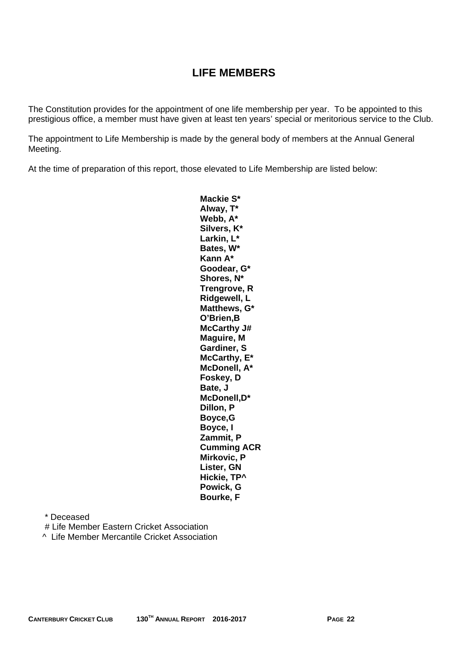# **LIFE MEMBERS**

The Constitution provides for the appointment of one life membership per year. To be appointed to this prestigious office, a member must have given at least ten years' special or meritorious service to the Club.

The appointment to Life Membership is made by the general body of members at the Annual General Meeting.

At the time of preparation of this report, those elevated to Life Membership are listed below:

**Mackie S\* Alway, T\* Webb, A\* Silvers, K\* Larkin, L\* Bates, W\* Kann A\* Goodear, G\* Shores, N\* Trengrove, R Ridgewell, L Matthews, G\* O'Brien,B McCarthy J# Maguire, M Gardiner, S McCarthy, E\* McDonell, A\* Foskey, D Bate, J McDonell,D\* Dillon, P Boyce,G Boyce, I Zammit, P Cumming ACR Mirkovic, P Lister, GN Hickie, TP^ Powick, G Bourke, F** 

\* Deceased

# Life Member Eastern Cricket Association

^ Life Member Mercantile Cricket Association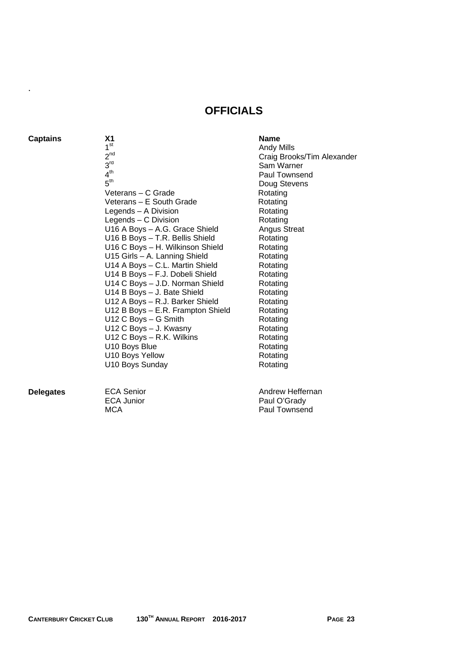### **OFFICIALS**

**Captains X1** X1 Name

.

- 1<sup>st</sup>  $2<sup>nd</sup>$  $\frac{3}{3}$ <sup>rd</sup><br>4<sup>th</sup><br>5<sup>th</sup> Veterans – C Grade Veterans – E South Grade Legends – A Division Legends – C Division U16 A Boys - A.G. Grace Shield Angus Streat U16 B Boys - T.R. Bellis Shield Rotating U16 C Boys - H. Wilkinson Shield Rotating U15 Girls - A. Lanning Shield Rotating U14 A Boys - C.L. Martin Shield Rotating U14 B Boys - F.J. Dobeli Shield Rotating U14 C Boys - J.D. Norman Shield Rotating U14 B Boys - J. Bate Shield Rotating U12 A Boys - R.J. Barker Shield Rotating U12 B Boys – E.R. Frampton Shield Rotating U12 C Boys – G Smith Rotating U12 C Boys - J. Kwasny Rotating U12 C Boys – R.K. Wilkins Rotating U10 Boys Blue Rotating U10 Boys Yellow Rotating U10 Boys Sunday Rotating
- Andy Mills Craig Brooks/Tim Alexander Sam Warner Paul Townsend Doug Stevens Rotating Rotating Rotating Rotating<br>Angus Streat

**Delegates ECA Senior ECA Senior Andrew Heffernan** ECA Junior **Paul O'Grady**<br>
MCA Paul Townsen Paul Townsend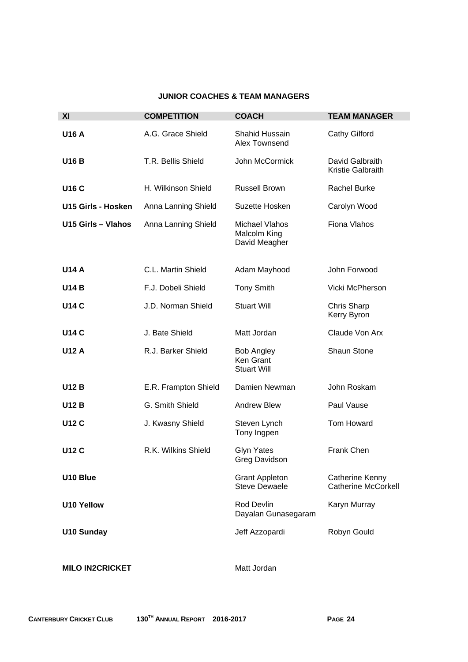#### **JUNIOR COACHES & TEAM MANAGERS**

| XI                     | <b>COMPETITION</b>   | <b>COACH</b>                                           | <b>TEAM MANAGER</b>                                  |
|------------------------|----------------------|--------------------------------------------------------|------------------------------------------------------|
| <b>U16 A</b>           | A.G. Grace Shield    | <b>Shahid Hussain</b><br>Alex Townsend                 | <b>Cathy Gilford</b>                                 |
| <b>U16 B</b>           | T.R. Bellis Shield   | John McCormick                                         | David Galbraith<br>Kristie Galbraith                 |
| <b>U16 C</b>           | H. Wilkinson Shield  | <b>Russell Brown</b>                                   | <b>Rachel Burke</b>                                  |
| U15 Girls - Hosken     | Anna Lanning Shield  | Suzette Hosken                                         | Carolyn Wood                                         |
| U15 Girls - Vlahos     | Anna Lanning Shield  | <b>Michael Vlahos</b><br>Malcolm King<br>David Meagher | Fiona Vlahos                                         |
| <b>U14 A</b>           | C.L. Martin Shield   | Adam Mayhood                                           | John Forwood                                         |
| <b>U14 B</b>           | F.J. Dobeli Shield   | <b>Tony Smith</b>                                      | Vicki McPherson                                      |
| <b>U14 C</b>           | J.D. Norman Shield   | <b>Stuart Will</b>                                     | <b>Chris Sharp</b><br>Kerry Byron                    |
| <b>U14 C</b>           | J. Bate Shield       | Matt Jordan                                            | Claude Von Arx                                       |
| <b>U12 A</b>           | R.J. Barker Shield   | <b>Bob Angley</b><br>Ken Grant<br><b>Stuart Will</b>   | <b>Shaun Stone</b>                                   |
| <b>U12 B</b>           | E.R. Frampton Shield | Damien Newman                                          | John Roskam                                          |
| <b>U12 B</b>           | G. Smith Shield      | <b>Andrew Blew</b>                                     | Paul Vause                                           |
| <b>U12 C</b>           | J. Kwasny Shield     | Steven Lynch<br>Tony Ingpen                            | <b>Tom Howard</b>                                    |
| <b>U12 C</b>           | R.K. Wilkins Shield  | <b>Glyn Yates</b><br><b>Greg Davidson</b>              | Frank Chen                                           |
| U10 Blue               |                      | <b>Grant Appleton</b><br><b>Steve Dewaele</b>          | <b>Catherine Kenny</b><br><b>Catherine McCorkell</b> |
| <b>U10 Yellow</b>      |                      | Rod Devlin<br>Dayalan Gunasegaram                      | Karyn Murray                                         |
| <b>U10 Sunday</b>      |                      | Jeff Azzopardi                                         | Robyn Gould                                          |
| <b>MILO IN2CRICKET</b> |                      | Matt Jordan                                            |                                                      |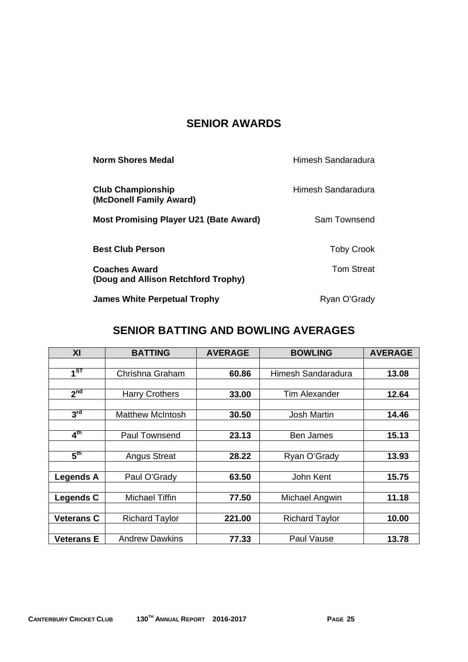# **SENIOR AWARDS**

| <b>Norm Shores Medal</b>                                    | Himesh Sandaradura |
|-------------------------------------------------------------|--------------------|
| <b>Club Championship</b><br>(McDonell Family Award)         | Himesh Sandaradura |
| <b>Most Promising Player U21 (Bate Award)</b>               | Sam Townsend       |
| <b>Best Club Person</b>                                     | <b>Toby Crook</b>  |
| <b>Coaches Award</b><br>(Doug and Allison Retchford Trophy) | <b>Tom Streat</b>  |
| <b>James White Perpetual Trophy</b>                         | Ryan O'Grady       |

# **SENIOR BATTING AND BOWLING AVERAGES**

| XI                | <b>BATTING</b>          | <b>AVERAGE</b> | <b>BOWLING</b>        | <b>AVERAGE</b> |
|-------------------|-------------------------|----------------|-----------------------|----------------|
|                   |                         |                |                       |                |
| $\overline{4}$ ST | Chrishna Graham         | 60.86          | Himesh Sandaradura    | 13.08          |
|                   |                         |                |                       |                |
| 2 <sub>nd</sub>   | <b>Harry Crothers</b>   | 33.00          | <b>Tim Alexander</b>  | 12.64          |
|                   |                         |                |                       |                |
| 3 <sup>rd</sup>   | <b>Matthew McIntosh</b> | 30.50          | <b>Josh Martin</b>    | 14.46          |
|                   |                         |                |                       |                |
| $4^{\text{th}}$   | Paul Townsend           | 23.13          | Ben James             | 15.13          |
|                   |                         |                |                       |                |
| 5 <sup>th</sup>   | <b>Angus Streat</b>     | 28.22          | Ryan O'Grady          | 13.93          |
|                   |                         |                |                       |                |
| <b>Legends A</b>  | Paul O'Grady            | 63.50          | John Kent             | 15.75          |
|                   |                         |                |                       |                |
| Legends C         | Michael Tiffin          | 77.50          | Michael Angwin        | 11.18          |
|                   |                         |                |                       |                |
| <b>Veterans C</b> | <b>Richard Taylor</b>   | 221.00         | <b>Richard Taylor</b> | 10.00          |
|                   |                         |                |                       |                |
| <b>Veterans E</b> | <b>Andrew Dawkins</b>   | 77.33          | Paul Vause            | 13.78          |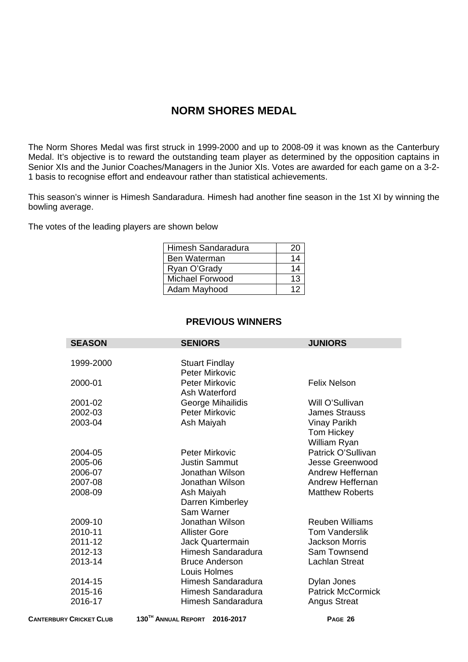## **NORM SHORES MEDAL**

The Norm Shores Medal was first struck in 1999-2000 and up to 2008-09 it was known as the Canterbury Medal. It's objective is to reward the outstanding team player as determined by the opposition captains in Senior XIs and the Junior Coaches/Managers in the Junior XIs. Votes are awarded for each game on a 3-2- 1 basis to recognise effort and endeavour rather than statistical achievements.

This season's winner is Himesh Sandaradura. Himesh had another fine season in the 1st XI by winning the bowling average.

The votes of the leading players are shown below

| Himesh Sandaradura | 20 |
|--------------------|----|
| Ben Waterman       | 14 |
| Ryan O'Grady       | 14 |
| Michael Forwood    | 13 |
| Adam Mayhood       | 12 |

### **PREVIOUS WINNERS**

| <b>SEASON</b> | <b>SENIORS</b>        | <b>JUNIORS</b>           |
|---------------|-----------------------|--------------------------|
|               |                       |                          |
| 1999-2000     | <b>Stuart Findlay</b> |                          |
|               | <b>Peter Mirkovic</b> |                          |
| 2000-01       | <b>Peter Mirkovic</b> | <b>Felix Nelson</b>      |
|               | Ash Waterford         |                          |
| 2001-02       | George Mihailidis     | Will O'Sullivan          |
| 2002-03       | <b>Peter Mirkovic</b> | <b>James Strauss</b>     |
| 2003-04       | Ash Maiyah            | <b>Vinay Parikh</b>      |
|               |                       | Tom Hickey               |
|               |                       | William Ryan             |
| 2004-05       | <b>Peter Mirkovic</b> | Patrick O'Sullivan       |
| 2005-06       | <b>Justin Sammut</b>  | <b>Jesse Greenwood</b>   |
| 2006-07       | Jonathan Wilson       | <b>Andrew Heffernan</b>  |
| 2007-08       | Jonathan Wilson       | Andrew Heffernan         |
| 2008-09       | Ash Maiyah            | <b>Matthew Roberts</b>   |
|               | Darren Kimberley      |                          |
|               | Sam Warner            |                          |
| 2009-10       | Jonathan Wilson       | <b>Reuben Williams</b>   |
| 2010-11       | <b>Allister Gore</b>  | <b>Tom Vanderslik</b>    |
| 2011-12       | Jack Quartermain      | <b>Jackson Morris</b>    |
| 2012-13       | Himesh Sandaradura    | Sam Townsend             |
| 2013-14       | <b>Bruce Anderson</b> | <b>Lachlan Streat</b>    |
|               | Louis Holmes          |                          |
| 2014-15       | Himesh Sandaradura    | Dylan Jones              |
| 2015-16       | Himesh Sandaradura    | <b>Patrick McCormick</b> |
| 2016-17       | Himesh Sandaradura    | <b>Angus Streat</b>      |

**CANTERBURY CRICKET CLUB 130TH ANNUAL REPORT 2016-2017 PAGE 26**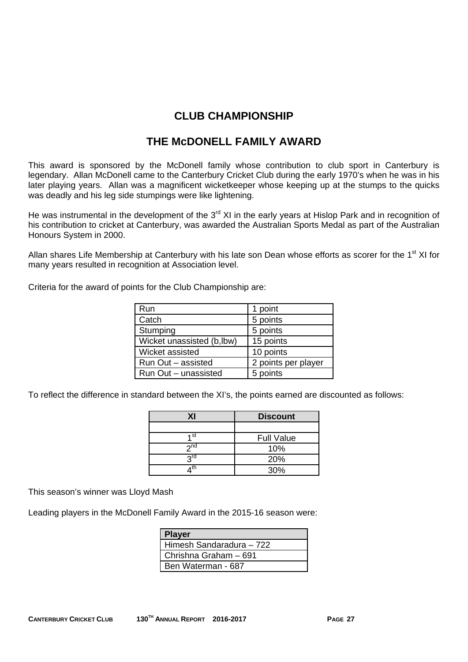# **CLUB CHAMPIONSHIP**

### **THE McDONELL FAMILY AWARD**

This award is sponsored by the McDonell family whose contribution to club sport in Canterbury is legendary. Allan McDonell came to the Canterbury Cricket Club during the early 1970's when he was in his later playing years. Allan was a magnificent wicketkeeper whose keeping up at the stumps to the quicks was deadly and his leg side stumpings were like lightening.

He was instrumental in the development of the 3<sup>rd</sup> XI in the early years at Hislop Park and in recognition of his contribution to cricket at Canterbury, was awarded the Australian Sports Medal as part of the Australian Honours System in 2000.

Allan shares Life Membership at Canterbury with his late son Dean whose efforts as scorer for the 1<sup>st</sup> XI for many years resulted in recognition at Association level.

Criteria for the award of points for the Club Championship are:

| Run                        | 1 point             |
|----------------------------|---------------------|
| Catch                      | 5 points            |
| Stumping                   | 5 points            |
| Wicket unassisted (b, lbw) | 15 points           |
| Wicket assisted            | 10 points           |
| Run Out - assisted         | 2 points per player |
| Run Out - unassisted       | 5 points            |

To reflect the difference in standard between the XI's, the points earned are discounted as follows:

| ΧI              | <b>Discount</b>   |  |
|-----------------|-------------------|--|
|                 |                   |  |
| 4 st            | <b>Full Value</b> |  |
| 2 <sub>nd</sub> | 10%               |  |
| 2rd             | 20%               |  |
|                 | 30%               |  |

This season's winner was Lloyd Mash

Leading players in the McDonell Family Award in the 2015-16 season were:

| <b>Player</b>              |  |
|----------------------------|--|
| l Himesh Sandaradura – 722 |  |
| I Chrishna Graham – 691    |  |
| Ben Waterman - 687         |  |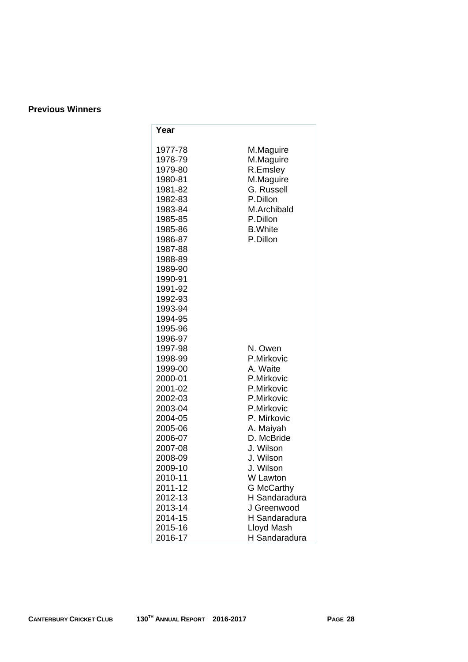### **Previous Winners**

| Year                                                                                                                                                                                                                                                      |                                                                                                                                                                                                                                                                                             |
|-----------------------------------------------------------------------------------------------------------------------------------------------------------------------------------------------------------------------------------------------------------|---------------------------------------------------------------------------------------------------------------------------------------------------------------------------------------------------------------------------------------------------------------------------------------------|
| 1977-78<br>1978-79<br>1979-80<br>1980-81<br>1981-82<br>1982-83<br>1983-84<br>1985-85<br>1985-86<br>1986-87<br>1987-88<br>1988-89<br>1989-90<br>1990-91<br>1991-92<br>1992-93<br>1993-94                                                                   | M.Maguire<br>M.Maguire<br>R.Emsley<br>M.Maguire<br>G. Russell<br>P.Dillon<br>M.Archibald<br>P.Dillon<br><b>B.</b> White<br>P.Dillon                                                                                                                                                         |
| 1994-95<br>1995-96<br>1996-97<br>1997-98<br>1998-99<br>1999-00<br>2000-01<br>2001-02<br>2002-03<br>2003-04<br>2004-05<br>2005-06<br>2006-07<br>2007-08<br>2008-09<br>2009-10<br>2010-11<br>2011-12<br>2012-13<br>2013-14<br>2014-15<br>2015-16<br>2016-17 | N. Owen<br>P.Mirkovic<br>A. Waite<br>P.Mirkovic<br>P.Mirkovic<br>P.Mirkovic<br>P.Mirkovic<br>P. Mirkovic<br>A. Maiyah<br>D. McBride<br>J. Wilson<br>J. Wilson<br>J. Wilson<br>W Lawton<br><b>G McCarthy</b><br>H Sandaradura<br>J Greenwood<br>H Sandaradura<br>Lloyd Mash<br>H Sandaradura |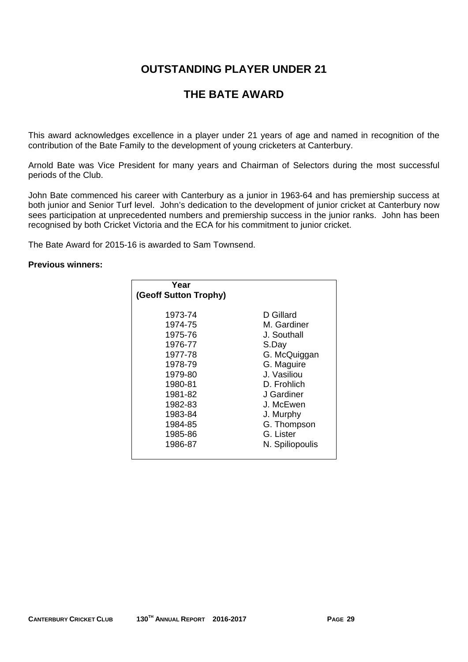# **OUTSTANDING PLAYER UNDER 21**

# **THE BATE AWARD**

This award acknowledges excellence in a player under 21 years of age and named in recognition of the contribution of the Bate Family to the development of young cricketers at Canterbury.

Arnold Bate was Vice President for many years and Chairman of Selectors during the most successful periods of the Club.

John Bate commenced his career with Canterbury as a junior in 1963-64 and has premiership success at both junior and Senior Turf level. John's dedication to the development of junior cricket at Canterbury now sees participation at unprecedented numbers and premiership success in the junior ranks. John has been recognised by both Cricket Victoria and the ECA for his commitment to junior cricket.

The Bate Award for 2015-16 is awarded to Sam Townsend.

### **Previous winners:**

| Year<br>(Geoff Sutton Trophy) |                 |
|-------------------------------|-----------------|
| 1973-74                       | D Gillard       |
| 1974-75                       | M. Gardiner     |
| 1975-76                       | J. Southall     |
| 1976-77                       | S.Day           |
| 1977-78                       | G. McQuiggan    |
| 1978-79                       | G. Maguire      |
| 1979-80                       | J. Vasiliou     |
| 1980-81                       | D. Frohlich     |
| 1981-82                       | J Gardiner      |
| 1982-83                       | J. McEwen       |
| 1983-84                       | J. Murphy       |
| 1984-85                       | G. Thompson     |
| 1985-86                       | G. Lister       |
| 1986-87                       | N. Spiliopoulis |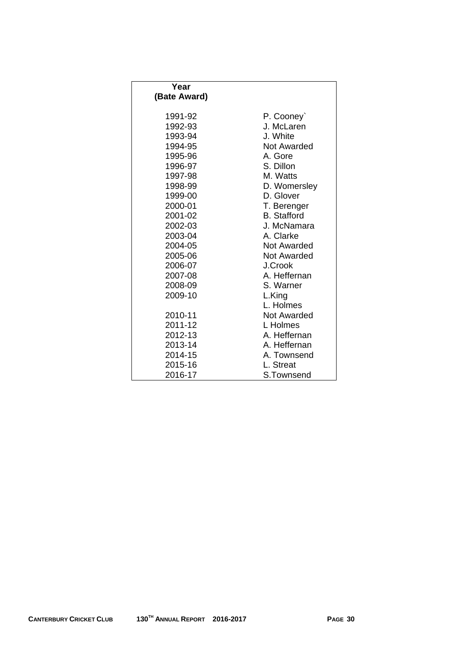| Year         |                    |
|--------------|--------------------|
| (Bate Award) |                    |
|              |                    |
| 1991-92      | P. Cooney`         |
| 1992-93      | J. McLaren         |
| 1993-94      | J. White           |
| 1994-95      | Not Awarded        |
| 1995-96      | A. Gore            |
| 1996-97      | S. Dillon          |
| 1997-98      | M. Watts           |
| 1998-99      | D. Womersley       |
| 1999-00      | D. Glover          |
| 2000-01      | T. Berenger        |
| 2001-02      | <b>B.</b> Stafford |
| 2002-03      | J. McNamara        |
| 2003-04      | A. Clarke          |
| 2004-05      | Not Awarded        |
| 2005-06      | Not Awarded        |
| 2006-07      | J.Crook            |
| 2007-08      | A. Heffernan       |
| 2008-09      | S. Warner          |
| 2009-10      | L.King             |
|              | L. Holmes          |
| 2010-11      | Not Awarded        |
| 2011-12      | L Holmes           |
| 2012-13      | A. Heffernan       |
| 2013-14      | A. Heffernan       |
| 2014-15      | A. Townsend        |
| 2015-16      | L. Streat          |
| 2016-17      | S.Townsend         |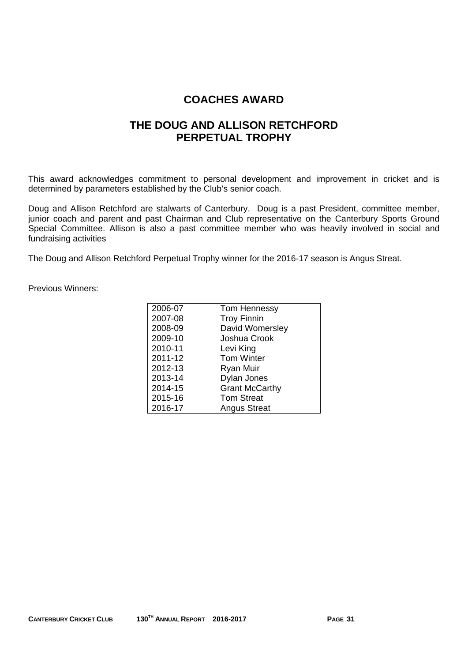## **COACHES AWARD**

### **THE DOUG AND ALLISON RETCHFORD PERPETUAL TROPHY**

This award acknowledges commitment to personal development and improvement in cricket and is determined by parameters established by the Club's senior coach.

Doug and Allison Retchford are stalwarts of Canterbury. Doug is a past President, committee member, junior coach and parent and past Chairman and Club representative on the Canterbury Sports Ground Special Committee. Allison is also a past committee member who was heavily involved in social and fundraising activities

The Doug and Allison Retchford Perpetual Trophy winner for the 2016-17 season is Angus Streat.

Previous Winners:

| 2006-07 | <b>Tom Hennessy</b>   |
|---------|-----------------------|
| 2007-08 | <b>Troy Finnin</b>    |
| 2008-09 | David Womersley       |
| 2009-10 | Joshua Crook          |
| 2010-11 | Levi King             |
| 2011-12 | <b>Tom Winter</b>     |
| 2012-13 | <b>Ryan Muir</b>      |
| 2013-14 | Dylan Jones           |
| 2014-15 | <b>Grant McCarthy</b> |
| 2015-16 | <b>Tom Streat</b>     |
| 2016-17 | <b>Angus Streat</b>   |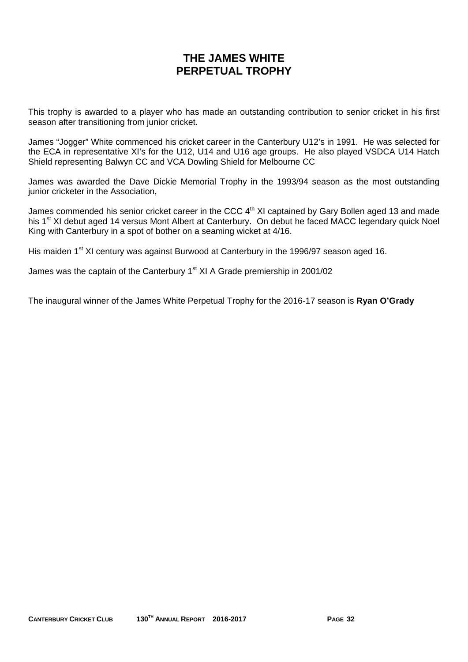# **THE JAMES WHITE PERPETUAL TROPHY**

This trophy is awarded to a player who has made an outstanding contribution to senior cricket in his first season after transitioning from junior cricket.

James "Jogger" White commenced his cricket career in the Canterbury U12's in 1991. He was selected for the ECA in representative XI's for the U12, U14 and U16 age groups. He also played VSDCA U14 Hatch Shield representing Balwyn CC and VCA Dowling Shield for Melbourne CC

James was awarded the Dave Dickie Memorial Trophy in the 1993/94 season as the most outstanding junior cricketer in the Association,

James commended his senior cricket career in the CCC 4<sup>th</sup> XI captained by Gary Bollen aged 13 and made his 1<sup>st</sup> XI debut aged 14 versus Mont Albert at Canterbury. On debut he faced MACC legendary quick Noel King with Canterbury in a spot of bother on a seaming wicket at 4/16.

His maiden 1<sup>st</sup> XI century was against Burwood at Canterbury in the 1996/97 season aged 16.

James was the captain of the Canterbury 1<sup>st</sup> XI A Grade premiership in 2001/02

The inaugural winner of the James White Perpetual Trophy for the 2016-17 season is **Ryan O'Grady**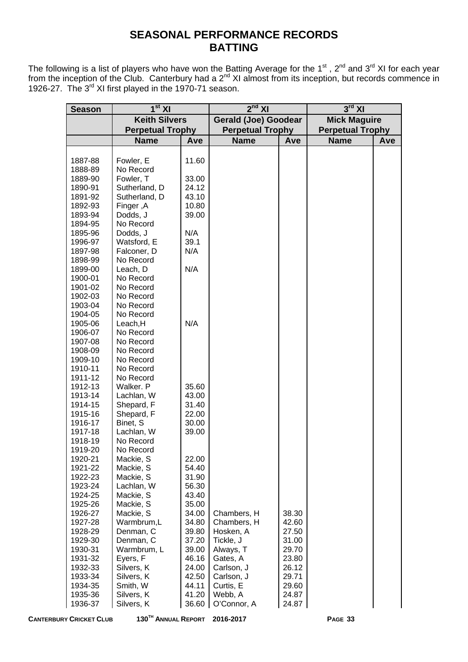# **SEASONAL PERFORMANCE RECORDS BATTING**

The following is a list of players who have won the Batting Average for the 1<sup>st</sup>, 2<sup>nd</sup> and 3<sup>rd</sup> XI for each year from the inception of the Club. Canterbury had a  $2^{nd}$  XI almost from its inception, but records commence in 1926-27. The 3<sup>rd</sup> XI first played in the 1970-71 season.

| <b>Season</b>      | $1st$ XI                 |                | $2^{nd}$ XI                 |                | $3^{\text{rd}}$ XI      |            |
|--------------------|--------------------------|----------------|-----------------------------|----------------|-------------------------|------------|
|                    | <b>Keith Silvers</b>     |                | <b>Gerald (Joe) Goodear</b> |                | <b>Mick Maguire</b>     |            |
|                    | <b>Perpetual Trophy</b>  |                | <b>Perpetual Trophy</b>     |                | <b>Perpetual Trophy</b> |            |
|                    | <b>Name</b>              | Ave            | <b>Name</b>                 | Ave            | <b>Name</b>             | <b>Ave</b> |
|                    |                          |                |                             |                |                         |            |
| 1887-88            | Fowler, E                | 11.60          |                             |                |                         |            |
| 1888-89            | No Record                |                |                             |                |                         |            |
| 1889-90            | Fowler, T                | 33.00          |                             |                |                         |            |
| 1890-91            | Sutherland, D            | 24.12          |                             |                |                         |            |
| 1891-92            | Sutherland, D            | 43.10          |                             |                |                         |            |
| 1892-93            | Finger, A                | 10.80          |                             |                |                         |            |
| 1893-94            | Dodds, J                 | 39.00          |                             |                |                         |            |
| 1894-95            | No Record                |                |                             |                |                         |            |
| 1895-96            | Dodds, J                 | N/A            |                             |                |                         |            |
| 1996-97            | Watsford, E              | 39.1           |                             |                |                         |            |
| 1897-98            | Falconer, D              | N/A            |                             |                |                         |            |
| 1898-99            | No Record                |                |                             |                |                         |            |
| 1899-00            | Leach, D                 | N/A            |                             |                |                         |            |
| 1900-01            | No Record                |                |                             |                |                         |            |
| 1901-02            | No Record                |                |                             |                |                         |            |
| 1902-03<br>1903-04 | No Record<br>No Record   |                |                             |                |                         |            |
| 1904-05            | No Record                |                |                             |                |                         |            |
| 1905-06            | Leach, H                 | N/A            |                             |                |                         |            |
| 1906-07            | No Record                |                |                             |                |                         |            |
| 1907-08            | No Record                |                |                             |                |                         |            |
| 1908-09            | No Record                |                |                             |                |                         |            |
| 1909-10            | No Record                |                |                             |                |                         |            |
| 1910-11            | No Record                |                |                             |                |                         |            |
| 1911-12            | No Record                |                |                             |                |                         |            |
| 1912-13            | Walker. P                | 35.60          |                             |                |                         |            |
| 1913-14            | Lachlan, W               | 43.00          |                             |                |                         |            |
| 1914-15            | Shepard, F               | 31.40          |                             |                |                         |            |
| 1915-16            | Shepard, F               | 22.00          |                             |                |                         |            |
| 1916-17            | Binet, S                 | 30.00          |                             |                |                         |            |
| 1917-18            | Lachlan, W               | 39.00          |                             |                |                         |            |
| 1918-19            | No Record<br>No Record   |                |                             |                |                         |            |
| 1919-20<br>1920-21 | Mackie, S                | 22.00          |                             |                |                         |            |
| 1921-22            | Mackie, S                | 54.40          |                             |                |                         |            |
| 1922-23            | Mackie, S                | 31.90          |                             |                |                         |            |
| 1923-24            | Lachlan, W               | 56.30          |                             |                |                         |            |
| 1924-25            | Mackie, S                | 43.40          |                             |                |                         |            |
| 1925-26            | Mackie, S                | 35.00          |                             |                |                         |            |
| 1926-27            | Mackie, S                | 34.00          | Chambers, H                 | 38.30          |                         |            |
| 1927-28            | Warmbrum,L               | 34.80          | Chambers, H                 | 42.60          |                         |            |
| 1928-29            | Denman, C                | 39.80          | Hosken, A                   | 27.50          |                         |            |
| 1929-30            | Denman, C                | 37.20          | Tickle, J                   | 31.00          |                         |            |
| 1930-31            | Warmbrum, L              | 39.00          | Always, T                   | 29.70          |                         |            |
| 1931-32            | Eyers, F                 | 46.16          | Gates, A                    | 23.80          |                         |            |
| 1932-33            | Silvers, K               | 24.00          | Carlson, J                  | 26.12          |                         |            |
| 1933-34            | Silvers, K               | 42.50          | Carlson, J                  | 29.71          |                         |            |
| 1934-35            | Smith, W                 | 44.11          | Curtis, E                   | 29.60          |                         |            |
| 1935-36<br>1936-37 | Silvers, K<br>Silvers, K | 41.20<br>36.60 | Webb, A<br>O'Connor, A      | 24.87<br>24.87 |                         |            |
|                    |                          |                |                             |                |                         |            |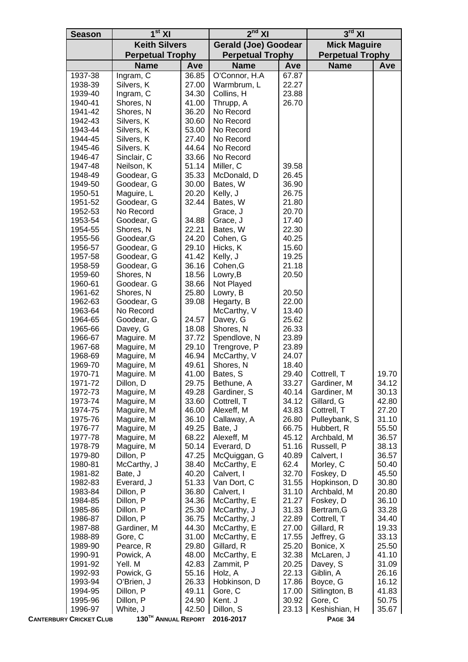| <b>Season</b>                  | 1 <sup>st</sup> XI              |                      | $2nd$ XI                  |                             | $3^{\text{rd}}$ XI        |                     |  |
|--------------------------------|---------------------------------|----------------------|---------------------------|-----------------------------|---------------------------|---------------------|--|
|                                |                                 | <b>Keith Silvers</b> |                           | <b>Gerald (Joe) Goodear</b> |                           | <b>Mick Maguire</b> |  |
|                                | <b>Perpetual Trophy</b>         |                      | <b>Perpetual Trophy</b>   |                             | <b>Perpetual Trophy</b>   |                     |  |
|                                | <b>Name</b>                     | Ave                  | <b>Name</b>               | Ave                         | <b>Name</b>               | Ave                 |  |
| 1937-38                        | Ingram, C                       | 36.85                | O'Connor, H.A             | 67.87                       |                           |                     |  |
| 1938-39                        | Silvers, K                      | 27.00                | Warmbrum, L               | 22.27                       |                           |                     |  |
| 1939-40                        | Ingram, C                       | 34.30                | Collins, H                | 23.88                       |                           |                     |  |
| 1940-41                        | Shores, N                       | 41.00                | Thrupp, A                 | 26.70                       |                           |                     |  |
| 1941-42                        | Shores, N                       | 36.20                | No Record                 |                             |                           |                     |  |
| 1942-43                        | Silvers, K                      | 30.60                | No Record                 |                             |                           |                     |  |
| 1943-44                        | Silvers, K                      | 53.00                | No Record                 |                             |                           |                     |  |
| 1944-45                        | Silvers, K                      | 27.40                | No Record                 |                             |                           |                     |  |
| 1945-46                        | Silvers. K                      | 44.64<br>33.66       | No Record<br>No Record    |                             |                           |                     |  |
| 1946-47<br>1947-48             | Sinclair, C<br>Neilson, K       | 51.14                | Miller, C                 | 39.58                       |                           |                     |  |
| 1948-49                        | Goodear, G                      | 35.33                | McDonald, D               | 26.45                       |                           |                     |  |
| 1949-50                        | Goodear, G                      | 30.00                | Bates, W                  | 36.90                       |                           |                     |  |
| 1950-51                        | Maguire, L                      | 20.20                | Kelly, J                  | 26.75                       |                           |                     |  |
| 1951-52                        | Goodear, G                      | 32.44                | Bates, W                  | 21.80                       |                           |                     |  |
| 1952-53                        | No Record                       |                      | Grace, J                  | 20.70                       |                           |                     |  |
| 1953-54                        | Goodear, G                      | 34.88                | Grace, J                  | 17.40                       |                           |                     |  |
| 1954-55                        | Shores, N                       | 22.21                | Bates, W                  | 22.30                       |                           |                     |  |
| 1955-56                        | Goodear, G                      | 24.20                | Cohen, G                  | 40.25                       |                           |                     |  |
| 1956-57                        | Goodear, G                      | 29.10                | Hicks, K                  | 15.60                       |                           |                     |  |
| 1957-58                        | Goodear, G                      | 41.42                | Kelly, J                  | 19.25                       |                           |                     |  |
| 1958-59                        | Goodear, G                      | 36.16                | Cohen, G                  | 21.18                       |                           |                     |  |
| 1959-60                        | Shores, N                       | 18.56                | Lowry, B                  | 20.50                       |                           |                     |  |
| 1960-61                        | Goodear. G                      | 38.66                | Not Played                |                             |                           |                     |  |
| 1961-62                        | Shores, N                       | 25.80                | Lowry, B                  | 20.50                       |                           |                     |  |
| 1962-63                        | Goodear, G                      | 39.08                | Hegarty, B                | 22.00                       |                           |                     |  |
| 1963-64                        | No Record                       |                      | McCarthy, V               | 13.40                       |                           |                     |  |
| 1964-65                        | Goodear, G                      | 24.57                | Davey, G                  | 25.62                       |                           |                     |  |
| 1965-66<br>1966-67             | Davey, G<br>Maguire. M          | 18.08<br>37.72       | Shores, N<br>Spendlove, N | 26.33<br>23.89              |                           |                     |  |
| 1967-68                        | Maguire, M                      | 29.10                | Trengrove, P              | 23.89                       |                           |                     |  |
| 1968-69                        | Maguire, M                      | 46.94                | McCarthy, V               | 24.07                       |                           |                     |  |
| 1969-70                        | Maguire, M                      | 49.61                | Shores, N                 | 18.40                       |                           |                     |  |
| 1970-71                        | Maguire. M                      | 41.00                | Bates, S                  | 29.40                       | Cottrell, T               | 19.70               |  |
| 1971-72                        | Dillon, D                       | 29.75                | Bethune, A                | 33.27                       | Gardiner, M               | 34.12               |  |
| 1972-73                        | Maguire, M                      | 49.28                | Gardiner, S               | 40.14                       | Gardiner, M               | 30.13               |  |
| 1973-74                        | Maguire, M                      | 33.60                | Cottrell, T               | 34.12                       | Gillard, G                | 42.80               |  |
| 1974-75                        | Maguire, M                      | 46.00                | Alexeff, M                | 43.83                       | Cottrell, T               | 27.20               |  |
| 1975-76                        | Maguire, M                      | 36.10                | Callaway, A               | 26.80                       | Pulleybank, S             | 31.10               |  |
| 1976-77                        | Maguire, M                      | 49.25                | Bate, J                   | 66.75                       | Hubbert, R                | 55.50               |  |
| 1977-78                        | Maguire, M                      | 68.22                | Alexeff, M                | 45.12                       | Archbald, M               | 36.57               |  |
| 1978-79                        | Maguire, M                      | 50.14                | Everard, D                | 51.16                       | Russell, P                | 38.13               |  |
| 1979-80                        | Dillon, P                       | 47.25                | McQuiggan, G              | 40.89                       | Calvert, I                | 36.57               |  |
| 1980-81<br>1981-82             | McCarthy, J                     | 38.40                | McCarthy, E               | 62.4                        | Morley, C                 | 50.40               |  |
| 1982-83                        | Bate, J<br>Everard, J           | 40.20<br>51.33       | Calvert, I<br>Van Dort, C | 32.70<br>31.55              | Foskey, D<br>Hopkinson, D | 45.50<br>30.80      |  |
| 1983-84                        | Dillon, P                       | 36.80                | Calvert, I                | 31.10                       | Archbald, M               | 20.80               |  |
| 1984-85                        | Dillon, P                       | 34.36                | McCarthy, E               | 21.27                       | Foskey, D                 | 36.10               |  |
| 1985-86                        | Dillon. P                       | 25.30                | McCarthy, J               | 31.33                       | Bertram, G                | 33.28               |  |
| 1986-87                        | Dillon, P                       | 36.75                | McCarthy, J               | 22.89                       | Cottrell, T               | 34.40               |  |
| 1987-88                        | Gardiner, M                     | 44.30                | McCarthy, E               | 27.00                       | Gillard, R                | 19.33               |  |
| 1988-89                        | Gore, C                         | 31.00                | McCarthy, E               | 17.55                       | Jeffrey, G                | 33.13               |  |
| 1989-90                        | Pearce, R                       | 29.80                | Gillard, R                | 25.20                       | Bonice, X                 | 25.50               |  |
| 1990-91                        | Powick, A                       | 48.00                | McCarthy, E               | 32.38                       | McLaren, J                | 41.10               |  |
| 1991-92                        | Yell. M                         | 42.83                | Zammit, P                 | 20.25                       | Davey, S                  | 31.09               |  |
| 1992-93                        | Powick, G                       | 55.16                | Holz, A                   | 22.13                       | Giblin, A                 | 26.16               |  |
| 1993-94                        | O'Brien, J                      | 26.33                | Hobkinson, D              | 17.86                       | Boyce, G                  | 16.12               |  |
| 1994-95                        | Dillon, P                       | 49.11                | Gore, C                   | 17.00                       | Sitlington, B             | 41.83               |  |
| 1995-96                        | Dillon, P                       | 24.90                | Kent. J                   | 30.92                       | Gore, C                   | 50.75               |  |
| 1996-97                        | White, J                        | 42.50                | Dillon, S                 | 23.13                       | Keshishian, H             | 35.67               |  |
| <b>CANTERBURY CRICKET CLUB</b> | 130 <sup>TH</sup> ANNUAL REPORT |                      | 2016-2017                 |                             | PAGE 34                   |                     |  |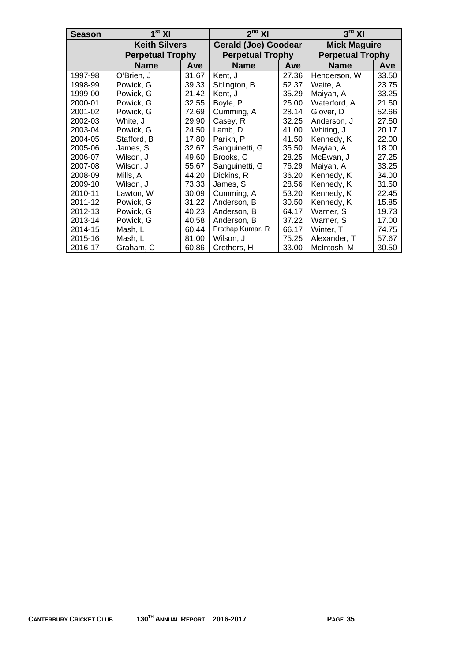| Season  | 1 <sup>st</sup> XI      |       | $2nd$ XI                    |       | $3rd$ XI                |       |  |
|---------|-------------------------|-------|-----------------------------|-------|-------------------------|-------|--|
|         | <b>Keith Silvers</b>    |       | <b>Gerald (Joe) Goodear</b> |       | <b>Mick Maguire</b>     |       |  |
|         | <b>Perpetual Trophy</b> |       | <b>Perpetual Trophy</b>     |       | <b>Perpetual Trophy</b> |       |  |
|         | <b>Name</b>             | Ave   | <b>Name</b>                 | Ave   | <b>Name</b>             | Ave   |  |
| 1997-98 | O'Brien, J              | 31.67 | Kent, J                     | 27.36 | Henderson, W            | 33.50 |  |
| 1998-99 | Powick, G               | 39.33 | Sitlington, B               | 52.37 | Waite, A                | 23.75 |  |
| 1999-00 | Powick, G               | 21.42 | Kent, J                     | 35.29 | Maiyah, A               | 33.25 |  |
| 2000-01 | Powick, G               | 32.55 | Boyle, P                    | 25.00 | Waterford, A            | 21.50 |  |
| 2001-02 | Powick, G               | 72.69 | Cumming, A                  | 28.14 | Glover, D               | 52.66 |  |
| 2002-03 | White, J                | 29.90 | Casey, R                    | 32.25 | Anderson, J             | 27.50 |  |
| 2003-04 | Powick, G               | 24.50 | Lamb, D                     | 41.00 | Whiting, J              | 20.17 |  |
| 2004-05 | Stafford, B             | 17.80 | Parikh, P                   | 41.50 | Kennedy, K              | 22.00 |  |
| 2005-06 | James, S                | 32.67 | Sanguinetti, G              | 35.50 | Mayiah, A               | 18.00 |  |
| 2006-07 | Wilson, J               | 49.60 | Brooks, C                   | 28.25 | McEwan, J               | 27.25 |  |
| 2007-08 | Wilson, J               | 55.67 | Sanguinetti, G              | 76.29 | Maiyah, A               | 33.25 |  |
| 2008-09 | Mills, A                | 44.20 | Dickins, R                  | 36.20 | Kennedy, K              | 34.00 |  |
| 2009-10 | Wilson, J               | 73.33 | James, S                    | 28.56 | Kennedy, K              | 31.50 |  |
| 2010-11 | Lawton, W               | 30.09 | Cumming, A                  | 53.20 | Kennedy, K              | 22.45 |  |
| 2011-12 | Powick, G               | 31.22 | Anderson, B                 | 30.50 | Kennedy, K              | 15.85 |  |
| 2012-13 | Powick, G               | 40.23 | Anderson, B                 | 64.17 | Warner, S               | 19.73 |  |
| 2013-14 | Powick, G               | 40.58 | Anderson, B                 | 37.22 | Warner, S               | 17.00 |  |
| 2014-15 | Mash, L                 | 60.44 | Prathap Kumar, R            | 66.17 | Winter, T               | 74.75 |  |
| 2015-16 | Mash, L                 | 81.00 | Wilson, J                   | 75.25 | Alexander, T            | 57.67 |  |
| 2016-17 | Graham, C               | 60.86 | Crothers, H                 | 33.00 | McIntosh, M             | 30.50 |  |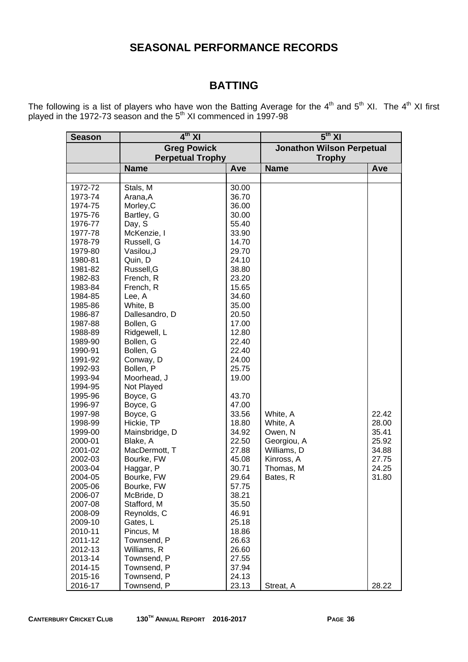# **SEASONAL PERFORMANCE RECORDS**

# **BATTING**

The following is a list of players who have won the Batting Average for the  $4^{\text{th}}$  and  $5^{\text{th}}$  XI. The  $4^{\text{th}}$  XI first played in the 1972-73 season and the  $5<sup>th</sup>$  XI commenced in 1997-98

| <b>Season</b> | $4th$ XI                |       | $\overline{5^{th}}$ XI           |       |  |  |  |
|---------------|-------------------------|-------|----------------------------------|-------|--|--|--|
|               | <b>Greg Powick</b>      |       | <b>Jonathon Wilson Perpetual</b> |       |  |  |  |
|               | <b>Perpetual Trophy</b> |       | <b>Trophy</b>                    |       |  |  |  |
|               | <b>Name</b>             | Ave   | <b>Name</b>                      | Ave   |  |  |  |
|               |                         |       |                                  |       |  |  |  |
| 1972-72       | Stals, M                | 30.00 |                                  |       |  |  |  |
| 1973-74       | Arana, A                | 36.70 |                                  |       |  |  |  |
| 1974-75       | Morley, C               | 36.00 |                                  |       |  |  |  |
| 1975-76       | Bartley, G              | 30.00 |                                  |       |  |  |  |
| 1976-77       | Day, S                  | 55.40 |                                  |       |  |  |  |
| 1977-78       | McKenzie, I             | 33.90 |                                  |       |  |  |  |
| 1978-79       | Russell, G              | 14.70 |                                  |       |  |  |  |
| 1979-80       | Vasilou, J              | 29.70 |                                  |       |  |  |  |
| 1980-81       | Quin, D                 | 24.10 |                                  |       |  |  |  |
| 1981-82       | Russell, G              | 38.80 |                                  |       |  |  |  |
| 1982-83       | French, R               | 23.20 |                                  |       |  |  |  |
| 1983-84       | French, R               | 15.65 |                                  |       |  |  |  |
| 1984-85       | Lee, A                  | 34.60 |                                  |       |  |  |  |
| 1985-86       | White, B                | 35.00 |                                  |       |  |  |  |
| 1986-87       | Dallesandro, D          | 20.50 |                                  |       |  |  |  |
| 1987-88       | Bollen, G               | 17.00 |                                  |       |  |  |  |
| 1988-89       | Ridgewell, L            | 12.80 |                                  |       |  |  |  |
| 1989-90       | Bollen, G               | 22.40 |                                  |       |  |  |  |
| 1990-91       | Bollen, G               | 22.40 |                                  |       |  |  |  |
| 1991-92       | Conway, D               | 24.00 |                                  |       |  |  |  |
| 1992-93       | Bollen, P               | 25.75 |                                  |       |  |  |  |
| 1993-94       | Moorhead, J             | 19.00 |                                  |       |  |  |  |
| 1994-95       | Not Played              |       |                                  |       |  |  |  |
| 1995-96       | Boyce, G                | 43.70 |                                  |       |  |  |  |
| 1996-97       | Boyce, G                | 47.00 |                                  |       |  |  |  |
| 1997-98       | Boyce, G                | 33.56 | White, A                         | 22.42 |  |  |  |
| 1998-99       | Hickie, TP              | 18.80 | White, A                         | 28.00 |  |  |  |
| 1999-00       | Mainsbridge, D          | 34.92 | Owen, N                          | 35.41 |  |  |  |
| 2000-01       | Blake, A                | 22.50 | Georgiou, A                      | 25.92 |  |  |  |
| 2001-02       | MacDermott, T           | 27.88 | Williams, D                      | 34.88 |  |  |  |
| 2002-03       | Bourke, FW              | 45.08 | Kinross, A                       | 27.75 |  |  |  |
| 2003-04       | Haggar, P               | 30.71 | Thomas, M                        | 24.25 |  |  |  |
| 2004-05       | Bourke, FW              | 29.64 | Bates, R                         | 31.80 |  |  |  |
| 2005-06       | Bourke, FW              | 57.75 |                                  |       |  |  |  |
| 2006-07       | McBride, D              | 38.21 |                                  |       |  |  |  |
| 2007-08       | Stafford, M             | 35.50 |                                  |       |  |  |  |
| 2008-09       | Reynolds, C             | 46.91 |                                  |       |  |  |  |
| 2009-10       | Gates, L                | 25.18 |                                  |       |  |  |  |
| 2010-11       | Pincus, M               | 18.86 |                                  |       |  |  |  |
| 2011-12       | Townsend, P             | 26.63 |                                  |       |  |  |  |
| 2012-13       | Williams, R             | 26.60 |                                  |       |  |  |  |
| 2013-14       | Townsend, P             | 27.55 |                                  |       |  |  |  |
| 2014-15       | Townsend, P             | 37.94 |                                  |       |  |  |  |
| 2015-16       | Townsend, P             | 24.13 |                                  |       |  |  |  |
| 2016-17       | Townsend, P             | 23.13 | Streat, A                        | 28.22 |  |  |  |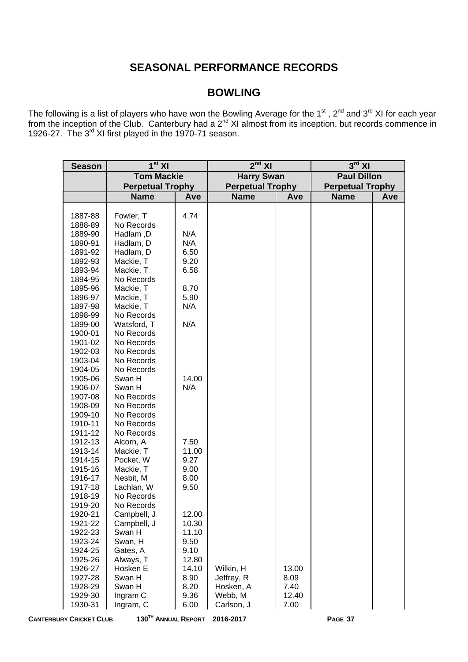# **SEASONAL PERFORMANCE RECORDS**

# **BOWLING**

The following is a list of players who have won the Bowling Average for the 1<sup>st</sup>, 2<sup>nd</sup> and 3<sup>rd</sup> XI for each year from the inception of the Club. Canterbury had a  $2^{nd}$  XI almost from its inception, but records commence in 1926-27. The 3<sup>rd</sup> XI first played in the 1970-71 season.

| <b>Season</b> | $1st$ XI                |       | $2nd$ XI                |              | $3^{\text{rd}}$ XI      |     |
|---------------|-------------------------|-------|-------------------------|--------------|-------------------------|-----|
|               | <b>Tom Mackie</b>       |       | <b>Harry Swan</b>       |              | <b>Paul Dillon</b>      |     |
|               | <b>Perpetual Trophy</b> |       | <b>Perpetual Trophy</b> |              | <b>Perpetual Trophy</b> |     |
|               | <b>Name</b>             | Ave   | <b>Name</b>             | Ave          | <b>Name</b>             | Ave |
|               |                         |       |                         |              |                         |     |
| 1887-88       | Fowler, T               | 4.74  |                         |              |                         |     |
| 1888-89       | No Records              |       |                         |              |                         |     |
| 1889-90       | Hadlam, D               | N/A   |                         |              |                         |     |
| 1890-91       | Hadlam, D               | N/A   |                         |              |                         |     |
| 1891-92       | Hadlam, D               | 6.50  |                         |              |                         |     |
| 1892-93       | Mackie, T               | 9.20  |                         |              |                         |     |
| 1893-94       | Mackie, T               | 6.58  |                         |              |                         |     |
| 1894-95       | No Records              |       |                         |              |                         |     |
| 1895-96       | Mackie, T               | 8.70  |                         |              |                         |     |
| 1896-97       | Mackie, T               | 5.90  |                         |              |                         |     |
| 1897-98       | Mackie, T               | N/A   |                         |              |                         |     |
| 1898-99       | No Records              |       |                         |              |                         |     |
| 1899-00       | Watsford, T             | N/A   |                         |              |                         |     |
| 1900-01       | No Records              |       |                         |              |                         |     |
| 1901-02       | No Records              |       |                         |              |                         |     |
| 1902-03       | No Records              |       |                         |              |                         |     |
| 1903-04       | No Records              |       |                         |              |                         |     |
| 1904-05       | No Records              |       |                         |              |                         |     |
| 1905-06       | Swan H                  | 14.00 |                         |              |                         |     |
| 1906-07       | Swan H                  | N/A   |                         |              |                         |     |
| 1907-08       | No Records              |       |                         |              |                         |     |
| 1908-09       | No Records              |       |                         |              |                         |     |
| 1909-10       | No Records              |       |                         |              |                         |     |
| 1910-11       | No Records              |       |                         |              |                         |     |
| 1911-12       | No Records              |       |                         |              |                         |     |
| 1912-13       | Alcorn, A               | 7.50  |                         |              |                         |     |
| 1913-14       | Mackie, T               | 11.00 |                         |              |                         |     |
| 1914-15       | Pocket, W               | 9.27  |                         |              |                         |     |
| 1915-16       | Mackie, T               | 9.00  |                         |              |                         |     |
| 1916-17       | Nesbit, M               | 8.00  |                         |              |                         |     |
| 1917-18       | Lachlan, W              | 9.50  |                         |              |                         |     |
| 1918-19       | No Records              |       |                         |              |                         |     |
| 1919-20       | No Records              |       |                         |              |                         |     |
| 1920-21       | Campbell, J             | 12.00 |                         |              |                         |     |
| 1921-22       | Campbell, J             | 10.30 |                         |              |                         |     |
| 1922-23       | Swan H                  | 11.10 |                         |              |                         |     |
| 1923-24       | Swan, H                 | 9.50  |                         |              |                         |     |
| 1924-25       | Gates, A                | 9.10  |                         |              |                         |     |
| 1925-26       | Always, T               | 12.80 |                         |              |                         |     |
| 1926-27       | Hosken E                | 14.10 | Wilkin, H               | 13.00        |                         |     |
| 1927-28       | Swan H                  | 8.90  | Jeffrey, R              | 8.09<br>7.40 |                         |     |
| 1928-29       | Swan H                  | 8.20  | Hosken, A<br>Webb, M    | 12.40        |                         |     |
| 1929-30       | Ingram C                | 9.36  | Carlson, J              |              |                         |     |
| 1930-31       | Ingram, C               | 6.00  |                         | 7.00         |                         |     |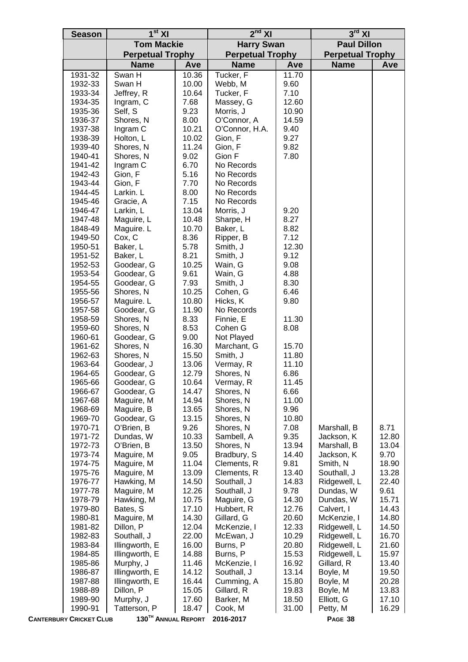| <b>Tom Mackie</b><br><b>Paul Dillon</b><br><b>Harry Swan</b><br><b>Perpetual Trophy</b><br><b>Perpetual Trophy</b><br><b>Perpetual Trophy</b><br><b>Name</b><br><b>Name</b><br><b>Name</b><br>Ave<br>Ave<br>Ave<br>Tucker, F<br>1931-32<br>Swan H<br>10.36<br>11.70<br>9.60<br>1932-33<br>Swan H<br>10.00<br>Webb, M<br>7.10<br>1933-34<br>Jeffrey, R<br>10.64<br>Tucker, F<br>1934-35<br>Ingram, C<br>7.68<br>Massey, G<br>12.60<br>9.23<br>1935-36<br>Self, S<br>Morris, J<br>10.90<br>1936-37<br>Shores, N<br>8.00<br>O'Connor, A<br>14.59<br>Ingram C<br>1937-38<br>10.21<br>O'Connor, H.A.<br>9.40<br>1938-39<br>Holton, L<br>10.02<br>Gion, F<br>9.27<br>11.24<br>9.82<br>1939-40<br>Shores, N<br>Gion, F<br>1940-41<br>Shores, N<br>9.02<br>Gion F<br>7.80<br>6.70<br>1941-42<br>Ingram C<br>No Records<br>5.16<br>1942-43<br>Gion, F<br>No Records<br>1943-44<br>7.70<br>Gion, F<br>No Records<br>8.00<br>1944-45<br>Larkin. L<br>No Records<br>7.15<br>1945-46<br>Gracie, A<br>No Records<br>13.04<br>9.20<br>1946-47<br>Larkin, L<br>Morris, J<br>8.27<br>1947-48<br>Maguire, L<br>10.48<br>Sharpe, H<br>1848-49<br>Maguire. L<br>10.70<br>Baker, L<br>8.82<br>Cox, C<br>8.36<br>7.12<br>1949-50<br>Ripper, B<br>5.78<br>12.30<br>1950-51<br>Baker, L<br>Smith, J<br>8.21<br>9.12<br>1951-52<br>Baker, L<br>Smith, J<br>1952-53<br>10.25<br>9.08<br>Goodear, G<br>Wain, G<br>9.61<br>4.88<br>1953-54<br>Goodear, G<br>Wain, G<br>8.30<br>1954-55<br>Goodear, G<br>7.93<br>Smith, J<br>1955-56<br>Shores, N<br>10.25<br>Cohen, G<br>6.46<br>Maguire. L<br>9.80<br>1956-57<br>10.80<br>Hicks, K<br>1957-58<br>Goodear, G<br>11.90<br>No Records<br>Shores, N<br>1958-59<br>8.33<br>Finnie, E<br>11.30<br>8.53<br>8.08<br>1959-60<br>Shores, N<br>Cohen G<br>1960-61<br>Goodear, G<br>9.00<br>Not Played<br>Shores, N<br>1961-62<br>16.30<br>Marchant, G<br>15.70<br>Smith, J<br>1962-63<br>Shores, N<br>15.50<br>11.80<br>1963-64<br>Goodear, J<br>13.06<br>Vermay, R<br>11.10<br>6.86<br>1964-65<br>Goodear, G<br>12.79<br>Shores, N<br>10.64<br>11.45<br>1965-66<br>Vermay, R<br>Goodear, G<br>14.47<br>1966-67<br>Goodear, G<br>Shores, N<br>6.66<br>Shores, N<br>1967-68<br>Maguire, M<br>14.94<br>11.00<br>1968-69<br>Maguire, B<br>13.65<br>Shores, N<br>9.96<br>Goodear, G<br>1969-70<br>13.15<br>Shores, N<br>10.80<br>1970-71<br>O'Brien, B<br>9.26<br>Shores, N<br>7.08<br>8.71<br>Marshall, B<br>9.35<br>1971-72<br>Dundas, W<br>10.33<br>Sambell, A<br>Jackson, K<br>12.80<br>1972-73<br>O'Brien, B<br>13.50<br>Shores, N<br>13.94<br>Marshall, B<br>13.04<br>1973-74<br>Maguire, M<br>9.05<br>Bradbury, S<br>14.40<br>Jackson, K<br>9.70<br>Maguire, M<br>9.81<br>Smith, N<br>1974-75<br>11.04<br>Clements, R<br>18.90<br>1975-76<br>Maguire, M<br>13.09<br>Clements, R<br>13.40<br>Southall, J<br>13.28<br>1976-77<br>Hawking, M<br>14.50<br>Southall, J<br>14.83<br>Ridgewell, L<br>22.40<br>Southall, J<br>9.61<br>1977-78<br>Maguire, M<br>12.26<br>9.78<br>Dundas, W<br>1978-79<br>Hawking, M<br>10.75<br>Maguire, G<br>14.30<br>Dundas, W<br>15.71<br>1979-80<br>Bates, S<br>17.10<br>Hubbert, R<br>Calvert, I<br>14.43<br>12.76<br>Maguire, M<br>McKenzie, I<br>1980-81<br>14.30<br>Gillard, G<br>20.60<br>14.80<br>1981-82<br>Dillon, P<br>12.04<br>McKenzie, I<br>14.50<br>12.33<br>Ridgewell, L<br>1982-83<br>Southall, J<br>22.00<br>McEwan, J<br>10.29<br>Ridgewell, L<br>16.70<br>Illingworth, E<br>1983-84<br>16.00<br>Burns, P<br>20.80<br>Ridgewell, L<br>21.60<br>Illingworth, E<br>Burns, P<br>15.53<br>Ridgewell, L<br>15.97<br>1984-85<br>14.88<br>1985-86<br>Murphy, J<br>11.46<br>McKenzie, I<br>16.92<br>Gillard, R<br>13.40<br>Illingworth, E<br>1986-87<br>14.12<br>Southall, J<br>13.14<br>Boyle, M<br>19.50<br>1987-88<br>Illingworth, E<br>16.44<br>Cumming, A<br>15.80<br>Boyle, M<br>20.28<br>Dillon, P<br>1988-89<br>15.05<br>Gillard, R<br>19.83<br>Boyle, M<br>13.83<br>Murphy, J<br>1989-90<br>17.60<br>Barker, M<br>18.50<br>Elliott, G<br>17.10<br>18.47<br>31.00<br>1990-91<br>Tatterson, P<br>Cook, M<br>Petty, M<br>16.29<br>130TH ANNUAL REPORT | <b>Season</b>                  | 1 <sup>st</sup> XI | $2nd$ XI  | $3rd$ XI |  |
|--------------------------------------------------------------------------------------------------------------------------------------------------------------------------------------------------------------------------------------------------------------------------------------------------------------------------------------------------------------------------------------------------------------------------------------------------------------------------------------------------------------------------------------------------------------------------------------------------------------------------------------------------------------------------------------------------------------------------------------------------------------------------------------------------------------------------------------------------------------------------------------------------------------------------------------------------------------------------------------------------------------------------------------------------------------------------------------------------------------------------------------------------------------------------------------------------------------------------------------------------------------------------------------------------------------------------------------------------------------------------------------------------------------------------------------------------------------------------------------------------------------------------------------------------------------------------------------------------------------------------------------------------------------------------------------------------------------------------------------------------------------------------------------------------------------------------------------------------------------------------------------------------------------------------------------------------------------------------------------------------------------------------------------------------------------------------------------------------------------------------------------------------------------------------------------------------------------------------------------------------------------------------------------------------------------------------------------------------------------------------------------------------------------------------------------------------------------------------------------------------------------------------------------------------------------------------------------------------------------------------------------------------------------------------------------------------------------------------------------------------------------------------------------------------------------------------------------------------------------------------------------------------------------------------------------------------------------------------------------------------------------------------------------------------------------------------------------------------------------------------------------------------------------------------------------------------------------------------------------------------------------------------------------------------------------------------------------------------------------------------------------------------------------------------------------------------------------------------------------------------------------------------------------------------------------------------------------------------------------------------------------------------------------------------------------------------------------------------------------------------------------------------------------------------------------------------------------------------------------------------------------------------------------------------------------------------------------------------------------------------------------------------------------------------------------------------------------------------------------|--------------------------------|--------------------|-----------|----------|--|
|                                                                                                                                                                                                                                                                                                                                                                                                                                                                                                                                                                                                                                                                                                                                                                                                                                                                                                                                                                                                                                                                                                                                                                                                                                                                                                                                                                                                                                                                                                                                                                                                                                                                                                                                                                                                                                                                                                                                                                                                                                                                                                                                                                                                                                                                                                                                                                                                                                                                                                                                                                                                                                                                                                                                                                                                                                                                                                                                                                                                                                                                                                                                                                                                                                                                                                                                                                                                                                                                                                                                                                                                                                                                                                                                                                                                                                                                                                                                                                                                                                                                                                              |                                |                    |           |          |  |
|                                                                                                                                                                                                                                                                                                                                                                                                                                                                                                                                                                                                                                                                                                                                                                                                                                                                                                                                                                                                                                                                                                                                                                                                                                                                                                                                                                                                                                                                                                                                                                                                                                                                                                                                                                                                                                                                                                                                                                                                                                                                                                                                                                                                                                                                                                                                                                                                                                                                                                                                                                                                                                                                                                                                                                                                                                                                                                                                                                                                                                                                                                                                                                                                                                                                                                                                                                                                                                                                                                                                                                                                                                                                                                                                                                                                                                                                                                                                                                                                                                                                                                              |                                |                    |           |          |  |
|                                                                                                                                                                                                                                                                                                                                                                                                                                                                                                                                                                                                                                                                                                                                                                                                                                                                                                                                                                                                                                                                                                                                                                                                                                                                                                                                                                                                                                                                                                                                                                                                                                                                                                                                                                                                                                                                                                                                                                                                                                                                                                                                                                                                                                                                                                                                                                                                                                                                                                                                                                                                                                                                                                                                                                                                                                                                                                                                                                                                                                                                                                                                                                                                                                                                                                                                                                                                                                                                                                                                                                                                                                                                                                                                                                                                                                                                                                                                                                                                                                                                                                              |                                |                    |           |          |  |
|                                                                                                                                                                                                                                                                                                                                                                                                                                                                                                                                                                                                                                                                                                                                                                                                                                                                                                                                                                                                                                                                                                                                                                                                                                                                                                                                                                                                                                                                                                                                                                                                                                                                                                                                                                                                                                                                                                                                                                                                                                                                                                                                                                                                                                                                                                                                                                                                                                                                                                                                                                                                                                                                                                                                                                                                                                                                                                                                                                                                                                                                                                                                                                                                                                                                                                                                                                                                                                                                                                                                                                                                                                                                                                                                                                                                                                                                                                                                                                                                                                                                                                              |                                |                    |           |          |  |
|                                                                                                                                                                                                                                                                                                                                                                                                                                                                                                                                                                                                                                                                                                                                                                                                                                                                                                                                                                                                                                                                                                                                                                                                                                                                                                                                                                                                                                                                                                                                                                                                                                                                                                                                                                                                                                                                                                                                                                                                                                                                                                                                                                                                                                                                                                                                                                                                                                                                                                                                                                                                                                                                                                                                                                                                                                                                                                                                                                                                                                                                                                                                                                                                                                                                                                                                                                                                                                                                                                                                                                                                                                                                                                                                                                                                                                                                                                                                                                                                                                                                                                              |                                |                    |           |          |  |
|                                                                                                                                                                                                                                                                                                                                                                                                                                                                                                                                                                                                                                                                                                                                                                                                                                                                                                                                                                                                                                                                                                                                                                                                                                                                                                                                                                                                                                                                                                                                                                                                                                                                                                                                                                                                                                                                                                                                                                                                                                                                                                                                                                                                                                                                                                                                                                                                                                                                                                                                                                                                                                                                                                                                                                                                                                                                                                                                                                                                                                                                                                                                                                                                                                                                                                                                                                                                                                                                                                                                                                                                                                                                                                                                                                                                                                                                                                                                                                                                                                                                                                              |                                |                    |           |          |  |
|                                                                                                                                                                                                                                                                                                                                                                                                                                                                                                                                                                                                                                                                                                                                                                                                                                                                                                                                                                                                                                                                                                                                                                                                                                                                                                                                                                                                                                                                                                                                                                                                                                                                                                                                                                                                                                                                                                                                                                                                                                                                                                                                                                                                                                                                                                                                                                                                                                                                                                                                                                                                                                                                                                                                                                                                                                                                                                                                                                                                                                                                                                                                                                                                                                                                                                                                                                                                                                                                                                                                                                                                                                                                                                                                                                                                                                                                                                                                                                                                                                                                                                              |                                |                    |           |          |  |
|                                                                                                                                                                                                                                                                                                                                                                                                                                                                                                                                                                                                                                                                                                                                                                                                                                                                                                                                                                                                                                                                                                                                                                                                                                                                                                                                                                                                                                                                                                                                                                                                                                                                                                                                                                                                                                                                                                                                                                                                                                                                                                                                                                                                                                                                                                                                                                                                                                                                                                                                                                                                                                                                                                                                                                                                                                                                                                                                                                                                                                                                                                                                                                                                                                                                                                                                                                                                                                                                                                                                                                                                                                                                                                                                                                                                                                                                                                                                                                                                                                                                                                              |                                |                    |           |          |  |
|                                                                                                                                                                                                                                                                                                                                                                                                                                                                                                                                                                                                                                                                                                                                                                                                                                                                                                                                                                                                                                                                                                                                                                                                                                                                                                                                                                                                                                                                                                                                                                                                                                                                                                                                                                                                                                                                                                                                                                                                                                                                                                                                                                                                                                                                                                                                                                                                                                                                                                                                                                                                                                                                                                                                                                                                                                                                                                                                                                                                                                                                                                                                                                                                                                                                                                                                                                                                                                                                                                                                                                                                                                                                                                                                                                                                                                                                                                                                                                                                                                                                                                              |                                |                    |           |          |  |
|                                                                                                                                                                                                                                                                                                                                                                                                                                                                                                                                                                                                                                                                                                                                                                                                                                                                                                                                                                                                                                                                                                                                                                                                                                                                                                                                                                                                                                                                                                                                                                                                                                                                                                                                                                                                                                                                                                                                                                                                                                                                                                                                                                                                                                                                                                                                                                                                                                                                                                                                                                                                                                                                                                                                                                                                                                                                                                                                                                                                                                                                                                                                                                                                                                                                                                                                                                                                                                                                                                                                                                                                                                                                                                                                                                                                                                                                                                                                                                                                                                                                                                              |                                |                    |           |          |  |
|                                                                                                                                                                                                                                                                                                                                                                                                                                                                                                                                                                                                                                                                                                                                                                                                                                                                                                                                                                                                                                                                                                                                                                                                                                                                                                                                                                                                                                                                                                                                                                                                                                                                                                                                                                                                                                                                                                                                                                                                                                                                                                                                                                                                                                                                                                                                                                                                                                                                                                                                                                                                                                                                                                                                                                                                                                                                                                                                                                                                                                                                                                                                                                                                                                                                                                                                                                                                                                                                                                                                                                                                                                                                                                                                                                                                                                                                                                                                                                                                                                                                                                              |                                |                    |           |          |  |
|                                                                                                                                                                                                                                                                                                                                                                                                                                                                                                                                                                                                                                                                                                                                                                                                                                                                                                                                                                                                                                                                                                                                                                                                                                                                                                                                                                                                                                                                                                                                                                                                                                                                                                                                                                                                                                                                                                                                                                                                                                                                                                                                                                                                                                                                                                                                                                                                                                                                                                                                                                                                                                                                                                                                                                                                                                                                                                                                                                                                                                                                                                                                                                                                                                                                                                                                                                                                                                                                                                                                                                                                                                                                                                                                                                                                                                                                                                                                                                                                                                                                                                              |                                |                    |           |          |  |
|                                                                                                                                                                                                                                                                                                                                                                                                                                                                                                                                                                                                                                                                                                                                                                                                                                                                                                                                                                                                                                                                                                                                                                                                                                                                                                                                                                                                                                                                                                                                                                                                                                                                                                                                                                                                                                                                                                                                                                                                                                                                                                                                                                                                                                                                                                                                                                                                                                                                                                                                                                                                                                                                                                                                                                                                                                                                                                                                                                                                                                                                                                                                                                                                                                                                                                                                                                                                                                                                                                                                                                                                                                                                                                                                                                                                                                                                                                                                                                                                                                                                                                              |                                |                    |           |          |  |
|                                                                                                                                                                                                                                                                                                                                                                                                                                                                                                                                                                                                                                                                                                                                                                                                                                                                                                                                                                                                                                                                                                                                                                                                                                                                                                                                                                                                                                                                                                                                                                                                                                                                                                                                                                                                                                                                                                                                                                                                                                                                                                                                                                                                                                                                                                                                                                                                                                                                                                                                                                                                                                                                                                                                                                                                                                                                                                                                                                                                                                                                                                                                                                                                                                                                                                                                                                                                                                                                                                                                                                                                                                                                                                                                                                                                                                                                                                                                                                                                                                                                                                              |                                |                    |           |          |  |
|                                                                                                                                                                                                                                                                                                                                                                                                                                                                                                                                                                                                                                                                                                                                                                                                                                                                                                                                                                                                                                                                                                                                                                                                                                                                                                                                                                                                                                                                                                                                                                                                                                                                                                                                                                                                                                                                                                                                                                                                                                                                                                                                                                                                                                                                                                                                                                                                                                                                                                                                                                                                                                                                                                                                                                                                                                                                                                                                                                                                                                                                                                                                                                                                                                                                                                                                                                                                                                                                                                                                                                                                                                                                                                                                                                                                                                                                                                                                                                                                                                                                                                              |                                |                    |           |          |  |
|                                                                                                                                                                                                                                                                                                                                                                                                                                                                                                                                                                                                                                                                                                                                                                                                                                                                                                                                                                                                                                                                                                                                                                                                                                                                                                                                                                                                                                                                                                                                                                                                                                                                                                                                                                                                                                                                                                                                                                                                                                                                                                                                                                                                                                                                                                                                                                                                                                                                                                                                                                                                                                                                                                                                                                                                                                                                                                                                                                                                                                                                                                                                                                                                                                                                                                                                                                                                                                                                                                                                                                                                                                                                                                                                                                                                                                                                                                                                                                                                                                                                                                              |                                |                    |           |          |  |
|                                                                                                                                                                                                                                                                                                                                                                                                                                                                                                                                                                                                                                                                                                                                                                                                                                                                                                                                                                                                                                                                                                                                                                                                                                                                                                                                                                                                                                                                                                                                                                                                                                                                                                                                                                                                                                                                                                                                                                                                                                                                                                                                                                                                                                                                                                                                                                                                                                                                                                                                                                                                                                                                                                                                                                                                                                                                                                                                                                                                                                                                                                                                                                                                                                                                                                                                                                                                                                                                                                                                                                                                                                                                                                                                                                                                                                                                                                                                                                                                                                                                                                              |                                |                    |           |          |  |
|                                                                                                                                                                                                                                                                                                                                                                                                                                                                                                                                                                                                                                                                                                                                                                                                                                                                                                                                                                                                                                                                                                                                                                                                                                                                                                                                                                                                                                                                                                                                                                                                                                                                                                                                                                                                                                                                                                                                                                                                                                                                                                                                                                                                                                                                                                                                                                                                                                                                                                                                                                                                                                                                                                                                                                                                                                                                                                                                                                                                                                                                                                                                                                                                                                                                                                                                                                                                                                                                                                                                                                                                                                                                                                                                                                                                                                                                                                                                                                                                                                                                                                              |                                |                    |           |          |  |
|                                                                                                                                                                                                                                                                                                                                                                                                                                                                                                                                                                                                                                                                                                                                                                                                                                                                                                                                                                                                                                                                                                                                                                                                                                                                                                                                                                                                                                                                                                                                                                                                                                                                                                                                                                                                                                                                                                                                                                                                                                                                                                                                                                                                                                                                                                                                                                                                                                                                                                                                                                                                                                                                                                                                                                                                                                                                                                                                                                                                                                                                                                                                                                                                                                                                                                                                                                                                                                                                                                                                                                                                                                                                                                                                                                                                                                                                                                                                                                                                                                                                                                              |                                |                    |           |          |  |
|                                                                                                                                                                                                                                                                                                                                                                                                                                                                                                                                                                                                                                                                                                                                                                                                                                                                                                                                                                                                                                                                                                                                                                                                                                                                                                                                                                                                                                                                                                                                                                                                                                                                                                                                                                                                                                                                                                                                                                                                                                                                                                                                                                                                                                                                                                                                                                                                                                                                                                                                                                                                                                                                                                                                                                                                                                                                                                                                                                                                                                                                                                                                                                                                                                                                                                                                                                                                                                                                                                                                                                                                                                                                                                                                                                                                                                                                                                                                                                                                                                                                                                              |                                |                    |           |          |  |
|                                                                                                                                                                                                                                                                                                                                                                                                                                                                                                                                                                                                                                                                                                                                                                                                                                                                                                                                                                                                                                                                                                                                                                                                                                                                                                                                                                                                                                                                                                                                                                                                                                                                                                                                                                                                                                                                                                                                                                                                                                                                                                                                                                                                                                                                                                                                                                                                                                                                                                                                                                                                                                                                                                                                                                                                                                                                                                                                                                                                                                                                                                                                                                                                                                                                                                                                                                                                                                                                                                                                                                                                                                                                                                                                                                                                                                                                                                                                                                                                                                                                                                              |                                |                    |           |          |  |
|                                                                                                                                                                                                                                                                                                                                                                                                                                                                                                                                                                                                                                                                                                                                                                                                                                                                                                                                                                                                                                                                                                                                                                                                                                                                                                                                                                                                                                                                                                                                                                                                                                                                                                                                                                                                                                                                                                                                                                                                                                                                                                                                                                                                                                                                                                                                                                                                                                                                                                                                                                                                                                                                                                                                                                                                                                                                                                                                                                                                                                                                                                                                                                                                                                                                                                                                                                                                                                                                                                                                                                                                                                                                                                                                                                                                                                                                                                                                                                                                                                                                                                              |                                |                    |           |          |  |
|                                                                                                                                                                                                                                                                                                                                                                                                                                                                                                                                                                                                                                                                                                                                                                                                                                                                                                                                                                                                                                                                                                                                                                                                                                                                                                                                                                                                                                                                                                                                                                                                                                                                                                                                                                                                                                                                                                                                                                                                                                                                                                                                                                                                                                                                                                                                                                                                                                                                                                                                                                                                                                                                                                                                                                                                                                                                                                                                                                                                                                                                                                                                                                                                                                                                                                                                                                                                                                                                                                                                                                                                                                                                                                                                                                                                                                                                                                                                                                                                                                                                                                              |                                |                    |           |          |  |
|                                                                                                                                                                                                                                                                                                                                                                                                                                                                                                                                                                                                                                                                                                                                                                                                                                                                                                                                                                                                                                                                                                                                                                                                                                                                                                                                                                                                                                                                                                                                                                                                                                                                                                                                                                                                                                                                                                                                                                                                                                                                                                                                                                                                                                                                                                                                                                                                                                                                                                                                                                                                                                                                                                                                                                                                                                                                                                                                                                                                                                                                                                                                                                                                                                                                                                                                                                                                                                                                                                                                                                                                                                                                                                                                                                                                                                                                                                                                                                                                                                                                                                              |                                |                    |           |          |  |
|                                                                                                                                                                                                                                                                                                                                                                                                                                                                                                                                                                                                                                                                                                                                                                                                                                                                                                                                                                                                                                                                                                                                                                                                                                                                                                                                                                                                                                                                                                                                                                                                                                                                                                                                                                                                                                                                                                                                                                                                                                                                                                                                                                                                                                                                                                                                                                                                                                                                                                                                                                                                                                                                                                                                                                                                                                                                                                                                                                                                                                                                                                                                                                                                                                                                                                                                                                                                                                                                                                                                                                                                                                                                                                                                                                                                                                                                                                                                                                                                                                                                                                              |                                |                    |           |          |  |
|                                                                                                                                                                                                                                                                                                                                                                                                                                                                                                                                                                                                                                                                                                                                                                                                                                                                                                                                                                                                                                                                                                                                                                                                                                                                                                                                                                                                                                                                                                                                                                                                                                                                                                                                                                                                                                                                                                                                                                                                                                                                                                                                                                                                                                                                                                                                                                                                                                                                                                                                                                                                                                                                                                                                                                                                                                                                                                                                                                                                                                                                                                                                                                                                                                                                                                                                                                                                                                                                                                                                                                                                                                                                                                                                                                                                                                                                                                                                                                                                                                                                                                              |                                |                    |           |          |  |
|                                                                                                                                                                                                                                                                                                                                                                                                                                                                                                                                                                                                                                                                                                                                                                                                                                                                                                                                                                                                                                                                                                                                                                                                                                                                                                                                                                                                                                                                                                                                                                                                                                                                                                                                                                                                                                                                                                                                                                                                                                                                                                                                                                                                                                                                                                                                                                                                                                                                                                                                                                                                                                                                                                                                                                                                                                                                                                                                                                                                                                                                                                                                                                                                                                                                                                                                                                                                                                                                                                                                                                                                                                                                                                                                                                                                                                                                                                                                                                                                                                                                                                              |                                |                    |           |          |  |
|                                                                                                                                                                                                                                                                                                                                                                                                                                                                                                                                                                                                                                                                                                                                                                                                                                                                                                                                                                                                                                                                                                                                                                                                                                                                                                                                                                                                                                                                                                                                                                                                                                                                                                                                                                                                                                                                                                                                                                                                                                                                                                                                                                                                                                                                                                                                                                                                                                                                                                                                                                                                                                                                                                                                                                                                                                                                                                                                                                                                                                                                                                                                                                                                                                                                                                                                                                                                                                                                                                                                                                                                                                                                                                                                                                                                                                                                                                                                                                                                                                                                                                              |                                |                    |           |          |  |
|                                                                                                                                                                                                                                                                                                                                                                                                                                                                                                                                                                                                                                                                                                                                                                                                                                                                                                                                                                                                                                                                                                                                                                                                                                                                                                                                                                                                                                                                                                                                                                                                                                                                                                                                                                                                                                                                                                                                                                                                                                                                                                                                                                                                                                                                                                                                                                                                                                                                                                                                                                                                                                                                                                                                                                                                                                                                                                                                                                                                                                                                                                                                                                                                                                                                                                                                                                                                                                                                                                                                                                                                                                                                                                                                                                                                                                                                                                                                                                                                                                                                                                              |                                |                    |           |          |  |
|                                                                                                                                                                                                                                                                                                                                                                                                                                                                                                                                                                                                                                                                                                                                                                                                                                                                                                                                                                                                                                                                                                                                                                                                                                                                                                                                                                                                                                                                                                                                                                                                                                                                                                                                                                                                                                                                                                                                                                                                                                                                                                                                                                                                                                                                                                                                                                                                                                                                                                                                                                                                                                                                                                                                                                                                                                                                                                                                                                                                                                                                                                                                                                                                                                                                                                                                                                                                                                                                                                                                                                                                                                                                                                                                                                                                                                                                                                                                                                                                                                                                                                              |                                |                    |           |          |  |
|                                                                                                                                                                                                                                                                                                                                                                                                                                                                                                                                                                                                                                                                                                                                                                                                                                                                                                                                                                                                                                                                                                                                                                                                                                                                                                                                                                                                                                                                                                                                                                                                                                                                                                                                                                                                                                                                                                                                                                                                                                                                                                                                                                                                                                                                                                                                                                                                                                                                                                                                                                                                                                                                                                                                                                                                                                                                                                                                                                                                                                                                                                                                                                                                                                                                                                                                                                                                                                                                                                                                                                                                                                                                                                                                                                                                                                                                                                                                                                                                                                                                                                              |                                |                    |           |          |  |
|                                                                                                                                                                                                                                                                                                                                                                                                                                                                                                                                                                                                                                                                                                                                                                                                                                                                                                                                                                                                                                                                                                                                                                                                                                                                                                                                                                                                                                                                                                                                                                                                                                                                                                                                                                                                                                                                                                                                                                                                                                                                                                                                                                                                                                                                                                                                                                                                                                                                                                                                                                                                                                                                                                                                                                                                                                                                                                                                                                                                                                                                                                                                                                                                                                                                                                                                                                                                                                                                                                                                                                                                                                                                                                                                                                                                                                                                                                                                                                                                                                                                                                              |                                |                    |           |          |  |
|                                                                                                                                                                                                                                                                                                                                                                                                                                                                                                                                                                                                                                                                                                                                                                                                                                                                                                                                                                                                                                                                                                                                                                                                                                                                                                                                                                                                                                                                                                                                                                                                                                                                                                                                                                                                                                                                                                                                                                                                                                                                                                                                                                                                                                                                                                                                                                                                                                                                                                                                                                                                                                                                                                                                                                                                                                                                                                                                                                                                                                                                                                                                                                                                                                                                                                                                                                                                                                                                                                                                                                                                                                                                                                                                                                                                                                                                                                                                                                                                                                                                                                              |                                |                    |           |          |  |
|                                                                                                                                                                                                                                                                                                                                                                                                                                                                                                                                                                                                                                                                                                                                                                                                                                                                                                                                                                                                                                                                                                                                                                                                                                                                                                                                                                                                                                                                                                                                                                                                                                                                                                                                                                                                                                                                                                                                                                                                                                                                                                                                                                                                                                                                                                                                                                                                                                                                                                                                                                                                                                                                                                                                                                                                                                                                                                                                                                                                                                                                                                                                                                                                                                                                                                                                                                                                                                                                                                                                                                                                                                                                                                                                                                                                                                                                                                                                                                                                                                                                                                              |                                |                    |           |          |  |
|                                                                                                                                                                                                                                                                                                                                                                                                                                                                                                                                                                                                                                                                                                                                                                                                                                                                                                                                                                                                                                                                                                                                                                                                                                                                                                                                                                                                                                                                                                                                                                                                                                                                                                                                                                                                                                                                                                                                                                                                                                                                                                                                                                                                                                                                                                                                                                                                                                                                                                                                                                                                                                                                                                                                                                                                                                                                                                                                                                                                                                                                                                                                                                                                                                                                                                                                                                                                                                                                                                                                                                                                                                                                                                                                                                                                                                                                                                                                                                                                                                                                                                              |                                |                    |           |          |  |
|                                                                                                                                                                                                                                                                                                                                                                                                                                                                                                                                                                                                                                                                                                                                                                                                                                                                                                                                                                                                                                                                                                                                                                                                                                                                                                                                                                                                                                                                                                                                                                                                                                                                                                                                                                                                                                                                                                                                                                                                                                                                                                                                                                                                                                                                                                                                                                                                                                                                                                                                                                                                                                                                                                                                                                                                                                                                                                                                                                                                                                                                                                                                                                                                                                                                                                                                                                                                                                                                                                                                                                                                                                                                                                                                                                                                                                                                                                                                                                                                                                                                                                              |                                |                    |           |          |  |
|                                                                                                                                                                                                                                                                                                                                                                                                                                                                                                                                                                                                                                                                                                                                                                                                                                                                                                                                                                                                                                                                                                                                                                                                                                                                                                                                                                                                                                                                                                                                                                                                                                                                                                                                                                                                                                                                                                                                                                                                                                                                                                                                                                                                                                                                                                                                                                                                                                                                                                                                                                                                                                                                                                                                                                                                                                                                                                                                                                                                                                                                                                                                                                                                                                                                                                                                                                                                                                                                                                                                                                                                                                                                                                                                                                                                                                                                                                                                                                                                                                                                                                              |                                |                    |           |          |  |
|                                                                                                                                                                                                                                                                                                                                                                                                                                                                                                                                                                                                                                                                                                                                                                                                                                                                                                                                                                                                                                                                                                                                                                                                                                                                                                                                                                                                                                                                                                                                                                                                                                                                                                                                                                                                                                                                                                                                                                                                                                                                                                                                                                                                                                                                                                                                                                                                                                                                                                                                                                                                                                                                                                                                                                                                                                                                                                                                                                                                                                                                                                                                                                                                                                                                                                                                                                                                                                                                                                                                                                                                                                                                                                                                                                                                                                                                                                                                                                                                                                                                                                              |                                |                    |           |          |  |
|                                                                                                                                                                                                                                                                                                                                                                                                                                                                                                                                                                                                                                                                                                                                                                                                                                                                                                                                                                                                                                                                                                                                                                                                                                                                                                                                                                                                                                                                                                                                                                                                                                                                                                                                                                                                                                                                                                                                                                                                                                                                                                                                                                                                                                                                                                                                                                                                                                                                                                                                                                                                                                                                                                                                                                                                                                                                                                                                                                                                                                                                                                                                                                                                                                                                                                                                                                                                                                                                                                                                                                                                                                                                                                                                                                                                                                                                                                                                                                                                                                                                                                              |                                |                    |           |          |  |
|                                                                                                                                                                                                                                                                                                                                                                                                                                                                                                                                                                                                                                                                                                                                                                                                                                                                                                                                                                                                                                                                                                                                                                                                                                                                                                                                                                                                                                                                                                                                                                                                                                                                                                                                                                                                                                                                                                                                                                                                                                                                                                                                                                                                                                                                                                                                                                                                                                                                                                                                                                                                                                                                                                                                                                                                                                                                                                                                                                                                                                                                                                                                                                                                                                                                                                                                                                                                                                                                                                                                                                                                                                                                                                                                                                                                                                                                                                                                                                                                                                                                                                              |                                |                    |           |          |  |
|                                                                                                                                                                                                                                                                                                                                                                                                                                                                                                                                                                                                                                                                                                                                                                                                                                                                                                                                                                                                                                                                                                                                                                                                                                                                                                                                                                                                                                                                                                                                                                                                                                                                                                                                                                                                                                                                                                                                                                                                                                                                                                                                                                                                                                                                                                                                                                                                                                                                                                                                                                                                                                                                                                                                                                                                                                                                                                                                                                                                                                                                                                                                                                                                                                                                                                                                                                                                                                                                                                                                                                                                                                                                                                                                                                                                                                                                                                                                                                                                                                                                                                              |                                |                    |           |          |  |
|                                                                                                                                                                                                                                                                                                                                                                                                                                                                                                                                                                                                                                                                                                                                                                                                                                                                                                                                                                                                                                                                                                                                                                                                                                                                                                                                                                                                                                                                                                                                                                                                                                                                                                                                                                                                                                                                                                                                                                                                                                                                                                                                                                                                                                                                                                                                                                                                                                                                                                                                                                                                                                                                                                                                                                                                                                                                                                                                                                                                                                                                                                                                                                                                                                                                                                                                                                                                                                                                                                                                                                                                                                                                                                                                                                                                                                                                                                                                                                                                                                                                                                              |                                |                    |           |          |  |
|                                                                                                                                                                                                                                                                                                                                                                                                                                                                                                                                                                                                                                                                                                                                                                                                                                                                                                                                                                                                                                                                                                                                                                                                                                                                                                                                                                                                                                                                                                                                                                                                                                                                                                                                                                                                                                                                                                                                                                                                                                                                                                                                                                                                                                                                                                                                                                                                                                                                                                                                                                                                                                                                                                                                                                                                                                                                                                                                                                                                                                                                                                                                                                                                                                                                                                                                                                                                                                                                                                                                                                                                                                                                                                                                                                                                                                                                                                                                                                                                                                                                                                              |                                |                    |           |          |  |
|                                                                                                                                                                                                                                                                                                                                                                                                                                                                                                                                                                                                                                                                                                                                                                                                                                                                                                                                                                                                                                                                                                                                                                                                                                                                                                                                                                                                                                                                                                                                                                                                                                                                                                                                                                                                                                                                                                                                                                                                                                                                                                                                                                                                                                                                                                                                                                                                                                                                                                                                                                                                                                                                                                                                                                                                                                                                                                                                                                                                                                                                                                                                                                                                                                                                                                                                                                                                                                                                                                                                                                                                                                                                                                                                                                                                                                                                                                                                                                                                                                                                                                              |                                |                    |           |          |  |
|                                                                                                                                                                                                                                                                                                                                                                                                                                                                                                                                                                                                                                                                                                                                                                                                                                                                                                                                                                                                                                                                                                                                                                                                                                                                                                                                                                                                                                                                                                                                                                                                                                                                                                                                                                                                                                                                                                                                                                                                                                                                                                                                                                                                                                                                                                                                                                                                                                                                                                                                                                                                                                                                                                                                                                                                                                                                                                                                                                                                                                                                                                                                                                                                                                                                                                                                                                                                                                                                                                                                                                                                                                                                                                                                                                                                                                                                                                                                                                                                                                                                                                              |                                |                    |           |          |  |
|                                                                                                                                                                                                                                                                                                                                                                                                                                                                                                                                                                                                                                                                                                                                                                                                                                                                                                                                                                                                                                                                                                                                                                                                                                                                                                                                                                                                                                                                                                                                                                                                                                                                                                                                                                                                                                                                                                                                                                                                                                                                                                                                                                                                                                                                                                                                                                                                                                                                                                                                                                                                                                                                                                                                                                                                                                                                                                                                                                                                                                                                                                                                                                                                                                                                                                                                                                                                                                                                                                                                                                                                                                                                                                                                                                                                                                                                                                                                                                                                                                                                                                              |                                |                    |           |          |  |
|                                                                                                                                                                                                                                                                                                                                                                                                                                                                                                                                                                                                                                                                                                                                                                                                                                                                                                                                                                                                                                                                                                                                                                                                                                                                                                                                                                                                                                                                                                                                                                                                                                                                                                                                                                                                                                                                                                                                                                                                                                                                                                                                                                                                                                                                                                                                                                                                                                                                                                                                                                                                                                                                                                                                                                                                                                                                                                                                                                                                                                                                                                                                                                                                                                                                                                                                                                                                                                                                                                                                                                                                                                                                                                                                                                                                                                                                                                                                                                                                                                                                                                              |                                |                    |           |          |  |
|                                                                                                                                                                                                                                                                                                                                                                                                                                                                                                                                                                                                                                                                                                                                                                                                                                                                                                                                                                                                                                                                                                                                                                                                                                                                                                                                                                                                                                                                                                                                                                                                                                                                                                                                                                                                                                                                                                                                                                                                                                                                                                                                                                                                                                                                                                                                                                                                                                                                                                                                                                                                                                                                                                                                                                                                                                                                                                                                                                                                                                                                                                                                                                                                                                                                                                                                                                                                                                                                                                                                                                                                                                                                                                                                                                                                                                                                                                                                                                                                                                                                                                              |                                |                    |           |          |  |
|                                                                                                                                                                                                                                                                                                                                                                                                                                                                                                                                                                                                                                                                                                                                                                                                                                                                                                                                                                                                                                                                                                                                                                                                                                                                                                                                                                                                                                                                                                                                                                                                                                                                                                                                                                                                                                                                                                                                                                                                                                                                                                                                                                                                                                                                                                                                                                                                                                                                                                                                                                                                                                                                                                                                                                                                                                                                                                                                                                                                                                                                                                                                                                                                                                                                                                                                                                                                                                                                                                                                                                                                                                                                                                                                                                                                                                                                                                                                                                                                                                                                                                              |                                |                    |           |          |  |
|                                                                                                                                                                                                                                                                                                                                                                                                                                                                                                                                                                                                                                                                                                                                                                                                                                                                                                                                                                                                                                                                                                                                                                                                                                                                                                                                                                                                                                                                                                                                                                                                                                                                                                                                                                                                                                                                                                                                                                                                                                                                                                                                                                                                                                                                                                                                                                                                                                                                                                                                                                                                                                                                                                                                                                                                                                                                                                                                                                                                                                                                                                                                                                                                                                                                                                                                                                                                                                                                                                                                                                                                                                                                                                                                                                                                                                                                                                                                                                                                                                                                                                              |                                |                    |           |          |  |
|                                                                                                                                                                                                                                                                                                                                                                                                                                                                                                                                                                                                                                                                                                                                                                                                                                                                                                                                                                                                                                                                                                                                                                                                                                                                                                                                                                                                                                                                                                                                                                                                                                                                                                                                                                                                                                                                                                                                                                                                                                                                                                                                                                                                                                                                                                                                                                                                                                                                                                                                                                                                                                                                                                                                                                                                                                                                                                                                                                                                                                                                                                                                                                                                                                                                                                                                                                                                                                                                                                                                                                                                                                                                                                                                                                                                                                                                                                                                                                                                                                                                                                              |                                |                    |           |          |  |
|                                                                                                                                                                                                                                                                                                                                                                                                                                                                                                                                                                                                                                                                                                                                                                                                                                                                                                                                                                                                                                                                                                                                                                                                                                                                                                                                                                                                                                                                                                                                                                                                                                                                                                                                                                                                                                                                                                                                                                                                                                                                                                                                                                                                                                                                                                                                                                                                                                                                                                                                                                                                                                                                                                                                                                                                                                                                                                                                                                                                                                                                                                                                                                                                                                                                                                                                                                                                                                                                                                                                                                                                                                                                                                                                                                                                                                                                                                                                                                                                                                                                                                              |                                |                    |           |          |  |
|                                                                                                                                                                                                                                                                                                                                                                                                                                                                                                                                                                                                                                                                                                                                                                                                                                                                                                                                                                                                                                                                                                                                                                                                                                                                                                                                                                                                                                                                                                                                                                                                                                                                                                                                                                                                                                                                                                                                                                                                                                                                                                                                                                                                                                                                                                                                                                                                                                                                                                                                                                                                                                                                                                                                                                                                                                                                                                                                                                                                                                                                                                                                                                                                                                                                                                                                                                                                                                                                                                                                                                                                                                                                                                                                                                                                                                                                                                                                                                                                                                                                                                              |                                |                    |           |          |  |
|                                                                                                                                                                                                                                                                                                                                                                                                                                                                                                                                                                                                                                                                                                                                                                                                                                                                                                                                                                                                                                                                                                                                                                                                                                                                                                                                                                                                                                                                                                                                                                                                                                                                                                                                                                                                                                                                                                                                                                                                                                                                                                                                                                                                                                                                                                                                                                                                                                                                                                                                                                                                                                                                                                                                                                                                                                                                                                                                                                                                                                                                                                                                                                                                                                                                                                                                                                                                                                                                                                                                                                                                                                                                                                                                                                                                                                                                                                                                                                                                                                                                                                              |                                |                    |           |          |  |
|                                                                                                                                                                                                                                                                                                                                                                                                                                                                                                                                                                                                                                                                                                                                                                                                                                                                                                                                                                                                                                                                                                                                                                                                                                                                                                                                                                                                                                                                                                                                                                                                                                                                                                                                                                                                                                                                                                                                                                                                                                                                                                                                                                                                                                                                                                                                                                                                                                                                                                                                                                                                                                                                                                                                                                                                                                                                                                                                                                                                                                                                                                                                                                                                                                                                                                                                                                                                                                                                                                                                                                                                                                                                                                                                                                                                                                                                                                                                                                                                                                                                                                              |                                |                    |           |          |  |
|                                                                                                                                                                                                                                                                                                                                                                                                                                                                                                                                                                                                                                                                                                                                                                                                                                                                                                                                                                                                                                                                                                                                                                                                                                                                                                                                                                                                                                                                                                                                                                                                                                                                                                                                                                                                                                                                                                                                                                                                                                                                                                                                                                                                                                                                                                                                                                                                                                                                                                                                                                                                                                                                                                                                                                                                                                                                                                                                                                                                                                                                                                                                                                                                                                                                                                                                                                                                                                                                                                                                                                                                                                                                                                                                                                                                                                                                                                                                                                                                                                                                                                              |                                |                    |           |          |  |
|                                                                                                                                                                                                                                                                                                                                                                                                                                                                                                                                                                                                                                                                                                                                                                                                                                                                                                                                                                                                                                                                                                                                                                                                                                                                                                                                                                                                                                                                                                                                                                                                                                                                                                                                                                                                                                                                                                                                                                                                                                                                                                                                                                                                                                                                                                                                                                                                                                                                                                                                                                                                                                                                                                                                                                                                                                                                                                                                                                                                                                                                                                                                                                                                                                                                                                                                                                                                                                                                                                                                                                                                                                                                                                                                                                                                                                                                                                                                                                                                                                                                                                              |                                |                    |           |          |  |
|                                                                                                                                                                                                                                                                                                                                                                                                                                                                                                                                                                                                                                                                                                                                                                                                                                                                                                                                                                                                                                                                                                                                                                                                                                                                                                                                                                                                                                                                                                                                                                                                                                                                                                                                                                                                                                                                                                                                                                                                                                                                                                                                                                                                                                                                                                                                                                                                                                                                                                                                                                                                                                                                                                                                                                                                                                                                                                                                                                                                                                                                                                                                                                                                                                                                                                                                                                                                                                                                                                                                                                                                                                                                                                                                                                                                                                                                                                                                                                                                                                                                                                              |                                |                    |           |          |  |
|                                                                                                                                                                                                                                                                                                                                                                                                                                                                                                                                                                                                                                                                                                                                                                                                                                                                                                                                                                                                                                                                                                                                                                                                                                                                                                                                                                                                                                                                                                                                                                                                                                                                                                                                                                                                                                                                                                                                                                                                                                                                                                                                                                                                                                                                                                                                                                                                                                                                                                                                                                                                                                                                                                                                                                                                                                                                                                                                                                                                                                                                                                                                                                                                                                                                                                                                                                                                                                                                                                                                                                                                                                                                                                                                                                                                                                                                                                                                                                                                                                                                                                              |                                |                    |           |          |  |
|                                                                                                                                                                                                                                                                                                                                                                                                                                                                                                                                                                                                                                                                                                                                                                                                                                                                                                                                                                                                                                                                                                                                                                                                                                                                                                                                                                                                                                                                                                                                                                                                                                                                                                                                                                                                                                                                                                                                                                                                                                                                                                                                                                                                                                                                                                                                                                                                                                                                                                                                                                                                                                                                                                                                                                                                                                                                                                                                                                                                                                                                                                                                                                                                                                                                                                                                                                                                                                                                                                                                                                                                                                                                                                                                                                                                                                                                                                                                                                                                                                                                                                              | <b>CANTERBURY CRICKET CLUB</b> |                    | 2016-2017 | PAGE 38  |  |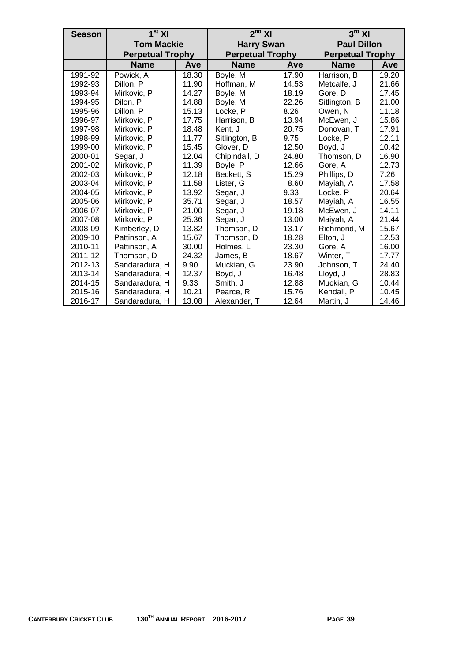| <b>Season</b> | 1 <sup>st</sup> XI      |       | $2nd$ XI                |       | $3rd$ XI                |       |  |
|---------------|-------------------------|-------|-------------------------|-------|-------------------------|-------|--|
|               | <b>Tom Mackie</b>       |       | <b>Harry Swan</b>       |       | <b>Paul Dillon</b>      |       |  |
|               | <b>Perpetual Trophy</b> |       | <b>Perpetual Trophy</b> |       | <b>Perpetual Trophy</b> |       |  |
|               | <b>Name</b>             | Ave   | <b>Name</b>             | Ave   | <b>Name</b>             | Ave   |  |
| 1991-92       | Powick, A               | 18.30 | Boyle, M                | 17.90 | Harrison, B             | 19.20 |  |
| 1992-93       | Dillon, P               | 11.90 | Hoffman, M              | 14.53 | Metcalfe, J             | 21.66 |  |
| 1993-94       | Mirkovic, P             | 14.27 | Boyle, M                | 18.19 | Gore, D                 | 17.45 |  |
| 1994-95       | Dilon, P                | 14.88 | Boyle, M                | 22.26 | Sitlington, B           | 21.00 |  |
| 1995-96       | Dillon, P               | 15.13 | Locke, P                | 8.26  | Owen, N                 | 11.18 |  |
| 1996-97       | Mirkovic, P             | 17.75 | Harrison, B             | 13.94 | McEwen, J               | 15.86 |  |
| 1997-98       | Mirkovic, P             | 18.48 | Kent, J                 | 20.75 | Donovan, T              | 17.91 |  |
| 1998-99       | Mirkovic, P             | 11.77 | Sitlington, B           | 9.75  | Locke, P                | 12.11 |  |
| 1999-00       | Mirkovic, P             | 15.45 | Glover, D               | 12.50 | Boyd, J                 | 10.42 |  |
| 2000-01       | Segar, J                | 12.04 | Chipindall, D           | 24.80 | Thomson, D              | 16.90 |  |
| 2001-02       | Mirkovic, P             | 11.39 | Boyle, P                | 12.66 | Gore, A                 | 12.73 |  |
| 2002-03       | Mirkovic, P             | 12.18 | Beckett, S              | 15.29 | Phillips, D             | 7.26  |  |
| 2003-04       | Mirkovic, P             | 11.58 | Lister, G               | 8.60  | Mayiah, A               | 17.58 |  |
| 2004-05       | Mirkovic, P             | 13.92 | Segar, J                | 9.33  | Locke, P                | 20.64 |  |
| 2005-06       | Mirkovic, P             | 35.71 | Segar, J                | 18.57 | Mayiah, A               | 16.55 |  |
| 2006-07       | Mirkovic, P             | 21.00 | Segar, J                | 19.18 | McEwen, J               | 14.11 |  |
| 2007-08       | Mirkovic, P             | 25.36 | Segar, J                | 13.00 | Maiyah, A               | 21.44 |  |
| 2008-09       | Kimberley, D            | 13.82 | Thomson, D              | 13.17 | Richmond, M             | 15.67 |  |
| 2009-10       | Pattinson, A            | 15.67 | Thomson, D              | 18.28 | Elton, J                | 12.53 |  |
| 2010-11       | Pattinson, A            | 30.00 | Holmes, L               | 23.30 | Gore, A                 | 16.00 |  |
| 2011-12       | Thomson, D              | 24.32 | James, B                | 18.67 | Winter, T               | 17.77 |  |
| 2012-13       | Sandaradura, H          | 9.90  | Muckian, G              | 23.90 | Johnson, T              | 24.40 |  |
| 2013-14       | Sandaradura, H          | 12.37 | Boyd, J                 | 16.48 | Lloyd, J                | 28.83 |  |
| 2014-15       | Sandaradura, H          | 9.33  | Smith, J                | 12.88 | Muckian, G              | 10.44 |  |
| 2015-16       | Sandaradura, H          | 10.21 | Pearce, R               | 15.76 | Kendall, P              | 10.45 |  |
| 2016-17       | Sandaradura, H          | 13.08 | Alexander, T            | 12.64 | Martin, J               | 14.46 |  |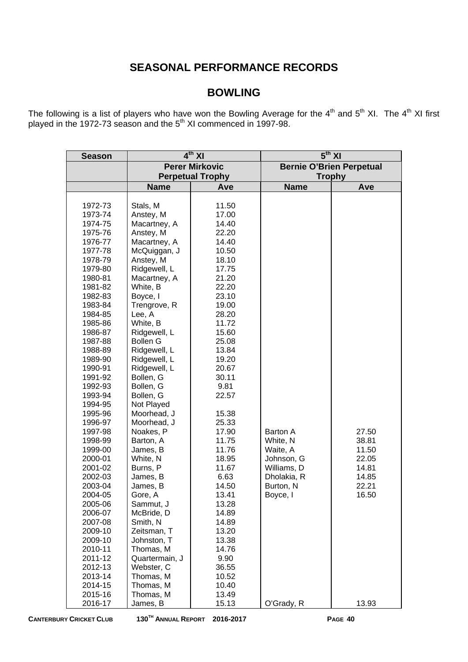# **SEASONAL PERFORMANCE RECORDS**

# **BOWLING**

The following is a list of players who have won the Bowling Average for the  $4<sup>th</sup>$  and  $5<sup>th</sup>$  XI. The  $4<sup>th</sup>$  XI first played in the 1972-73 season and the 5<sup>th</sup> XI commenced in 1997-98.

| <b>Season</b> |                 | $4^{th}$ XI             | $5th$ XI      |                                 |  |  |  |
|---------------|-----------------|-------------------------|---------------|---------------------------------|--|--|--|
|               |                 | <b>Perer Mirkovic</b>   |               | <b>Bernie O'Brien Perpetual</b> |  |  |  |
|               |                 | <b>Perpetual Trophy</b> | <b>Trophy</b> |                                 |  |  |  |
|               | <b>Name</b>     | Ave                     | <b>Name</b>   | Ave                             |  |  |  |
|               |                 |                         |               |                                 |  |  |  |
| 1972-73       | Stals, M        | 11.50                   |               |                                 |  |  |  |
| 1973-74       | Anstey, M       | 17.00                   |               |                                 |  |  |  |
| 1974-75       | Macartney, A    | 14.40                   |               |                                 |  |  |  |
| 1975-76       | Anstey, M       | 22.20                   |               |                                 |  |  |  |
| 1976-77       | Macartney, A    | 14.40                   |               |                                 |  |  |  |
| 1977-78       | McQuiggan, J    | 10.50                   |               |                                 |  |  |  |
| 1978-79       | Anstey, M       | 18.10                   |               |                                 |  |  |  |
| 1979-80       | Ridgewell, L    | 17.75                   |               |                                 |  |  |  |
| 1980-81       | Macartney, A    | 21.20                   |               |                                 |  |  |  |
| 1981-82       | White, B        | 22.20                   |               |                                 |  |  |  |
| 1982-83       | Boyce, I        | 23.10                   |               |                                 |  |  |  |
| 1983-84       | Trengrove, R    | 19.00                   |               |                                 |  |  |  |
| 1984-85       | Lee, A          | 28.20                   |               |                                 |  |  |  |
| 1985-86       | White, B        | 11.72                   |               |                                 |  |  |  |
| 1986-87       | Ridgewell, L    | 15.60                   |               |                                 |  |  |  |
| 1987-88       | <b>Bollen G</b> | 25.08                   |               |                                 |  |  |  |
| 1988-89       | Ridgewell, L    | 13.84                   |               |                                 |  |  |  |
| 1989-90       | Ridgewell, L    | 19.20                   |               |                                 |  |  |  |
| 1990-91       | Ridgewell, L    | 20.67                   |               |                                 |  |  |  |
| 1991-92       | Bollen, G       | 30.11                   |               |                                 |  |  |  |
| 1992-93       | Bollen, G       | 9.81                    |               |                                 |  |  |  |
| 1993-94       | Bollen, G       | 22.57                   |               |                                 |  |  |  |
| 1994-95       | Not Played      |                         |               |                                 |  |  |  |
| 1995-96       | Moorhead, J     | 15.38                   |               |                                 |  |  |  |
| 1996-97       | Moorhead, J     | 25.33                   |               |                                 |  |  |  |
| 1997-98       | Noakes, P       | 17.90                   | Barton A      | 27.50                           |  |  |  |
| 1998-99       | Barton, A       | 11.75                   | White, N      | 38.81                           |  |  |  |
| 1999-00       | James, B        | 11.76                   | Waite, A      | 11.50                           |  |  |  |
| 2000-01       | White, N        | 18.95                   | Johnson, G    | 22.05                           |  |  |  |
| 2001-02       | Burns, P        | 11.67                   | Williams, D   | 14.81                           |  |  |  |
| 2002-03       | James, B        | 6.63                    | Dholakia, R   | 14.85                           |  |  |  |
| 2003-04       | James, B        | 14.50                   | Burton, N     | 22.21                           |  |  |  |
| 2004-05       | Gore, A         | 13.41                   | Boyce, I      | 16.50                           |  |  |  |
| 2005-06       | Sammut, J       | 13.28                   |               |                                 |  |  |  |
| 2006-07       | McBride, D      | 14.89                   |               |                                 |  |  |  |
| 2007-08       | Smith, N        | 14.89                   |               |                                 |  |  |  |
| 2009-10       | Zeitsman, T     | 13.20                   |               |                                 |  |  |  |
| 2009-10       | Johnston, T     | 13.38                   |               |                                 |  |  |  |
| 2010-11       | Thomas, M       | 14.76                   |               |                                 |  |  |  |
| 2011-12       | Quartermain, J  | 9.90                    |               |                                 |  |  |  |
| 2012-13       | Webster, C      | 36.55                   |               |                                 |  |  |  |
| 2013-14       | Thomas, M       | 10.52                   |               |                                 |  |  |  |
| 2014-15       | Thomas, M       | 10.40                   |               |                                 |  |  |  |
| 2015-16       | Thomas, M       | 13.49                   |               |                                 |  |  |  |
| 2016-17       | James, B        | 15.13                   | O'Grady, R    | 13.93                           |  |  |  |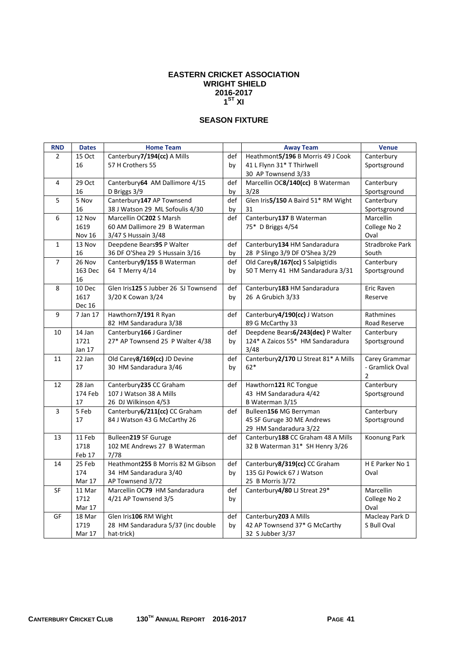#### **EASTERN CRICKET ASSOCIATION WRIGHT SHIELD 2016-2017**   $1^{\text{ST}}$  XI

## **SEASON FIXTURE**

| <b>RND</b>     | <b>Dates</b>  | <b>Home Team</b>                     |     | <b>Away Team</b>                                     | <b>Venue</b>    |
|----------------|---------------|--------------------------------------|-----|------------------------------------------------------|-----------------|
| $\overline{2}$ | 15 Oct        | Canterbury7/194(cc) A Mills          | def | Heathmont5/196 B Morris 49 J Cook                    | Canterbury      |
|                | 16            | 57 H Crothers 55                     | by  | 41 L Flynn 31* T Thirlwell                           | Sportsground    |
|                |               |                                      |     | 30 AP Townsend 3/33                                  |                 |
| 4              | 29 Oct        | Canterbury 64 AM Dallimore 4/15      | def | Marcellin OC8/140(cc) B Waterman                     | Canterbury      |
|                | 16            | D Briggs 3/9                         | by  | 3/28                                                 | Sportsground    |
| 5              | 5 Nov         | Canterbury147 AP Townsend            | def | Glen Iris5/150 A Baird 51* RM Wight                  | Canterbury      |
|                | 16            | 38 J Watson 29 ML Sofoulis 4/30      | by  | 31                                                   | Sportsground    |
| 6              | 12 Nov        | Marcellin OC202 S Marsh              | def | Canterbury137 B Waterman                             | Marcellin       |
|                | 1619          | 60 AM Dallimore 29 B Waterman        |     | 75* D Briggs 4/54                                    | College No 2    |
|                | Nov 16        | 3/47 S Hussain 3/48                  |     |                                                      | Oval            |
| $\mathbf{1}$   | 13 Nov        | Deepdene Bears95 P Walter            | def | Canterbury134 HM Sandaradura                         | Stradbroke Park |
|                | 16            | 36 DF O'Shea 29 S Hussain 3/16       | by  | 28 P Slingo 3/9 DF O'Shea 3/29                       | South           |
| $\overline{7}$ | 26 Nov        | Canterbury9/155 B Waterman           | def | Old Carey8/167(cc) S Salpigtidis                     | Canterbury      |
|                | 163 Dec       | 64 T Merry 4/14                      | by  | 50 T Merry 41 HM Sandaradura 3/31                    | Sportsground    |
|                | 16            |                                      |     |                                                      |                 |
| 8              | 10 Dec        | Glen Iris125 S Jubber 26 SJ Townsend | def | Canterbury183 HM Sandaradura                         | Eric Raven      |
|                | 1617          | 3/20 K Cowan 3/24                    | by  | 26 A Grubich 3/33                                    | Reserve         |
|                | <b>Dec 16</b> |                                      |     |                                                      |                 |
| 9              | 7 Jan 17      | Hawthorn7/191 R Ryan                 | def | Canterbury4/190(cc) J Watson                         | Rathmines       |
|                |               | 82 HM Sandaradura 3/38               |     | 89 G McCarthy 33                                     | Road Reserve    |
| 10             | 14 Jan        | Canterbury166 J Gardiner             | def | Deepdene Bears6/243(dec) P Walter                    | Canterbury      |
|                | 1721          | 27* AP Townsend 25 P Walter 4/38     | by  | 124* A Zaicos 55* HM Sandaradura                     | Sportsground    |
|                | Jan 17        |                                      |     | 3/48                                                 |                 |
| 11             | 22 Jan        | Old Carey8/169(cc) JD Devine         | def | Canterbury2/170 LJ Streat 81* A Mills                | Carey Grammar   |
|                | 17            | 30 HM Sandaradura 3/46               | by  | $62*$                                                | - Gramlick Oval |
|                |               |                                      |     |                                                      | $\overline{2}$  |
| 12             | 28 Jan        | Canterbury 235 CC Graham             | def | Hawthorn121 RC Tongue                                | Canterbury      |
|                | 174 Feb       | 107 J Watson 38 A Mills              |     | 43 HM Sandaradura 4/42                               | Sportsground    |
|                | 17            | 26 DJ Wilkinson 4/53                 |     | B Waterman 3/15                                      |                 |
| 3              | 5 Feb<br>17   | Canterbury6/211(cc) CC Graham        | def | Bulleen156 MG Berryman                               | Canterbury      |
|                |               | 84 J Watson 43 G McCarthy 26         |     | 45 SF Guruge 30 ME Andrews<br>29 HM Sandaradura 3/22 | Sportsground    |
| 13             | 11 Feb        | Bulleen219 SF Guruge                 | def | Canterbury188 CC Graham 48 A Mills                   | Koonung Park    |
|                | 1718          | 102 ME Andrews 27 B Waterman         |     | 32 B Waterman 31* SH Henry 3/26                      |                 |
|                | Feb 17        | 7/78                                 |     |                                                      |                 |
| 14             | 25 Feb        | Heathmont255 B Morris 82 M Gibson    | def | Canterbury8/319(cc) CC Graham                        | H E Parker No 1 |
|                | 174           | 34 HM Sandaradura 3/40               | by  | 135 GJ Powick 67 J Watson                            | Oval            |
|                | Mar 17        | AP Townsend 3/72                     |     | 25 B Morris 3/72                                     |                 |
| SF             | 11 Mar        | Marcellin OC79 HM Sandaradura        | def | Canterbury4/80 LJ Streat 29*                         | Marcellin       |
|                | 1712          | 4/21 AP Townsend 3/5                 | by  |                                                      | College No 2    |
|                | Mar 17        |                                      |     |                                                      | Oval            |
| GF             | 18 Mar        | Glen Iris106 RM Wight                | def | Canterbury 203 A Mills                               | Macleay Park D  |
|                | 1719          | 28 HM Sandaradura 5/37 (inc double   | by  | 42 AP Townsend 37* G McCarthy                        | S Bull Oval     |
|                | Mar 17        | hat-trick)                           |     | 32 S Jubber 3/37                                     |                 |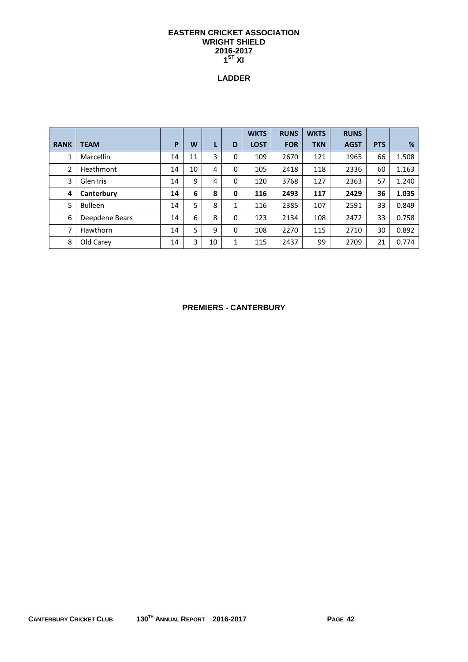#### **EASTERN CRICKET ASSOCIATION WRIGHT SHIELD 2016-2017**   $1^{\text{ST}}$  XI

## **LADDER**

|             |                  |    |    |    |   | <b>WKTS</b> | <b>RUNS</b> | <b>WKTS</b> | <b>RUNS</b> |            |       |
|-------------|------------------|----|----|----|---|-------------|-------------|-------------|-------------|------------|-------|
| <b>RANK</b> | <b>TEAM</b>      | P  | W  |    | D | <b>LOST</b> | <b>FOR</b>  | <b>TKN</b>  | <b>AGST</b> | <b>PTS</b> | %     |
| 1           | <b>Marcellin</b> | 14 | 11 | 3  | 0 | 109         | 2670        | 121         | 1965        | 66         | 1.508 |
| 2           | Heathmont        | 14 | 10 | 4  | 0 | 105         | 2418        | 118         | 2336        | 60         | 1.163 |
| 3           | Glen Iris        | 14 | 9  | 4  | 0 | 120         | 3768        | 127         | 2363        | 57         | 1.240 |
| 4           | Canterbury       | 14 | 6  | 8  | 0 | 116         | 2493        | 117         | 2429        | 36         | 1.035 |
| 5           | <b>Bulleen</b>   | 14 | 5  | 8  | 1 | 116         | 2385        | 107         | 2591        | 33         | 0.849 |
| 6           | Deepdene Bears   | 14 | 6  | 8  | 0 | 123         | 2134        | 108         | 2472        | 33         | 0.758 |
| 7           | Hawthorn         | 14 | 5  | 9  | 0 | 108         | 2270        | 115         | 2710        | 30         | 0.892 |
| 8           | Old Carey        | 14 | 3  | 10 | 1 | 115         | 2437        | 99          | 2709        | 21         | 0.774 |

## **PREMIERS - CANTERBURY**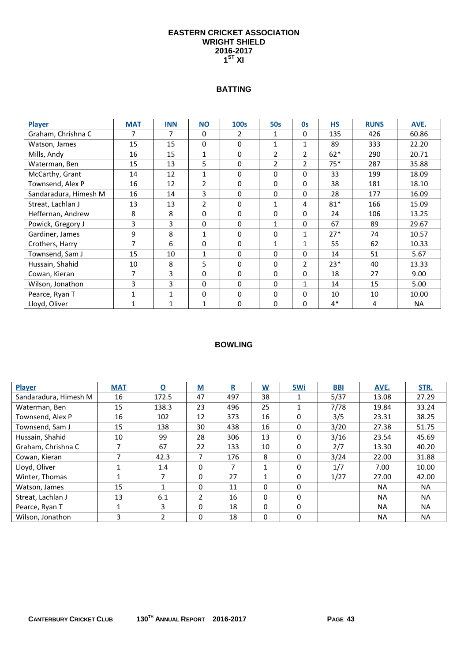#### **EASTERN CRICKET ASSOCIATION WRIGHT SHIELD 2016-2017**   $1^{\text{ST}}$  XI

## **BATTING**

| <b>Player</b>         | <b>MAT</b> | <b>INN</b>   | <b>NO</b>      | 100s           | <b>50s</b>  | <b>Os</b>      | <b>HS</b> | <b>RUNS</b> | AVE.      |
|-----------------------|------------|--------------|----------------|----------------|-------------|----------------|-----------|-------------|-----------|
| Graham, Chrishna C    | 7          | 7            | 0              | $\overline{2}$ | 1           | 0              | 135       | 426         | 60.86     |
| Watson, James         | 15         | 15           | 0              | 0              | 1           | 1              | 89        | 333         | 22.20     |
| Mills, Andy           | 16         | 15           | $\mathbf{1}$   | 0              | 2           | $\overline{2}$ | $62*$     | 290         | 20.71     |
| Waterman, Ben         | 15         | 13           | 5              | 0              | 2           | $\overline{2}$ | $75*$     | 287         | 35.88     |
| McCarthy, Grant       | 14         | 12           | $\mathbf{1}$   | 0              | 0           | 0              | 33        | 199         | 18.09     |
| Townsend, Alex P      | 16         | 12           | $\overline{2}$ | 0              | $\Omega$    | 0              | 38        | 181         | 18.10     |
| Sandaradura, Himesh M | 16         | 14           | 3              | 0              | $\Omega$    | 0              | 28        | 177         | 16.09     |
| Streat, Lachlan J     | 13         | 13           | $\overline{2}$ | 0              | $\mathbf 1$ | 4              | $81*$     | 166         | 15.09     |
| Heffernan, Andrew     | 8          | 8            | 0              | 0              | $\Omega$    | 0              | 24        | 106         | 13.25     |
| Powick, Gregory J     | 3          | 3            | 0              | 0              | 1           | 0              | 67        | 89          | 29.67     |
| Gardiner, James       | 9          | 8            | $\mathbf{1}$   | 0              | 0           | $\mathbf{1}$   | $27*$     | 74          | 10.57     |
| Crothers, Harry       | 7          | 6            | 0              | 0              | 1           | 1              | 55        | 62          | 10.33     |
| Townsend, Sam J       | 15         | 10           | 1              | 0              | 0           | 0              | 14        | 51          | 5.67      |
| Hussain, Shahid       | 10         | 8            | 5              | 0              | $\mathbf 0$ | $\overline{2}$ | $23*$     | 40          | 13.33     |
| Cowan, Kieran         | 7          | 3            | 0              | 0              | $\Omega$    | 0              | 18        | 27          | 9.00      |
| Wilson, Jonathon      | 3          | 3            | $\Omega$       | $\Omega$       | $\Omega$    | $\mathbf{1}$   | 14        | 15          | 5.00      |
| Pearce, Ryan T        | 1          | $\mathbf{1}$ | 0              | 0              | $\mathbf 0$ | 0              | 10        | 10          | 10.00     |
| Lloyd, Oliver         | 1          | $\mathbf{1}$ | 1              | 0              | 0           | 0              | $4*$      | 4           | <b>NA</b> |

| <b>Player</b>         | <b>MAT</b> | $\overline{\mathbf{o}}$ | M        | R   | $\underline{\mathsf{W}}$ | 5Wi          | <b>BBI</b> | AVE.      | STR.      |
|-----------------------|------------|-------------------------|----------|-----|--------------------------|--------------|------------|-----------|-----------|
| Sandaradura, Himesh M | 16         | 172.5                   | 47       | 497 | 38                       |              | 5/37       | 13.08     | 27.29     |
| Waterman, Ben         | 15         | 138.3                   | 23       | 496 | 25                       | 1            | 7/78       | 19.84     | 33.24     |
| Townsend, Alex P      | 16         | 102                     | 12       | 373 | 16                       | $\Omega$     | 3/5        | 23.31     | 38.25     |
| Townsend, Sam J       | 15         | 138                     | 30       | 438 | 16                       | $\Omega$     | 3/20       | 27.38     | 51.75     |
| Hussain, Shahid       | 10         | 99                      | 28       | 306 | 13                       | 0            | 3/16       | 23.54     | 45.69     |
| Graham, Chrishna C    | 7          | 67                      | 22       | 133 | 10                       | $\Omega$     | 2/7        | 13.30     | 40.20     |
| Cowan, Kieran         | 7          | 42.3                    | 7        | 176 | 8                        | $\mathbf{0}$ | 3/24       | 22.00     | 31.88     |
| Lloyd, Oliver         | 1          | 1.4                     | $\Omega$ | 7   | 1                        | $\Omega$     | 1/7        | 7.00      | 10.00     |
| Winter, Thomas        | 1          | 7                       | $\Omega$ | 27  | 1                        | $\Omega$     | 1/27       | 27.00     | 42.00     |
| Watson, James         | 15         | 1                       | $\Omega$ | 11  | 0                        | $\Omega$     |            | <b>NA</b> | NA.       |
| Streat, Lachlan J     | 13         | 6.1                     | 2        | 16  | 0                        | $\Omega$     |            | <b>NA</b> | NA.       |
| Pearce, Ryan T        | 1          | 3                       | $\Omega$ | 18  | 0                        | $\Omega$     |            | <b>NA</b> | <b>NA</b> |
| Wilson, Jonathon      | 3          | $\overline{2}$          | $\Omega$ | 18  | 0                        | $\Omega$     |            | <b>NA</b> | <b>NA</b> |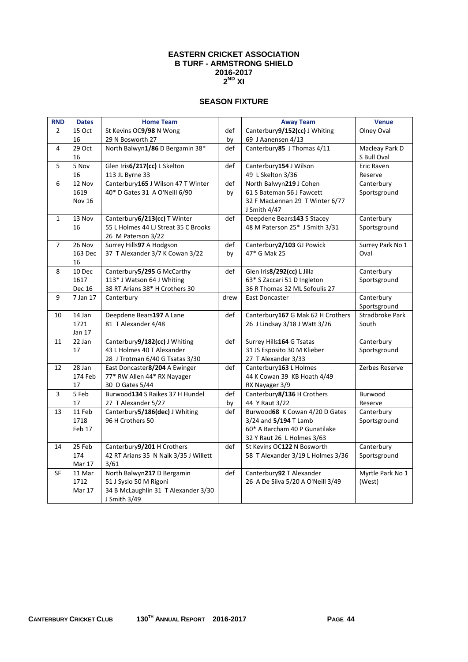#### **EASTERN CRICKET ASSOCIATION B TURF - ARMSTRONG SHIELD 2016-2017 2ND XI**

## **SEASON FIXTURE**

| <b>RND</b>     | <b>Dates</b>   | <b>Home Team</b>                                              |      | <b>Away Team</b>                  | <b>Venue</b>     |
|----------------|----------------|---------------------------------------------------------------|------|-----------------------------------|------------------|
| $\overline{2}$ | 15 Oct         | St Kevins OC9/98 N Wong                                       | def  | Canterbury9/152(cc) J Whiting     | Olney Oval       |
|                | 16             | 29 N Bosworth 27                                              | by   | 69 J Aanensen 4/13                |                  |
| 4              | 29 Oct         | North Balwyn1/86 D Bergamin 38*                               | def  | Canterbury85 J Thomas 4/11        | Macleay Park D   |
|                | 16             |                                                               |      |                                   | S Bull Oval      |
| 5              | 5 Nov          | Glen Iris6/217(cc) L Skelton                                  | def  | Canterbury154 J Wilson            | Eric Raven       |
|                | 16             | 113 JL Byrne 33                                               |      | 49 L Skelton 3/36                 | Reserve          |
| 6              | 12 Nov         | Canterbury165 J Wilson 47 T Winter                            | def  | North Balwyn219 J Cohen           | Canterbury       |
|                | 1619           | 40* D Gates 31 A O'Neill 6/90                                 | by   | 61 S Bateman 56 J Fawcett         | Sportsground     |
|                | <b>Nov 16</b>  |                                                               |      | 32 F MacLennan 29 T Winter 6/77   |                  |
|                |                |                                                               |      | J Smith 4/47                      |                  |
| $\mathbf{1}$   | 13 Nov         | Canterbury 6/213(cc) T Winter                                 | def  | Deepdene Bears143 S Stacey        | Canterbury       |
|                | 16             | 55 L Holmes 44 LJ Streat 35 C Brooks                          |      | 48 M Paterson 25* J Smith 3/31    | Sportsground     |
|                |                | 26 M Paterson 3/22                                            |      |                                   |                  |
| 7              | 26 Nov         | Surrey Hills97 A Hodgson                                      | def  | Canterbury2/103 GJ Powick         | Surrey Park No 1 |
|                | 163 Dec        | 37 T Alexander 3/7 K Cowan 3/22                               | by   | 47* G Mak 25                      | Oval             |
| 8              | 16<br>10 Dec   | Canterbury 5/295 G McCarthy                                   | def  | Glen Iris8/292(cc) L Jilla        | Canterbury       |
|                | 1617           | 113* J Watson 64 J Whiting                                    |      | 63* S Zaccari 51 D Ingleton       | Sportsground     |
|                | Dec 16         | 38 RT Arians 38* H Crothers 30                                |      | 36 R Thomas 32 ML Sofoulis 27     |                  |
| 9              | 7 Jan 17       | Canterbury                                                    | drew | East Doncaster                    | Canterbury       |
|                |                |                                                               |      |                                   | Sportsground     |
| 10             | 14 Jan         | Deepdene Bears197 A Lane                                      | def  | Canterbury167 G Mak 62 H Crothers | Stradbroke Park  |
|                | 1721           | 81 T Alexander 4/48                                           |      | 26 J Lindsay 3/18 J Watt 3/26     | South            |
|                | Jan 17         |                                                               |      |                                   |                  |
| 11             | 22 Jan         | Canterbury9/182(cc) J Whiting                                 | def  | Surrey Hills164 G Tsatas          | Canterbury       |
|                | 17             | 43 L Holmes 40 T Alexander                                    |      | 31 JS Esposito 30 M Klieber       | Sportsground     |
|                |                | 28 J Trotman 6/40 G Tsatas 3/30                               |      | 27 T Alexander 3/33               |                  |
| 12             | 28 Jan         | East Doncaster8/204 A Ewinger                                 | def  | Canterbury163 L Holmes            | Zerbes Reserve   |
|                | 174 Feb        | 77* RW Allen 44* RX Nayager                                   |      | 44 K Cowan 39 KB Hoath 4/49       |                  |
|                | 17             | 30 D Gates 5/44                                               |      | RX Nayager 3/9                    |                  |
| 3              | 5 Feb          | Burwood134 S Raikes 37 H Hundel                               | def  | Canterbury8/136 H Crothers        | Burwood          |
|                | 17             | 27 T Alexander 5/27                                           | by   | 44 Y Raut 3/22                    | Reserve          |
| 13             | 11 Feb         | Canterbury5/186(dec) J Whiting                                | def  | Burwood68 K Cowan 4/20 D Gates    | Canterbury       |
|                | 1718           | 96 H Crothers 50                                              |      | 3/24 and 5/194 T Lamb             | Sportsground     |
|                | Feb 17         |                                                               |      | 60* A Barcham 40 P Gunatilake     |                  |
|                |                |                                                               |      | 32 Y Raut 26 L Holmes 3/63        |                  |
| 14             | 25 Feb         | Canterbury9/201 H Crothers                                    | def  | St Kevins OC122 N Bosworth        | Canterbury       |
|                | 174            | 42 RT Arians 35 N Naik 3/35 J Willett                         |      | 58 T Alexander 3/19 L Holmes 3/36 | Sportsground     |
|                | Mar 17         | 3/61                                                          |      |                                   |                  |
| SF             | 11 Mar<br>1712 | North Balwyn217 D Bergamin                                    | def  | Canterbury92 T Alexander          | Myrtle Park No 1 |
|                |                | 51 J Syslo 50 M Rigoni<br>34 B McLaughlin 31 T Alexander 3/30 |      | 26 A De Silva 5/20 A O'Neill 3/49 | (West)           |
|                | Mar 17         | J Smith 3/49                                                  |      |                                   |                  |
|                |                |                                                               |      |                                   |                  |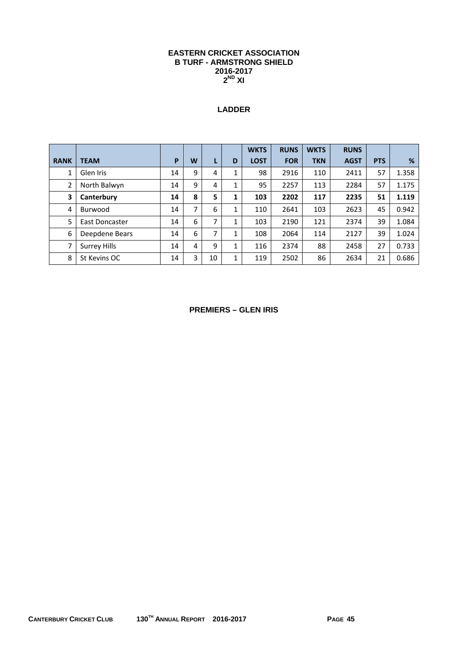#### **EASTERN CRICKET ASSOCIATION B TURF - ARMSTRONG SHIELD 2016-2017 2ND XI**

# **LADDER**

|             |                     |    |   |    |   | <b>WKTS</b> | <b>RUNS</b> | <b>WKTS</b> | <b>RUNS</b> |            |       |
|-------------|---------------------|----|---|----|---|-------------|-------------|-------------|-------------|------------|-------|
| <b>RANK</b> | <b>TEAM</b>         | P  | W |    | D | <b>LOST</b> | <b>FOR</b>  | <b>TKN</b>  | <b>AGST</b> | <b>PTS</b> | %     |
| 1           | Glen Iris           | 14 | 9 | 4  | 1 | 98          | 2916        | 110         | 2411        | 57         | 1.358 |
| 2           | North Balwyn        | 14 | 9 | 4  | 1 | 95          | 2257        | 113         | 2284        | 57         | 1.175 |
| 3           | Canterbury          | 14 | 8 | 5  | 1 | 103         | 2202        | 117         | 2235        | 51         | 1.119 |
| 4           | Burwood             | 14 | 7 | 6  | 1 | 110         | 2641        | 103         | 2623        | 45         | 0.942 |
| 5           | East Doncaster      | 14 | 6 | 7  | 1 | 103         | 2190        | 121         | 2374        | 39         | 1.084 |
| 6           | Deepdene Bears      | 14 | 6 | 7  | 1 | 108         | 2064        | 114         | 2127        | 39         | 1.024 |
| 7           | <b>Surrey Hills</b> | 14 | 4 | 9  | 1 | 116         | 2374        | 88          | 2458        | 27         | 0.733 |
| 8           | St Kevins OC        | 14 | 3 | 10 | 1 | 119         | 2502        | 86          | 2634        | 21         | 0.686 |

#### **PREMIERS – GLEN IRIS**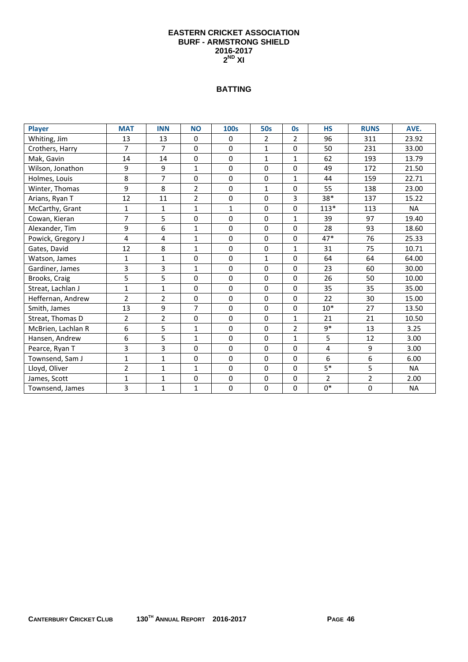#### **EASTERN CRICKET ASSOCIATION BURF - ARMSTRONG SHIELD 2016-2017 2ND XI**

## **BATTING**

| <b>Player</b>      | <b>MAT</b>     | <b>INN</b>     | <b>NO</b>      | <b>100s</b>  | <b>50s</b>   | <b>Os</b>      | <b>HS</b>      | <b>RUNS</b>    | AVE.      |
|--------------------|----------------|----------------|----------------|--------------|--------------|----------------|----------------|----------------|-----------|
| Whiting, Jim       | 13             | 13             | 0              | 0            | 2            | 2              | 96             | 311            | 23.92     |
| Crothers, Harry    | $\overline{7}$ | $\overline{7}$ | 0              | $\mathbf 0$  | $\mathbf{1}$ | 0              | 50             | 231            | 33.00     |
| Mak, Gavin         | 14             | 14             | 0              | $\mathbf 0$  | $\mathbf{1}$ | $\mathbf{1}$   | 62             | 193            | 13.79     |
| Wilson, Jonathon   | 9              | 9              | $\mathbf{1}$   | $\mathbf 0$  | 0            | 0              | 49             | 172            | 21.50     |
| Holmes, Louis      | 8              | $\overline{7}$ | 0              | $\Omega$     | $\Omega$     | $\mathbf{1}$   | 44             | 159            | 22.71     |
| Winter, Thomas     | 9              | 8              | $\overline{2}$ | $\mathbf 0$  | $\mathbf{1}$ | 0              | 55             | 138            | 23.00     |
| Arians, Ryan T     | 12             | 11             | $\overline{2}$ | $\mathbf 0$  | 0            | 3              | $38*$          | 137            | 15.22     |
| McCarthy, Grant    | $\mathbf{1}$   | 1              | $\mathbf{1}$   | $\mathbf{1}$ | 0            | 0              | $113*$         | 113            | <b>NA</b> |
| Cowan, Kieran      | $\overline{7}$ | 5              | 0              | $\mathbf 0$  | 0            | 1              | 39             | 97             | 19.40     |
| Alexander, Tim     | 9              | 6              | $\mathbf{1}$   | $\mathbf 0$  | 0            | 0              | 28             | 93             | 18.60     |
| Powick, Gregory J  | 4              | 4              | $\mathbf{1}$   | $\mathbf 0$  | $\Omega$     | 0              | $47*$          | 76             | 25.33     |
| Gates, David       | 12             | 8              | 1              | $\mathbf 0$  | 0            | 1              | 31             | 75             | 10.71     |
| Watson, James      | $\mathbf{1}$   | $\mathbf{1}$   | 0              | 0            | $\mathbf{1}$ | 0              | 64             | 64             | 64.00     |
| Gardiner, James    | 3              | 3              | 1              | $\mathbf 0$  | 0            | 0              | 23             | 60             | 30.00     |
| Brooks, Craig      | 5              | 5              | 0              | $\mathbf 0$  | 0            | 0              | 26             | 50             | 10.00     |
| Streat, Lachlan J  | $\mathbf{1}$   | $\mathbf{1}$   | 0              | $\Omega$     | 0            | $\Omega$       | 35             | 35             | 35.00     |
| Heffernan, Andrew  | $\overline{2}$ | $\overline{2}$ | 0              | $\mathbf{0}$ | 0            | 0              | 22             | 30             | 15.00     |
| Smith, James       | 13             | 9              | $\overline{7}$ | $\mathbf 0$  | 0            | 0              | $10*$          | 27             | 13.50     |
| Streat, Thomas D   | $\overline{2}$ | $\overline{2}$ | 0              | $\Omega$     | $\Omega$     | $\mathbf{1}$   | 21             | 21             | 10.50     |
| McBrien, Lachlan R | 6              | 5              | 1              | $\mathbf{0}$ | $\mathbf 0$  | $\overline{2}$ | $9*$           | 13             | 3.25      |
| Hansen, Andrew     | 6              | 5              | $\mathbf{1}$   | $\mathbf 0$  | 0            | $\mathbf{1}$   | 5              | 12             | 3.00      |
| Pearce, Ryan T     | 3              | 3              | 0              | $\mathbf 0$  | 0            | 0              | $\overline{4}$ | 9              | 3.00      |
| Townsend, Sam J    | $\mathbf{1}$   | $\mathbf{1}$   | 0              | $\mathbf 0$  | $\Omega$     | $\Omega$       | $6\,$          | 6              | 6.00      |
| Lloyd, Oliver      | $\overline{2}$ | $\mathbf{1}$   | 1              | $\mathbf 0$  | 0            | $\Omega$       | $5*$           | 5              | <b>NA</b> |
| James, Scott       | $\mathbf{1}$   | $\mathbf{1}$   | 0              | 0            | 0            | 0              | $\overline{2}$ | $\overline{2}$ | 2.00      |
| Townsend, James    | 3              | $\mathbf{1}$   | 1              | $\mathbf 0$  | 0            | 0              | $0*$           | $\mathbf 0$    | <b>NA</b> |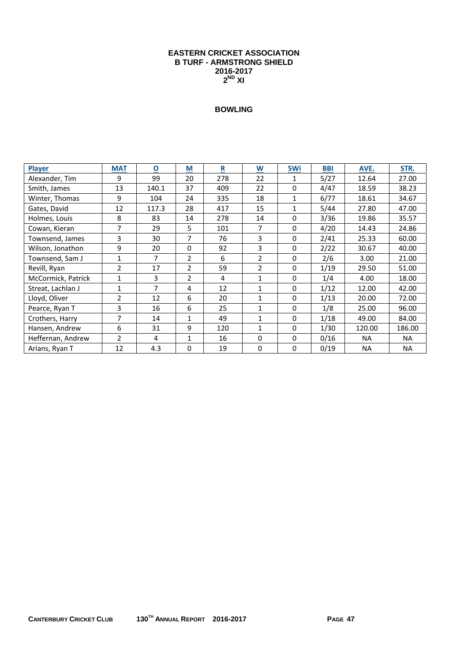#### **EASTERN CRICKET ASSOCIATION B TURF - ARMSTRONG SHIELD 2016-2017 2ND XI**

| <b>Player</b>      | <b>MAT</b>     | $\overline{\mathbf{o}}$ | M              | $\mathbf R$ | $\underline{\mathsf{w}}$ | 5Wi          | <b>BBI</b> | AVE.      | STR.      |
|--------------------|----------------|-------------------------|----------------|-------------|--------------------------|--------------|------------|-----------|-----------|
| Alexander, Tim     | 9              | 99                      | 20             | 278         | 22                       | 1            | 5/27       | 12.64     | 27.00     |
| Smith, James       | 13             | 140.1                   | 37             | 409         | 22                       | 0            | 4/47       | 18.59     | 38.23     |
| Winter, Thomas     | 9              | 104                     | 24             | 335         | 18                       | $\mathbf{1}$ | 6/77       | 18.61     | 34.67     |
| Gates, David       | 12             | 117.3                   | 28             | 417         | 15                       | $\mathbf{1}$ | 5/44       | 27.80     | 47.00     |
| Holmes, Louis      | 8              | 83                      | 14             | 278         | 14                       | 0            | 3/36       | 19.86     | 35.57     |
| Cowan, Kieran      | $\overline{7}$ | 29                      | 5              | 101         | 7                        | 0            | 4/20       | 14.43     | 24.86     |
| Townsend, James    | 3              | 30                      | 7              | 76          | 3                        | $\Omega$     | 2/41       | 25.33     | 60.00     |
| Wilson, Jonathon   | 9              | 20                      | 0              | 92          | 3                        | $\mathbf 0$  | 2/22       | 30.67     | 40.00     |
| Townsend, Sam J    | 1              | 7                       | 2              | 6           | 2                        | 0            | 2/6        | 3.00      | 21.00     |
| Revill, Ryan       | $\overline{2}$ | 17                      | $\overline{2}$ | 59          | 2                        | 0            | 1/19       | 29.50     | 51.00     |
| McCormick, Patrick | 1              | 3                       | $\overline{2}$ | 4           | 1                        | 0            | 1/4        | 4.00      | 18.00     |
| Streat, Lachlan J  | 1              | 7                       | 4              | 12          | 1                        | $\mathbf 0$  | 1/12       | 12.00     | 42.00     |
| Lloyd, Oliver      | $\overline{2}$ | 12                      | 6              | 20          | $\mathbf{1}$             | 0            | 1/13       | 20.00     | 72.00     |
| Pearce, Ryan T     | 3              | 16                      | 6              | 25          | $\mathbf 1$              | 0            | 1/8        | 25.00     | 96.00     |
| Crothers, Harry    | 7              | 14                      | $\mathbf{1}$   | 49          | $\mathbf 1$              | 0            | 1/18       | 49.00     | 84.00     |
| Hansen, Andrew     | 6              | 31                      | 9              | 120         | 1                        | 0            | 1/30       | 120.00    | 186.00    |
| Heffernan, Andrew  | $\overline{2}$ | 4                       | 1              | 16          | $\Omega$                 | $\Omega$     | 0/16       | <b>NA</b> | <b>NA</b> |
| Arians, Ryan T     | 12             | 4.3                     | 0              | 19          | $\mathbf{0}$             | 0            | 0/19       | <b>NA</b> | <b>NA</b> |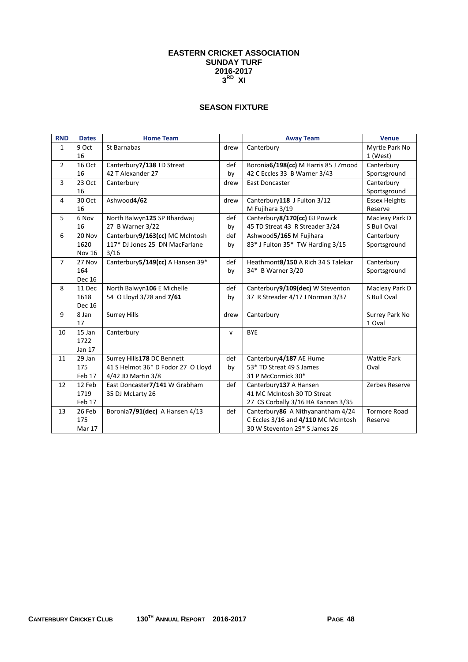## **SEASON FIXTURE**

| <b>RND</b>     | <b>Dates</b>  | <b>Home Team</b>                   |              | <b>Away Team</b>                     | <b>Venue</b>         |
|----------------|---------------|------------------------------------|--------------|--------------------------------------|----------------------|
| $\mathbf{1}$   | 9 Oct         | St Barnabas                        | drew         | Canterbury                           | Myrtle Park No       |
|                | 16            |                                    |              |                                      | 1 (West)             |
| $\overline{2}$ | <b>16 Oct</b> | Canterbury7/138 TD Streat          | def          | Boronia6/198(cc) M Harris 85 J Zmood | Canterbury           |
|                | 16            | 42 T Alexander 27                  | by           | 42 C Eccles 33 B Warner 3/43         | Sportsground         |
| 3              | 23 Oct        | Canterbury                         | drew         | <b>East Doncaster</b>                | Canterbury           |
|                | 16            |                                    |              |                                      | Sportsground         |
| 4              | 30 Oct        | Ashwood4/62                        | drew         | Canterbury118 J Fulton 3/12          | <b>Essex Heights</b> |
|                | 16            |                                    |              | M Fujihara 3/19                      | Reserve              |
| 5              | 6 Nov         | North Balwyn125 SP Bhardwaj        | def          | Canterbury8/170(cc) GJ Powick        | Macleay Park D       |
|                | 16            | 27 B Warner 3/22                   | by           | 45 TD Streat 43 R Streader 3/24      | S Bull Oval          |
| 6              | 20 Nov        | Canterbury9/163(cc) MC McIntosh    | def          | Ashwood5/165 M Fujihara              | Canterbury           |
|                | 1620          | 117* DJ Jones 25 DN MacFarlane     | by           | 83* J Fulton 35* TW Harding 3/15     | Sportsground         |
|                | <b>Nov 16</b> | 3/16                               |              |                                      |                      |
| $\overline{7}$ | 27 Nov        | Canterbury5/149(cc) A Hansen 39*   | def          | Heathmont8/150 A Rich 34 S Talekar   | Canterbury           |
|                | 164           |                                    | by           | 34* B Warner 3/20                    | Sportsground         |
|                | Dec 16        |                                    |              |                                      |                      |
| 8              | 11 Dec        | North Balwyn106 E Michelle         | def          | Canterbury9/109(dec) W Steventon     | Macleay Park D       |
|                | 1618          | 54 O Lloyd 3/28 and 7/61           | by           | 37 R Streader 4/17 J Norman 3/37     | S Bull Oval          |
|                | Dec 16        |                                    |              |                                      |                      |
| 9              | 8 Jan         | <b>Surrey Hills</b>                | drew         | Canterbury                           | Surrey Park No       |
|                | 17            |                                    |              |                                      | 1 Oval               |
| 10             | 15 Jan        | Canterbury                         | $\mathsf{v}$ | <b>BYE</b>                           |                      |
|                | 1722          |                                    |              |                                      |                      |
|                | Jan 17        |                                    |              |                                      |                      |
| 11             | 29 Jan        | Surrey Hills178 DC Bennett         | def          | Canterbury4/187 AE Hume              | <b>Wattle Park</b>   |
|                | 175           | 41 S Helmot 36* D Fodor 27 O Lloyd | by           | 53* TD Streat 49 S James             | Oval                 |
|                | Feb 17        | 4/42 JD Martin 3/8                 |              | 31 P McCormick 30*                   |                      |
| 12             | 12 Feb        | East Doncaster7/141 W Grabham      | def          | Canterbury137 A Hansen               | Zerbes Reserve       |
|                | 1719          | 35 DJ McLarty 26                   |              | 41 MC McIntosh 30 TD Streat          |                      |
|                | Feb 17        |                                    |              | 27 CS Corbally 3/16 HA Kannan 3/35   |                      |
| 13             | 26 Feb        | Boronia7/91(dec) A Hansen 4/13     | def          | Canterbury86 A Nithyanantham 4/24    | <b>Tormore Road</b>  |
|                | 175           |                                    |              | C Eccles 3/16 and 4/110 MC McIntosh  | Reserve              |
|                | Mar 17        |                                    |              | 30 W Steventon 29* S James 26        |                      |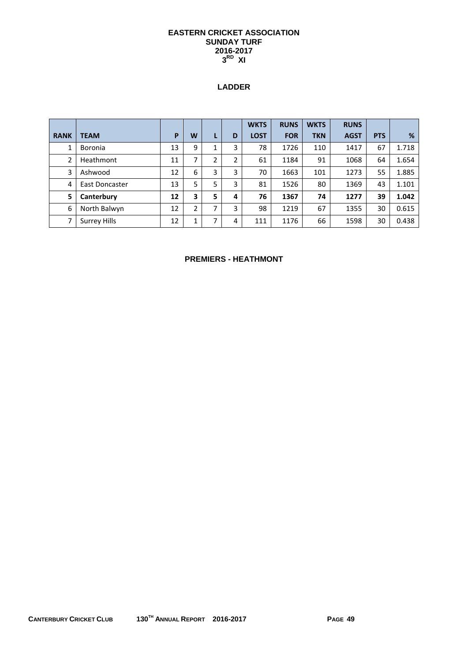## **LADDER**

|             |                     |    |   |   |   | <b>WKTS</b> | <b>RUNS</b> | <b>WKTS</b> | <b>RUNS</b> |            |       |
|-------------|---------------------|----|---|---|---|-------------|-------------|-------------|-------------|------------|-------|
| <b>RANK</b> | <b>TEAM</b>         | P  | W |   | D | <b>LOST</b> | <b>FOR</b>  | <b>TKN</b>  | <b>AGST</b> | <b>PTS</b> | %     |
| 1           | <b>Boronia</b>      | 13 | 9 |   | 3 | 78          | 1726        | 110         | 1417        | 67         | 1.718 |
| 2           | Heathmont           | 11 | 7 | 2 | 2 | 61          | 1184        | 91          | 1068        | 64         | 1.654 |
| 3           | Ashwood             | 12 | 6 | 3 | 3 | 70          | 1663        | 101         | 1273        | 55         | 1.885 |
| 4           | East Doncaster      | 13 | 5 | 5 | 3 | 81          | 1526        | 80          | 1369        | 43         | 1.101 |
| 5           | Canterbury          | 12 | 3 | 5 | 4 | 76          | 1367        | 74          | 1277        | 39         | 1.042 |
| 6           | North Balwyn        | 12 | 2 | ⇁ | 3 | 98          | 1219        | 67          | 1355        | 30         | 0.615 |
| 7           | <b>Surrey Hills</b> | 12 | 1 | ⇁ | 4 | 111         | 1176        | 66          | 1598        | 30         | 0.438 |

### **PREMIERS - HEATHMONT**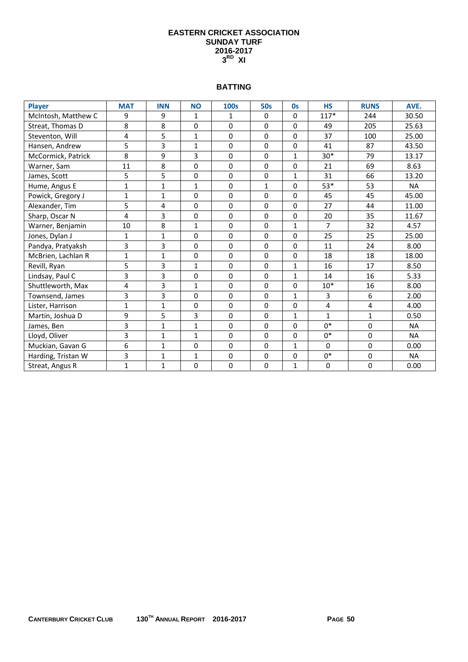#### **BATTING**

| Player              | <b>MAT</b>   | <b>INN</b>   | <b>NO</b>    | <b>100s</b>  | 50s         | <b>Os</b>    | <b>HS</b>      | <b>RUNS</b> | AVE.      |
|---------------------|--------------|--------------|--------------|--------------|-------------|--------------|----------------|-------------|-----------|
| McIntosh, Matthew C | 9            | 9            | $\mathbf{1}$ | $\mathbf{1}$ | $\mathbf 0$ | 0            | $117*$         | 244         | 30.50     |
| Streat, Thomas D    | 8            | 8            | 0            | 0            | $\mathbf 0$ | $\Omega$     | 49             | 205         | 25.63     |
| Steventon, Will     | 4            | 5            | $\mathbf{1}$ | $\Omega$     | $\mathbf 0$ | $\Omega$     | 37             | 100         | 25.00     |
| Hansen, Andrew      | 5            | 3            | $\mathbf{1}$ | 0            | 0           | 0            | 41             | 87          | 43.50     |
| McCormick, Patrick  | 8            | 9            | 3            | 0            | $\mathbf 0$ | $\mathbf{1}$ | $30*$          | 79          | 13.17     |
| Warner, Sam         | 11           | 8            | 0            | 0            | $\mathbf 0$ | 0            | 21             | 69          | 8.63      |
| James, Scott        | 5            | 5            | 0            | 0            | $\mathbf 0$ | $\mathbf{1}$ | 31             | 66          | 13.20     |
| Hume, Angus E       | $\mathbf{1}$ | $\mathbf{1}$ | $\mathbf{1}$ | $\Omega$     | 1           | $\Omega$     | 53*            | 53          | <b>NA</b> |
| Powick, Gregory J   | $\mathbf{1}$ | $\mathbf{1}$ | 0            | 0            | 0           | 0            | 45             | 45          | 45.00     |
| Alexander, Tim      | 5            | 4            | $\Omega$     | $\Omega$     | $\mathbf 0$ | 0            | 27             | 44          | 11.00     |
| Sharp, Oscar N      | 4            | 3            | 0            | $\Omega$     | $\mathbf 0$ | $\Omega$     | 20             | 35          | 11.67     |
| Warner, Benjamin    | 10           | 8            | $\mathbf{1}$ | 0            | $\mathbf 0$ | $\mathbf{1}$ | $\overline{7}$ | 32          | 4.57      |
| Jones, Dylan J      | 1            | 1            | 0            | 0            | 0           | 0            | 25             | 25          | 25.00     |
| Pandya, Pratyaksh   | 3            | 3            | $\Omega$     | $\Omega$     | $\Omega$    | 0            | 11             | 24          | 8.00      |
| McBrien, Lachlan R  | $\mathbf{1}$ | $\mathbf{1}$ | $\mathbf 0$  | 0            | $\mathbf 0$ | 0            | 18             | 18          | 18.00     |
| Revill, Ryan        | 5            | 3            | $\mathbf{1}$ | $\Omega$     | $\Omega$    | $\mathbf{1}$ | 16             | 17          | 8.50      |
| Lindsay, Paul C     | 3            | 3            | 0            | 0            | 0           | $\mathbf{1}$ | 14             | 16          | 5.33      |
| Shuttleworth, Max   | 4            | 3            | $\mathbf{1}$ | 0            | 0           | 0            | $10*$          | 16          | 8.00      |
| Townsend, James     | 3            | 3            | 0            | 0            | $\mathbf 0$ | $\mathbf{1}$ | 3              | 6           | 2.00      |
| Lister, Harrison    | $\mathbf{1}$ | $\mathbf{1}$ | 0            | $\Omega$     | $\mathbf 0$ | 0            | 4              | 4           | 4.00      |
| Martin, Joshua D    | 9            | 5            | 3            | 0            | $\mathbf 0$ | $\mathbf{1}$ | $\mathbf{1}$   | 1           | 0.50      |
| James, Ben          | 3            | $\mathbf{1}$ | $\mathbf{1}$ | $\Omega$     | 0           | 0            | $0*$           | $\mathbf 0$ | <b>NA</b> |
| Lloyd, Oliver       | 3            | $\mathbf{1}$ | $\mathbf{1}$ | 0            | $\mathbf 0$ | 0            | $0*$           | $\mathbf 0$ | <b>NA</b> |
| Muckian, Gavan G    | 6            | $\mathbf{1}$ | 0            | 0            | $\mathbf 0$ | $\mathbf{1}$ | $\Omega$       | 0           | 0.00      |
| Harding, Tristan W  | 3            | $\mathbf{1}$ | $\mathbf{1}$ | 0            | $\pmb{0}$   | 0            | $0*$           | $\mathbf 0$ | <b>NA</b> |
| Streat, Angus R     | $\mathbf{1}$ | $\mathbf{1}$ | 0            | 0            | $\mathbf 0$ | $\mathbf{1}$ | $\mathbf 0$    | $\mathbf 0$ | 0.00      |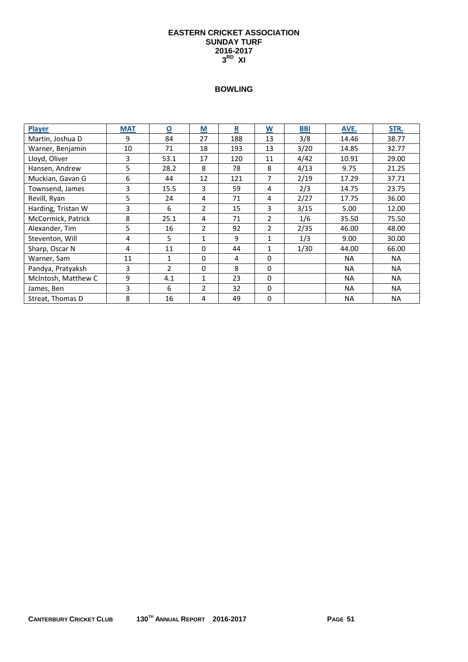| <b>Player</b>       | <b>MAT</b> | $\overline{\mathbf{o}}$ | $\underline{\mathsf{M}}$ | $\overline{\mathbf{R}}$ | <u>W</u>       | <b>BBI</b> | AVE.      | STR.      |
|---------------------|------------|-------------------------|--------------------------|-------------------------|----------------|------------|-----------|-----------|
| Martin, Joshua D    | 9          | 84                      | 27                       | 188                     | 13             | 3/8        | 14.46     | 38.77     |
| Warner, Benjamin    | 10         | 71                      | 18                       | 193                     | 13             | 3/20       | 14.85     | 32.77     |
| Lloyd, Oliver       | 3          | 53.1                    | 17                       | 120                     | 11             | 4/42       | 10.91     | 29.00     |
| Hansen, Andrew      | 5          | 28.2                    | 8                        | 78                      | 8              | 4/13       | 9.75      | 21.25     |
| Muckian, Gavan G    | 6          | 44                      | 12                       | 121                     | 7              | 2/19       | 17.29     | 37.71     |
| Townsend, James     | 3          | 15.5                    | 3                        | 59                      | 4              | 2/3        | 14.75     | 23.75     |
| Revill, Ryan        | 5          | 24                      | 4                        | 71                      | 4              | 2/27       | 17.75     | 36.00     |
| Harding, Tristan W  | 3          | 6                       | 2                        | 15                      | 3              | 3/15       | 5.00      | 12.00     |
| McCormick, Patrick  | 8          | 25.1                    | 4                        | 71                      | 2              | 1/6        | 35.50     | 75.50     |
| Alexander, Tim      | 5          | 16                      | 2                        | 92                      | $\overline{2}$ | 2/35       | 46.00     | 48.00     |
| Steventon, Will     | 4          | 5                       | 1                        | 9                       | $\mathbf{1}$   | 1/3        | 9.00      | 30.00     |
| Sharp, Oscar N      | 4          | 11                      | $\Omega$                 | 44                      | $\mathbf{1}$   | 1/30       | 44.00     | 66.00     |
| Warner, Sam         | 11         | $\mathbf{1}$            | $\Omega$                 | 4                       | 0              |            | <b>NA</b> | <b>NA</b> |
| Pandya, Pratyaksh   | 3          | $\overline{2}$          | $\Omega$                 | 8                       | 0              |            | <b>NA</b> | <b>NA</b> |
| McIntosh, Matthew C | 9          | 4.1                     | 1                        | 23                      | 0              |            | <b>NA</b> | NA.       |
| James, Ben          | 3          | 6                       | $\overline{2}$           | 32                      | $\Omega$       |            | <b>NA</b> | <b>NA</b> |
| Streat, Thomas D    | 8          | 16                      | 4                        | 49                      | 0              |            | <b>NA</b> | <b>NA</b> |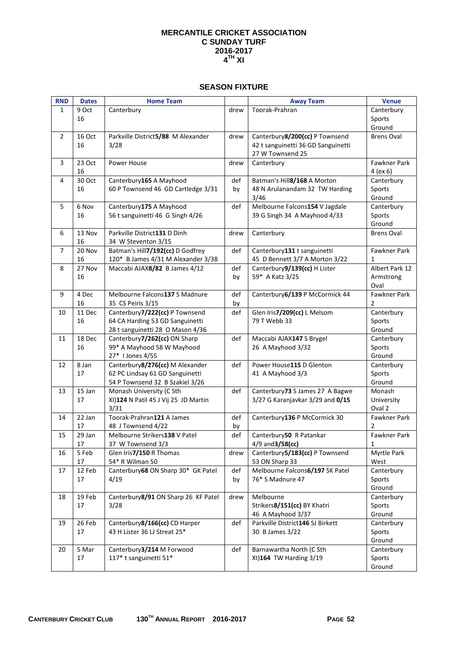#### **SEASON FIXTURE**

| <b>RND</b>     | <b>Dates</b> | <b>Home Team</b>                           |      | <b>Away Team</b>                                               | <b>Venue</b>        |
|----------------|--------------|--------------------------------------------|------|----------------------------------------------------------------|---------------------|
| 1              | 9 Oct        | Canterbury                                 | drew | Toorak-Prahran                                                 | Canterbury          |
|                | 16           |                                            |      |                                                                | Sports              |
|                |              |                                            |      |                                                                | Ground              |
| $\overline{2}$ | 16 Oct       | Parkville District5/88 M Alexander         | drew | Canterbury8/200(cc) P Townsend                                 | <b>Brens Oval</b>   |
|                | 16           | 3/28                                       |      | 42 t sanguinetti 36 GD Sanguinetti                             |                     |
|                |              |                                            |      | 27 W Townsend 25                                               |                     |
| 3              | 23 Oct       | Power House                                | drew | Canterbury                                                     | Fawkner Park        |
|                | 16           |                                            |      |                                                                | $4$ (ex 6)          |
| 4              | 30 Oct       | Canterbury165 A Mayhood                    | def  | Batman's Hill8/168 A Morton                                    | Canterbury          |
|                | 16           | 60 P Townsend 46 GD Cartledge 3/31         | by   | 48 N Arulanandam 32 TW Harding                                 | Sports              |
|                |              |                                            |      | 3/46                                                           | Ground              |
| 5              | 6 Nov        | Canterbury175 A Mayhood                    | def  | Melbourne Falcons154 V Jagdale                                 | Canterbury          |
|                | 16           | 56 t sanguinetti 46 G Singh 4/26           |      | 39 G Singh 34 A Mayhood 4/33                                   | Sports              |
|                |              |                                            |      |                                                                | Ground              |
| 6              | 13 Nov       | Parkville District131 D Dinh               | drew | Canterbury                                                     | <b>Brens Oval</b>   |
|                | 16           | 34 W Steventon 3/15                        |      |                                                                |                     |
| $\overline{7}$ | 20 Nov       | Batman's Hill7/192(cc) D Godfrey           | def  | Canterbury131 t sanguinetti                                    | Fawkner Park        |
|                | 16           | 120* B James 4/31 M Alexander 3/38         | def  | 45 D Bennett 3/7 A Morton 3/22<br>Canterbury9/139(cc) H Lister | 1                   |
| 8              | 27 Nov<br>16 | Maccabi AJAX8/82 B James 4/12              |      | 59* A Katz 3/25                                                | Albert Park 12      |
|                |              |                                            | by   |                                                                | Armstrong<br>Oval   |
| 9              | 4 Dec        | Melbourne Falcons137 S Madnure             | def  | Canterbury 6/139 P McCormick 44                                | Fawkner Park        |
|                | 16           | 35 CS Peiris 3/15                          | by   |                                                                | 2                   |
| 10             | 11 Dec       | Canterbury7/222(cc) P Townsend             | def  | Glen Iris7/209(cc) L Melsom                                    | Canterbury          |
|                | 16           | 64 CA Harding 53 GD Sanguinetti            |      | 79 T Webb 33                                                   | Sports              |
|                |              | 28 t sanguinetti 28 O Mason 4/36           |      |                                                                | Ground              |
| 11             | 18 Dec       | Canterbury7/262(cc) ON Sharp               | def  | Maccabi AJAX147 S Brygel                                       | Canterbury          |
|                | 16           | 99* A Mayhood 58 W Mayhood                 |      | 26 A Mayhood 3/32                                              | Sports              |
|                |              | 27* I Jones 4/55                           |      |                                                                | Ground              |
| 12             | 8 Jan        | Canterbury8/276(cc) M Alexander            | def  | Power House115 D Glenton                                       | Canterbury          |
|                | 17           | 62 PC Lindsay 61 GD Sanguinetti            |      | 41 A Mayhood 3/3                                               | Sports              |
|                |              | 54 P Townsend 32 B Szakiel 3/26            |      |                                                                | Ground              |
| 13             | 15 Jan       | Monash University (C Sth                   | def  | Canterbury73 S James 27 A Bagwe                                | Monash              |
|                | 17           | XI)124 N Patil 45 J Vij 25 JD Martin       |      | 3/27 G Karanjavkar 3/29 and 0/15                               | University          |
|                |              | 3/31                                       |      |                                                                | Oval 2              |
| 14             | 22 Jan       | Toorak-Prahran121 A James                  | def  | Canterbury136 P McCormick 30                                   | Fawkner Park        |
|                | 17           | 48 J Townsend 4/22                         | by   |                                                                | 2                   |
| 15             | 29 Jan       | Melbourne Strikers138 V Patel              | def  | Canterbury50 R Patankar                                        | Fawkner Park        |
|                | 17           | 37 W Townsend 3/3                          |      | 4/9 and 3/58(cc)                                               | 1                   |
| 16             | 5 Feb<br>17  | Glen Iris7/150 R Thomas<br>54* R Wilman 50 | drew | Canterbury5/183(cc) P Townsend<br>53 ON Sharp 33               | Myrtle Park<br>West |
| 17             | 12 Feb       | Canterbury 68 ON Sharp 30* GK Patel        | def  | Melbourne Falcons6/197 SK Patel                                | Canterbury          |
|                | 17           | 4/19                                       | by   | 76* S Madnure 47                                               | Sports              |
|                |              |                                            |      |                                                                | Ground              |
| 18             | 19 Feb       | Canterbury 8/91 ON Sharp 26 KF Patel       | drew | Melbourne                                                      | Canterbury          |
|                | 17           | 3/28                                       |      | Strikers8/151(cc) BY Khatri                                    | Sports              |
|                |              |                                            |      | 46 A Mayhood 3/37                                              | Ground              |
| 19             | 26 Feb       | Canterbury8/166(cc) CD Harper              | def  | Parkville District146 SJ Birkett                               | Canterbury          |
|                | 17           | 43 H Lister 36 LJ Streat 25*               |      | 30 B James 3/22                                                | Sports              |
|                |              |                                            |      |                                                                | Ground              |
| 20             | 5 Mar        | Canterbury3/214 M Forwood                  | def  | Barnawartha North (C Sth                                       | Canterbury          |
|                | 17           | 117* t sanguinetti 51*                     |      | XI)164 TW Harding 3/19                                         | Sports              |
|                |              |                                            |      |                                                                | Ground              |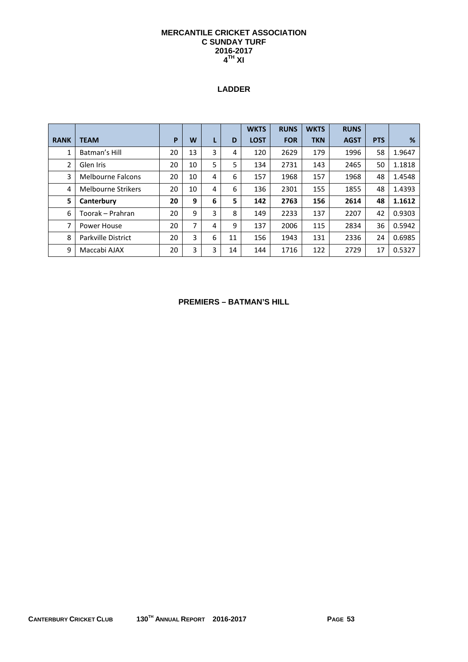## **LADDER**

|             |                           |    |    |   |    | <b>WKTS</b> | <b>RUNS</b> | <b>WKTS</b> | <b>RUNS</b> |            |        |
|-------------|---------------------------|----|----|---|----|-------------|-------------|-------------|-------------|------------|--------|
| <b>RANK</b> | <b>TEAM</b>               | P  | W  |   | D  | <b>LOST</b> | <b>FOR</b>  | <b>TKN</b>  | <b>AGST</b> | <b>PTS</b> | %      |
| 1           | Batman's Hill             | 20 | 13 | 3 | 4  | 120         | 2629        | 179         | 1996        | 58         | 1.9647 |
| 2           | Glen Iris                 | 20 | 10 | 5 | 5  | 134         | 2731        | 143         | 2465        | 50         | 1.1818 |
| 3           | <b>Melbourne Falcons</b>  | 20 | 10 | 4 | 6  | 157         | 1968        | 157         | 1968        | 48         | 1.4548 |
| 4           | <b>Melbourne Strikers</b> | 20 | 10 | 4 | 6  | 136         | 2301        | 155         | 1855        | 48         | 1.4393 |
| 5           | Canterbury                | 20 | 9  | 6 | 5  | 142         | 2763        | 156         | 2614        | 48         | 1.1612 |
| 6           | Toorak – Prahran          | 20 | 9  | 3 | 8  | 149         | 2233        | 137         | 2207        | 42         | 0.9303 |
| 7           | Power House               | 20 | 7  | 4 | 9  | 137         | 2006        | 115         | 2834        | 36         | 0.5942 |
| 8           | Parkville District        | 20 | 3  | 6 | 11 | 156         | 1943        | 131         | 2336        | 24         | 0.6985 |
| 9           | Maccabi AJAX              | 20 | 3  | 3 | 14 | 144         | 1716        | 122         | 2729        | 17         | 0.5327 |

## **PREMIERS – BATMAN'S HILL**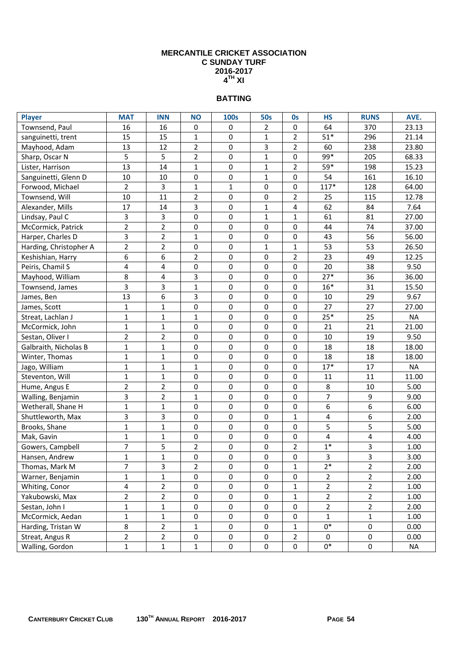## **BATTING**

| <b>Player</b>          | <b>MAT</b>     | <b>INN</b>     | <b>NO</b>        | <b>100s</b>  | <b>50s</b>       | Os             | <b>HS</b>      | <b>RUNS</b>      | AVE.      |
|------------------------|----------------|----------------|------------------|--------------|------------------|----------------|----------------|------------------|-----------|
| Townsend, Paul         | 16             | 16             | $\mathbf 0$      | 0            | 2                | 0              | 64             | 370              | 23.13     |
| sanguinetti, trent     | 15             | 15             | $\mathbf{1}$     | 0            | 1                | $\overline{2}$ | $51*$          | 296              | 21.14     |
| Mayhood, Adam          | 13             | 12             | $\overline{2}$   | 0            | 3                | $\overline{2}$ | 60             | 238              | 23.80     |
| Sharp, Oscar N         | 5              | 5              | $\overline{2}$   | 0            | $\mathbf{1}$     | 0              | 99*            | 205              | 68.33     |
| Lister, Harrison       | 13             | 14             | $\mathbf{1}$     | 0            | $\mathbf 1$      | $\overline{2}$ | $59*$          | 198              | 15.23     |
| Sanguinetti, Glenn D   | 10             | 10             | $\pmb{0}$        | 0            | $\mathbf 1$      | 0              | 54             | 161              | 16.10     |
| Forwood, Michael       | $\overline{2}$ | 3              | $\mathbf{1}$     | $\mathbf{1}$ | 0                | 0              | $117*$         | 128              | 64.00     |
| Townsend, Will         | 10             | 11             | $\overline{2}$   | $\pmb{0}$    | 0                | $\overline{2}$ | 25             | 115              | 12.78     |
| Alexander, Mills       | 17             | 14             | 3                | $\pmb{0}$    | $\mathbf 1$      | 4              | 62             | 84               | 7.64      |
| Lindsay, Paul C        | 3              | 3              | $\mathbf 0$      | $\pmb{0}$    | $\mathbf 1$      | $\mathbf{1}$   | 61             | 81               | 27.00     |
| McCormick, Patrick     | $\overline{2}$ | $\overline{2}$ | $\boldsymbol{0}$ | 0            | $\mathbf 0$      | 0              | 44             | 74               | 37.00     |
| Harper, Charles D      | 3              | $\overline{2}$ | $\mathbf{1}$     | 0            | 0                | 0              | 43             | 56               | 56.00     |
| Harding, Christopher A | $\overline{2}$ | $\overline{2}$ | $\pmb{0}$        | $\pmb{0}$    | $\mathbf{1}$     | $\mathbf 1$    | 53             | 53               | 26.50     |
| Keshishian, Harry      | 6              | 6              | $\overline{2}$   | $\pmb{0}$    | 0                | $\mathbf 2$    | 23             | 49               | 12.25     |
| Peiris, Chamil S       | 4              | 4              | $\pmb{0}$        | $\pmb{0}$    | 0                | 0              | 20             | 38               | 9.50      |
| Mayhood, William       | 8              | 4              | 3                | $\pmb{0}$    | 0                | 0              | $27*$          | 36               | 36.00     |
| Townsend, James        | 3              | 3              | $\mathbf{1}$     | $\pmb{0}$    | 0                | 0              | $16*$          | 31               | 15.50     |
| James, Ben             | 13             | 6              | 3                | $\pmb{0}$    | 0                | 0              | 10             | 29               | 9.67      |
| James, Scott           | $\mathbf{1}$   | $\mathbf{1}$   | $\mathbf 0$      | 0            | 0                | 0              | 27             | 27               | 27.00     |
| Streat, Lachlan J      | $\mathbf 1$    | $\mathbf{1}$   | $\mathbf{1}$     | 0            | 0                | 0              | $25*$          | 25               | <b>NA</b> |
| McCormick, John        | $\mathbf{1}$   | $\mathbf{1}$   | $\pmb{0}$        | $\pmb{0}$    | 0                | 0              | 21             | 21               | 21.00     |
| Sestan, Oliver I       | $\overline{2}$ | $\overline{2}$ | $\pmb{0}$        | 0            | $\mathbf 0$      | $\mathbf 0$    | 10             | 19               | 9.50      |
| Galbraith, Nicholas B  | $\mathbf{1}$   | $\mathbf{1}$   | $\pmb{0}$        | $\pmb{0}$    | 0                | 0              | 18             | 18               | 18.00     |
| Winter, Thomas         | $\mathbf{1}$   | $\mathbf{1}$   | $\pmb{0}$        | $\pmb{0}$    | 0                | 0              | 18             | 18               | 18.00     |
| Jago, William          | $\mathbf{1}$   | $\mathbf{1}$   | $\mathbf{1}$     | $\pmb{0}$    | 0                | 0              | $17*$          | 17               | <b>NA</b> |
| Steventon, Will        | $\mathbf{1}$   | $\mathbf{1}$   | $\pmb{0}$        | 0            | 0                | 0              | 11             | 11               | 11.00     |
| Hume, Angus E          | $\overline{2}$ | $\overline{2}$ | $\boldsymbol{0}$ | 0            | 0                | 0              | 8              | 10               | 5.00      |
| Walling, Benjamin      | 3              | $\overline{2}$ | $\mathbf{1}$     | 0            | $\mathbf 0$      | $\mathbf 0$    | $\overline{7}$ | 9                | 9.00      |
| Wetherall, Shane H     | $\mathbf{1}$   | $\mathbf{1}$   | 0                | 0            | 0                | 0              | 6              | 6                | 6.00      |
| Shuttleworth, Max      | 3              | 3              | $\pmb{0}$        | $\pmb{0}$    | $\boldsymbol{0}$ | $\mathbf 1$    | 4              | 6                | 2.00      |
| Brooks, Shane          | $\mathbf{1}$   | $\mathbf{1}$   | $\pmb{0}$        | $\pmb{0}$    | 0                | $\mathbf 0$    | 5              | 5                | 5.00      |
| Mak, Gavin             | $\mathbf{1}$   | $\mathbf{1}$   | $\pmb{0}$        | $\pmb{0}$    | 0                | 0              | 4              | 4                | 4.00      |
| Gowers, Campbell       | 7              | 5              | $\overline{2}$   | $\pmb{0}$    | 0                | $\overline{2}$ | $1*$           | 3                | 1.00      |
| Hansen, Andrew         | $\mathbf{1}$   | $\mathbf{1}$   | $\pmb{0}$        | $\pmb{0}$    | $\boldsymbol{0}$ | 0              | 3              | 3                | 3.00      |
| Thomas, Mark M         | 7              | 3              | $\overline{2}$   | 0            | 0                | 1              | $2*$           | $\overline{2}$   | 2.00      |
| Warner, Benjamin       | $\mathbf{1}$   | $\mathbf{1}$   | $\mathbf 0$      | $\pmb{0}$    | 0                | 0              | $\overline{2}$ | $\overline{2}$   | 2.00      |
| Whiting, Conor         | 4              | $\overline{2}$ | $\mathbf 0$      | $\pmb{0}$    | 0                | $\mathbf{1}$   | $\overline{2}$ | $\overline{2}$   | 1.00      |
| Yakubowski, Max        | $\overline{2}$ | $\overline{2}$ | $\pmb{0}$        | $\pmb{0}$    | $\pmb{0}$        | $\mathbf 1$    | $\overline{2}$ | $\overline{2}$   | 1.00      |
| Sestan, John I         | $\mathbf 1$    | $\mathbf 1$    | $\pmb{0}$        | $\pmb{0}$    | 0                | $\pmb{0}$      | $\overline{2}$ | $\overline{2}$   | 2.00      |
| McCormick, Aedan       | $\mathbf 1$    | $\mathbf{1}$   | $\pmb{0}$        | $\pmb{0}$    | 0                | 0              | $\mathbf{1}$   | 1                | 1.00      |
| Harding, Tristan W     | 8              | $\overline{2}$ | 1                | 0            | 0                | $\mathbf{1}$   | $0*$           | $\pmb{0}$        | 0.00      |
| Streat, Angus R        | $\overline{2}$ | $\overline{2}$ | 0                | 0            | 0                | $\overline{2}$ | 0              | 0                | 0.00      |
| Walling, Gordon        | $\mathbf 1$    | $\mathbf 1$    | $\mathbf 1$      | $\pmb{0}$    | $\pmb{0}$        | 0              | $0*$           | $\boldsymbol{0}$ | <b>NA</b> |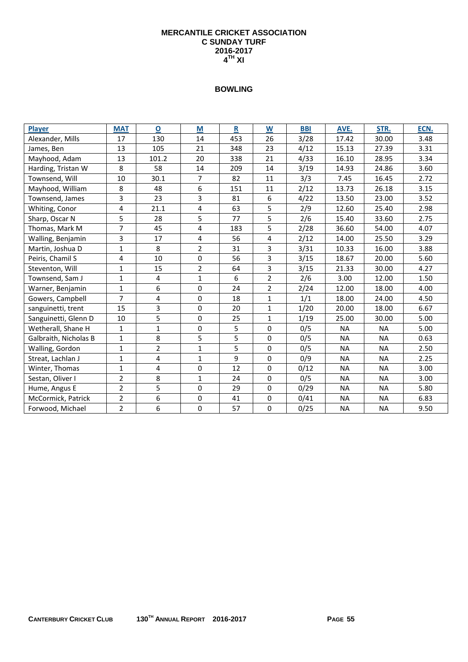| Player                | <b>MAT</b>     | $\mathbf 0$    | M                       | $\mathbf R$ | W              | <b>BBI</b> | AVE.      | STR.      | ECN. |
|-----------------------|----------------|----------------|-------------------------|-------------|----------------|------------|-----------|-----------|------|
| Alexander, Mills      | 17             | 130            | 14                      | 453         | 26             | 3/28       | 17.42     | 30.00     | 3.48 |
| James, Ben            | 13             | 105            | 21                      | 348         | 23             | 4/12       | 15.13     | 27.39     | 3.31 |
| Mayhood, Adam         | 13             | 101.2          | 20                      | 338         | 21             | 4/33       | 16.10     | 28.95     | 3.34 |
| Harding, Tristan W    | 8              | 58             | 14                      | 209         | 14             | 3/19       | 14.93     | 24.86     | 3.60 |
| Townsend, Will        | 10             | 30.1           | $\overline{7}$          | 82          | 11             | 3/3        | 7.45      | 16.45     | 2.72 |
| Mayhood, William      | 8              | 48             | 6                       | 151         | 11             | 2/12       | 13.73     | 26.18     | 3.15 |
| Townsend, James       | 3              | 23             | 3                       | 81          | 6              | 4/22       | 13.50     | 23.00     | 3.52 |
| Whiting, Conor        | 4              | 21.1           | $\overline{\mathbf{4}}$ | 63          | 5              | 2/9        | 12.60     | 25.40     | 2.98 |
| Sharp, Oscar N        | 5              | 28             | 5                       | 77          | 5              | 2/6        | 15.40     | 33.60     | 2.75 |
| Thomas, Mark M        | $\overline{7}$ | 45             | 4                       | 183         | 5              | 2/28       | 36.60     | 54.00     | 4.07 |
| Walling, Benjamin     | 3              | 17             | 4                       | 56          | 4              | 2/12       | 14.00     | 25.50     | 3.29 |
| Martin, Joshua D      | 1              | 8              | $\overline{2}$          | 31          | 3              | 3/31       | 10.33     | 16.00     | 3.88 |
| Peiris, Chamil S      | 4              | 10             | $\mathbf 0$             | 56          | 3              | 3/15       | 18.67     | 20.00     | 5.60 |
| Steventon, Will       | 1              | 15             | $\overline{2}$          | 64          | 3              | 3/15       | 21.33     | 30.00     | 4.27 |
| Townsend, Sam J       | $\mathbf{1}$   | 4              | $\mathbf{1}$            | 6           | $\overline{2}$ | 2/6        | 3.00      | 12.00     | 1.50 |
| Warner, Benjamin      | $\mathbf{1}$   | 6              | 0                       | 24          | $\overline{2}$ | 2/24       | 12.00     | 18.00     | 4.00 |
| Gowers, Campbell      | $\overline{7}$ | 4              | 0                       | 18          | $\mathbf{1}$   | 1/1        | 18.00     | 24.00     | 4.50 |
| sanguinetti, trent    | 15             | 3              | $\mathbf 0$             | 20          | $\mathbf{1}$   | 1/20       | 20.00     | 18.00     | 6.67 |
| Sanguinetti, Glenn D  | 10             | 5              | 0                       | 25          | $\mathbf{1}$   | 1/19       | 25.00     | 30.00     | 5.00 |
| Wetherall, Shane H    | $\mathbf{1}$   | $\mathbf{1}$   | $\mathbf 0$             | 5           | $\mathbf 0$    | 0/5        | <b>NA</b> | <b>NA</b> | 5.00 |
| Galbraith, Nicholas B | $\mathbf{1}$   | 8              | 5                       | 5           | $\Omega$       | 0/5        | <b>NA</b> | <b>NA</b> | 0.63 |
| Walling, Gordon       | $\mathbf{1}$   | $\overline{2}$ | $\mathbf{1}$            | 5           | $\mathbf 0$    | 0/5        | NA        | <b>NA</b> | 2.50 |
| Streat, Lachlan J     | $\mathbf{1}$   | 4              | $\mathbf{1}$            | 9           | $\mathbf 0$    | 0/9        | <b>NA</b> | <b>NA</b> | 2.25 |
| Winter, Thomas        | 1              | 4              | 0                       | 12          | $\mathbf 0$    | 0/12       | <b>NA</b> | <b>NA</b> | 3.00 |
| Sestan, Oliver I      | $\overline{2}$ | 8              | $\mathbf{1}$            | 24          | $\mathbf 0$    | 0/5        | NA        | <b>NA</b> | 3.00 |
| Hume, Angus E         | $\overline{2}$ | 5              | $\mathbf 0$             | 29          | $\mathbf 0$    | 0/29       | <b>NA</b> | <b>NA</b> | 5.80 |
| McCormick, Patrick    | $\overline{2}$ | 6              | $\mathbf 0$             | 41          | $\mathbf 0$    | 0/41       | <b>NA</b> | <b>NA</b> | 6.83 |
| Forwood, Michael      | $\overline{2}$ | 6              | 0                       | 57          | $\mathbf 0$    | 0/25       | <b>NA</b> | <b>NA</b> | 9.50 |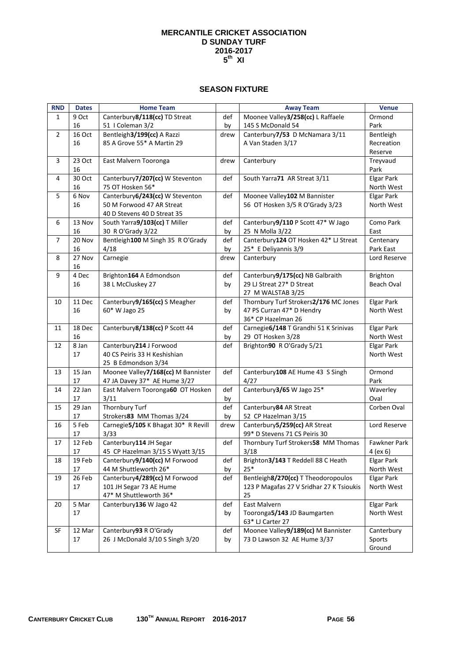#### **SEASON FIXTURE**

| <b>RND</b>     | <b>Dates</b> | <b>Home Team</b>                    |      | <b>Away Team</b>                         | <b>Venue</b>      |
|----------------|--------------|-------------------------------------|------|------------------------------------------|-------------------|
| 1              | 9 Oct        | Canterbury8/118(cc) TD Streat       | def  | Moonee Valley3/258(cc) L Raffaele        | Ormond            |
|                | 16           | 51   Coleman 3/2                    | by   | 145 S McDonald 54                        | Park              |
| $\overline{2}$ | 16 Oct       | Bentleigh3/199(cc) A Razzi          | drew | Canterbury7/53 D McNamara 3/11           | Bentleigh         |
|                | 16           | 85 A Grove 55* A Martin 29          |      | A Van Staden 3/17                        | Recreation        |
|                |              |                                     |      |                                          | Reserve           |
| 3              | 23 Oct       | East Malvern Tooronga               | drew | Canterbury                               | Treyvaud          |
|                | 16           |                                     |      |                                          | Park              |
| 4              | 30 Oct       | Canterbury7/207(cc) W Steventon     | def  | South Yarra71 AR Streat 3/11             | <b>Elgar Park</b> |
|                | 16           | 75 OT Hosken 56*                    |      |                                          | North West        |
| 5              | 6 Nov        | Canterbury 6/243(cc) W Steventon    | def  | Moonee Valley102 M Bannister             | <b>Elgar Park</b> |
|                | 16           | 50 M Forwood 47 AR Streat           |      | 56 OT Hosken 3/5 R O'Grady 3/23          | North West        |
|                |              | 40 D Stevens 40 D Streat 35         |      |                                          |                   |
| 6              | 13 Nov       | South Yarra9/103(cc) T Miller       | def  | Canterbury9/110 P Scott 47* W Jago       | Como Park         |
|                | 16           | 30 R O'Grady 3/22                   | by   | 25 N Molla 3/22                          | East              |
| 7              | 20 Nov       | Bentleigh100 M Singh 35 R O'Grady   | def  | Canterbury124 OT Hosken 42* LJ Streat    | Centenary         |
|                | 16           | 4/18                                | by   | 25* E Deliyannis 3/9                     | Park East         |
| 8              | 27 Nov       | Carnegie                            | drew | Canterbury                               | Lord Reserve      |
|                | 16           |                                     |      |                                          |                   |
| 9              | 4 Dec        | Brighton164 A Edmondson             | def  | Canterbury9/175(cc) NB Galbraith         | Brighton          |
|                | 16           | 38 L McCluskey 27                   | by   | 29 LJ Streat 27* D Streat                | Beach Oval        |
|                |              |                                     |      | 27 M WALSTAB 3/25                        |                   |
| 10             | 11 Dec       | Canterbury9/165(cc) S Meagher       | def  | Thornbury Turf Strokers2/176 MC Jones    | <b>Elgar Park</b> |
|                | 16           | 60* W Jago 25                       | by   | 47 PS Curran 47* D Hendry                | North West        |
|                |              |                                     |      | 36* CP Hazelman 26                       |                   |
| 11             | 18 Dec       | Canterbury8/138(cc) P Scott 44      | def  | Carnegie6/148 T Grandhi 51 K Srinivas    | <b>Elgar Park</b> |
|                | 16           |                                     | by   | 29 OT Hosken 3/28                        | North West        |
| 12             | 8 Jan        | Canterbury214 J Forwood             | def  | Brighton90 R O'Grady 5/21                | <b>Elgar Park</b> |
|                | 17           | 40 CS Peiris 33 H Keshishian        |      |                                          | North West        |
|                |              | 25 B Edmondson 3/34                 |      |                                          |                   |
| 13             | 15 Jan       | Moonee Valley7/168(cc) M Bannister  | def  | Canterbury108 AE Hume 43 S Singh         | Ormond            |
|                | 17           | 47 JA Davey 37* AE Hume 3/27        |      | 4/27                                     | Park              |
| 14             | 22 Jan       | East Malvern Tooronga60 OT Hosken   | def  | Canterbury3/65 W Jago 25*                | Waverley          |
|                | 17           | 3/11                                | by   |                                          | Oval              |
| 15             | 29 Jan       | <b>Thornbury Turf</b>               | def  | Canterbury 84 AR Streat                  | Corben Oval       |
|                | 17           | Strokers83 MM Thomas 3/24           | by   | 52 CP Hazelman 3/15                      |                   |
| 16             | 5 Feb        | Carnegie5/105 K Bhagat 30* R Revill | drew | Canterbury5/259(cc) AR Streat            | Lord Reserve      |
|                | 17           | 3/33                                |      | 99* D Stevens 71 CS Peiris 30            |                   |
| 17             | 12 Feb       | Canterbury114 JH Segar              | def  | Thornbury Turf Strokers58 MM Thomas      | Fawkner Park      |
|                | 17           | 45 CP Hazelman 3/15 S Wyatt 3/15    |      | 3/18                                     | 4 (ex 6)          |
| 18             | 19 Feb       | Canterbury9/140(cc) M Forwood       | def  | Brighton3/143 T Reddell 88 C Heath       | <b>Elgar Park</b> |
|                | 17           | 44 M Shuttleworth 26*               | by   | $25*$                                    | North West        |
| 19             | 26 Feb       | Canterbury4/289(cc) M Forwood       | def  | Bentleigh 8/270(cc) T Theodoropoulos     | Elgar Park        |
|                | 17           | 101 JH Segar 73 AE Hume             |      | 123 P Magafas 27 V Sridhar 27 K Tsioukis | North West        |
|                |              | 47* M Shuttleworth 36*              |      | 25                                       |                   |
| 20             | 5 Mar        | Canterbury136 W Jago 42             | def  | East Malvern                             | <b>Elgar Park</b> |
|                | 17           |                                     | by   | Tooronga5/143 JD Baumgarten              | North West        |
|                |              |                                     |      | 63* LJ Carter 27                         |                   |
| SF             | 12 Mar       | Canterbury93 R O'Grady              | def  | Moonee Valley9/189(cc) M Bannister       | Canterbury        |
|                | 17           | 26 J McDonald 3/10 S Singh 3/20     | by   | 73 D Lawson 32 AE Hume 3/37              | Sports<br>Ground  |
|                |              |                                     |      |                                          |                   |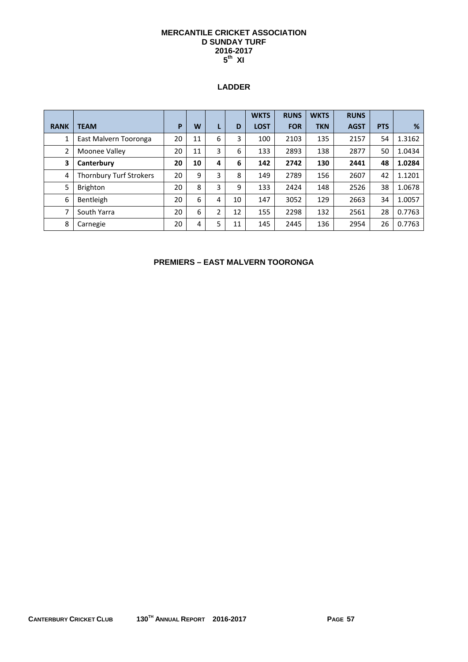### **LADDER**

|                |                         |    |    |   |    | <b>WKTS</b> | <b>RUNS</b> | <b>WKTS</b> | <b>RUNS</b> |            |        |
|----------------|-------------------------|----|----|---|----|-------------|-------------|-------------|-------------|------------|--------|
| <b>RANK</b>    | <b>TEAM</b>             | P  | W  | L | D  | <b>LOST</b> | <b>FOR</b>  | <b>TKN</b>  | <b>AGST</b> | <b>PTS</b> | %      |
|                | East Malvern Tooronga   | 20 | 11 | 6 | 3  | 100         | 2103        | 135         | 2157        | 54         | 1.3162 |
| $\overline{2}$ | Moonee Valley           | 20 | 11 | 3 | 6  | 133         | 2893        | 138         | 2877        | 50         | 1.0434 |
| 3              | Canterbury              | 20 | 10 | 4 | 6  | 142         | 2742        | 130         | 2441        | 48         | 1.0284 |
| 4              | Thornbury Turf Strokers | 20 | 9  | 3 | 8  | 149         | 2789        | 156         | 2607        | 42         | 1.1201 |
| 5              | <b>Brighton</b>         | 20 | 8  | 3 | 9  | 133         | 2424        | 148         | 2526        | 38         | 1.0678 |
| 6              | Bentleigh               | 20 | 6  | 4 | 10 | 147         | 3052        | 129         | 2663        | 34         | 1.0057 |
| 7              | South Yarra             | 20 | 6  | 2 | 12 | 155         | 2298        | 132         | 2561        | 28         | 0.7763 |
| 8              | Carnegie                | 20 | 4  | 5 | 11 | 145         | 2445        | 136         | 2954        | 26         | 0.7763 |

**PREMIERS – EAST MALVERN TOORONGA**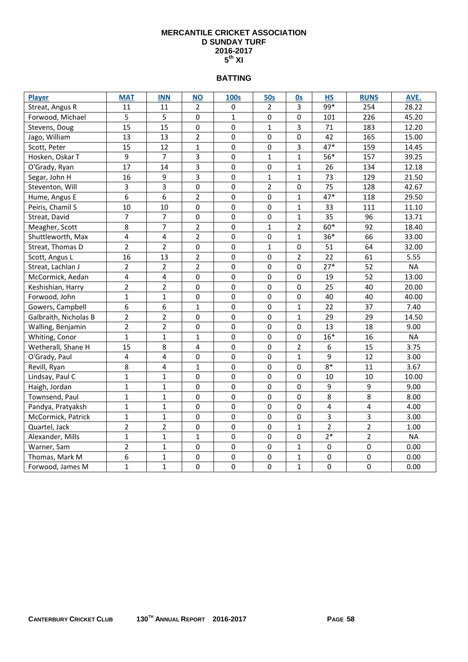### **BATTING**

| <b>Player</b>         | <b>MAT</b>     | <b>INN</b>     | <b>NO</b>        | <b>100s</b>      | <b>50s</b>       | <b>Os</b>      | <b>HS</b>      | <b>RUNS</b>      | AVE.      |
|-----------------------|----------------|----------------|------------------|------------------|------------------|----------------|----------------|------------------|-----------|
| Streat, Angus R       | 11             | 11             | $\overline{2}$   | 0                | $\overline{2}$   | 3              | $99*$          | 254              | 28.22     |
| Forwood, Michael      | 5              | 5              | $\mathbf 0$      | 1                | 0                | $\mathbf 0$    | 101            | 226              | 45.20     |
| Stevens, Doug         | 15             | 15             | $\mathbf 0$      | 0                | $\mathbf{1}$     | 3              | 71             | 183              | 12.20     |
| Jago, William         | 13             | 13             | $\overline{2}$   | $\mathbf 0$      | $\mathbf 0$      | $\mathbf 0$    | 42             | 165              | 15.00     |
| Scott, Peter          | 15             | 12             | $\mathbf 1$      | $\mathbf 0$      | 0                | $\overline{3}$ | $47*$          | 159              | 14.45     |
| Hosken, Oskar T       | 9              | $\overline{7}$ | 3                | $\mathbf 0$      | $\mathbf{1}$     | $\mathbf{1}$   | 56*            | 157              | 39.25     |
| O'Grady, Ryan         | 17             | 14             | 3                | $\mathbf 0$      | $\mathbf 0$      | $\mathbf{1}$   | 26             | 134              | 12.18     |
| Segar, John H         | 16             | 9              | 3                | $\overline{0}$   | $\mathbf 1$      | $\mathbf{1}$   | 73             | 129              | 21.50     |
| Steventon, Will       | 3              | 3              | $\mathbf 0$      | $\mathbf 0$      | $\overline{2}$   | $\mathbf 0$    | 75             | 128              | 42.67     |
| Hume, Angus E         | 6              | 6              | $\overline{2}$   | $\mathbf 0$      | $\mathbf 0$      | $\mathbf{1}$   | $47*$          | 118              | 29.50     |
| Peiris, Chamil S      | 10             | 10             | $\mathbf 0$      | $\mathbf 0$      | $\mathbf 0$      | $\mathbf{1}$   | 33             | 111              | 11.10     |
| Streat, David         | $\overline{7}$ | 7              | $\mathbf 0$      | $\mathbf 0$      | $\mathbf 0$      | $\mathbf{1}$   | 35             | 96               | 13.71     |
| Meagher, Scott        | 8              | $\overline{7}$ | $\overline{2}$   | $\pmb{0}$        | $\mathbf 1$      | $\overline{2}$ | 60*            | 92               | 18.40     |
| Shuttleworth, Max     | 4              | 4              | $\overline{2}$   | $\pmb{0}$        | $\pmb{0}$        | $\mathbf{1}$   | $36*$          | 66               | 33.00     |
| Streat, Thomas D      | $\overline{2}$ | $\overline{2}$ | 0                | $\mathbf 0$      | $\mathbf 1$      | $\mathbf 0$    | 51             | 64               | 32.00     |
| Scott, Angus L        | 16             | 13             | $\overline{2}$   | $\pmb{0}$        | $\pmb{0}$        | $\overline{2}$ | 22             | 61               | 5.55      |
| Streat, Lachlan J     | $\overline{2}$ | $\overline{2}$ | $\overline{2}$   | $\pmb{0}$        | $\pmb{0}$        | $\mathbf 0$    | $27*$          | 52               | <b>NA</b> |
| McCormick, Aedan      | 4              | 4              | 0                | $\mathbf 0$      | $\pmb{0}$        | $\mathbf 0$    | 19             | 52               | 13.00     |
| Keshishian, Harry     | $\overline{2}$ | $\overline{2}$ | 0                | $\mathbf 0$      | $\mathbf 0$      | $\mathbf 0$    | 25             | 40               | 20.00     |
| Forwood, John         | $\mathbf{1}$   | $\mathbf{1}$   | $\boldsymbol{0}$ | $\pmb{0}$        | $\pmb{0}$        | $\pmb{0}$      | 40             | 40               | 40.00     |
| Gowers, Campbell      | 6              | 6              | $\mathbf{1}$     | 0                | $\pmb{0}$        | $\mathbf{1}$   | 22             | 37               | 7.40      |
| Galbraith, Nicholas B | $\overline{2}$ | $\overline{2}$ | 0                | 0                | $\mathbf 0$      | $\mathbf{1}$   | 29             | 29               | 14.50     |
| Walling, Benjamin     | $\overline{2}$ | $\overline{2}$ | $\boldsymbol{0}$ | $\boldsymbol{0}$ | $\pmb{0}$        | $\mathbf 0$    | 13             | 18               | 9.00      |
| Whiting, Conor        | $\mathbf{1}$   | $\mathbf{1}$   | $\mathbf{1}$     | 0                | $\pmb{0}$        | $\mathbf 0$    | $16*$          | 16               | <b>NA</b> |
| Wetherall, Shane H    | 15             | 8              | 4                | $\mathbf 0$      | $\pmb{0}$        | $\overline{2}$ | 6              | 15               | 3.75      |
| O'Grady, Paul         | 4              | 4              | 0                | 0                | $\boldsymbol{0}$ | $\mathbf{1}$   | 9              | 12               | 3.00      |
| Revill, Ryan          | 8              | 4              | $\mathbf{1}$     | 0                | $\bf{0}$         | 0              | $8*$           | 11               | 3.67      |
| Lindsay, Paul C       | $\mathbf{1}$   | $\mathbf{1}$   | $\mathbf 0$      | 0                | $\mathbf 0$      | $\mathbf 0$    | 10             | 10               | 10.00     |
| Haigh, Jordan         | $\mathbf 1$    | $\mathbf{1}$   | $\mathbf 0$      | 0                | $\boldsymbol{0}$ | $\mathbf 0$    | 9              | $\boldsymbol{9}$ | 9.00      |
| Townsend, Paul        | $\mathbf{1}$   | $\overline{1}$ | $\mathbf 0$      | $\mathbf 0$      | $\mathbf 0$      | $\mathbf 0$    | 8              | 8                | 8.00      |
| Pandya, Pratyaksh     | $\mathbf{1}$   | $\mathbf{1}$   | 0                | 0                | $\bf{0}$         | $\mathbf 0$    | $\overline{4}$ | 4                | 4.00      |
| McCormick, Patrick    | $\mathbf 1$    | $\mathbf{1}$   | $\boldsymbol{0}$ | $\boldsymbol{0}$ | $\boldsymbol{0}$ | $\pmb{0}$      | $\overline{3}$ | 3                | 3.00      |
| Quartel, Jack         | $\overline{2}$ | $\overline{2}$ | $\boldsymbol{0}$ | $\pmb{0}$        | $\pmb{0}$        | $\mathbf{1}$   | $\overline{2}$ | $\overline{2}$   | 1.00      |
| Alexander, Mills      | $\mathbf{1}$   | $\mathbf{1}$   | $\mathbf{1}$     | $\mathbf 0$      | $\pmb{0}$        | $\mathbf 0$    | $2*$           | $\overline{2}$   | <b>NA</b> |
| Warner, Sam           | $\overline{2}$ | $\overline{1}$ | $\boldsymbol{0}$ | $\pmb{0}$        | $\pmb{0}$        | $\mathbf 1$    | $\pmb{0}$      | $\pmb{0}$        | 0.00      |
| Thomas, Mark M        | 6              | $\mathbf{1}$   | $\boldsymbol{0}$ | $\pmb{0}$        | $\mathbf 0$      | $\mathbf{1}$   | $\pmb{0}$      | $\pmb{0}$        | 0.00      |
| Forwood, James M      | $\overline{1}$ | $\overline{1}$ | 0                | $\mathbf 0$      | $\mathbf 0$      | $\mathbf{1}$   | $\mathbf 0$    | $\mathbf 0$      | 0.00      |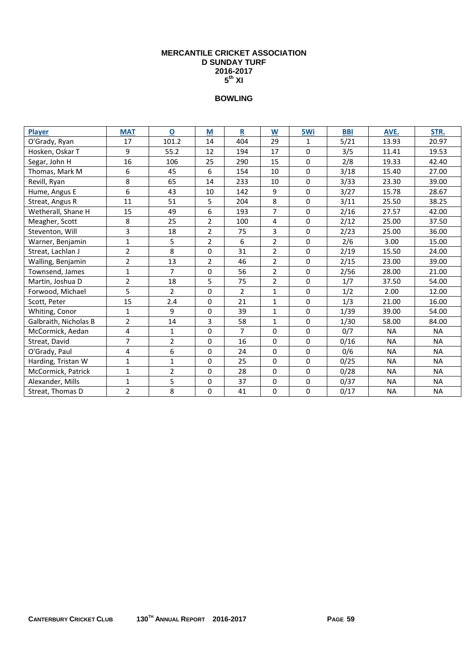| <b>Player</b>         | <b>MAT</b>     | $\mathbf 0$    | M              | $\mathbf R$    | W              | 5Wi         | <b>BBI</b> | AVE.      | STR.      |
|-----------------------|----------------|----------------|----------------|----------------|----------------|-------------|------------|-----------|-----------|
| O'Grady, Ryan         | 17             | 101.2          | 14             | 404            | 29             | 1           | 5/21       | 13.93     | 20.97     |
| Hosken, Oskar T       | 9              | 55.2           | 12             | 194            | 17             | $\Omega$    | 3/5        | 11.41     | 19.53     |
| Segar, John H         | 16             | 106            | 25             | 290            | 15             | $\mathbf 0$ | 2/8        | 19.33     | 42.40     |
| Thomas, Mark M        | 6              | 45             | 6              | 154            | 10             | $\Omega$    | 3/18       | 15.40     | 27.00     |
| Revill, Ryan          | 8              | 65             | 14             | 233            | 10             | $\Omega$    | 3/33       | 23.30     | 39.00     |
| Hume, Angus E         | 6              | 43             | 10             | 142            | 9              | $\Omega$    | 3/27       | 15.78     | 28.67     |
| Streat, Angus R       | 11             | 51             | 5              | 204            | 8              | $\Omega$    | 3/11       | 25.50     | 38.25     |
| Wetherall, Shane H    | 15             | 49             | 6              | 193            | $\overline{7}$ | $\Omega$    | 2/16       | 27.57     | 42.00     |
| Meagher, Scott        | 8              | 25             | $\overline{2}$ | 100            | 4              | $\mathbf 0$ | 2/12       | 25.00     | 37.50     |
| Steventon, Will       | 3              | 18             | $\overline{2}$ | 75             | 3              | $\Omega$    | 2/23       | 25.00     | 36.00     |
| Warner, Benjamin      | $\mathbf{1}$   | 5              | $\overline{2}$ | 6              | $\overline{2}$ | $\mathbf 0$ | 2/6        | 3.00      | 15.00     |
| Streat, Lachlan J     | $\overline{2}$ | 8              | $\Omega$       | 31             | $\overline{2}$ | $\Omega$    | 2/19       | 15.50     | 24.00     |
| Walling, Benjamin     | $\overline{2}$ | 13             | $\overline{2}$ | 46             | $\overline{2}$ | $\mathbf 0$ | 2/15       | 23.00     | 39.00     |
| Townsend, James       | $\mathbf{1}$   | $\overline{7}$ | 0              | 56             | $\overline{2}$ | $\mathbf 0$ | 2/56       | 28.00     | 21.00     |
| Martin, Joshua D      | $\overline{2}$ | 18             | 5              | 75             | $\overline{2}$ | $\Omega$    | 1/7        | 37.50     | 54.00     |
| Forwood, Michael      | 5              | $\overline{2}$ | $\Omega$       | $\overline{2}$ | $\mathbf{1}$   | $\Omega$    | 1/2        | 2.00      | 12.00     |
| Scott, Peter          | 15             | 2.4            | $\Omega$       | 21             | $\mathbf{1}$   | $\Omega$    | 1/3        | 21.00     | 16.00     |
| Whiting, Conor        | $\mathbf{1}$   | 9              | $\Omega$       | 39             | 1              | $\Omega$    | 1/39       | 39.00     | 54.00     |
| Galbraith, Nicholas B | $\overline{2}$ | 14             | 3              | 58             | $\mathbf{1}$   | $\Omega$    | 1/30       | 58.00     | 84.00     |
| McCormick, Aedan      | 4              | $\mathbf{1}$   | $\Omega$       | $\overline{7}$ | $\Omega$       | $\Omega$    | 0/7        | <b>NA</b> | <b>NA</b> |
| Streat, David         | $\overline{7}$ | $\overline{2}$ | $\Omega$       | 16             | 0              | 0           | 0/16       | <b>NA</b> | <b>NA</b> |
| O'Grady, Paul         | 4              | 6              | $\Omega$       | 24             | $\Omega$       | $\mathbf 0$ | 0/6        | <b>NA</b> | <b>NA</b> |
| Harding, Tristan W    | $\mathbf{1}$   | $\mathbf{1}$   | $\Omega$       | 25             | 0              | $\Omega$    | 0/25       | <b>NA</b> | <b>NA</b> |
| McCormick, Patrick    | $\mathbf{1}$   | $\overline{2}$ | $\Omega$       | 28             | 0              | $\mathbf 0$ | 0/28       | <b>NA</b> | <b>NA</b> |
| Alexander, Mills      | $\mathbf{1}$   | 5              | 0              | 37             | 0              | $\mathbf 0$ | 0/37       | <b>NA</b> | <b>NA</b> |
| Streat, Thomas D      | $\overline{2}$ | 8              | 0              | 41             | 0              | $\mathbf 0$ | 0/17       | <b>NA</b> | <b>NA</b> |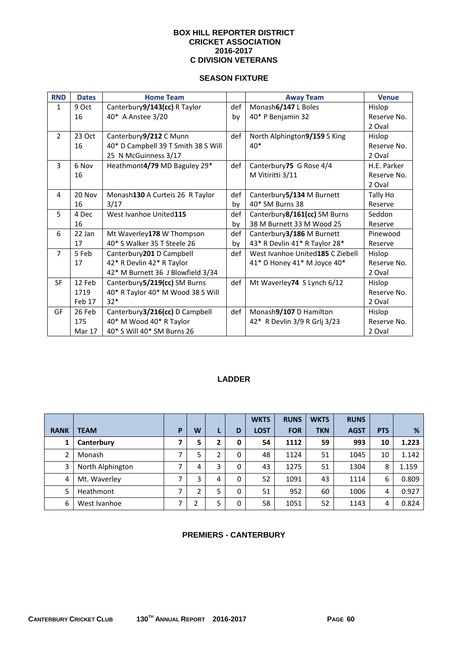#### **BOX HILL REPORTER DISTRICT CRICKET ASSOCIATION 2016-2017 C DIVISION VETERANS**

### **SEASON FIXTURE**

| <b>RND</b>     | <b>Dates</b>  | <b>Home Team</b>                    |     | <b>Away Team</b>                 | <b>Venue</b> |
|----------------|---------------|-------------------------------------|-----|----------------------------------|--------------|
| $\mathbf{1}$   | 9 Oct         | Canterbury9/143(cc) R Taylor        | def | Monash6/147 L Boles              | Hislop       |
|                | 16            | 40* A Anstee 3/20                   | by  | 40* P Benjamin 32                | Reserve No.  |
|                |               |                                     |     |                                  | 2 Oval       |
| $\overline{2}$ | 23 Oct        | Canterbury9/212 C Munn              | def | North Alphington9/159 S King     | Hislop       |
|                | 16            | 40* D Campbell 39 T Smith 38 S Will |     | $40*$                            | Reserve No.  |
|                |               | 25 N McGuinness 3/17                |     |                                  | 2 Oval       |
| 3              | 6 Nov         | Heathmont4/79 MD Baguley 29*        | def | Canterbury75 G Rose 4/4          | H.E. Parker  |
|                | 16            |                                     |     | M Vitiritti 3/11                 | Reserve No.  |
|                |               |                                     |     |                                  | 2 Oval       |
| 4              | 20 Nov        | Monash130 A Curteis 26 R Taylor     | def | Canterbury 5/134 M Burnett       | Tally Ho     |
|                | 16            | 3/17                                | by  | 40* SM Burns 38                  | Reserve      |
| 5              | 4 Dec         | West Ivanhoe United115              | def | Canterbury8/161(cc) SM Burns     | Seddon       |
|                | 16            |                                     | by  | 38 M Burnett 33 M Wood 25        | Reserve      |
| 6              | 22 Jan        | Mt Waverley178 W Thompson           | def | Canterbury 3/186 M Burnett       | Pinewood     |
|                | 17            | 40* S Walker 35 T Steele 26         | by  | 43* R Devlin 41* R Taylor 28*    | Reserve      |
| $\overline{7}$ | 5 Feb         | Canterbury201 D Campbell            | def | West Ivanhoe United185 C Ziebell | Hislop       |
|                | 17            | 42* R Devlin 42* R Taylor           |     | 41* D Honey 41* M Joyce 40*      | Reserve No.  |
|                |               | 42* M Burnett 36 J Blowfield 3/34   |     |                                  | 2 Oval       |
| <b>SF</b>      | 12 Feb        | Canterbury 5/219(cc) SM Burns       | def | Mt Waverley74 S Lynch 6/12       | Hislop       |
|                | 1719          | 40* R Taylor 40* M Wood 38 S Will   |     |                                  | Reserve No.  |
|                | Feb 17        | $32*$                               |     |                                  | 2 Oval       |
| GF             | 26 Feb        | Canterbury3/216(cc) D Campbell      | def | Monash9/107 D Hamilton           | Hislop       |
|                | 175           | 40* M Wood 40* R Taylor             |     | 42* R Devlin 3/9 R Grlj 3/23     | Reserve No.  |
|                | <b>Mar 17</b> | 40* S Will 40* SM Burns 26          |     |                                  | 2 Oval       |

## **LADDER**

|                |                  |   |   |   |             | <b>WKTS</b> | <b>RUNS</b> | <b>WKTS</b> | <b>RUNS</b> |            |       |
|----------------|------------------|---|---|---|-------------|-------------|-------------|-------------|-------------|------------|-------|
| <b>RANK</b>    | <b>TEAM</b>      | P | W | ш | D           | <b>LOST</b> | <b>FOR</b>  | <b>TKN</b>  | <b>AGST</b> | <b>PTS</b> | %     |
|                | Canterbury       |   | 5 | 2 | 0           | 54          | 1112        | 59          | 993         | 10         | 1.223 |
| $\overline{2}$ | Monash           | ⇁ | 5 | 2 | $\mathbf 0$ | 48          | 1124        | 51          | 1045        | 10         | 1.142 |
| 3              | North Alphington |   | 4 | 3 | 0           | 43          | 1275        | 51          | 1304        | 8          | 1.159 |
| 4              | Mt. Waverley     |   | 3 | 4 | 0           | 52          | 1091        | 43          | 1114        | 6          | 0.809 |
| 5              | Heathmont        | ⇁ | h | 5 | 0           | 51          | 952         | 60          | 1006        | 4          | 0.927 |
| 6              | West Ivanhoe     |   | າ | 5 | 0           | 58          | 1051        | 52          | 1143        | 4          | 0.824 |

## **PREMIERS - CANTERBURY**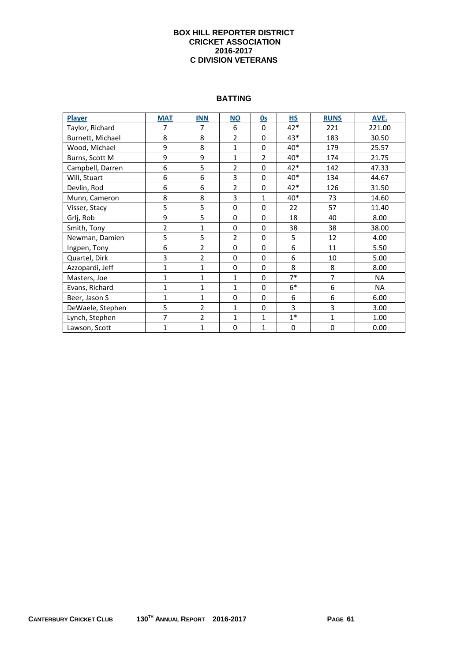#### **BOX HILL REPORTER DISTRICT CRICKET ASSOCIATION 2016-2017 C DIVISION VETERANS**

#### **BATTING**

| <b>Player</b>    | <b>MAT</b>     | <b>INN</b>     | <b>NO</b>      | 0s             | <b>HS</b>   | <b>RUNS</b>    | AVE.      |
|------------------|----------------|----------------|----------------|----------------|-------------|----------------|-----------|
| Taylor, Richard  | 7              | 7              | 6              | $\Omega$       | 42*         | 221            | 221.00    |
| Burnett, Michael | 8              | 8              | $\overline{2}$ | $\Omega$       | 43*         | 183            | 30.50     |
| Wood, Michael    | 9              | 8              | $\mathbf{1}$   | $\mathbf 0$    | 40*         | 179            | 25.57     |
| Burns, Scott M   | 9              | 9              | 1              | $\overline{2}$ | 40*         | 174            | 21.75     |
| Campbell, Darren | 6              | 5              | $\overline{2}$ | $\Omega$       | 42*         | 142            | 47.33     |
| Will, Stuart     | 6              | 6              | 3              | $\Omega$       | 40*         | 134            | 44.67     |
| Devlin, Rod      | 6              | 6              | $\overline{2}$ | $\Omega$       | 42*         | 126            | 31.50     |
| Munn, Cameron    | 8              | 8              | 3              | $\mathbf{1}$   | 40*         | 73             | 14.60     |
| Visser, Stacy    | 5              | 5              | $\Omega$       | $\Omega$       | 22          | 57             | 11.40     |
| Grlj, Rob        | 9              | 5              | $\Omega$       | $\Omega$       | 18          | 40             | 8.00      |
| Smith, Tony      | $\overline{2}$ | $\mathbf{1}$   | $\Omega$       | $\Omega$       | 38          | 38             | 38.00     |
| Newman, Damien   | 5              | 5              | $\overline{2}$ | $\Omega$       | 5           | 12             | 4.00      |
| Ingpen, Tony     | 6              | $\overline{2}$ | $\Omega$       | $\Omega$       | 6           | 11             | 5.50      |
| Quartel, Dirk    | 3              | $\overline{2}$ | $\Omega$       | $\Omega$       | 6           | 10             | 5.00      |
| Azzopardi, Jeff  | $\mathbf{1}$   | $\mathbf{1}$   | $\Omega$       | $\Omega$       | 8           | 8              | 8.00      |
| Masters, Joe     | $\mathbf{1}$   | $\mathbf{1}$   | $\mathbf{1}$   | $\Omega$       | $7*$        | $\overline{7}$ | NA        |
| Evans, Richard   | $\mathbf{1}$   | $\overline{1}$ | $\mathbf{1}$   | $\Omega$       | $6*$        | 6              | <b>NA</b> |
| Beer, Jason S    | $\mathbf{1}$   | $\mathbf{1}$   | $\Omega$       | $\Omega$       | 6           | 6              | 6.00      |
| DeWaele, Stephen | 5              | $\overline{2}$ | $\mathbf{1}$   | $\Omega$       | 3           | 3              | 3.00      |
| Lynch, Stephen   | 7              | $\overline{2}$ | 1              | $\mathbf{1}$   | $1*$        | $\mathbf{1}$   | 1.00      |
| Lawson, Scott    | $\mathbf{1}$   | $\overline{1}$ | 0              | $\mathbf{1}$   | $\mathbf 0$ | $\mathbf 0$    | 0.00      |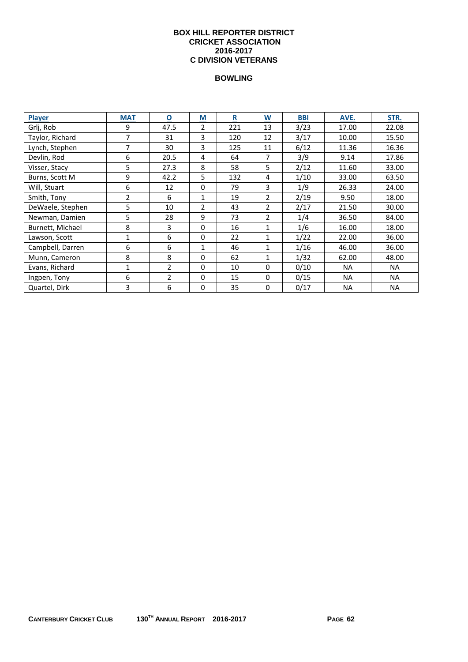#### **BOX HILL REPORTER DISTRICT CRICKET ASSOCIATION 2016-2017 C DIVISION VETERANS**

| <b>Player</b>    | <b>MAT</b>     | $\overline{\mathbf{o}}$ | M              | R   | W              | <b>BBI</b> | AVE.      | STR.      |
|------------------|----------------|-------------------------|----------------|-----|----------------|------------|-----------|-----------|
| Grlj, Rob        | 9              | 47.5                    | 2              | 221 | 13             | 3/23       | 17.00     | 22.08     |
| Taylor, Richard  | 7              | 31                      | 3              | 120 | 12             | 3/17       | 10.00     | 15.50     |
| Lynch, Stephen   | $\overline{7}$ | 30                      | 3              | 125 | 11             | 6/12       | 11.36     | 16.36     |
| Devlin, Rod      | 6              | 20.5                    | 4              | 64  | 7              | 3/9        | 9.14      | 17.86     |
| Visser, Stacy    | 5              | 27.3                    | 8              | 58  | 5              | 2/12       | 11.60     | 33.00     |
| Burns, Scott M   | 9              | 42.2                    | 5              | 132 | 4              | 1/10       | 33.00     | 63.50     |
| Will, Stuart     | 6              | 12                      | $\Omega$       | 79  | 3              | 1/9        | 26.33     | 24.00     |
| Smith, Tony      | $\overline{2}$ | 6                       | 1              | 19  | $\overline{2}$ | 2/19       | 9.50      | 18.00     |
| DeWaele, Stephen | 5              | 10                      | $\overline{2}$ | 43  | $\overline{2}$ | 2/17       | 21.50     | 30.00     |
| Newman, Damien   | 5              | 28                      | 9              | 73  | 2              | 1/4        | 36.50     | 84.00     |
| Burnett, Michael | 8              | 3                       | $\Omega$       | 16  | 1              | 1/6        | 16.00     | 18.00     |
| Lawson, Scott    | 1              | 6                       | $\Omega$       | 22  | 1              | 1/22       | 22.00     | 36.00     |
| Campbell, Darren | 6              | 6                       | 1              | 46  | 1              | 1/16       | 46.00     | 36.00     |
| Munn, Cameron    | 8              | 8                       | $\Omega$       | 62  | 1              | 1/32       | 62.00     | 48.00     |
| Evans, Richard   | 1              | 2                       | 0              | 10  | 0              | 0/10       | <b>NA</b> | NA.       |
| Ingpen, Tony     | 6              | $\overline{2}$          | $\Omega$       | 15  | 0              | 0/15       | <b>NA</b> | <b>NA</b> |
| Quartel, Dirk    | 3              | 6                       | 0              | 35  | 0              | 0/17       | <b>NA</b> | <b>NA</b> |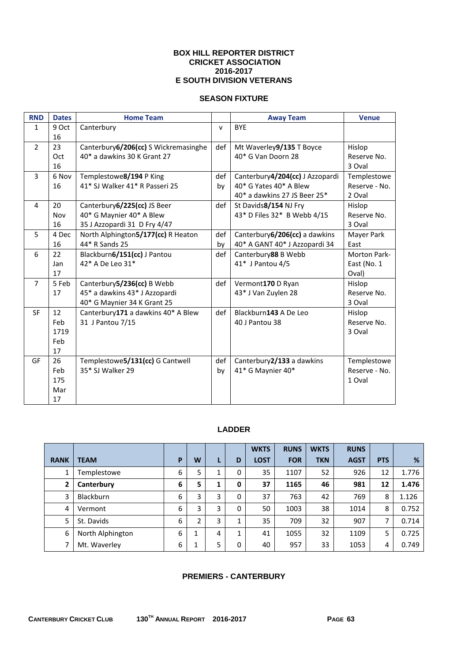#### **BOX HILL REPORTER DISTRICT CRICKET ASSOCIATION 2016-2017 E SOUTH DIVISION VETERANS**

## **SEASON FIXTURE**

| <b>RND</b>     | <b>Dates</b> | <b>Home Team</b>                      |              | <b>Away Team</b>                | <b>Venue</b>        |
|----------------|--------------|---------------------------------------|--------------|---------------------------------|---------------------|
| $\mathbf{1}$   | 9 Oct        | Canterbury                            | $\mathsf{v}$ | <b>BYE</b>                      |                     |
|                | 16           |                                       |              |                                 |                     |
| $\overline{2}$ | 23           | Canterbury 6/206(cc) S Wickremasinghe | def          | Mt Waverley9/135 T Boyce        | Hislop              |
|                | Oct          | 40* a dawkins 30 K Grant 27           |              | 40* G Van Doorn 28              | Reserve No.         |
|                | 16           |                                       |              |                                 | 3 Oval              |
| 3              | 6 Nov        | Templestowe8/194 P King               | def          | Canterbury4/204(cc) J Azzopardi | Templestowe         |
|                | 16           | 41* SJ Walker 41* R Passeri 25        | bv           | 40* G Yates 40* A Blew          | Reserve - No.       |
|                |              |                                       |              | 40* a dawkins 27 JS Beer 25*    | 2 Oval              |
| $\overline{4}$ | 20           | Canterbury 6/225(cc) JS Beer          | def          | St Davids8/154 NJ Fry           | Hislop              |
|                | Nov          | 40* G Maynier 40* A Blew              |              | 43* D Files 32* B Webb 4/15     | Reserve No.         |
|                | 16           | 35 J Azzopardi 31 D Fry 4/47          |              |                                 | 3 Oval              |
| 5              | 4 Dec        | North Alphington5/177(cc) R Heaton    | def          | Canterbury 6/206(cc) a dawkins  | Mayer Park          |
|                | 16           | 44* R Sands 25                        | by           | 40* A GANT 40* J Azzopardi 34   | East                |
| 6              | 22           | Blackburn6/151(cc) J Pantou           | def          | Canterbury88 B Webb             | <b>Morton Park-</b> |
|                | Jan          | 42* A De Leo 31*                      |              | 41* J Pantou 4/5                | East (No. 1         |
|                | 17           |                                       |              |                                 | Oval)               |
| $\overline{7}$ | 5 Feb        | Canterbury 5/236(cc) B Webb           | def          | Vermont170 D Ryan               | Hislop              |
|                | 17           | 45* a dawkins 43* J Azzopardi         |              | 43* J Van Zuylen 28             | Reserve No.         |
|                |              | 40* G Maynier 34 K Grant 25           |              |                                 | 3 Oval              |
| <b>SF</b>      | 12           | Canterbury171 a dawkins 40* A Blew    | def          | Blackburn143 A De Leo           | Hislop              |
|                | Feb          | 31 J Pantou 7/15                      |              | 40 J Pantou 38                  | Reserve No.         |
|                | 1719         |                                       |              |                                 | 3 Oval              |
|                | Feb          |                                       |              |                                 |                     |
|                | 17           |                                       |              |                                 |                     |
| GF             | 26           | Templestowe5/131(cc) G Cantwell       | def          | Canterbury2/133 a dawkins       | Templestowe         |
|                | Feb          | 35* SJ Walker 29                      | by           | 41* G Maynier 40*               | Reserve - No.       |
|                | 175          |                                       |              |                                 | 1 Oval              |
|                | Mar          |                                       |              |                                 |                     |
|                | 17           |                                       |              |                                 |                     |

### **LADDER**

|             |                  |   |   |   |   | <b>WKTS</b> | <b>RUNS</b> | <b>WKTS</b> | <b>RUNS</b> |            |       |
|-------------|------------------|---|---|---|---|-------------|-------------|-------------|-------------|------------|-------|
| <b>RANK</b> | <b>TEAM</b>      | P | W | L | D | <b>LOST</b> | <b>FOR</b>  | <b>TKN</b>  | <b>AGST</b> | <b>PTS</b> | %     |
| 1           | Templestowe      | 6 | 5 | 1 | 0 | 35          | 1107        | 52          | 926         | 12         | 1.776 |
| 2           | Canterbury       | 6 | 5 | 1 | 0 | 37          | 1165        | 46          | 981         | 12         | 1.476 |
| 3           | <b>Blackburn</b> | 6 | 3 | 3 | 0 | 37          | 763         | 42          | 769         | 8          | 1.126 |
| 4           | Vermont          | 6 | 3 | 3 | 0 | 50          | 1003        | 38          | 1014        | 8          | 0.752 |
| 5           | St. Davids       | 6 | 2 | 3 | 1 | 35          | 709         | 32          | 907         | 7          | 0.714 |
| 6           | North Alphington | 6 | 1 | 4 | 1 | 41          | 1055        | 32          | 1109        | 5          | 0.725 |
| 7           | Mt. Waverley     | 6 | 1 | 5 | 0 | 40          | 957         | 33          | 1053        | 4          | 0.749 |

## **PREMIERS - CANTERBURY**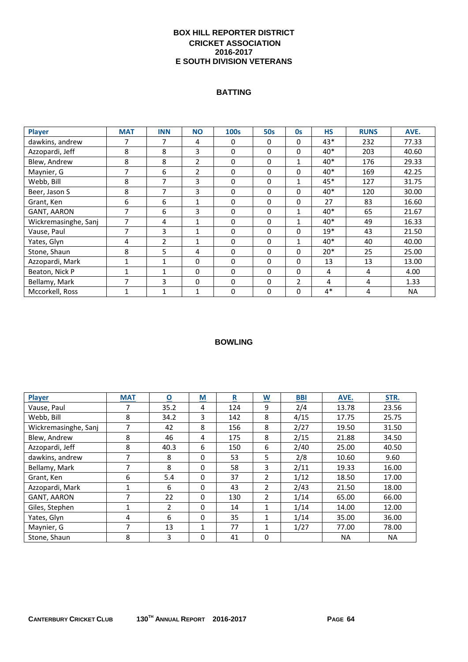## **BOX HILL REPORTER DISTRICT CRICKET ASSOCIATION 2016-2017 E SOUTH DIVISION VETERANS**

## **BATTING**

| Player               | <b>MAT</b>   | <b>INN</b>     | <b>NO</b>      | 100s        | <b>50s</b>   | <b>Os</b>      | <b>HS</b> | <b>RUNS</b> | AVE.      |
|----------------------|--------------|----------------|----------------|-------------|--------------|----------------|-----------|-------------|-----------|
| dawkins, andrew      | 7            | 7              | 4              | 0           | 0            | $\mathbf{0}$   | 43*       | 232         | 77.33     |
| Azzopardi, Jeff      | 8            | 8              | 3              | 0           | 0            | $\mathbf 0$    | 40*       | 203         | 40.60     |
| Blew, Andrew         | 8            | 8              | $\overline{2}$ | $\Omega$    | 0            | 1              | 40*       | 176         | 29.33     |
| Maynier, G           | 7            | 6              | $\overline{2}$ | $\Omega$    | 0            | $\mathbf{0}$   | $40*$     | 169         | 42.25     |
| Webb, Bill           | 8            | 7              | 3              | $\Omega$    | 0            | $\mathbf{1}$   | 45*       | 127         | 31.75     |
| Beer, Jason S        | 8            | 7              | 3              | $\Omega$    | 0            | $\mathbf{0}$   | 40*       | 120         | 30.00     |
| Grant, Ken           | 6            | 6              | $\mathbf{1}$   | 0           | 0            | $\mathbf 0$    | 27        | 83          | 16.60     |
| <b>GANT, AARON</b>   | 7            | 6              | 3              | $\Omega$    | 0            | $\mathbf{1}$   | 40*       | 65          | 21.67     |
| Wickremasinghe, Sanj | 7            | 4              | $\mathbf{1}$   | $\Omega$    | 0            | 1              | $40*$     | 49          | 16.33     |
| Vause, Paul          | 7            | 3              | $\mathbf{1}$   | $\Omega$    | $\Omega$     | $\mathbf{0}$   | $19*$     | 43          | 21.50     |
| Yates, Glyn          | 4            | $\overline{2}$ | $\mathbf{1}$   | $\Omega$    | 0            | 1              | $40*$     | 40          | 40.00     |
| Stone, Shaun         | 8            | 5              | 4              | $\mathbf 0$ | 0            | $\Omega$       | $20*$     | 25          | 25.00     |
| Azzopardi, Mark      | $\mathbf{1}$ | 1              | 0              | 0           | 0            | $\mathbf{0}$   | 13        | 13          | 13.00     |
| Beaton, Nick P       | 1            | $\mathbf{1}$   | 0              | $\Omega$    | 0            | $\Omega$       | 4         | 4           | 4.00      |
| Bellamy, Mark        | 7            | 3              | $\Omega$       | $\Omega$    | $\mathbf{0}$ | $\overline{2}$ | 4         | 4           | 1.33      |
| Mccorkell, Ross      | 1            | 1              | $\mathbf{1}$   | $\Omega$    | 0            | $\mathbf{0}$   | $4*$      | 4           | <b>NA</b> |

| <b>Player</b>        | <b>MAT</b> | <u>0</u>       | $\underline{\mathsf{M}}$ | R   | $\overline{\mathsf{w}}$ | <b>BBI</b> | AVE.      | STR.      |
|----------------------|------------|----------------|--------------------------|-----|-------------------------|------------|-----------|-----------|
| Vause, Paul          |            | 35.2           | 4                        | 124 | 9                       | 2/4        | 13.78     | 23.56     |
| Webb. Bill           | 8          | 34.2           | 3                        | 142 | 8                       | 4/15       | 17.75     | 25.75     |
| Wickremasinghe, Sanj | 7          | 42             | 8                        | 156 | 8                       | 2/27       | 19.50     | 31.50     |
| Blew, Andrew         | 8          | 46             | 4                        | 175 | 8                       | 2/15       | 21.88     | 34.50     |
| Azzopardi, Jeff      | 8          | 40.3           | 6                        | 150 | 6                       | 2/40       | 25.00     | 40.50     |
| dawkins, andrew      | 7          | 8              | 0                        | 53  | 5                       | 2/8        | 10.60     | 9.60      |
| Bellamy, Mark        |            | 8              | $\Omega$                 | 58  | 3                       | 2/11       | 19.33     | 16.00     |
| Grant, Ken           | 6          | 5.4            | 0                        | 37  | $\overline{2}$          | 1/12       | 18.50     | 17.00     |
| Azzopardi, Mark      | 1          | 6              | 0                        | 43  | $\overline{2}$          | 2/43       | 21.50     | 18.00     |
| <b>GANT, AARON</b>   | 7          | 22             | 0                        | 130 | $\overline{2}$          | 1/14       | 65.00     | 66.00     |
| Giles, Stephen       | 1          | $\overline{2}$ | $\Omega$                 | 14  | 1                       | 1/14       | 14.00     | 12.00     |
| Yates, Glyn          | 4          | 6              | 0                        | 35  | 1                       | 1/14       | 35.00     | 36.00     |
| Maynier, G           |            | 13             | 1                        | 77  | 1                       | 1/27       | 77.00     | 78.00     |
| Stone, Shaun         | 8          | 3              | 0                        | 41  | 0                       |            | <b>NA</b> | <b>NA</b> |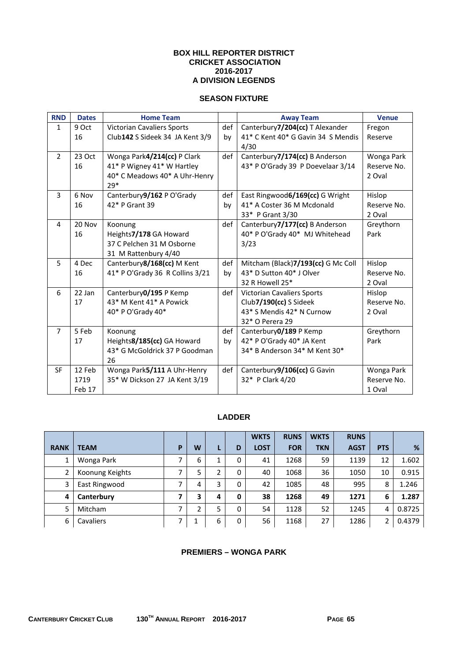#### **BOX HILL REPORTER DISTRICT CRICKET ASSOCIATION 2016-2017 A DIVISION LEGENDS**

## **SEASON FIXTURE**

| <b>RND</b>     | <b>Dates</b> | <b>Home Team</b>                  |     | <b>Away Team</b>                   | <b>Venue</b> |
|----------------|--------------|-----------------------------------|-----|------------------------------------|--------------|
| $\mathbf{1}$   | 9 Oct        | <b>Victorian Cavaliers Sports</b> | def | Canterbury7/204(cc) T Alexander    | Fregon       |
|                | 16           | Club142 S Sideek 34 JA Kent 3/9   | by  | 41* C Kent 40* G Gavin 34 S Mendis | Reserve      |
|                |              |                                   |     | 4/30                               |              |
| $\overline{2}$ | 23 Oct       | Wonga Park4/214(cc) P Clark       | def | Canterbury7/174(cc) B Anderson     | Wonga Park   |
|                | 16           | 41* P Wigney 41* W Hartley        |     | 43* P O'Grady 39 P Doevelaar 3/14  | Reserve No.  |
|                |              | 40* C Meadows 40* A Uhr-Henry     |     |                                    | 2 Oval       |
|                |              | $29*$                             |     |                                    |              |
| 3              | 6 Nov        | Canterbury9/162 P O'Grady         | def | East Ringwood6/169(cc) G Wright    | Hislop       |
|                | 16           | 42* P Grant 39                    | by  | 41* A Coster 36 M Mcdonald         | Reserve No.  |
|                |              |                                   |     | 33* P Grant 3/30                   | 2 Oval       |
| 4              | 20 Nov       | Koonung                           | def | Canterbury7/177(cc) B Anderson     | Greythorn    |
|                | 16           | Heights7/178 GA Howard            |     | 40* P O'Grady 40* MJ Whitehead     | Park         |
|                |              | 37 C Pelchen 31 M Osborne         |     | 3/23                               |              |
|                |              | 31 M Rattenbury 4/40              |     |                                    |              |
| 5              | 4 Dec        | Canterbury8/168(cc) M Kent        | def | Mitcham (Black)7/193(cc) G Mc Coll | Hislop       |
|                | 16           | 41* P O'Grady 36 R Collins 3/21   | bv  | 43* D Sutton 40* J Olver           | Reserve No.  |
|                |              |                                   |     | 32 R Howell 25*                    | 2 Oval       |
| 6              | 22 Jan       | Canterbury 0/195 P Kemp           | def | <b>Victorian Cavaliers Sports</b>  | Hislop       |
|                | 17           | 43* M Kent 41* A Powick           |     | Club7/190(cc) S Sideek             | Reserve No.  |
|                |              | 40* P O'Grady 40*                 |     | 43* S Mendis 42* N Curnow          | 2 Oval       |
|                |              |                                   |     | 32* O Perera 29                    |              |
| $\overline{7}$ | 5 Feb        | Koonung                           | def | Canterbury 0/189 P Kemp            | Greythorn    |
|                | 17           | Heights8/185(cc) GA Howard        | by  | 42* P O'Grady 40* JA Kent          | Park         |
|                |              | 43* G McGoldrick 37 P Goodman     |     | 34* B Anderson 34* M Kent 30*      |              |
|                |              | 26                                |     |                                    |              |
| <b>SF</b>      | 12 Feb       | Wonga Park5/111 A Uhr-Henry       | def | Canterbury9/106(cc) G Gavin        | Wonga Park   |
|                | 1719         | 35* W Dickson 27 JA Kent 3/19     |     | 32* P Clark 4/20                   | Reserve No.  |
|                | Feb 17       |                                   |     |                                    | 1 Oval       |

## **LADDER**

|                |                  |   |   |   |              | <b>WKTS</b> | <b>RUNS</b> | <b>WKTS</b> | <b>RUNS</b> |            |        |
|----------------|------------------|---|---|---|--------------|-------------|-------------|-------------|-------------|------------|--------|
| <b>RANK</b>    | <b>TEAM</b>      | P | W | Ы | D            | <b>LOST</b> | <b>FOR</b>  | <b>TKN</b>  | <b>AGST</b> | <b>PTS</b> | %      |
|                | Wonga Park       |   | 6 | ┻ | 0            | 41          | 1268        | 59          | 1139        | 12         | 1.602  |
| $\overline{2}$ | Koonung Keights  |   | 5 | 2 | $\Omega$     | 40          | 1068        | 36          | 1050        | 10         | 0.915  |
| 3              | East Ringwood    |   | 4 | 3 | $\Omega$     | 42          | 1085        | 48          | 995         | 8          | 1.246  |
| 4              | Canterbury       |   | 3 | 4 | $\mathbf{0}$ | 38          | 1268        | 49          | 1271        | 6          | 1.287  |
| 5              | Mitcham          |   | 2 | 5 | $\Omega$     | 54          | 1128        | 52          | 1245        | 4          | 0.8725 |
| 6              | <b>Cavaliers</b> |   |   | 6 | $\mathbf{0}$ | 56          | 1168        | 27          | 1286        |            | 0.4379 |

## **PREMIERS – WONGA PARK**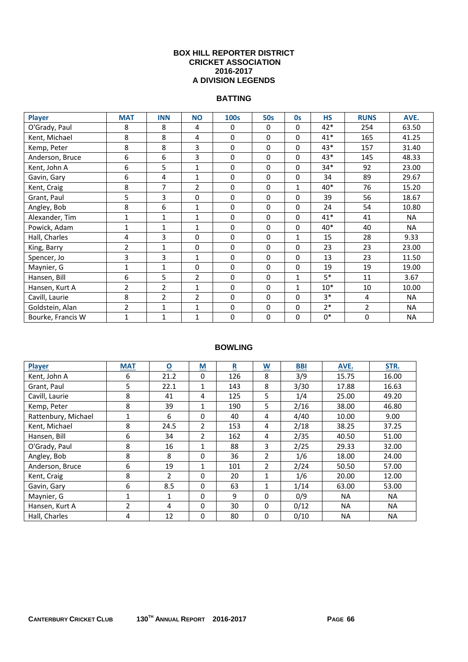#### **BOX HILL REPORTER DISTRICT CRICKET ASSOCIATION 2016-2017 A DIVISION LEGENDS**

## **BATTING**

| <b>Player</b>     | <b>MAT</b>     | <b>INN</b>     | <b>NO</b>      | <b>100s</b> | <b>50s</b>  | 0s           | <b>HS</b> | <b>RUNS</b> | AVE.      |
|-------------------|----------------|----------------|----------------|-------------|-------------|--------------|-----------|-------------|-----------|
| O'Grady, Paul     | 8              | 8              | 4              | 0           | 0           | $\mathbf{0}$ | 42*       | 254         | 63.50     |
| Kent, Michael     | 8              | 8              | 4              | 0           | $\mathbf 0$ | 0            | $41*$     | 165         | 41.25     |
| Kemp, Peter       | 8              | 8              | 3              | $\mathbf 0$ | $\mathbf 0$ | $\Omega$     | $43*$     | 157         | 31.40     |
| Anderson, Bruce   | 6              | 6              | 3              | 0           | $\mathbf 0$ | $\Omega$     | 43*       | 145         | 48.33     |
| Kent, John A      | 6              | 5              | $\mathbf{1}$   | $\mathbf 0$ | $\mathbf 0$ | 0            | $34*$     | 92          | 23.00     |
| Gavin, Gary       | 6              | 4              | 1              | 0           | $\mathbf 0$ | 0            | 34        | 89          | 29.67     |
| Kent, Craig       | 8              | 7              | $\overline{2}$ | $\mathbf 0$ | $\mathbf 0$ | 1            | $40*$     | 76          | 15.20     |
| Grant, Paul       | 5              | 3              | $\mathbf 0$    | $\mathbf 0$ | $\mathbf 0$ | 0            | 39        | 56          | 18.67     |
| Angley, Bob       | 8              | 6              | $\mathbf{1}$   | $\mathbf 0$ | $\mathbf 0$ | $\mathbf 0$  | 24        | 54          | 10.80     |
| Alexander, Tim    | 1              | 1              | 1              | $\pmb{0}$   | $\mathbf 0$ | $\mathbf{0}$ | $41*$     | 41          | <b>NA</b> |
| Powick, Adam      | 1              | $\mathbf{1}$   | $\mathbf{1}$   | 0           | $\Omega$    | 0            | 40*       | 40          | <b>NA</b> |
| Hall, Charles     | 4              | 3              | 0              | $\Omega$    | $\Omega$    | 1            | 15        | 28          | 9.33      |
| King, Barry       | $\overline{2}$ | $\mathbf{1}$   | $\Omega$       | $\Omega$    | $\Omega$    | 0            | 23        | 23          | 23.00     |
| Spencer, Jo       | 3              | 3              | $\mathbf{1}$   | $\Omega$    | $\Omega$    | $\mathbf{0}$ | 13        | 23          | 11.50     |
| Maynier, G        | $\mathbf{1}$   | $\mathbf{1}$   | $\mathbf 0$    | 0           | $\mathbf 0$ | 0            | 19        | 19          | 19.00     |
| Hansen, Bill      | 6              | 5              | $\overline{2}$ | $\mathbf 0$ | $\Omega$    | 1            | $5*$      | 11          | 3.67      |
| Hansen, Kurt A    | $\overline{2}$ | $\overline{2}$ | 1              | $\mathbf 0$ | $\mathbf 0$ | 1            | $10*$     | 10          | 10.00     |
| Cavill, Laurie    | 8              | $\overline{2}$ | $\overline{2}$ | $\mathbf 0$ | $\mathbf 0$ | $\mathbf 0$  | $3*$      | 4           | <b>NA</b> |
| Goldstein, Alan   | $\overline{2}$ | $\mathbf{1}$   | $\mathbf{1}$   | $\pmb{0}$   | $\mathbf 0$ | $\mathbf 0$  | $2*$      | 2           | <b>NA</b> |
| Bourke, Francis W | $\mathbf 1$    | $\mathbf{1}$   | $\mathbf{1}$   | 0           | 0           | 0            | $0*$      | 0           | <b>NA</b> |

| Player              | <b>MAT</b>   | $\overline{\mathbf{o}}$ | $\underline{\mathsf{M}}$ | $\overline{\mathbf{R}}$ | $\underline{\mathsf{w}}$ | <b>BBI</b> | AVE.      | STR.      |
|---------------------|--------------|-------------------------|--------------------------|-------------------------|--------------------------|------------|-----------|-----------|
| Kent, John A        | 6            | 21.2                    | 0                        | 126                     | 8                        | 3/9        | 15.75     | 16.00     |
| Grant, Paul         | 5.           | 22.1                    | 1                        | 143                     | 8                        | 3/30       | 17.88     | 16.63     |
| Cavill, Laurie      | 8            | 41                      | 4                        | 125                     | 5                        | 1/4        | 25.00     | 49.20     |
| Kemp, Peter         | 8            | 39                      | 1                        | 190                     | 5                        | 2/16       | 38.00     | 46.80     |
| Rattenbury, Michael | 1            | 6                       | 0                        | 40                      | 4                        | 4/40       | 10.00     | 9.00      |
| Kent, Michael       | 8            | 24.5                    | $\overline{2}$           | 153                     | 4                        | 2/18       | 38.25     | 37.25     |
| Hansen, Bill        | 6            | 34                      | $\overline{2}$           | 162                     | 4                        | 2/35       | 40.50     | 51.00     |
| O'Grady, Paul       | 8            | 16                      | $\mathbf{1}$             | 88                      | 3                        | 2/25       | 29.33     | 32.00     |
| Angley, Bob         | 8            | 8                       | $\Omega$                 | 36                      | 2                        | 1/6        | 18.00     | 24.00     |
| Anderson, Bruce     | 6            | 19                      | 1                        | 101                     | $\overline{2}$           | 2/24       | 50.50     | 57.00     |
| Kent, Craig         | 8            | $\overline{2}$          | $\Omega$                 | 20                      | 1                        | 1/6        | 20.00     | 12.00     |
| Gavin, Gary         | 6            | 8.5                     | $\Omega$                 | 63                      | $\mathbf{1}$             | 1/14       | 63.00     | 53.00     |
| Maynier, G          | $\mathbf{1}$ | 1                       | $\Omega$                 | 9                       | 0                        | 0/9        | <b>NA</b> | NA.       |
| Hansen, Kurt A      | 2            | 4                       | 0                        | 30                      | 0                        | 0/12       | <b>NA</b> | <b>NA</b> |
| Hall, Charles       | 4            | 12                      | $\Omega$                 | 80                      | 0                        | 0/10       | <b>NA</b> | <b>NA</b> |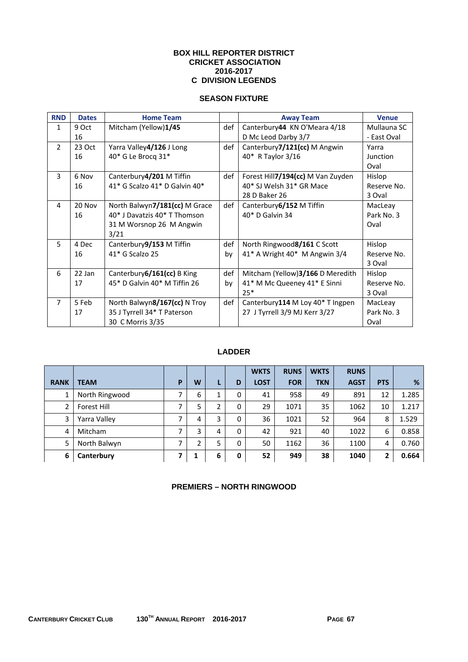#### **BOX HILL REPORTER DISTRICT CRICKET ASSOCIATION 2016-2017 C DIVISION LEGENDS**

## **SEASON FIXTURE**

| <b>RND</b>     | <b>Dates</b> | <b>Home Team</b>               |     | <b>Away Team</b>                  | <b>Venue</b>    |
|----------------|--------------|--------------------------------|-----|-----------------------------------|-----------------|
| $\mathbf{1}$   | 9 Oct        | Mitcham (Yellow)1/45           | def | Canterbury44 KN O'Meara 4/18      | Mullauna SC     |
|                | 16           |                                |     | D Mc Leod Darby 3/7               | - East Oval     |
| $\overline{2}$ | 23 Oct       | Yarra Valley4/126 J Long       | def | Canterbury7/121(cc) M Angwin      | Yarra           |
|                | 16           | 40* G Le Brocq 31*             |     | 40* R Taylor 3/16                 | <b>Junction</b> |
|                |              |                                |     |                                   | Oval            |
| 3              | 6 Nov        | Canterbury4/201 M Tiffin       | def | Forest Hill7/194(cc) M Van Zuyden | Hislop          |
|                | 16           | 41* G Scalzo 41* D Galvin 40*  |     | 40* SJ Welsh 31* GR Mace          | Reserve No.     |
|                |              |                                |     | 28 D Baker 26                     | 3 Oval          |
| 4              | 20 Nov       | North Balwyn7/181(cc) M Grace  | def | Canterbury 6/152 M Tiffin         | MacLeay         |
|                | 16           | 40* J Davatzis 40* T Thomson   |     | 40* D Galvin 34                   | Park No. 3      |
|                |              | 31 M Worsnop 26 M Angwin       |     |                                   | Oval            |
|                |              | 3/21                           |     |                                   |                 |
| 5              | 4 Dec        | Canterbury9/153 M Tiffin       | def | North Ringwood8/161 C Scott       | Hislop          |
|                | 16           | $41*$ G Scalzo 25              | bv  | 41* A Wright 40* M Angwin 3/4     | Reserve No.     |
|                |              |                                |     |                                   | 3 Oval          |
| 6              | 22 Jan       | Canterbury $6/161$ (cc) B King | def | Mitcham (Yellow)3/166 D Meredith  | Hislop          |
|                | 17           | 45* D Galvin 40* M Tiffin 26   | bv  | 41* M Mc Queeney 41* E Sinni      | Reserve No.     |
|                |              |                                |     | $25*$                             | 3 Oval          |
| $\overline{7}$ | 5 Feb        | North Balwyn8/167(cc) N Troy   | def | Canterbury114 M Loy 40* T Ingpen  | MacLeay         |
|                | 17           | 35 J Tyrrell 34* T Paterson    |     | 27 J Tyrrell 3/9 MJ Kerr 3/27     | Park No. 3      |
|                |              | 30 C Morris 3/35               |     |                                   | Oval            |

## **LADDER**

|             |                    |   |   |   |   | <b>WKTS</b> | <b>RUNS</b> | <b>WKTS</b> | <b>RUNS</b> |            |       |
|-------------|--------------------|---|---|---|---|-------------|-------------|-------------|-------------|------------|-------|
| <b>RANK</b> | <b>TEAM</b>        | P | W | L | D | <b>LOST</b> | <b>FOR</b>  | <b>TKN</b>  | <b>AGST</b> | <b>PTS</b> | %     |
|             | North Ringwood     |   | 6 |   | 0 | 41          | 958         | 49          | 891         | 12         | 1.285 |
|             | <b>Forest Hill</b> | ⇁ | 5 | 2 | 0 | 29          | 1071        | 35          | 1062        | 10         | 1.217 |
| 3           | Yarra Valley       | ┑ | 4 | 3 | 0 | 36          | 1021        | 52          | 964         | 8          | 1.529 |
| 4           | <b>Mitcham</b>     |   | 3 | 4 | 0 | 42          | 921         | 40          | 1022        | 6          | 0.858 |
| 5           | North Balwyn       | ⇁ | ำ | 5 | 0 | 50          | 1162        | 36          | 1100        | 4          | 0.760 |
| 6           | Canterbury         |   |   | 6 | 0 | 52          | 949         | 38          | 1040        | 2          | 0.664 |

## **PREMIERS – NORTH RINGWOOD**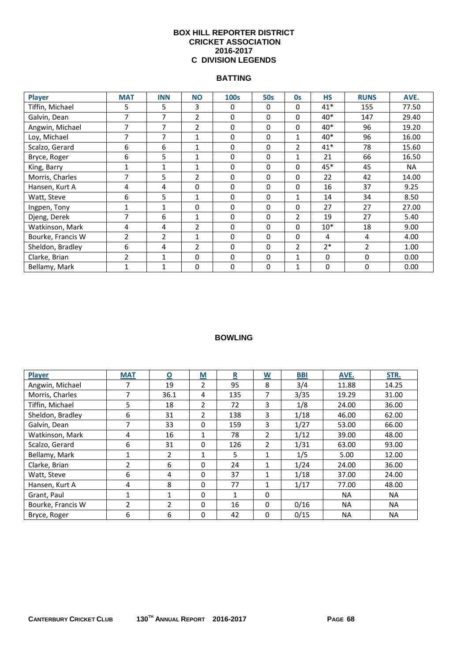#### **BOX HILL REPORTER DISTRICT CRICKET ASSOCIATION 2016-2017 C DIVISION LEGENDS**

### **BATTING**

| <b>Player</b>     | <b>MAT</b>     | <b>INN</b>     | <b>NO</b>      | 100s | <b>50s</b> | <b>Os</b>      | <b>HS</b> | <b>RUNS</b>    | AVE.  |
|-------------------|----------------|----------------|----------------|------|------------|----------------|-----------|----------------|-------|
| Tiffin, Michael   | 5              | 5              | 3              | 0    | $\Omega$   | 0              | $41*$     | 155            | 77.50 |
| Galvin, Dean      | 7              | 7              | $\overline{2}$ | 0    | 0          | $\Omega$       | $40*$     | 147            | 29.40 |
| Angwin, Michael   | 7              | 7              | $\overline{2}$ | 0    | 0          | $\mathbf 0$    | 40*       | 96             | 19.20 |
| Loy, Michael      | 7              | 7              | $\mathbf{1}$   | 0    | 0          | $\mathbf{1}$   | 40*       | 96             | 16.00 |
| Scalzo, Gerard    | 6              | 6              | $\mathbf{1}$   | 0    | 0          | $\overline{2}$ | $41*$     | 78             | 15.60 |
| Bryce, Roger      | 6              | 5              | $\mathbf{1}$   | 0    | 0          | $\mathbf{1}$   | 21        | 66             | 16.50 |
| King, Barry       | 1              | $\mathbf{1}$   | 1              | 0    | 0          | 0              | 45*       | 45             | NA    |
| Morris, Charles   | 7              | 5              | 2              | 0    | 0          | 0              | 22        | 42             | 14.00 |
| Hansen, Kurt A    | 4              | 4              | 0              | 0    | $\Omega$   | 0              | 16        | 37             | 9.25  |
| Watt, Steve       | 6              | 5              | $\mathbf{1}$   | 0    | $\Omega$   |                | 14        | 34             | 8.50  |
| Ingpen, Tony      | 1              | $\mathbf{1}$   | 0              | 0    | $\Omega$   | $\Omega$       | 27        | 27             | 27.00 |
| Djeng, Derek      | 7              | 6              | $\mathbf{1}$   | 0    | 0          | $\overline{2}$ | 19        | 27             | 5.40  |
| Watkinson, Mark   | 4              | 4              | $\overline{2}$ | 0    | 0          | $\Omega$       | $10*$     | 18             | 9.00  |
| Bourke, Francis W | $\overline{2}$ | $\overline{2}$ | $\mathbf{1}$   | 0    | $\Omega$   | $\Omega$       | 4         | 4              | 4.00  |
| Sheldon, Bradley  | 6              | 4              | $\overline{2}$ | 0    | $\Omega$   | $\overline{2}$ | $2*$      | $\overline{2}$ | 1.00  |
| Clarke, Brian     | $\overline{2}$ | $\mathbf{1}$   | $\Omega$       | 0    | $\Omega$   | 1              | $\Omega$  | 0              | 0.00  |
| Bellamy, Mark     | $\mathbf{1}$   | 1              | 0              | 0    | 0          | $\mathbf{1}$   | 0         | 0              | 0.00  |

| Player            | <b>MAT</b>     | $\overline{\mathbf{o}}$ | $\underline{\mathsf{M}}$ | $\overline{\mathbf{R}}$ | $\underline{\mathsf{W}}$ | <b>BBI</b> | AVE.      | STR.      |
|-------------------|----------------|-------------------------|--------------------------|-------------------------|--------------------------|------------|-----------|-----------|
| Angwin, Michael   | 7              | 19                      | $\overline{2}$           | 95                      | 8                        | 3/4        | 11.88     | 14.25     |
| Morris, Charles   | 7              | 36.1                    | 4                        | 135                     | 7                        | 3/35       | 19.29     | 31.00     |
| Tiffin, Michael   | 5.             | 18                      | $\mathcal{L}$            | 72                      | 3                        | 1/8        | 24.00     | 36.00     |
| Sheldon, Bradley  | 6              | 31                      | $\mathfrak{p}$           | 138                     | 3                        | 1/18       | 46.00     | 62.00     |
| Galvin, Dean      | 7              | 33                      | 0                        | 159                     | 3                        | 1/27       | 53.00     | 66.00     |
| Watkinson, Mark   | 4              | 16                      | 1                        | 78                      | $\overline{2}$           | 1/12       | 39.00     | 48.00     |
| Scalzo, Gerard    | 6              | 31                      | 0                        | 126                     | $\overline{2}$           | 1/31       | 63.00     | 93.00     |
| Bellamy, Mark     | 1              | 2                       | 1                        | 5                       | 1                        | 1/5        | 5.00      | 12.00     |
| Clarke, Brian     | $\overline{2}$ | 6                       | 0                        | 24                      | 1                        | 1/24       | 24.00     | 36.00     |
| Watt, Steve       | 6              | 4                       | 0                        | 37                      | 1                        | 1/18       | 37.00     | 24.00     |
| Hansen, Kurt A    | 4              | 8                       | 0                        | 77                      | 1                        | 1/17       | 77.00     | 48.00     |
| Grant, Paul       |                | 1                       | $\Omega$                 | $\mathbf{1}$            | 0                        |            | <b>NA</b> | NA.       |
| Bourke, Francis W | $\overline{2}$ | $\mathcal{L}$           | 0                        | 16                      | 0                        | 0/16       | <b>NA</b> | <b>NA</b> |
| Bryce, Roger      | 6              | 6                       | 0                        | 42                      | $\Omega$                 | 0/15       | <b>NA</b> | <b>NA</b> |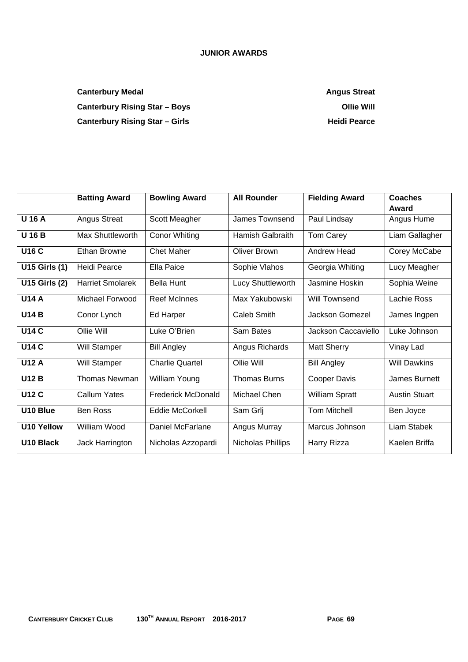## **JUNIOR AWARDS**

**Canterbury Medal Canter Angus Streat Angus Streat Angus Streat Angus Streat Angus Streat Angus Streat Angus Streat** Canterbury Rising Star – Boys **Canterbury Rising Star – Boys Canterbury Rising Star – Boys** Canterbury Rising Star – Girls **Canterbury Rising Star – Girls Heidi Pearce** 

|                       | <b>Batting Award</b>    | <b>Bowling Award</b>      | <b>All Rounder</b>      | <b>Fielding Award</b> | Coaches<br>Award     |
|-----------------------|-------------------------|---------------------------|-------------------------|-----------------------|----------------------|
| <b>U16A</b>           | <b>Angus Streat</b>     | Scott Meagher             | James Townsend          | Paul Lindsay          | Angus Hume           |
| <b>U16B</b>           | <b>Max Shuttleworth</b> | <b>Conor Whiting</b>      | <b>Hamish Galbraith</b> | Tom Carey             | Liam Gallagher       |
| <b>U16 C</b>          | <b>Ethan Browne</b>     | <b>Chet Maher</b>         | <b>Oliver Brown</b>     | <b>Andrew Head</b>    | Corey McCabe         |
| <b>U15 Girls (1)</b>  | Heidi Pearce            | <b>Ella Paice</b>         | Sophie Vlahos           | Georgia Whiting       | Lucy Meagher         |
| <b>U15 Girls (2)</b>  | <b>Harriet Smolarek</b> | <b>Bella Hunt</b>         | Lucy Shuttleworth       | Jasmine Hoskin        | Sophia Weine         |
| <b>U14 A</b>          | Michael Forwood         | <b>Reef McInnes</b>       | Max Yakubowski          | Will Townsend         | Lachie Ross          |
| <b>U14 B</b>          | Conor Lynch             | Ed Harper                 | Caleb Smith             | Jackson Gomezel       | James Ingpen         |
| <b>U14 C</b>          | Ollie Will              | Luke O'Brien              | Sam Bates               | Jackson Caccaviello   | Luke Johnson         |
| <b>U14 C</b>          | Will Stamper            | <b>Bill Angley</b>        | Angus Richards          | <b>Matt Sherry</b>    | Vinay Lad            |
| <b>U12 A</b>          | <b>Will Stamper</b>     | <b>Charlie Quartel</b>    | Ollie Will              | <b>Bill Angley</b>    | <b>Will Dawkins</b>  |
| <b>U12 B</b>          | <b>Thomas Newman</b>    | William Young             | <b>Thomas Burns</b>     | Cooper Davis          | James Burnett        |
| <b>U12 C</b>          | <b>Callum Yates</b>     | <b>Frederick McDonald</b> | Michael Chen            | William Spratt        | <b>Austin Stuart</b> |
| U10 Blue              | <b>Ben Ross</b>         | Eddie McCorkell           | Sam Grlj                | <b>Tom Mitchell</b>   | Ben Joyce            |
| <b>U10 Yellow</b>     | William Wood            | Daniel McFarlane          | Angus Murray            | Marcus Johnson        | Liam Stabek          |
| U <sub>10</sub> Black | Jack Harrington         | Nicholas Azzopardi        | Nicholas Phillips       | Harry Rizza           | Kaelen Briffa        |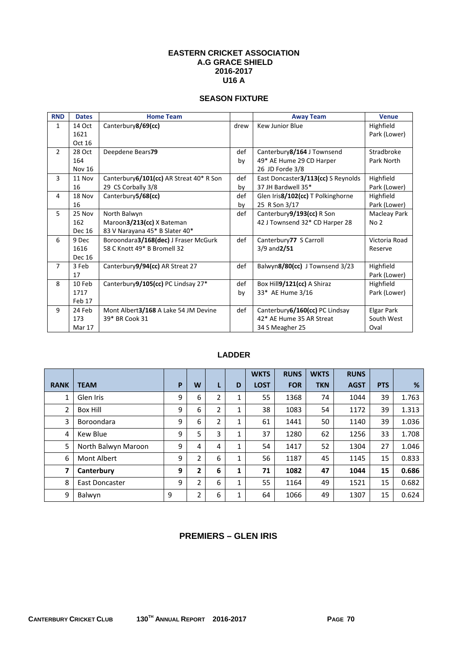#### **EASTERN CRICKET ASSOCIATION A.G GRACE SHIELD 2016-2017 U16 A**

## **SEASON FIXTURE**

| <b>RND</b>     | <b>Dates</b>  | <b>Home Team</b>                         |      | <b>Away Team</b>                   | <b>Venue</b>    |
|----------------|---------------|------------------------------------------|------|------------------------------------|-----------------|
| 1              | 14 Oct        | Canterbury8/69(cc)                       | drew | Kew Junior Blue                    | Highfield       |
|                | 1621          |                                          |      |                                    | Park (Lower)    |
|                | Oct 16        |                                          |      |                                    |                 |
| $\overline{2}$ | 28 Oct        | Deepdene Bears79                         | def  | Canterbury8/164 J Townsend         | Stradbroke      |
|                | 164           |                                          | by   | 49* AE Hume 29 CD Harper           | Park North      |
|                | Nov 16        |                                          |      | 26 JD Forde 3/8                    |                 |
| 3              | 11 Nov        | Canterbury 6/101(cc) AR Streat 40* R Son | def  | East Doncaster3/113(cc) S Reynolds | Highfield       |
|                | 16            | 29 CS Corbally 3/8                       | by   | 37 JH Bardwell 35*                 | Park (Lower)    |
| 4              | 18 Nov        | Canterbury5/68(cc)                       | def  | Glen Iris8/102(cc) T Polkinghorne  | Highfield       |
|                | 16            |                                          | by   | 25 R Son 3/17                      | Park (Lower)    |
| 5              | 25 Nov        | North Balwyn                             | def  | Canterbury9/193(cc) R Son          | Macleay Park    |
|                | 162           | Maroon3/213(cc) X Bateman                |      | 42 J Townsend 32* CD Harper 28     | No <sub>2</sub> |
|                | <b>Dec 16</b> | 83 V Narayana 45* B Slater 40*           |      |                                    |                 |
| 6              | 9 Dec         | Boroondara3/168(dec) J Fraser McGurk     | def  | Canterbury77 S Carroll             | Victoria Road   |
|                | 1616          | 58 C Knott 49* B Bromell 32              |      | $3/9$ and $2/51$                   | Reserve         |
|                | Dec 16        |                                          |      |                                    |                 |
| $\overline{7}$ | 3 Feb         | Canterbury9/94(cc) AR Streat 27          | def  | Balwyn8/80(cc) J Townsend 3/23     | Highfield       |
|                | 17            |                                          |      |                                    | Park (Lower)    |
| 8              | 10 Feb        | Canterbury9/105(cc) PC Lindsay 27*       | def  | Box Hill9/121(cc) A Shiraz         | Highfield       |
|                | 1717          |                                          | by   | 33* AE Hume 3/16                   | Park (Lower)    |
|                | Feb 17        |                                          |      |                                    |                 |
| 9              | 24 Feb        | Mont Albert3/168 A Lake 54 JM Devine     | def  | Canterbury 6/160(cc) PC Lindsay    | Elgar Park      |
|                | 173           | 39* BR Cook 31                           |      | 42* AE Hume 35 AR Streat           | South West      |
|                | Mar 17        |                                          |      | 34 S Meagher 25                    | Oval            |

## **LADDER**

|             |                     |   |   |                |   | <b>WKTS</b> | <b>RUNS</b> | <b>WKTS</b> | <b>RUNS</b> |            |       |
|-------------|---------------------|---|---|----------------|---|-------------|-------------|-------------|-------------|------------|-------|
| <b>RANK</b> | <b>TEAM</b>         | P | W | L              | D | <b>LOST</b> | <b>FOR</b>  | <b>TKN</b>  | <b>AGST</b> | <b>PTS</b> | %     |
| 1           | Glen Iris           | 9 | 6 | $\overline{2}$ | 1 | 55          | 1368        | 74          | 1044        | 39         | 1.763 |
| 2           | <b>Box Hill</b>     | 9 | 6 | $\overline{2}$ | 1 | 38          | 1083        | 54          | 1172        | 39         | 1.313 |
| 3           | Boroondara          | 9 | 6 | $\overline{2}$ | 1 | 61          | 1441        | 50          | 1140        | 39         | 1.036 |
| 4           | Kew Blue            | 9 | 5 | 3              | 1 | 37          | 1280        | 62          | 1256        | 33         | 1.708 |
| 5           | North Balwyn Maroon | 9 | 4 | 4              | 1 | 54          | 1417        | 52          | 1304        | 27         | 1.046 |
| 6           | Mont Albert         | 9 | 2 | 6              | 1 | 56          | 1187        | 45          | 1145        | 15         | 0.833 |
| 7           | Canterbury          | 9 | 2 | 6              | 1 | 71          | 1082        | 47          | 1044        | 15         | 0.686 |
| 8           | East Doncaster      | 9 | 2 | 6              | 1 | 55          | 1164        | 49          | 1521        | 15         | 0.682 |
| 9           | Balwyn              | 9 | 2 | 6              | 1 | 64          | 1066        | 49          | 1307        | 15         | 0.624 |

## **PREMIERS – GLEN IRIS**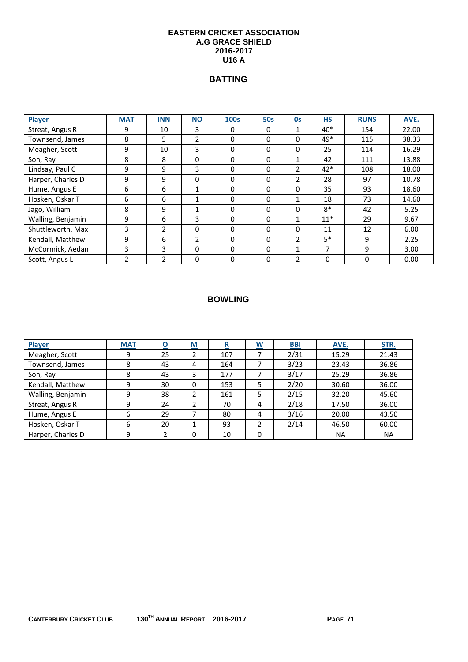#### **EASTERN CRICKET ASSOCIATION A.G GRACE SHIELD 2016-2017 U16 A**

# **BATTING**

| Player            | <b>MAT</b>     | <b>INN</b>     | <b>NO</b>      | <b>100s</b> | <b>50s</b> | Os             | <b>HS</b> | <b>RUNS</b> | AVE.  |
|-------------------|----------------|----------------|----------------|-------------|------------|----------------|-----------|-------------|-------|
| Streat, Angus R   | 9              | 10             | 3              | $\Omega$    | $\Omega$   |                | $40*$     | 154         | 22.00 |
| Townsend, James   | 8              | 5              | $\overline{2}$ | 0           | 0          | 0              | $49*$     | 115         | 38.33 |
| Meagher, Scott    | 9              | 10             | 3              | 0           | 0          | $\mathbf{0}$   | 25        | 114         | 16.29 |
| Son, Ray          | 8              | 8              | 0              | 0           | 0          |                | 42        | 111         | 13.88 |
| Lindsay, Paul C   | 9              | 9              | 3              | 0           | $\Omega$   | $\mathbf{2}$   | $42*$     | 108         | 18.00 |
| Harper, Charles D | 9              | 9              | 0              | 0           | 0          | $\overline{2}$ | 28        | 97          | 10.78 |
| Hume, Angus E     | 6              | 6              | 1              | 0           | $\Omega$   | $\mathbf{0}$   | 35        | 93          | 18.60 |
| Hosken, Oskar T   | 6              | 6              | 1              | 0           | 0          | 1              | 18        | 73          | 14.60 |
| Jago, William     | 8              | 9              | 1              | $\Omega$    | $\Omega$   | $\mathbf{0}$   | $8*$      | 42          | 5.25  |
| Walling, Benjamin | 9              | 6              | 3              | 0           | 0          | $\mathbf{1}$   | $11*$     | 29          | 9.67  |
| Shuttleworth, Max | 3              | $\mathfrak{p}$ | 0              | $\Omega$    | $\Omega$   | $\mathbf{0}$   | 11        | 12          | 6.00  |
| Kendall, Matthew  | 9              | 6              | $\overline{2}$ | $\Omega$    | 0          | $\overline{2}$ | $5*$      | 9           | 2.25  |
| McCormick, Aedan  | 3              | 3              | 0              | $\Omega$    | $\Omega$   |                | 7         | 9           | 3.00  |
| Scott, Angus L    | $\overline{2}$ | $\overline{2}$ | 0              | 0           | 0          | 2              | 0         | 0           | 0.00  |

| <b>Player</b>     | <b>MAT</b> | Ο  | M        | R   | $\underline{\mathsf{W}}$ | <b>BBI</b> | AVE.  | STR.      |
|-------------------|------------|----|----------|-----|--------------------------|------------|-------|-----------|
| Meagher, Scott    | 9          | 25 |          | 107 |                          | 2/31       | 15.29 | 21.43     |
| Townsend, James   | 8          | 43 | 4        | 164 |                          | 3/23       | 23.43 | 36.86     |
| Son, Ray          | 8          | 43 | 3        | 177 |                          | 3/17       | 25.29 | 36.86     |
| Kendall, Matthew  | 9          | 30 | 0        | 153 | 5                        | 2/20       | 30.60 | 36.00     |
| Walling, Benjamin | 9          | 38 |          | 161 | 5                        | 2/15       | 32.20 | 45.60     |
| Streat, Angus R   | 9          | 24 |          | 70  | 4                        | 2/18       | 17.50 | 36.00     |
| Hume, Angus E     | 6          | 29 |          | 80  | 4                        | 3/16       | 20.00 | 43.50     |
| Hosken, Oskar T   | 6          | 20 |          | 93  | 2                        | 2/14       | 46.50 | 60.00     |
| Harper, Charles D | 9          |    | $\Omega$ | 10  | 0                        |            | ΝA    | <b>NA</b> |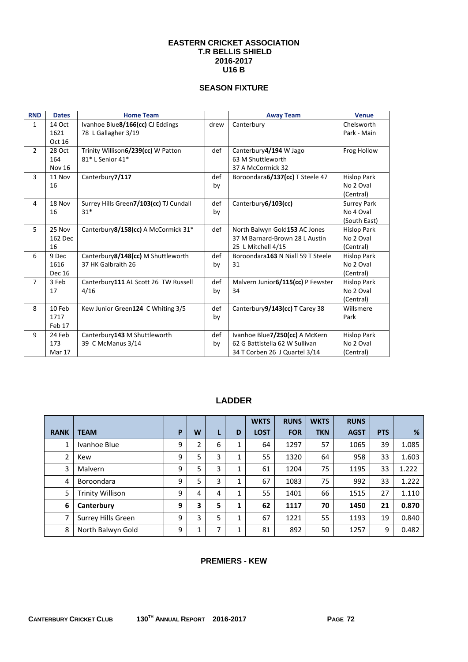#### **EASTERN CRICKET ASSOCIATION T.R BELLIS SHIELD 2016-2017 U16 B**

## **SEASON FIXTURE**

| <b>RND</b>     | <b>Dates</b>  | <b>Home Team</b>                       |      | <b>Away Team</b>                  | <b>Venue</b>       |
|----------------|---------------|----------------------------------------|------|-----------------------------------|--------------------|
| $\mathbf{1}$   | 14 Oct        | Ivanhoe Blue8/166(cc) CJ Eddings       | drew | Canterbury                        | Chelsworth         |
|                | 1621          | 78 L Gallagher 3/19                    |      |                                   | Park - Main        |
|                | Oct 16        |                                        |      |                                   |                    |
| $\overline{2}$ | 28 Oct        | Trinity Willison6/239(cc) W Patton     | def  | Canterbury4/194 W Jago            | Frog Hollow        |
|                | 164           | 81* L Senior 41*                       |      | 63 M Shuttleworth                 |                    |
|                | <b>Nov 16</b> |                                        |      | 37 A McCormick 32                 |                    |
| 3              | 11 Nov        | Canterbury7/117                        | def  | Boroondara6/137(cc) T Steele 47   | <b>Hislop Park</b> |
|                | 16            |                                        | by   |                                   | No 2 Oval          |
|                |               |                                        |      |                                   | (Central)          |
| 4              | 18 Nov        | Surrey Hills Green7/103(cc) TJ Cundall | def  | Canterbury6/103(cc)               | <b>Surrey Park</b> |
|                | 16            | $31*$                                  | by   |                                   | No 4 Oval          |
|                |               |                                        |      |                                   | (South East)       |
| 5              | 25 Nov        | Canterbury 8/158(cc) A McCormick 31*   | def  | North Balwyn Gold153 AC Jones     | <b>Hislop Park</b> |
|                | 162 Dec       |                                        |      | 37 M Barnard-Brown 28 L Austin    | No 2 Oval          |
|                | 16            |                                        |      | 25 L Mitchell 4/15                | (Central)          |
| 6              | 9 Dec         | Canterbury8/148(cc) M Shuttleworth     | def  | Boroondara163 N Niall 59 T Steele | <b>Hislop Park</b> |
|                | 1616          | 37 HK Galbraith 26                     | by   | 31                                | No 2 Oval          |
|                | Dec 16        |                                        |      |                                   | (Central)          |
| $\overline{7}$ | 3 Feb         | Canterbury111 AL Scott 26 TW Russell   | def  | Malvern Junior6/115(cc) P Fewster | <b>Hislop Park</b> |
|                | 17            | 4/16                                   | by   | 34                                | No 2 Oval          |
|                |               |                                        |      |                                   | (Central)          |
| 8              | 10 Feb        | Kew Junior Green124 C Whiting 3/5      | def  | Canterbury9/143(cc) T Carey 38    | Willsmere          |
|                | 1717          |                                        | by   |                                   | Park               |
|                | Feb 17        |                                        |      |                                   |                    |
| 9              | 24 Feb        | Canterbury143 M Shuttleworth           | def  | Ivanhoe Blue7/250(cc) A McKern    | <b>Hislop Park</b> |
|                | 173           | 39 C McManus 3/14                      | by   | 62 G Battistella 62 W Sullivan    | No 2 Oval          |
|                | Mar 17        |                                        |      | 34 T Corben 26 J Quartel 3/14     | (Central)          |

# **LADDER**

|             |                         |   |   |   |   | <b>WKTS</b> | <b>RUNS</b> | <b>WKTS</b> | <b>RUNS</b> |            |       |
|-------------|-------------------------|---|---|---|---|-------------|-------------|-------------|-------------|------------|-------|
| <b>RANK</b> | <b>TEAM</b>             | P | W | L | D | <b>LOST</b> | <b>FOR</b>  | <b>TKN</b>  | <b>AGST</b> | <b>PTS</b> | %     |
| 1           | Ivanhoe Blue            | 9 | 2 | 6 | 1 | 64          | 1297        | 57          | 1065        | 39         | 1.085 |
| 2           | Kew                     | 9 | 5 | 3 | 1 | 55          | 1320        | 64          | 958         | 33         | 1.603 |
| 3           | Malvern                 | 9 | 5 | 3 | 1 | 61          | 1204        | 75          | 1195        | 33         | 1.222 |
| 4           | Boroondara              | 9 | 5 | 3 | 1 | 67          | 1083        | 75          | 992         | 33         | 1.222 |
| 5           | <b>Trinity Willison</b> | 9 | 4 | 4 | 1 | 55          | 1401        | 66          | 1515        | 27         | 1.110 |
| 6           | Canterbury              | 9 | 3 | 5 | 1 | 62          | 1117        | 70          | 1450        | 21         | 0.870 |
| 7           | Surrey Hills Green      | 9 | 3 | 5 | 1 | 67          | 1221        | 55          | 1193        | 19         | 0.840 |
| 8           | North Balwyn Gold       | 9 | Ŧ | 7 | 1 | 81          | 892         | 50          | 1257        | 9          | 0.482 |

### **PREMIERS - KEW**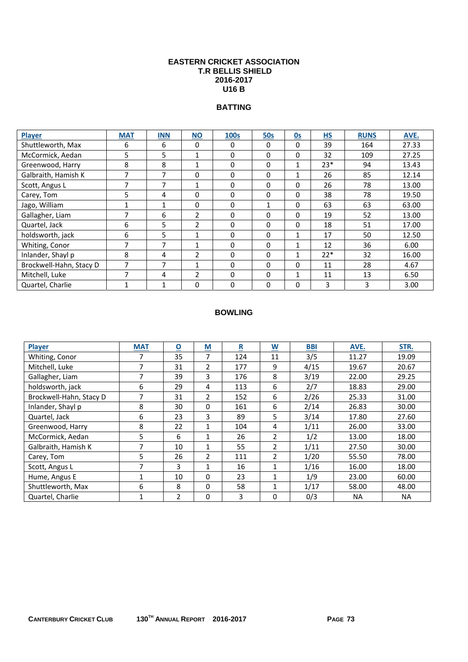#### **EASTERN CRICKET ASSOCIATION T.R BELLIS SHIELD 2016-2017 U16 B**

#### **BATTING**

| <b>Player</b>           | <b>MAT</b> | <b>INN</b>   | <b>NO</b>      | <b>100s</b> | <b>50s</b> | 0s           | H <sub>S</sub> | <b>RUNS</b> | AVE.  |
|-------------------------|------------|--------------|----------------|-------------|------------|--------------|----------------|-------------|-------|
| Shuttleworth, Max       | 6          | 6            | 0              | 0           | 0          | 0            | 39             | 164         | 27.33 |
| McCormick, Aedan        | 5          | 5            | $\mathbf{1}$   | $\Omega$    | 0          | $\Omega$     | 32             | 109         | 27.25 |
| Greenwood, Harry        | 8          | 8            | $\mathbf{1}$   | 0           | 0          | 1            | $23*$          | 94          | 13.43 |
| Galbraith, Hamish K     | 7          | 7            | 0              | $\Omega$    | 0          | 1            | 26             | 85          | 12.14 |
| Scott, Angus L          | ⇁          | 7            | $\mathbf{1}$   | $\Omega$    | 0          | $\Omega$     | 26             | 78          | 13.00 |
| Carey, Tom              | 5.         | 4            | $\Omega$       | $\Omega$    | 0          | $\Omega$     | 38             | 78          | 19.50 |
| Jago, William           |            | 1            | 0              | 0           | 1          | 0            | 63             | 63          | 63.00 |
| Gallagher, Liam         |            | 6            | $\overline{2}$ | $\Omega$    | 0          | 0            | 19             | 52          | 13.00 |
| Quartel, Jack           | 6          | 5            | 2              | $\Omega$    | 0          | $\Omega$     | 18             | 51          | 17.00 |
| holdsworth, jack        | 6          | 5            | 1              | $\Omega$    | 0          | 1            | 17             | 50          | 12.50 |
| Whiting, Conor          | 7          | 7            | 1              | $\Omega$    | 0          | 1            | 12             | 36          | 6.00  |
| Inlander, Shayl p       | 8          | 4            | $\overline{2}$ | $\Omega$    | 0          | $\mathbf{1}$ | $22*$          | 32          | 16.00 |
| Brockwell-Hahn, Stacy D | ⇁          | 7            | 1              | $\Omega$    | 0          | 0            | 11             | 28          | 4.67  |
| Mitchell, Luke          | ⇁          | 4            | 2              | $\Omega$    | 0          | 1            | 11             | 13          | 6.50  |
| Quartel, Charlie        | 1          | $\mathbf{1}$ | $\Omega$       | $\Omega$    | 0          | $\Omega$     | 3              | 3           | 3.00  |

| Player                  | <b>MAT</b> | O              | M              | R   | W              | <b>BBI</b> | AVE.      | STR.      |
|-------------------------|------------|----------------|----------------|-----|----------------|------------|-----------|-----------|
| Whiting, Conor          | 7          | 35             | 7              | 124 | 11             | 3/5        | 11.27     | 19.09     |
| Mitchell, Luke          | 7          | 31             | $\overline{2}$ | 177 | 9              | 4/15       | 19.67     | 20.67     |
| Gallagher, Liam         | 7          | 39             | 3              | 176 | 8              | 3/19       | 22.00     | 29.25     |
| holdsworth, jack        | 6          | 29             | 4              | 113 | 6              | 2/7        | 18.83     | 29.00     |
| Brockwell-Hahn, Stacy D | 7          | 31             | $\overline{2}$ | 152 | 6              | 2/26       | 25.33     | 31.00     |
| Inlander, Shayl p       | 8          | 30             | 0              | 161 | 6              | 2/14       | 26.83     | 30.00     |
| Quartel, Jack           | 6          | 23             | 3              | 89  | 5              | 3/14       | 17.80     | 27.60     |
| Greenwood, Harry        | 8          | 22             | 1              | 104 | 4              | 1/11       | 26.00     | 33.00     |
| McCormick, Aedan        | 5          | 6              | 1              | 26  | $\overline{2}$ | 1/2        | 13.00     | 18.00     |
| Galbraith, Hamish K     | 7          | 10             | 1              | 55  | $\overline{2}$ | 1/11       | 27.50     | 30.00     |
| Carey, Tom              | 5          | 26             | $\overline{2}$ | 111 | $\overline{2}$ | 1/20       | 55.50     | 78.00     |
| Scott, Angus L          | 7          | 3              | 1              | 16  | 1              | 1/16       | 16.00     | 18.00     |
| Hume, Angus E           |            | 10             | 0              | 23  |                | 1/9        | 23.00     | 60.00     |
| Shuttleworth, Max       | 6          | 8              | $\Omega$       | 58  | 1              | 1/17       | 58.00     | 48.00     |
| Quartel, Charlie        | 1          | $\overline{2}$ | 0              | 3   | $\Omega$       | 0/3        | <b>NA</b> | <b>NA</b> |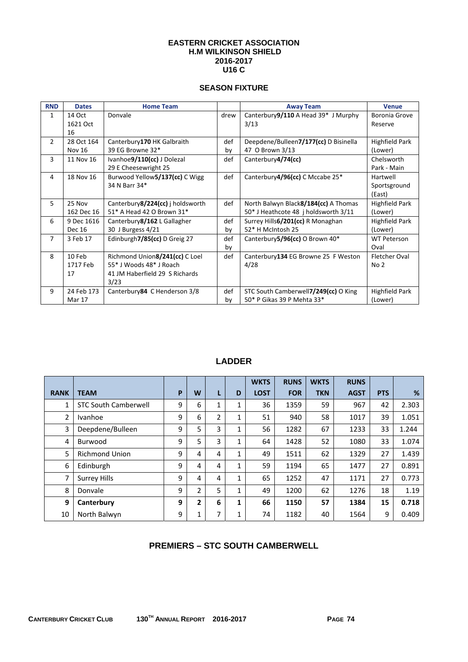#### **EASTERN CRICKET ASSOCIATION H.M WILKINSON SHIELD 2016-2017 U16 C**

## **SEASON FIXTURE**

| <b>RND</b>     | <b>Dates</b>  | <b>Home Team</b>                  |      | <b>Away Team</b>                      | <b>Venue</b>          |
|----------------|---------------|-----------------------------------|------|---------------------------------------|-----------------------|
| $\mathbf{1}$   | 14 Oct        | Donvale                           | drew | Canterbury9/110 A Head 39* J Murphy   | Boronia Grove         |
|                | 1621 Oct      |                                   |      | 3/13                                  | Reserve               |
|                | 16            |                                   |      |                                       |                       |
| $\overline{2}$ | 28 Oct 164    | Canterbury170 HK Galbraith        | def  | Deepdene/Bulleen7/177(cc) D Bisinella | <b>Highfield Park</b> |
|                | <b>Nov 16</b> | 39 EG Browne 32*                  | by   | 47 O Brown 3/13                       | (Lower)               |
| 3              | 11 Nov 16     | Ivanhoe9/110(cc) J Dolezal        | def  | Canterbury4/74(cc)                    | Chelsworth            |
|                |               | 29 E Cheesewright 25              |      |                                       | Park - Main           |
| 4              | 18 Nov 16     | Burwood Yellow5/137(cc) C Wigg    | def  | Canterbury4/96(cc) C Mccabe 25*       | Hartwell              |
|                |               | 34 N Barr 34*                     |      |                                       | Sportsground          |
|                |               |                                   |      |                                       | (East)                |
| 5              | 25 Nov        | Canterbury 8/224(cc) i holdsworth | def  | North Balwyn Black8/184(cc) A Thomas  | Highfield Park        |
|                | 162 Dec 16    | 51* A Head 42 O Brown 31*         |      | 50* J Heathcote 48 j holdsworth 3/11  | (Lower)               |
| 6              | 9 Dec 1616    | Canterbury 8/162 L Gallagher      | def  | Surrey Hills 6/201(cc) R Monaghan     | Highfield Park        |
|                | <b>Dec 16</b> | 30 J Burgess 4/21                 | by   | 52* H McIntosh 25                     | (Lower)               |
| $\overline{7}$ | 3 Feb 17      | Edinburgh7/85(cc) D Greig 27      | def  | Canterbury5/96(cc) O Brown 40*        | <b>WT Peterson</b>    |
|                |               |                                   | by   |                                       | Oval                  |
| 8              | 10 Feb        | Richmond Union8/241(cc) C Loel    | def  | Canterbury134 EG Browne 25 F Weston   | <b>Fletcher Oval</b>  |
|                | 1717 Feb      | 55* J Woods 48* J Roach           |      | 4/28                                  | No <sub>2</sub>       |
|                | 17            | 41 JM Haberfield 29 S Richards    |      |                                       |                       |
|                |               | 3/23                              |      |                                       |                       |
| 9              | 24 Feb 173    | Canterbury 84 C Henderson 3/8     | def  | STC South Camberwell7/249(cc) O King  | Highfield Park        |
|                | Mar 17        |                                   | by   | 50* P Gikas 39 P Mehta 33*            | (Lower)               |

# **LADDER**

|              |                             |   |                |   |              | <b>WKTS</b> | <b>RUNS</b> | <b>WKTS</b> | <b>RUNS</b> |            |       |
|--------------|-----------------------------|---|----------------|---|--------------|-------------|-------------|-------------|-------------|------------|-------|
| <b>RANK</b>  | <b>TEAM</b>                 | P | W              | L | D            | <b>LOST</b> | <b>FOR</b>  | <b>TKN</b>  | <b>AGST</b> | <b>PTS</b> | %     |
| $\mathbf{1}$ | <b>STC South Camberwell</b> | 9 | 6              | 1 | 1            | 36          | 1359        | 59          | 967         | 42         | 2.303 |
| 2            | Ivanhoe                     | 9 | 6              | 2 | 1            | 51          | 940         | 58          | 1017        | 39         | 1.051 |
| 3            | Deepdene/Bulleen            | 9 | 5              | 3 | 1            | 56          | 1282        | 67          | 1233        | 33         | 1.244 |
| 4            | Burwood                     | 9 | 5              | 3 | 1            | 64          | 1428        | 52          | 1080        | 33         | 1.074 |
| 5            | <b>Richmond Union</b>       | 9 | 4              | 4 | $\mathbf{1}$ | 49          | 1511        | 62          | 1329        | 27         | 1.439 |
| 6            | Edinburgh                   | 9 | 4              | 4 | 1            | 59          | 1194        | 65          | 1477        | 27         | 0.891 |
| 7            | <b>Surrey Hills</b>         | 9 | 4              | 4 | 1            | 65          | 1252        | 47          | 1171        | 27         | 0.773 |
| 8            | Donvale                     | 9 | 2              | 5 | 1            | 49          | 1200        | 62          | 1276        | 18         | 1.19  |
| 9            | Canterbury                  | 9 | $\overline{2}$ | 6 | 1            | 66          | 1150        | 57          | 1384        | 15         | 0.718 |
| 10           | North Balwyn                | 9 | 1              | 7 | 1            | 74          | 1182        | 40          | 1564        | 9          | 0.409 |

## **PREMIERS – STC SOUTH CAMBERWELL**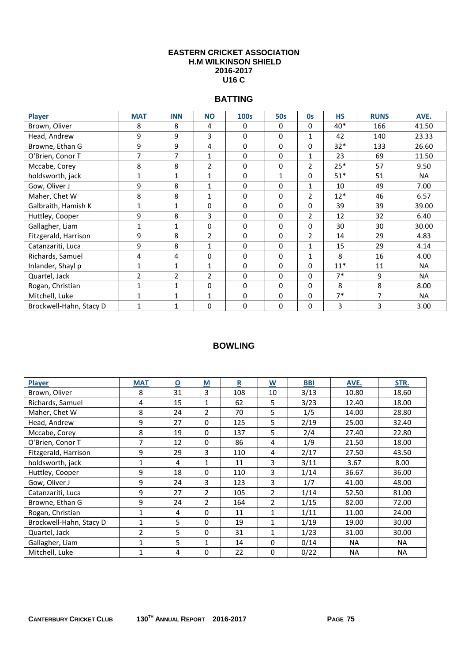#### **EASTERN CRICKET ASSOCIATION H.M WILKINSON SHIELD 2016-2017 U16 C**

## **BATTING**

| <b>Player</b>           | <b>MAT</b>     | <b>INN</b>     | <b>NO</b>      | <b>100s</b> | <b>50s</b>   | <b>Os</b>      | <b>HS</b> | <b>RUNS</b> | AVE.      |
|-------------------------|----------------|----------------|----------------|-------------|--------------|----------------|-----------|-------------|-----------|
| Brown, Oliver           | 8              | 8              | 4              | 0           | $\Omega$     | 0              | 40*       | 166         | 41.50     |
| Head, Andrew            | 9              | 9              | 3              | 0           | $\mathbf 0$  | 1              | 42        | 140         | 23.33     |
| Browne, Ethan G         | 9              | 9              | 4              | 0           | 0            | 0              | $32*$     | 133         | 26.60     |
| O'Brien, Conor T        | 7              | 7              | 1              | 0           | 0            | 1              | 23        | 69          | 11.50     |
| Mccabe, Corey           | 8              | 8              | $\overline{2}$ | 0           | $\mathbf 0$  | $\overline{2}$ | $25*$     | 57          | 9.50      |
| holdsworth, jack        | $\mathbf{1}$   | 1              | 1              | 0           | $\mathbf{1}$ | 0              | $51*$     | 51          | <b>NA</b> |
| Gow, Oliver J           | 9              | 8              | 1              | 0           | $\Omega$     | 1              | 10        | 49          | 7.00      |
| Maher, Chet W           | 8              | 8              | 1              | 0           | $\Omega$     | $\overline{2}$ | $12*$     | 46          | 6.57      |
| Galbraith, Hamish K     | $\mathbf{1}$   | $\mathbf{1}$   | $\Omega$       | 0           | $\Omega$     | 0              | 39        | 39          | 39.00     |
| Huttley, Cooper         | 9              | 8              | 3              | 0           | $\mathbf 0$  | $\overline{2}$ | 12        | 32          | 6.40      |
| Gallagher, Liam         | $\mathbf{1}$   | 1              | $\Omega$       | 0           | $\mathbf 0$  | 0              | 30        | 30          | 30.00     |
| Fitzgerald, Harrison    | 9              | 8              | $\overline{2}$ | 0           | $\mathbf 0$  | $\overline{2}$ | 14        | 29          | 4.83      |
| Catanzariti, Luca       | 9              | 8              | $\mathbf{1}$   | 0           | $\Omega$     | 1              | 15        | 29          | 4.14      |
| Richards, Samuel        | 4              | 4              | $\Omega$       | 0           | $\Omega$     | $\mathbf{1}$   | 8         | 16          | 4.00      |
| Inlander, Shayl p       | $\mathbf 1$    | 1              | 1              | 0           | $\Omega$     | 0              | $11*$     | 11          | <b>NA</b> |
| Quartel, Jack           | $\overline{2}$ | $\overline{2}$ | $\overline{2}$ | 0           | $\Omega$     | 0              | $7*$      | 9           | <b>NA</b> |
| Rogan, Christian        | $\mathbf{1}$   | 1              | $\Omega$       | 0           | $\Omega$     | 0              | 8         | 8           | 8.00      |
| Mitchell, Luke          | 1              | 1              | 1              | 0           | 0            | 0              | $7*$      | 7           | <b>NA</b> |
| Brockwell-Hahn, Stacy D | 1              | 1              | $\mathbf 0$    | 0           | $\mathbf 0$  | 0              | 3         | 3           | 3.00      |

| <b>Player</b>           | <b>MAT</b>   | $\overline{\mathbf{0}}$ | $\underline{\mathsf{M}}$ | $\underline{\mathbf{R}}$ | $\underline{\mathsf{w}}$ | <b>BBI</b> | AVE.      | STR.  |
|-------------------------|--------------|-------------------------|--------------------------|--------------------------|--------------------------|------------|-----------|-------|
| Brown, Oliver           | 8            | 31                      | 3                        | 108                      | 10                       | 3/13       | 10.80     | 18.60 |
| Richards, Samuel        | 4            | 15                      | 1                        | 62                       | 5                        | 3/23       | 12.40     | 18.00 |
| Maher, Chet W           | 8            | 24                      | 2                        | 70                       | 5                        | 1/5        | 14.00     | 28.80 |
| Head, Andrew            | 9            | 27                      | $\Omega$                 | 125                      | 5                        | 2/19       | 25.00     | 32.40 |
| Mccabe, Corey           | 8            | 19                      | $\Omega$                 | 137                      | 5                        | 2/4        | 27.40     | 22.80 |
| O'Brien, Conor T        | 7            | 12                      | $\Omega$                 | 86                       | 4                        | 1/9        | 21.50     | 18.00 |
| Fitzgerald, Harrison    | 9            | 29                      | 3                        | 110                      | 4                        | 2/17       | 27.50     | 43.50 |
| holdsworth, jack        | $\mathbf{1}$ | 4                       | $\mathbf{1}$             | 11                       | 3                        | 3/11       | 3.67      | 8.00  |
| Huttley, Cooper         | 9            | 18                      | $\Omega$                 | 110                      | 3                        | 1/14       | 36.67     | 36.00 |
| Gow, Oliver J           | 9            | 24                      | 3                        | 123                      | 3                        | 1/7        | 41.00     | 48.00 |
| Catanzariti, Luca       | 9            | 27                      | 2                        | 105                      | 2                        | 1/14       | 52.50     | 81.00 |
| Browne, Ethan G         | 9            | 24                      | 2                        | 164                      | 2                        | 1/15       | 82.00     | 72.00 |
| Rogan, Christian        | $\mathbf{1}$ | 4                       | $\Omega$                 | 11                       | 1                        | 1/11       | 11.00     | 24.00 |
| Brockwell-Hahn, Stacy D | $\mathbf{1}$ | 5                       | 0                        | 19                       | 1                        | 1/19       | 19.00     | 30.00 |
| Quartel, Jack           | 2            | 5                       | 0                        | 31                       | 1                        | 1/23       | 31.00     | 30.00 |
| Gallagher, Liam         | $\mathbf{1}$ | 5                       | 1                        | 14                       | 0                        | 0/14       | <b>NA</b> | NA.   |
| Mitchell, Luke          | $\mathbf{1}$ | 4                       | 0                        | 22                       | 0                        | 0/22       | <b>NA</b> | NA.   |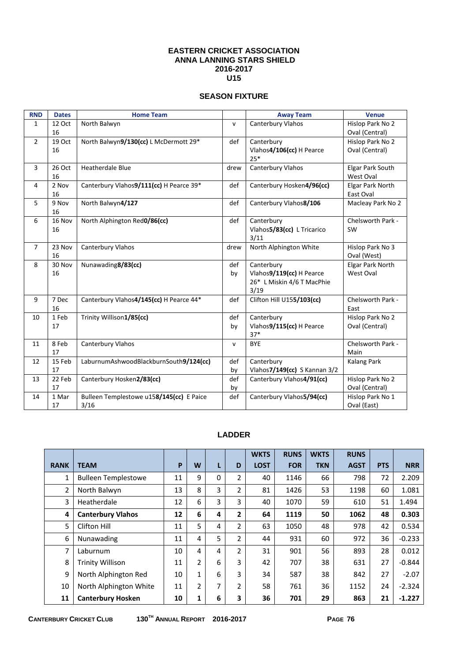#### **EASTERN CRICKET ASSOCIATION ANNA LANNING STARS SHIELD 2016-2017 U15**

## **SEASON FIXTURE**

| <b>RND</b>     | <b>Dates</b> | <b>Home Team</b>                         |              | <b>Away Team</b>                  | <b>Venue</b>            |
|----------------|--------------|------------------------------------------|--------------|-----------------------------------|-------------------------|
| 1              | 12 Oct       | North Balwyn                             | $\mathsf{v}$ | Canterbury Vlahos                 | Hislop Park No 2        |
|                | 16           |                                          |              |                                   | Oval (Central)          |
| $\overline{2}$ | 19 Oct       | North Balwyn9/130(cc) L McDermott 29*    | def          | Canterbury                        | Hislop Park No 2        |
|                | 16           |                                          |              | Vlahos4/106(cc) H Pearce<br>$25*$ | Oval (Central)          |
| 3              | 26 Oct       | <b>Heatherdale Blue</b>                  | drew         | Canterbury Vlahos                 | Elgar Park South        |
|                | 16           |                                          |              |                                   | West Oval               |
| $\overline{4}$ | 2 Nov        | Canterbury Vlahos9/111(cc) H Pearce 39*  | def          | Canterbury Hosken4/96(cc)         | <b>Elgar Park North</b> |
|                | 16           |                                          |              |                                   | East Oval               |
| 5              | 9 Nov        | North Balwyn4/127                        | def          | Canterbury Vlahos8/106            | Macleay Park No 2       |
|                | 16           |                                          |              |                                   |                         |
| 6              | 16 Nov       | North Alphington Red0/86(cc)             | def          | Canterbury                        | Chelsworth Park -       |
|                | 16           |                                          |              | Vlahos5/83(cc) L Tricarico        | SW                      |
|                |              |                                          |              | 3/11                              |                         |
| $\overline{7}$ | 23 Nov       | Canterbury Vlahos                        | drew         | North Alphington White            | Hislop Park No 3        |
|                | 16           |                                          |              |                                   | Oval (West)             |
| 8              | 30 Nov       | Nunawading8/83(cc)                       | def          | Canterbury                        | Elgar Park North        |
|                | 16           |                                          | by           | Vlahos9/119(cc) H Pearce          | West Oval               |
|                |              |                                          |              | 26* L Miskin 4/6 T MacPhie        |                         |
|                |              |                                          |              | 3/19                              |                         |
| 9              | 7 Dec        | Canterbury Vlahos4/145(cc) H Pearce 44*  | def          | Clifton Hill U155/103(cc)         | Chelsworth Park -       |
|                | 16           |                                          |              |                                   | East                    |
| 10             | 1 Feb        | Trinity Willison1/85(cc)                 | def          | Canterbury                        | Hislop Park No 2        |
|                | 17           |                                          | by           | Vlahos9/115(cc) H Pearce          | Oval (Central)          |
|                |              |                                          |              | $37*$                             |                         |
| 11             | 8 Feb        | Canterbury Vlahos                        | $\mathsf{v}$ | <b>BYE</b>                        | Chelsworth Park -       |
|                | 17           |                                          |              |                                   | Main                    |
| 12             | 15 Feb       | LaburnumAshwoodBlackburnSouth9/124(cc)   | def          | Canterbury                        | <b>Kalang Park</b>      |
|                | 17           |                                          | by           | Vlahos7/149(cc) S Kannan 3/2      |                         |
| 13             | 22 Feb       | Canterbury Hosken2/83(cc)                | def          | Canterbury Vlahos4/91(cc)         | Hislop Park No 2        |
|                | 17           |                                          | by           |                                   | Oval (Central)          |
| 14             | 1 Mar        | Bulleen Templestowe u158/145(cc) E Paice | def          | Canterbury Vlahos5/94(cc)         | Hislop Park No 1        |
|                | 17           | 3/16                                     |              |                                   | Oval (East)             |

#### **LADDER**

|             |                            |    |                |   |                | <b>WKTS</b> | <b>RUNS</b> | <b>WKTS</b> | <b>RUNS</b> |            |            |
|-------------|----------------------------|----|----------------|---|----------------|-------------|-------------|-------------|-------------|------------|------------|
| <b>RANK</b> | <b>TEAM</b>                | P  | W              | L | D              | <b>LOST</b> | <b>FOR</b>  | <b>TKN</b>  | <b>AGST</b> | <b>PTS</b> | <b>NRR</b> |
| 1           | <b>Bulleen Templestowe</b> | 11 | 9              | 0 | $\overline{2}$ | 40          | 1146        | 66          | 798         | 72         | 2.209      |
| 2           | North Balwyn               | 13 | 8              | 3 | $\overline{2}$ | 81          | 1426        | 53          | 1198        | 60         | 1.081      |
| 3           | Heatherdale                | 12 | 6              | 3 | 3              | 40          | 1070        | 59          | 610         | 51         | 1.494      |
| 4           | <b>Canterbury Vlahos</b>   | 12 | 6              | 4 | 2              | 64          | 1119        | 50          | 1062        | 48         | 0.303      |
| 5           | Clifton Hill               | 11 | 5              | 4 | 2              | 63          | 1050        | 48          | 978         | 42         | 0.534      |
| 6           | Nunawading                 | 11 | 4              | 5 | $\overline{2}$ | 44          | 931         | 60          | 972         | 36         | $-0.233$   |
| 7           | Laburnum                   | 10 | 4              | 4 | $\overline{2}$ | 31          | 901         | 56          | 893         | 28         | 0.012      |
| 8           | <b>Trinity Willison</b>    | 11 | $\overline{2}$ | 6 | 3              | 42          | 707         | 38          | 631         | 27         | $-0.844$   |
| 9           | North Alphington Red       | 10 | $\mathbf{1}$   | 6 | 3              | 34          | 587         | 38          | 842         | 27         | $-2.07$    |
| 10          | North Alphington White     | 11 | 2              | 7 | 2              | 58          | 761         | 36          | 1152        | 24         | $-2.324$   |
| 11          | <b>Canterbury Hosken</b>   | 10 | 1              | 6 | 3              | 36          | 701         | 29          | 863         | 21         | $-1.227$   |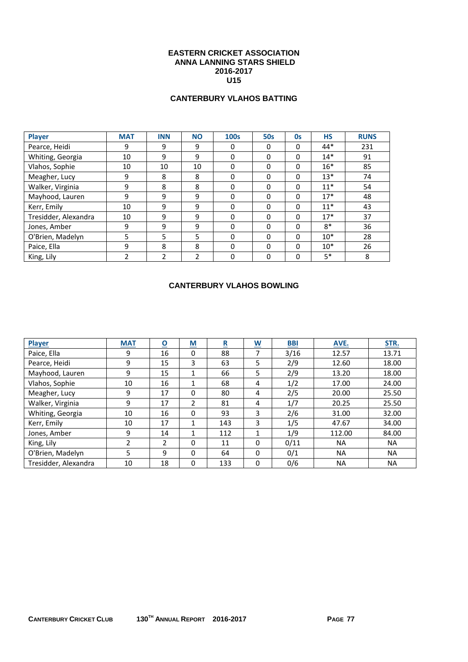#### **EASTERN CRICKET ASSOCIATION ANNA LANNING STARS SHIELD 2016-2017 U15**

## **CANTERBURY VLAHOS BATTING**

| <b>Player</b>        | <b>MAT</b> | <b>INN</b> | <b>NO</b> | <b>100s</b> | <b>50s</b>   | Os           | <b>HS</b> | <b>RUNS</b> |
|----------------------|------------|------------|-----------|-------------|--------------|--------------|-----------|-------------|
| Pearce, Heidi        | 9          | 9          | 9         | 0           | 0            | 0            | $44*$     | 231         |
| Whiting, Georgia     | 10         | 9          | 9         | $\Omega$    | $\mathbf{0}$ | $\mathbf{0}$ | $14*$     | 91          |
| Vlahos, Sophie       | 10         | 10         | 10        | $\Omega$    | $\Omega$     | $\mathbf{0}$ | $16*$     | 85          |
| Meagher, Lucy        | 9          | 8          | 8         | $\Omega$    | $\Omega$     | $\mathbf{0}$ | $13*$     | 74          |
| Walker, Virginia     | 9          | 8          | 8         | $\Omega$    | $\Omega$     | $\mathbf{0}$ | $11*$     | 54          |
| Mayhood, Lauren      | 9          | 9          | 9         | $\Omega$    | $\Omega$     | $\mathbf{0}$ | $17*$     | 48          |
| Kerr, Emily          | 10         | 9          | 9         | $\Omega$    | $\Omega$     | $\mathbf{0}$ | $11*$     | 43          |
| Tresidder, Alexandra | 10         | 9          | 9         | $\Omega$    | $\Omega$     | $\Omega$     | $17*$     | 37          |
| Jones, Amber         | 9          | 9          | 9         | $\Omega$    | $\Omega$     | 0            | $8*$      | 36          |
| O'Brien, Madelyn     | 5          | 5          | 5         | $\Omega$    | $\Omega$     | $\mathbf{0}$ | $10*$     | 28          |
| Paice, Ella          | 9          | 8          | 8         | $\Omega$    | $\Omega$     | $\mathbf{0}$ | $10*$     | 26          |
| King, Lily           | າ          | 2          | 2         | $\Omega$    | $\Omega$     | 0            | $5*$      | 8           |

## **CANTERBURY VLAHOS BOWLING**

| Player               | <b>MAT</b>     | $\overline{\mathbf{o}}$ | $\underline{\mathsf{M}}$ | $\overline{\mathbf{R}}$ | $\underline{\mathsf{w}}$ | <b>BBI</b> | AVE.      | STR.      |
|----------------------|----------------|-------------------------|--------------------------|-------------------------|--------------------------|------------|-----------|-----------|
| Paice, Ella          | 9              | 16                      | 0                        | 88                      | 7                        | 3/16       | 12.57     | 13.71     |
| Pearce, Heidi        | 9              | 15                      | 3                        | 63                      | 5                        | 2/9        | 12.60     | 18.00     |
| Mayhood, Lauren      | 9              | 15                      | 1                        | 66                      | 5                        | 2/9        | 13.20     | 18.00     |
| Vlahos, Sophie       | 10             | 16                      |                          | 68                      | 4                        | 1/2        | 17.00     | 24.00     |
| Meagher, Lucy        | 9              | 17                      | $\Omega$                 | 80                      | 4                        | 2/5        | 20.00     | 25.50     |
| Walker, Virginia     | 9              | 17                      | $\mathfrak{p}$           | 81                      | 4                        | 1/7        | 20.25     | 25.50     |
| Whiting, Georgia     | 10             | 16                      | 0                        | 93                      | 3                        | 2/6        | 31.00     | 32.00     |
| Kerr, Emily          | 10             | 17                      |                          | 143                     | 3                        | 1/5        | 47.67     | 34.00     |
| Jones, Amber         | 9              | 14                      | 1                        | 112                     |                          | 1/9        | 112.00    | 84.00     |
| King, Lily           | $\overline{2}$ | $\overline{2}$          | 0                        | 11                      | $\Omega$                 | 0/11       | <b>NA</b> | <b>NA</b> |
| O'Brien, Madelyn     | 5              | 9                       | $\Omega$                 | 64                      | $\Omega$                 | 0/1        | <b>NA</b> | <b>NA</b> |
| Tresidder, Alexandra | 10             | 18                      | 0                        | 133                     | $\Omega$                 | 0/6        | <b>NA</b> | <b>NA</b> |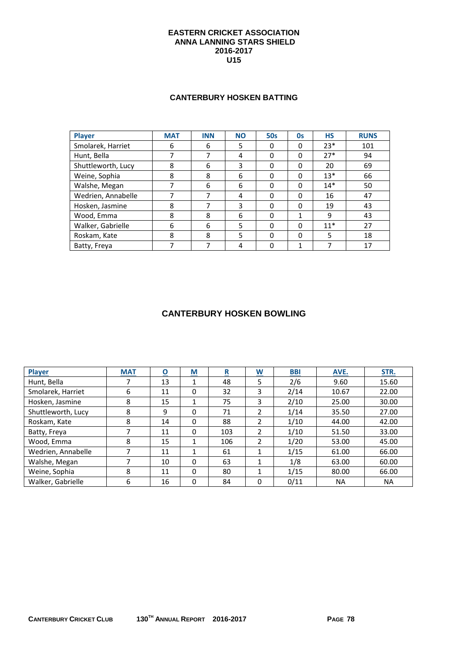#### **EASTERN CRICKET ASSOCIATION ANNA LANNING STARS SHIELD 2016-2017 U15**

#### **CANTERBURY HOSKEN BATTING**

| Player             | <b>MAT</b> | <b>INN</b> | <b>NO</b> | <b>50s</b> | 0s       | <b>HS</b> | <b>RUNS</b> |
|--------------------|------------|------------|-----------|------------|----------|-----------|-------------|
| Smolarek, Harriet  | 6          | 6          | 5         | 0          | 0        | $23*$     | 101         |
| Hunt, Bella        |            |            | 4         | 0          | $\Omega$ | $27*$     | 94          |
| Shuttleworth, Lucy | 8          | 6          | 3         | 0          | $\Omega$ | 20        | 69          |
| Weine, Sophia      | 8          | 8          | 6         | 0          | $\Omega$ | $13*$     | 66          |
| Walshe, Megan      |            | 6          | 6         | 0          | $\Omega$ | $14*$     | 50          |
| Wedrien, Annabelle |            | 7          | 4         | 0          | $\Omega$ | 16        | 47          |
| Hosken, Jasmine    | 8          |            | 3         | 0          | $\Omega$ | 19        | 43          |
| Wood, Emma         | 8          | 8          | 6         | 0          | 1        | 9         | 43          |
| Walker, Gabrielle  | 6          | 6          | 5         | 0          | $\Omega$ | $11*$     | 27          |
| Roskam, Kate       | 8          | 8          | 5         | 0          | $\Omega$ | 5         | 18          |
| Batty, Freya       |            |            | 4         |            |          |           | 17          |

## **CANTERBURY HOSKEN BOWLING**

| <b>Player</b>      | <b>MAT</b> | $\overline{\mathbf{o}}$ | M        | <u>R</u> | $\underline{\mathsf{W}}$ | B <sub>BI</sub> | AVE.      | STR.      |
|--------------------|------------|-------------------------|----------|----------|--------------------------|-----------------|-----------|-----------|
| Hunt, Bella        |            | 13                      |          | 48       | 5                        | 2/6             | 9.60      | 15.60     |
| Smolarek, Harriet  | 6          | 11                      | 0        | 32       | 3                        | 2/14            | 10.67     | 22.00     |
| Hosken, Jasmine    | 8          | 15                      | 1        | 75       | 3                        | 2/10            | 25.00     | 30.00     |
| Shuttleworth, Lucy | 8          | 9                       | 0        | 71       | 2                        | 1/14            | 35.50     | 27.00     |
| Roskam, Kate       | 8          | 14                      | $\Omega$ | 88       | 2                        | 1/10            | 44.00     | 42.00     |
| Batty, Freya       | 7          | 11                      | $\Omega$ | 103      | $\overline{\phantom{a}}$ | 1/10            | 51.50     | 33.00     |
| Wood, Emma         | 8          | 15                      | 1        | 106      | 2                        | 1/20            | 53.00     | 45.00     |
| Wedrien, Annabelle |            | 11                      | 1        | 61       |                          | 1/15            | 61.00     | 66.00     |
| Walshe, Megan      |            | 10                      | 0        | 63       |                          | 1/8             | 63.00     | 60.00     |
| Weine, Sophia      | 8          | 11                      | $\Omega$ | 80       |                          | 1/15            | 80.00     | 66.00     |
| Walker, Gabrielle  | 6          | 16                      | 0        | 84       | 0                        | 0/11            | <b>NA</b> | <b>NA</b> |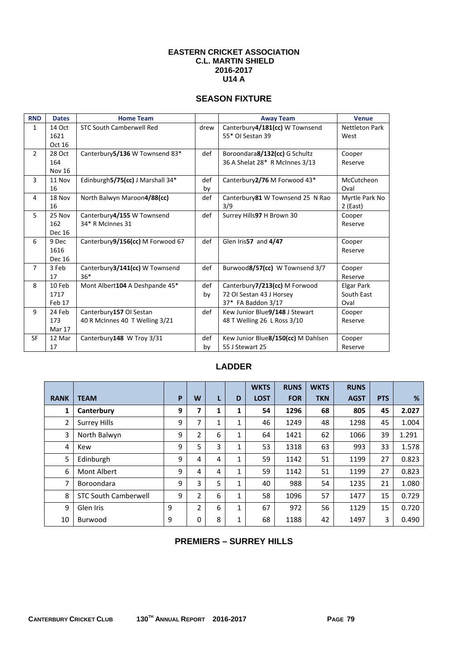#### **EASTERN CRICKET ASSOCIATION C.L. MARTIN SHIELD 2016-2017**   $U14A$

## **SEASON FIXTURE**

| <b>RND</b>     | <b>Dates</b>  | <b>Home Team</b>                 |      | <b>Away Team</b>                   | <b>Venue</b>          |
|----------------|---------------|----------------------------------|------|------------------------------------|-----------------------|
| $\mathbf{1}$   | 14 Oct        | <b>STC South Camberwell Red</b>  | drew | Canterbury4/181(cc) W Townsend     | <b>Nettleton Park</b> |
|                | 1621          |                                  |      | 55* OI Sestan 39                   | West                  |
|                | Oct 16        |                                  |      |                                    |                       |
| $\overline{2}$ | 28 Oct        | Canterbury 5/136 W Townsend 83*  | def  | Boroondara8/132(cc) G Schultz      | Cooper                |
|                | 164           |                                  |      | 36 A Shelat 28* R McInnes 3/13     | Reserve               |
|                | <b>Nov 16</b> |                                  |      |                                    |                       |
| 3              | 11 Nov        | Edinburgh5/75(cc) J Marshall 34* | def  | Canterbury 2/76 M Forwood 43*      | McCutcheon            |
|                | 16            |                                  | by   |                                    | Oval                  |
| $\overline{4}$ | 18 Nov        | North Balwyn Maroon4/88(cc)      | def  | Canterbury 81 W Townsend 25 N Rao  | Myrtle Park No        |
|                | 16            |                                  |      | 3/9                                | 2 (East)              |
| 5              | 25 Nov        | Canterbury4/155 W Townsend       | def  | Surrey Hills97 H Brown 30          | Cooper                |
|                | 162           | 34* R McInnes 31                 |      |                                    | Reserve               |
|                | Dec 16        |                                  |      |                                    |                       |
| 6              | 9 Dec         | Canterbury9/156(cc) M Forwood 67 | def  | Glen Iris57 and 4/47               | Cooper                |
|                | 1616          |                                  |      |                                    | Reserve               |
|                | <b>Dec 16</b> |                                  |      |                                    |                       |
| $\overline{7}$ | 3 Feb         | Canterbury3/141(cc) W Townsend   | def  | Burwood8/57(cc) W Townsend 3/7     | Cooper                |
|                | 17            | $36*$                            |      |                                    | Reserve               |
| 8              | 10 Feb        | Mont Albert104 A Deshpande 45*   | def  | Canterbury7/213(cc) M Forwood      | <b>Elgar Park</b>     |
|                | 1717          |                                  | by   | 72 OI Sestan 43 J Horsey           | South East            |
|                | Feb 17        |                                  |      | 37* FA Baddon 3/17                 | Oval                  |
| 9              | 24 Feb        | Canterbury157 OI Sestan          | def  | Kew Junior Blue9/148 J Stewart     | Cooper                |
|                | 173           | 40 R McInnes 40 T Welling 3/21   |      | 48 T Welling 26 L Ross 3/10        | Reserve               |
|                | Mar 17        |                                  |      |                                    |                       |
| <b>SF</b>      | 12 Mar        | Canterbury148 W Troy 3/31        | def  | Kew Junior Blue8/150(cc) M Dahlsen | Cooper                |
|                | 17            |                                  | by   | 55 J Stewart 25                    | Reserve               |

# **LADDER**

|             |                             |   |   |   |              | <b>WKTS</b> | <b>RUNS</b> | <b>WKTS</b> | <b>RUNS</b> |            |       |
|-------------|-----------------------------|---|---|---|--------------|-------------|-------------|-------------|-------------|------------|-------|
| <b>RANK</b> | <b>TEAM</b>                 | P | W | L | D            | <b>LOST</b> | <b>FOR</b>  | <b>TKN</b>  | <b>AGST</b> | <b>PTS</b> | %     |
| 1           | Canterbury                  | 9 | 7 | 1 | 1            | 54          | 1296        | 68          | 805         | 45         | 2.027 |
| 2           | <b>Surrey Hills</b>         | 9 | 7 | 1 | 1            | 46          | 1249        | 48          | 1298        | 45         | 1.004 |
| 3           | North Balwyn                | 9 | 2 | 6 | 1            | 64          | 1421        | 62          | 1066        | 39         | 1.291 |
| 4           | Kew                         | 9 | 5 | 3 | 1            | 53          | 1318        | 63          | 993         | 33         | 1.578 |
| 5           | Edinburgh                   | 9 | 4 | 4 | 1            | 59          | 1142        | 51          | 1199        | 27         | 0.823 |
| 6           | Mont Albert                 | 9 | 4 | 4 | 1            | 59          | 1142        | 51          | 1199        | 27         | 0.823 |
| 7           | Boroondara                  | 9 | 3 | 5 | 1            | 40          | 988         | 54          | 1235        | 21         | 1.080 |
| 8           | <b>STC South Camberwell</b> | 9 | 2 | 6 | 1            | 58          | 1096        | 57          | 1477        | 15         | 0.729 |
| 9           | Glen Iris                   | 9 | 2 | 6 | $\mathbf{1}$ | 67          | 972         | 56          | 1129        | 15         | 0.720 |
| 10          | Burwood                     | 9 | 0 | 8 | 1            | 68          | 1188        | 42          | 1497        | 3          | 0.490 |

## **PREMIERS – SURREY HILLS**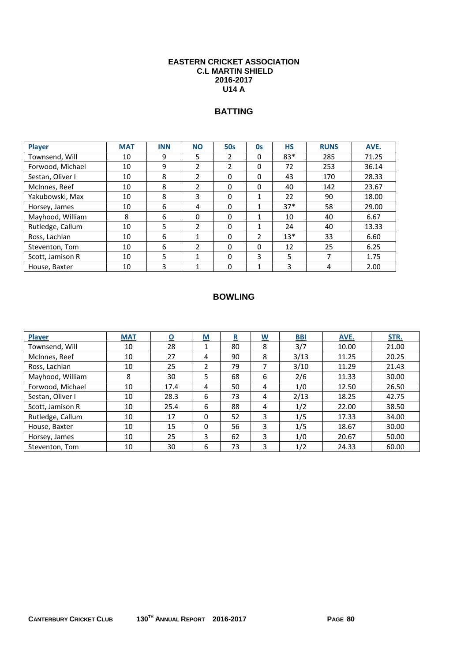#### **EASTERN CRICKET ASSOCIATION C.L MARTIN SHIELD 2016-2017 U14 A**

# **BATTING**

| <b>Player</b>    | <b>MAT</b> | <b>INN</b> | <b>NO</b>                | <b>50s</b>               | 0s             | <b>HS</b> | <b>RUNS</b> | AVE.  |
|------------------|------------|------------|--------------------------|--------------------------|----------------|-----------|-------------|-------|
| Townsend, Will   | 10         | 9          | 5                        | 2                        | 0              | $83*$     | 285         | 71.25 |
| Forwood, Michael | 10         | 9          | $\overline{\phantom{a}}$ | $\overline{\phantom{a}}$ | 0              | 72        | 253         | 36.14 |
| Sestan, Oliver I | 10         | 8          | $\overline{\phantom{a}}$ | 0                        | 0              | 43        | 170         | 28.33 |
| McInnes, Reef    | 10         | 8          | $\mathfrak{p}$           | $\Omega$                 | 0              | 40        | 142         | 23.67 |
| Yakubowski, Max  | 10         | 8          | 3                        | $\Omega$                 | 1              | 22        | 90          | 18.00 |
| Horsey, James    | 10         | 6          | 4                        | $\Omega$                 | 1              | $37*$     | 58          | 29.00 |
| Mayhood, William | 8          | 6          | 0                        | $\Omega$                 | 1              | 10        | 40          | 6.67  |
| Rutledge, Callum | 10         | 5          | $\mathfrak{p}$           | $\Omega$                 |                | 24        | 40          | 13.33 |
| Ross, Lachlan    | 10         | 6          | 1                        | 0                        | $\overline{2}$ | $13*$     | 33          | 6.60  |
| Steventon, Tom   | 10         | 6          | $\overline{\phantom{a}}$ | $\Omega$                 | 0              | 12        | 25          | 6.25  |
| Scott, Jamison R | 10         | 5          | 1                        | 0                        | 3              | 5         | ⇁           | 1.75  |
| House, Baxter    | 10         | 3          |                          | 0                        |                | 3         | 4           | 2.00  |

| <b>Player</b>    | <b>MAT</b> | $\overline{\mathbf{o}}$ | <u>M</u> | $\overline{\mathbf{R}}$ | $\overline{\mathsf{w}}$ | <u>BBI</u> | AVE.  | STR.  |
|------------------|------------|-------------------------|----------|-------------------------|-------------------------|------------|-------|-------|
| Townsend, Will   | 10         | 28                      | T        | 80                      | 8                       | 3/7        | 10.00 | 21.00 |
| McInnes, Reef    | 10         | 27                      | 4        | 90                      | 8                       | 3/13       | 11.25 | 20.25 |
| Ross, Lachlan    | 10         | 25                      | 2        | 79                      | 7                       | 3/10       | 11.29 | 21.43 |
| Mayhood, William | 8          | 30                      | 5        | 68                      | 6                       | 2/6        | 11.33 | 30.00 |
| Forwood, Michael | 10         | 17.4                    | 4        | 50                      | 4                       | 1/0        | 12.50 | 26.50 |
| Sestan, Oliver I | 10         | 28.3                    | 6        | 73                      | 4                       | 2/13       | 18.25 | 42.75 |
| Scott, Jamison R | 10         | 25.4                    | 6        | 88                      | 4                       | 1/2        | 22.00 | 38.50 |
| Rutledge, Callum | 10         | 17                      | 0        | 52                      | 3                       | 1/5        | 17.33 | 34.00 |
| House, Baxter    | 10         | 15                      | 0        | 56                      | 3                       | 1/5        | 18.67 | 30.00 |
| Horsey, James    | 10         | 25                      | 3        | 62                      | 3                       | 1/0        | 20.67 | 50.00 |
| Steventon, Tom   | 10         | 30                      | 6        | 73                      | 3                       | 1/2        | 24.33 | 60.00 |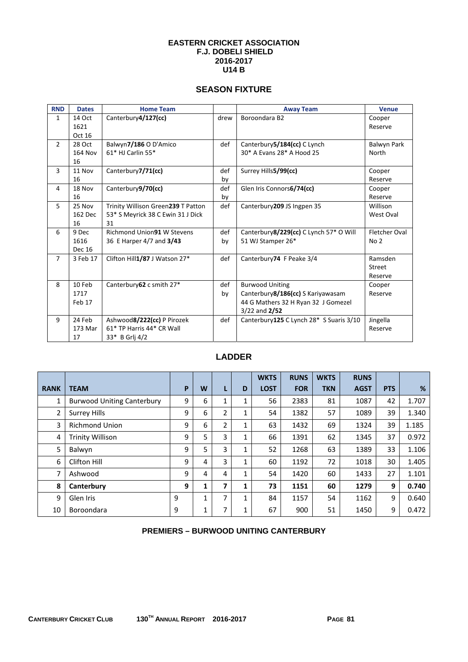#### **EASTERN CRICKET ASSOCIATION F.J. DOBELI SHIELD 2016-2017 U14 B**

## **SEASON FIXTURE**

| <b>RND</b>     | <b>Dates</b>  | <b>Home Team</b>                   |      | <b>Away Team</b>                         | <b>Venue</b>  |
|----------------|---------------|------------------------------------|------|------------------------------------------|---------------|
| $\mathbf{1}$   | 14 Oct        | Canterbury4/127(cc)                | drew | Boroondara B2                            | Cooper        |
|                | 1621          |                                    |      |                                          | Reserve       |
|                | Oct 16        |                                    |      |                                          |               |
| $\overline{2}$ | 28 Oct        | Balwyn7/186 O D'Amico              | def  | Canterbury 5/184(cc) C Lynch             | Balwyn Park   |
|                | 164 Nov       | 61* HJ Carlin 55*                  |      | 30* A Evans 28* A Hood 25                | North         |
|                | 16            |                                    |      |                                          |               |
| 3              | 11 Nov        | Canterbury7/71(cc)                 | def  | Surrey Hills5/99(cc)                     | Cooper        |
|                | 16            |                                    | by   |                                          | Reserve       |
| 4              | 18 Nov        | Canterbury9/70(cc)                 | def  | Glen Iris Connors6/74(cc)                | Cooper        |
|                | 16            |                                    | by   |                                          | Reserve       |
| 5              | 25 Nov        | Trinity Willison Green239 T Patton | def  | Canterbury 209 JS Ingpen 35              | Willison      |
|                | 162 Dec       | 53* S Meyrick 38 C Ewin 31 J Dick  |      |                                          | West Oval     |
|                | 16            | 31                                 |      |                                          |               |
| 6              | 9 Dec         | Richmond Union91 W Stevens         | def  | Canterbury 8/229(cc) C Lynch 57* O Will  | Fletcher Oval |
|                | 1616          | 36 E Harper 4/7 and 3/43           | by   | 51 WJ Stamper 26*                        | No 2          |
|                | <b>Dec 16</b> |                                    |      |                                          |               |
| $\overline{7}$ | 3 Feb 17      | Clifton Hill1/87 J Watson 27*      | def  | Canterbury74 F Peake 3/4                 | Ramsden       |
|                |               |                                    |      |                                          | Street        |
|                |               |                                    |      |                                          | Reserve       |
| 8              | 10 Feb        | Canterbury 62 c smith 27*          | def  | <b>Burwood Uniting</b>                   | Cooper        |
|                | 1717          |                                    | by   | Canterbury8/186(cc) S Kariyawasam        | Reserve       |
|                | Feb 17        |                                    |      | 44 G Mathers 32 H Ryan 32 J Gomezel      |               |
|                |               |                                    |      | $3/22$ and $2/52$                        |               |
| 9              | 24 Feb        | Ashwood8/222(cc) P Pirozek         | def  | Canterbury 125 C Lynch 28* S Suaris 3/10 | Jingella      |
|                | 173 Mar       | 61* TP Harris 44* CR Wall          |      |                                          | Reserve       |
|                | 17            | 33* B Grlj 4/2                     |      |                                          |               |

## **LADDER**

|                |                                   |   |   |   |   | <b>WKTS</b> | <b>RUNS</b> | <b>WKTS</b> | <b>RUNS</b> |            |       |
|----------------|-----------------------------------|---|---|---|---|-------------|-------------|-------------|-------------|------------|-------|
| <b>RANK</b>    | <b>TEAM</b>                       | P | W |   | D | <b>LOST</b> | <b>FOR</b>  | <b>TKN</b>  | <b>AGST</b> | <b>PTS</b> | %     |
| 1              | <b>Burwood Uniting Canterbury</b> | 9 | 6 | 1 | 1 | 56          | 2383        | 81          | 1087        | 42         | 1.707 |
| $\overline{2}$ | <b>Surrey Hills</b>               | 9 | 6 | 2 | 1 | 54          | 1382        | 57          | 1089        | 39         | 1.340 |
| 3              | <b>Richmond Union</b>             | 9 | 6 | 2 | 1 | 63          | 1432        | 69          | 1324        | 39         | 1.185 |
| 4              | <b>Trinity Willison</b>           | 9 | 5 | 3 | 1 | 66          | 1391        | 62          | 1345        | 37         | 0.972 |
| 5              | Balwyn                            | 9 | 5 | 3 | 1 | 52          | 1268        | 63          | 1389        | 33         | 1.106 |
| 6              | Clifton Hill                      | 9 | 4 | 3 | 1 | 60          | 1192        | 72          | 1018        | 30         | 1.405 |
| 7              | Ashwood                           | 9 | 4 | 4 | 1 | 54          | 1420        | 60          | 1433        | 27         | 1.101 |
| 8              | Canterbury                        | 9 | 1 | 7 | 1 | 73          | 1151        | 60          | 1279        | 9          | 0.740 |
| 9              | Glen Iris                         | 9 |   | 7 | 1 | 84          | 1157        | 54          | 1162        | 9          | 0.640 |
| 10             | Boroondara                        | 9 | 1 | ⇁ | 1 | 67          | 900         | 51          | 1450        | 9          | 0.472 |

## **PREMIERS – BURWOOD UNITING CANTERBURY**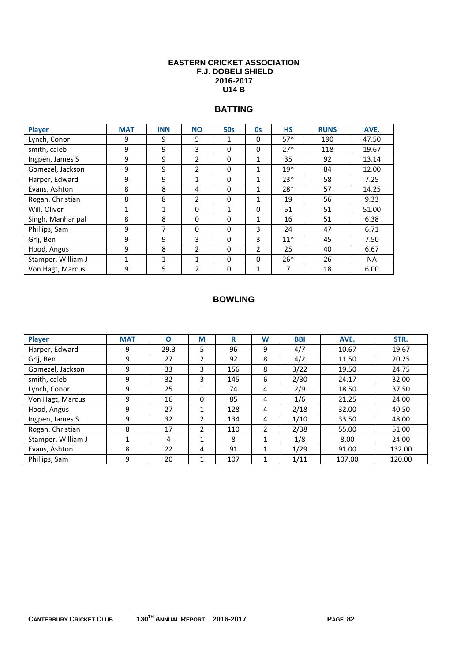#### **EASTERN CRICKET ASSOCIATION F.J. DOBELI SHIELD 2016-2017 U14 B**

# **BATTING**

| Player             | <b>MAT</b> | <b>INN</b> | <b>NO</b>      | <b>50s</b> | <b>Os</b>                | <b>HS</b> | <b>RUNS</b> | AVE.      |
|--------------------|------------|------------|----------------|------------|--------------------------|-----------|-------------|-----------|
| Lynch, Conor       | 9          | 9          | 5              | 1          | 0                        | $57*$     | 190         | 47.50     |
| smith, caleb       | 9          | 9          | 3              | $\Omega$   | 0                        | $27*$     | 118         | 19.67     |
| Ingpen, James S    | 9          | 9          | 2              | $\Omega$   | 1                        | 35        | 92          | 13.14     |
| Gomezel, Jackson   | 9          | 9          | $\mathfrak{p}$ | $\Omega$   | 1                        | $19*$     | 84          | 12.00     |
| Harper, Edward     | 9          | 9          | 1              | $\Omega$   | 1                        | $23*$     | 58          | 7.25      |
| Evans, Ashton      | 8          | 8          | 4              | $\Omega$   | 1                        | 28*       | 57          | 14.25     |
| Rogan, Christian   | 8          | 8          | 2              | $\Omega$   | 1                        | 19        | 56          | 9.33      |
| Will, Oliver       | 1          | 1          | $\Omega$       | 1          | 0                        | 51        | 51          | 51.00     |
| Singh, Manhar pal  | 8          | 8          | $\Omega$       | $\Omega$   | 1                        | 16        | 51          | 6.38      |
| Phillips, Sam      | 9          | 7          | $\Omega$       | $\Omega$   | 3                        | 24        | 47          | 6.71      |
| Grlj, Ben          | 9          | 9          | 3              | $\Omega$   | 3                        | $11*$     | 45          | 7.50      |
| Hood, Angus        | 9          | 8          | 2              | $\Omega$   | $\overline{\mathcal{L}}$ | 25        | 40          | 6.67      |
| Stamper, William J | 1          | 1          | 1              | $\Omega$   | 0                        | $26*$     | 26          | <b>NA</b> |
| Von Hagt, Marcus   | 9          | 5          | 2              | $\Omega$   | 1                        | 7         | 18          | 6.00      |

| Player             | <b>MAT</b> | $\overline{\mathbf{o}}$ | <u>M</u>      | $\overline{\mathbf{R}}$ | $\underline{\mathsf{w}}$ | <b>BBI</b> | AVE.   | STR.   |
|--------------------|------------|-------------------------|---------------|-------------------------|--------------------------|------------|--------|--------|
| Harper, Edward     | 9          | 29.3                    | 5             | 96                      | 9                        | 4/7        | 10.67  | 19.67  |
| Grlj, Ben          | 9          | 27                      | $\mathcal{P}$ | 92                      | 8                        | 4/2        | 11.50  | 20.25  |
| Gomezel, Jackson   | 9          | 33                      | 3             | 156                     | 8                        | 3/22       | 19.50  | 24.75  |
| smith, caleb       | 9          | 32                      | 3             | 145                     | 6                        | 2/30       | 24.17  | 32.00  |
| Lynch, Conor       | 9          | 25                      |               | 74                      | 4                        | 2/9        | 18.50  | 37.50  |
| Von Hagt, Marcus   | 9          | 16                      | $\Omega$      | 85                      | 4                        | 1/6        | 21.25  | 24.00  |
| Hood, Angus        | 9          | 27                      |               | 128                     | 4                        | 2/18       | 32.00  | 40.50  |
| Ingpen, James S    | 9          | 32                      | 2             | 134                     | 4                        | 1/10       | 33.50  | 48.00  |
| Rogan, Christian   | 8          | 17                      | $\mathcal{P}$ | 110                     | $\overline{2}$           | 2/38       | 55.00  | 51.00  |
| Stamper, William J |            | 4                       |               | 8                       | 1                        | 1/8        | 8.00   | 24.00  |
| Evans, Ashton      | 8          | 22                      | 4             | 91                      | 1                        | 1/29       | 91.00  | 132.00 |
| Phillips, Sam      | 9          | 20                      |               | 107                     | 1                        | 1/11       | 107.00 | 120.00 |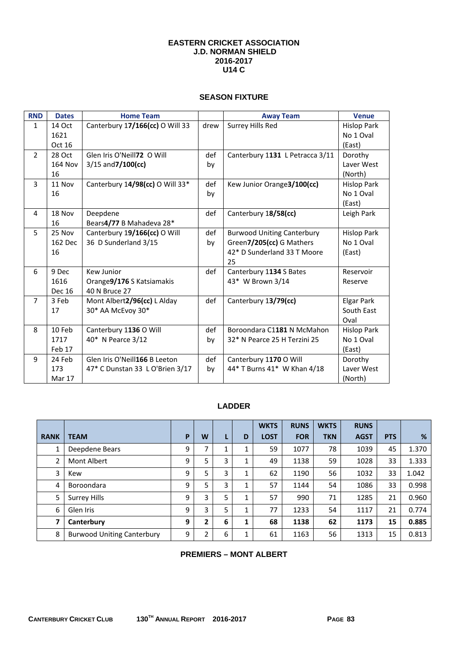#### **EASTERN CRICKET ASSOCIATION J.D. NORMAN SHIELD 2016-2017 U14 C**

#### **SEASON FIXTURE**

| <b>RND</b>     | <b>Dates</b>   | <b>Home Team</b>                |      | <b>Away Team</b>                  | <b>Venue</b>       |
|----------------|----------------|---------------------------------|------|-----------------------------------|--------------------|
| $\mathbf{1}$   | 14 Oct         | Canterbury 17/166(cc) O Will 33 | drew | Surrey Hills Red                  | <b>Hislop Park</b> |
|                | 1621           |                                 |      |                                   | No 1 Oval          |
|                | Oct 16         |                                 |      |                                   | (East)             |
| $\overline{2}$ | 28 Oct         | Glen Iris O'Neill72 O Will      | def  | Canterbury 1131 L Petracca 3/11   | Dorothy            |
|                | <b>164 Nov</b> | $3/15$ and $7/100$ (cc)         | by   |                                   | Laver West         |
|                | 16             |                                 |      |                                   | (North)            |
| $\mathbf{3}$   | 11 Nov         | Canterbury 14/98(cc) O Will 33* | def  | Kew Junior Orange3/100(cc)        | <b>Hislop Park</b> |
|                | 16             |                                 | by   |                                   | No 1 Oval          |
|                |                |                                 |      |                                   | (East)             |
| 4              | 18 Nov         | Deepdene                        | def  | Canterbury 18/58(cc)              | Leigh Park         |
|                | 16             | Bears4/77 B Mahadeva 28*        |      |                                   |                    |
| 5              | 25 Nov         | Canterbury 19/166(cc) O Will    | def  | <b>Burwood Uniting Canterbury</b> | <b>Hislop Park</b> |
|                | 162 Dec        | 36 D Sunderland 3/15            | by   | Green7/205(cc) G Mathers          | No 1 Oval          |
|                | 16             |                                 |      | 42* D Sunderland 33 T Moore       | (East)             |
|                |                |                                 |      | 25                                |                    |
| 6              | 9 Dec          | Kew Junior                      | def  | Canterbury 1134 S Bates           | Reservoir          |
|                | 1616           | Orange9/176 S Katsiamakis       |      | 43* W Brown 3/14                  | Reserve            |
|                | <b>Dec 16</b>  | 40 N Bruce 27                   |      |                                   |                    |
| $\overline{7}$ | 3 Feb          | Mont Albert2/96(cc) L Alday     | def  | Canterbury 13/79(cc)              | <b>Elgar Park</b>  |
|                | 17             | 30* AA McEvoy 30*               |      |                                   | South East         |
|                |                |                                 |      |                                   | Oval               |
| 8              | 10 Feb         | Canterbury 1136 O Will          | def  | Boroondara C1181 N McMahon        | Hislop Park        |
|                | 1717           | 40* N Pearce 3/12               | by   | 32* N Pearce 25 H Terzini 25      | No 1 Oval          |
|                | Feb 17         |                                 |      |                                   | (East)             |
| 9              | 24 Feb         | Glen Iris O'Neill166 B Leeton   | def  | Canterbury 1170 O Will            | Dorothy            |
|                | 173            | 47* C Dunstan 33 L O'Brien 3/17 | by   | 44* T Burns 41* W Khan 4/18       | Laver West         |
|                | <b>Mar 17</b>  |                                 |      |                                   | (North)            |

## **LADDER**

|                |                                   |   |   |   |   | <b>WKTS</b> | <b>RUNS</b> | <b>WKTS</b> | <b>RUNS</b> |            |       |
|----------------|-----------------------------------|---|---|---|---|-------------|-------------|-------------|-------------|------------|-------|
| <b>RANK</b>    | <b>TEAM</b>                       | P | W |   | D | <b>LOST</b> | <b>FOR</b>  | <b>TKN</b>  | <b>AGST</b> | <b>PTS</b> | %     |
|                | Deepdene Bears                    | 9 | 7 | ◢ | 1 | 59          | 1077        | 78          | 1039        | 45         | 1.370 |
| $\overline{2}$ | <b>Mont Albert</b>                | 9 | 5 | 3 | 1 | 49          | 1138        | 59          | 1028        | 33         | 1.333 |
| 3              | Kew                               | 9 | 5 | 3 | 1 | 62          | 1190        | 56          | 1032        | 33         | 1.042 |
| 4              | Boroondara                        | 9 | 5 | 3 | 1 | 57          | 1144        | 54          | 1086        | 33         | 0.998 |
| 5              | <b>Surrey Hills</b>               | 9 | 3 | 5 | 1 | 57          | 990         | 71          | 1285        | 21         | 0.960 |
| 6              | Glen Iris                         | 9 | 3 | 5 | 1 | 77          | 1233        | 54          | 1117        | 21         | 0.774 |
| 7              | Canterbury                        | 9 | 2 | 6 | 1 | 68          | 1138        | 62          | 1173        | 15         | 0.885 |
| 8              | <b>Burwood Uniting Canterbury</b> | 9 | 2 | 6 | 1 | 61          | 1163        | 56          | 1313        | 15         | 0.813 |

#### **PREMIERS – MONT ALBERT**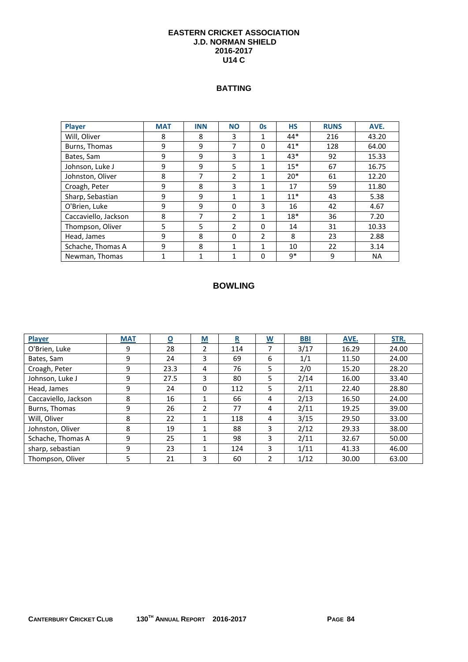#### **EASTERN CRICKET ASSOCIATION J.D. NORMAN SHIELD 2016-2017 U14 C**

## **BATTING**

| <b>Player</b>        | <b>MAT</b>   | <b>INN</b> | <b>NO</b>                | <b>Os</b>      | <b>HS</b> | <b>RUNS</b> | AVE.      |
|----------------------|--------------|------------|--------------------------|----------------|-----------|-------------|-----------|
| Will, Oliver         | 8            | 8          | 3                        | 1              | 44*       | 216         | 43.20     |
| Burns, Thomas        | 9            | 9          | 7                        | $\Omega$       | $41*$     | 128         | 64.00     |
| Bates, Sam           | 9            | 9          | 3                        | 1              | 43*       | 92          | 15.33     |
| Johnson, Luke J      | 9            | 9          | 5                        | 1              | $15*$     | 67          | 16.75     |
| Johnston, Oliver     | 8            | 7          | 2                        | 1              | $20*$     | 61          | 12.20     |
| Croagh, Peter        | 9            | 8          | 3                        | 1              | 17        | 59          | 11.80     |
| Sharp, Sebastian     | 9            | 9          | 1                        | 1              | $11*$     | 43          | 5.38      |
| O'Brien, Luke        | 9            | 9          | $\Omega$                 | 3              | 16        | 42          | 4.67      |
| Caccaviello, Jackson | 8            | 7          | 2                        | 1              | $18*$     | 36          | 7.20      |
| Thompson, Oliver     | 5            | 5          | $\overline{\phantom{a}}$ | $\Omega$       | 14        | 31          | 10.33     |
| Head, James          | 9            | 8          | $\Omega$                 | $\overline{2}$ | 8         | 23          | 2.88      |
| Schache, Thomas A    | 9            | 8          | $\mathbf{1}$             | 1              | 10        | 22          | 3.14      |
| Newman, Thomas       | $\mathbf{1}$ | 1          | $\mathbf{1}$             | $\Omega$       | q*        | 9           | <b>NA</b> |

| Player               | <b>MAT</b> | $\overline{\mathbf{o}}$ | $\underline{\mathsf{M}}$ | $\overline{\mathbf{R}}$ | $\underline{\mathsf{W}}$ | <b>BBI</b> | AVE.  | STR.  |
|----------------------|------------|-------------------------|--------------------------|-------------------------|--------------------------|------------|-------|-------|
| O'Brien, Luke        | 9          | 28                      | 2                        | 114                     |                          | 3/17       | 16.29 | 24.00 |
| Bates, Sam           | 9          | 24                      | 3                        | 69                      | 6                        | 1/1        | 11.50 | 24.00 |
| Croagh, Peter        | 9          | 23.3                    | 4                        | 76                      | 5                        | 2/0        | 15.20 | 28.20 |
| Johnson, Luke J      | 9          | 27.5                    | 3                        | 80                      | 5                        | 2/14       | 16.00 | 33.40 |
| Head, James          | 9          | 24                      | $\Omega$                 | 112                     | 5                        | 2/11       | 22.40 | 28.80 |
| Caccaviello, Jackson | 8          | 16                      | 1                        | 66                      | 4                        | 2/13       | 16.50 | 24.00 |
| Burns, Thomas        | 9          | 26                      | 2                        | 77                      | 4                        | 2/11       | 19.25 | 39.00 |
| Will. Oliver         | 8          | 22                      | 1                        | 118                     | 4                        | 3/15       | 29.50 | 33.00 |
| Johnston, Oliver     | 8          | 19                      | $\mathbf{1}$             | 88                      | 3                        | 2/12       | 29.33 | 38.00 |
| Schache, Thomas A    | 9          | 25                      | $\mathbf{1}$             | 98                      | 3                        | 2/11       | 32.67 | 50.00 |
| sharp, sebastian     | 9          | 23                      | 1                        | 124                     | 3                        | 1/11       | 41.33 | 46.00 |
| Thompson, Oliver     | 5          | 21                      | 3                        | 60                      | $\mathfrak{p}$           | 1/12       | 30.00 | 63.00 |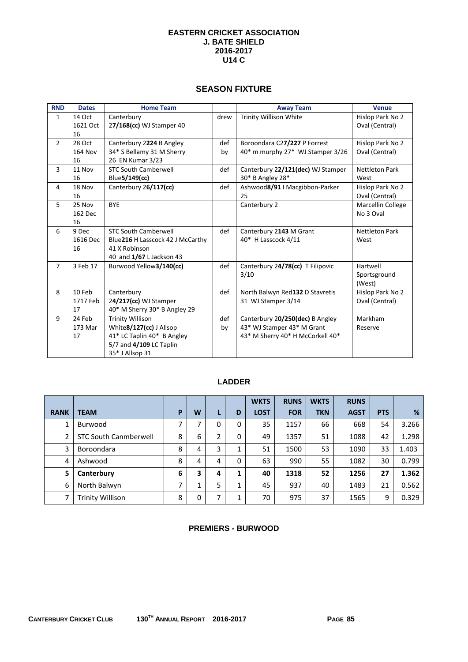#### **EASTERN CRICKET ASSOCIATION J. BATE SHIELD 2016-2017 U14 C**

#### **SEASON FIXTURE**

| <b>RND</b>     | <b>Dates</b>   | <b>Home Team</b>                 |      | <b>Away Team</b>                  | <b>Venue</b>          |
|----------------|----------------|----------------------------------|------|-----------------------------------|-----------------------|
| $\mathbf{1}$   | 14 Oct         | Canterbury                       | drew | Trinity Willison White            | Hislop Park No 2      |
|                | 1621 Oct       | 27/168(cc) WJ Stamper 40         |      |                                   | Oval (Central)        |
|                | 16             |                                  |      |                                   |                       |
| $\overline{2}$ | 28 Oct         | Canterbury 2224 B Angley         | def  | Boroondara C27/227 P Forrest      | Hislop Park No 2      |
|                | <b>164 Nov</b> | 34* S Bellamy 31 M Sherry        | by   | 40* m murphy 27* WJ Stamper 3/26  | Oval (Central)        |
|                | 16             | 26 EN Kumar 3/23                 |      |                                   |                       |
| 3              | 11 Nov         | <b>STC South Camberwell</b>      | def  | Canterbury 22/121(dec) WJ Stamper | <b>Nettleton Park</b> |
|                | 16             | Blue 5/149(cc)                   |      | 30* B Angley 28*                  | West                  |
| 4              | 18 Nov         | Canterbury 26/117(cc)            | def  | Ashwood8/91   Macgibbon-Parker    | Hislop Park No 2      |
|                | 16             |                                  |      | 25                                | Oval (Central)        |
| 5              | 25 Nov         | <b>BYE</b>                       |      | Canterbury 2                      | Marcellin College     |
|                | 162 Dec        |                                  |      |                                   | No 3 Oval             |
|                | 16             |                                  |      |                                   |                       |
| 6              | 9 Dec          | <b>STC South Camberwell</b>      | def  | Canterbury 2143 M Grant           | <b>Nettleton Park</b> |
|                | 1616 Dec       | Blue216 H Lasscock 42 J McCarthy |      | 40* H Lasscock 4/11               | West                  |
|                | 16             | 41 X Robinson                    |      |                                   |                       |
|                |                | 40 and 1/67 L Jackson 43         |      |                                   |                       |
| $\overline{7}$ | 3 Feb 17       | Burwood Yellow3/140(cc)          | def  | Canterbury 24/78(cc) T Filipovic  | Hartwell              |
|                |                |                                  |      | 3/10                              | Sportsground          |
|                |                |                                  |      |                                   | (West)                |
| 8              | 10 Feb         | Canterbury                       | def  | North Balwyn Red132 D Stavretis   | Hislop Park No 2      |
|                | 1717 Feb       | 24/217(cc) WJ Stamper            |      | 31 WJ Stamper 3/14                | Oval (Central)        |
|                | 17             | 40* M Sherry 30* B Angley 29     |      |                                   |                       |
| 9              | 24 Feb         | <b>Trinity Willison</b>          | def  | Canterbury 20/250(dec) B Angley   | Markham               |
|                | 173 Mar        | White8/127(cc) J Allsop          | by   | 43* WJ Stamper 43* M Grant        | Reserve               |
|                | 17             | 41* LC Taplin 40* B Angley       |      | 43* M Sherry 40* H McCorkell 40*  |                       |
|                |                | 5/7 and 4/109 LC Taplin          |      |                                   |                       |
|                |                | 35* J Allsop 31                  |      |                                   |                       |

## **LADDER**

|                |                              |   |   |   |   | <b>WKTS</b> | <b>RUNS</b> | <b>WKTS</b> | <b>RUNS</b> |            |       |
|----------------|------------------------------|---|---|---|---|-------------|-------------|-------------|-------------|------------|-------|
| <b>RANK</b>    | <b>TEAM</b>                  | P | W | L | D | <b>LOST</b> | <b>FOR</b>  | <b>TKN</b>  | <b>AGST</b> | <b>PTS</b> | %     |
| 1              | Burwood                      | 7 | 7 | 0 | 0 | 35          | 1157        | 66          | 668         | 54         | 3.266 |
| $\overline{2}$ | <b>STC South Canmberwell</b> | 8 | 6 | 2 | 0 | 49          | 1357        | 51          | 1088        | 42         | 1.298 |
| 3              | Boroondara                   | 8 | 4 | 3 | 1 | 51          | 1500        | 53          | 1090        | 33         | 1.403 |
| 4              | Ashwood                      | 8 | 4 | 4 | 0 | 63          | 990         | 55          | 1082        | 30         | 0.799 |
| 5              | Canterbury                   | 6 | 3 | 4 | 1 | 40          | 1318        | 52          | 1256        | 27         | 1.362 |
| 6              | North Balwyn                 |   |   | 5 | 1 | 45          | 937         | 40          | 1483        | 21         | 0.562 |
| 7              | Trinity Willison             | 8 | 0 | 7 | 1 | 70          | 975         | 37          | 1565        | 9          | 0.329 |

## **PREMIERS - BURWOOD**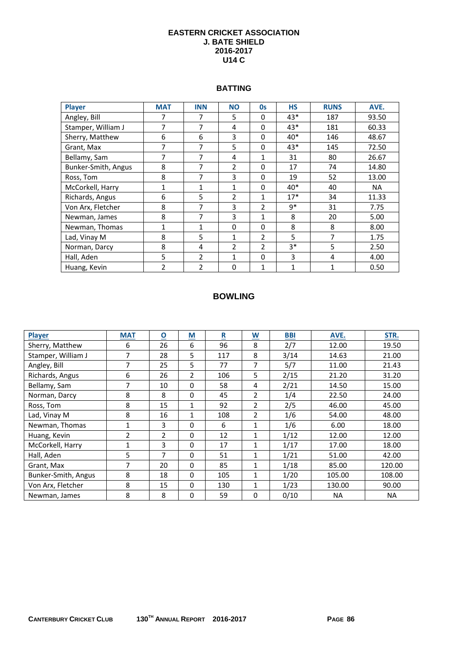#### **EASTERN CRICKET ASSOCIATION J. BATE SHIELD 2016-2017 U14 C**

#### **BATTING**

| <b>Player</b>       | <b>MAT</b>     | <b>INN</b>     | <b>NO</b>      | O <sub>S</sub> | <b>HS</b> | <b>RUNS</b> | AVE.      |
|---------------------|----------------|----------------|----------------|----------------|-----------|-------------|-----------|
| Angley, Bill        | 7              | 7              | 5              | $\Omega$       | 43*       | 187         | 93.50     |
| Stamper, William J  | 7              | 7              | 4              | $\Omega$       | 43*       | 181         | 60.33     |
| Sherry, Matthew     | 6              | 6              | 3              | 0              | 40*       | 146         | 48.67     |
| Grant, Max          | $\overline{7}$ | 7              | 5              | $\Omega$       | 43*       | 145         | 72.50     |
| Bellamy, Sam        | 7              | 7              | 4              | 1              | 31        | 80          | 26.67     |
| Bunker-Smith, Angus | 8              | 7              | 2              | $\Omega$       | 17        | 74          | 14.80     |
| Ross, Tom           | 8              | 7              | 3              | $\Omega$       | 19        | 52          | 13.00     |
| McCorkell, Harry    | 1              | 1              | 1              | 0              | 40*       | 40          | <b>NA</b> |
| Richards, Angus     | 6              | 5              | $\overline{2}$ | 1              | $17*$     | 34          | 11.33     |
| Von Arx, Fletcher   | 8              | 7              | 3              | $\overline{2}$ | 9*        | 31          | 7.75      |
| Newman, James       | 8              | 7              | 3              | 1              | 8         | 20          | 5.00      |
| Newman, Thomas      | 1              | 1              | $\Omega$       | $\Omega$       | 8         | 8           | 8.00      |
| Lad, Vinay M        | 8              | 5              | 1              | 2              | 5         | 7           | 1.75      |
| Norman, Darcy       | 8              | 4              | 2              | $\overline{2}$ | $3*$      | 5           | 2.50      |
| Hall, Aden          | 5              | $\overline{2}$ | $\mathbf{1}$   | $\Omega$       | 3         | 4           | 4.00      |
| Huang, Kevin        | $\overline{2}$ | $\overline{2}$ | $\mathbf 0$    | $\mathbf{1}$   | 1         | 1           | 0.50      |

| Player              | <b>MAT</b>     | $\overline{\mathbf{0}}$ | $\underline{\mathsf{M}}$ | $\underline{\mathbf{R}}$ | $\underline{\mathsf{w}}$ | <b>BBI</b> | AVE.      | STR.      |
|---------------------|----------------|-------------------------|--------------------------|--------------------------|--------------------------|------------|-----------|-----------|
| Sherry, Matthew     | 6              | 26                      | 6                        | 96                       | 8                        | 2/7        | 12.00     | 19.50     |
| Stamper, William J  | 7              | 28                      | 5                        | 117                      | 8                        | 3/14       | 14.63     | 21.00     |
| Angley, Bill        | $\overline{7}$ | 25                      | 5                        | 77                       | 7                        | 5/7        | 11.00     | 21.43     |
| Richards, Angus     | 6              | 26                      | $\overline{2}$           | 106                      | 5                        | 2/15       | 21.20     | 31.20     |
| Bellamy, Sam        | 7              | 10                      | $\Omega$                 | 58                       | 4                        | 2/21       | 14.50     | 15.00     |
| Norman, Darcy       | 8              | 8                       | $\Omega$                 | 45                       | $\overline{2}$           | 1/4        | 22.50     | 24.00     |
| Ross, Tom           | 8              | 15                      | 1                        | 92                       | 2                        | 2/5        | 46.00     | 45.00     |
| Lad, Vinay M        | 8              | 16                      | 1                        | 108                      | 2                        | 1/6        | 54.00     | 48.00     |
| Newman, Thomas      | $\mathbf{1}$   | 3                       | $\Omega$                 | 6                        | $\mathbf{1}$             | 1/6        | 6.00      | 18.00     |
| Huang, Kevin        | $\overline{2}$ | $\overline{2}$          | $\Omega$                 | 12                       | 1                        | 1/12       | 12.00     | 12.00     |
| McCorkell, Harry    | $\mathbf{1}$   | 3                       | $\Omega$                 | 17                       | $\mathbf{1}$             | 1/17       | 17.00     | 18.00     |
| Hall, Aden          | 5              | 7                       | $\Omega$                 | 51                       | 1                        | 1/21       | 51.00     | 42.00     |
| Grant, Max          | 7              | 20                      | $\Omega$                 | 85                       | 1                        | 1/18       | 85.00     | 120.00    |
| Bunker-Smith, Angus | 8              | 18                      | $\Omega$                 | 105                      | 1                        | 1/20       | 105.00    | 108.00    |
| Von Arx, Fletcher   | 8              | 15                      | $\Omega$                 | 130                      | 1                        | 1/23       | 130.00    | 90.00     |
| Newman, James       | 8              | 8                       | $\Omega$                 | 59                       | $\Omega$                 | 0/10       | <b>NA</b> | <b>NA</b> |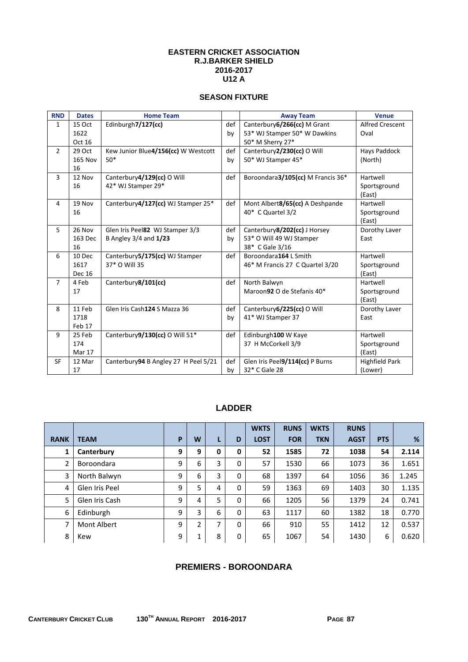#### **EASTERN CRICKET ASSOCIATION R.J.BARKER SHIELD 2016-2017 U12 A**

## **SEASON FIXTURE**

| <b>RND</b>     | <b>Dates</b>   | <b>Home Team</b>                      |     | <b>Away Team</b>                  | <b>Venue</b>           |
|----------------|----------------|---------------------------------------|-----|-----------------------------------|------------------------|
| $\mathbf{1}$   | 15 Oct         | Edinburgh7/127(cc)                    | def | Canterbury 6/266(cc) M Grant      | <b>Alfred Crescent</b> |
|                | 1622           |                                       | by  | 53* WJ Stamper 50* W Dawkins      | Oval                   |
|                | Oct 16         |                                       |     | 50* M Sherry 27*                  |                        |
| $\overline{2}$ | 29 Oct         | Kew Junior Blue4/156(cc) W Westcott   | def | Canterbury2/230(cc) O Will        | Hays Paddock           |
|                | <b>165 Nov</b> | $50*$                                 | by  | 50* WJ Stamper 45*                | (North)                |
|                | 16             |                                       |     |                                   |                        |
| 3              | 12 Nov         | Canterbury4/129(cc) O Will            | def | Boroondara3/105(cc) M Francis 36* | Hartwell               |
|                | 16             | 42* WJ Stamper 29*                    |     |                                   | Sportsground           |
|                |                |                                       |     |                                   | (East)                 |
| 4              | 19 Nov         | Canterbury4/127(cc) WJ Stamper 25*    | def | Mont Albert8/65(cc) A Deshpande   | Hartwell               |
|                | 16             |                                       |     | 40* C Quartel 3/2                 | Sportsground           |
|                |                |                                       |     |                                   | (East)                 |
| 5              | 26 Nov         | Glen Iris Peel82 WJ Stamper 3/3       | def | Canterbury8/202(cc) J Horsey      | Dorothy Laver          |
|                | 163 Dec        | B Angley 3/4 and 1/23                 | by  | 53* O Will 49 WJ Stamper          | East                   |
|                | 16             |                                       |     | 38* C Gale 3/16                   |                        |
| 6              | 10 Dec         | Canterbury5/175(cc) WJ Stamper        | def | Boroondara164 L Smith             | Hartwell               |
|                | 1617           | 37* O Will 35                         |     | 46* M Francis 27 C Quartel 3/20   | Sportsground           |
|                | <b>Dec 16</b>  |                                       |     |                                   | (East)                 |
| $\overline{7}$ | 4 Feb          | Canterbury8/101(cc)                   | def | North Balwyn                      | Hartwell               |
|                | 17             |                                       |     | Maroon92 O de Stefanis 40*        | Sportsground           |
|                |                |                                       |     |                                   | (East)                 |
| 8              | 11 Feb         | Glen Iris Cash124 S Mazza 36          | def | Canterbury6/225(cc) O Will        | Dorothy Laver          |
|                | 1718           |                                       | by  | 41* WJ Stamper 37                 | East                   |
|                | Feb 17         |                                       |     |                                   |                        |
| 9              | 25 Feb         | Canterbury9/130(cc) O Will 51*        | def | Edinburgh100 W Kaye               | Hartwell               |
|                | 174            |                                       |     | 37 H McCorkell 3/9                | Sportsground           |
|                | Mar 17         |                                       |     |                                   | (East)                 |
| <b>SF</b>      | 12 Mar         | Canterbury 94 B Angley 27 H Peel 5/21 | def | Glen Iris Peel9/114(cc) P Burns   | <b>Highfield Park</b>  |
|                | 17             |                                       | by  | 32* C Gale 28                     | (Lower)                |

## **LADDER**

|                |                |   |                               |   |   | <b>WKTS</b> | <b>RUNS</b> | <b>WKTS</b> | <b>RUNS</b> |            |       |
|----------------|----------------|---|-------------------------------|---|---|-------------|-------------|-------------|-------------|------------|-------|
| <b>RANK</b>    | <b>TEAM</b>    | P | W                             | L | D | <b>LOST</b> | <b>FOR</b>  | <b>TKN</b>  | <b>AGST</b> | <b>PTS</b> | %     |
| 1              | Canterbury     | 9 | 9                             | 0 | 0 | 52          | 1585        | 72          | 1038        | 54         | 2.114 |
| $\overline{2}$ | Boroondara     | 9 | 6                             | 3 | 0 | 57          | 1530        | 66          | 1073        | 36         | 1.651 |
| 3              | North Balwyn   | 9 | 6                             | 3 | 0 | 68          | 1397        | 64          | 1056        | 36         | 1.245 |
| 4              | Glen Iris Peel | 9 | 5                             | 4 | 0 | 59          | 1363        | 69          | 1403        | 30         | 1.135 |
| 5              | Glen Iris Cash | 9 | 4                             | 5 | 0 | 66          | 1205        | 56          | 1379        | 24         | 0.741 |
| 6              | Edinburgh      | 9 | 3                             | 6 | 0 | 63          | 1117        | 60          | 1382        | 18         | 0.770 |
| 7              | Mont Albert    | 9 | 2                             | 7 | 0 | 66          | 910         | 55          | 1412        | 12         | 0.537 |
| 8              | Kew            | 9 | $\overline{\phantom{a}}$<br>┻ | 8 | 0 | 65          | 1067        | 54          | 1430        | 6          | 0.620 |

## **PREMIERS - BOROONDARA**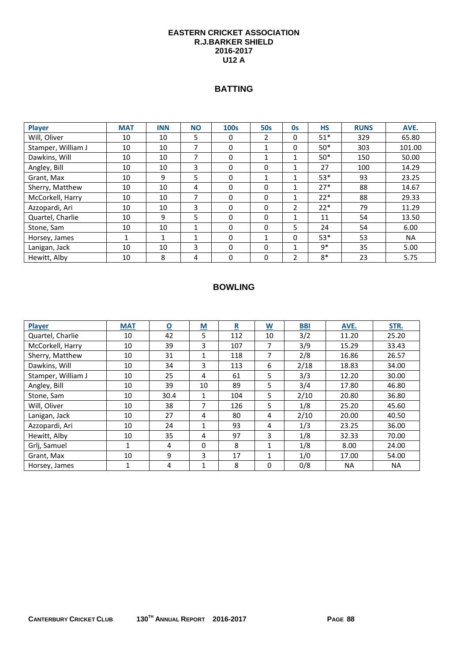#### **EASTERN CRICKET ASSOCIATION R.J.BARKER SHIELD 2016-2017 U12 A**

## **BATTING**

| <b>Player</b>      | <b>MAT</b> | <b>INN</b> | <b>NO</b> | <b>100s</b> | <b>50s</b>   | <b>Os</b>     | <b>HS</b> | <b>RUNS</b> | AVE.      |
|--------------------|------------|------------|-----------|-------------|--------------|---------------|-----------|-------------|-----------|
| Will, Oliver       | 10         | 10         | 5         | 0           | 2            | 0             | $51*$     | 329         | 65.80     |
| Stamper, William J | 10         | 10         |           | 0           |              | 0             | $50*$     | 303         | 101.00    |
| Dawkins, Will      | 10         | 10         | ⇁         | $\Omega$    | 1            | 1             | $50*$     | 150         | 50.00     |
| Angley, Bill       | 10         | 10         | 3         | 0           | $\mathbf{0}$ | 1             | 27        | 100         | 14.29     |
| Grant, Max         | 10         | 9          | 5         | 0           | 1            | ◢             | $53*$     | 93          | 23.25     |
| Sherry, Matthew    | 10         | 10         | 4         | 0           | 0            |               | $27*$     | 88          | 14.67     |
| McCorkell, Harry   | 10         | 10         | 7         | $\Omega$    | $\Omega$     | 1             | $22*$     | 88          | 29.33     |
| Azzopardi, Ari     | 10         | 10         | 3         | 0           | $\mathbf{0}$ | $\mathcal{P}$ | $22*$     | 79          | 11.29     |
| Quartel, Charlie   | 10         | 9          | 5         | 0           | $\mathbf{0}$ | 1             | 11        | 54          | 13.50     |
| Stone, Sam         | 10         | 10         | 1         | $\Omega$    | $\Omega$     | 5             | 24        | 54          | 6.00      |
| Horsey, James      |            | 1          | 1         | $\Omega$    | 1            | 0             | $53*$     | 53          | <b>NA</b> |
| Lanigan, Jack      | 10         | 10         | 3         | 0           | $\Omega$     |               | $9*$      | 35          | 5.00      |
| Hewitt, Alby       | 10         | 8          | 4         | $\Omega$    | $\Omega$     | າ             | 8*        | 23          | 5.75      |

| <b>Player</b>      | <b>MAT</b> | $\overline{\mathbf{0}}$ | $\underline{\mathsf{M}}$ | $\overline{\mathbf{R}}$ | <u>W</u> | <b>BBI</b> | AVE.  | STR.  |
|--------------------|------------|-------------------------|--------------------------|-------------------------|----------|------------|-------|-------|
| Quartel, Charlie   | 10         | 42                      | 5                        | 112                     | 10       | 3/2        | 11.20 | 25.20 |
| McCorkell, Harry   | 10         | 39                      | 3                        | 107                     | 7        | 3/9        | 15.29 | 33.43 |
| Sherry, Matthew    | 10         | 31                      |                          | 118                     | 7        | 2/8        | 16.86 | 26.57 |
| Dawkins, Will      | 10         | 34                      | 3                        | 113                     | 6        | 2/18       | 18.83 | 34.00 |
| Stamper, William J | 10         | 25                      | 4                        | 61                      | 5        | 3/3        | 12.20 | 30.00 |
| Angley, Bill       | 10         | 39                      | 10                       | 89                      | 5        | 3/4        | 17.80 | 46.80 |
| Stone, Sam         | 10         | 30.4                    | 1                        | 104                     | 5        | 2/10       | 20.80 | 36.80 |
| Will, Oliver       | 10         | 38                      | 7                        | 126                     | 5        | 1/8        | 25.20 | 45.60 |
| Lanigan, Jack      | 10         | 27                      | 4                        | 80                      | 4        | 2/10       | 20.00 | 40.50 |
| Azzopardi, Ari     | 10         | 24                      | 1                        | 93                      | 4        | 1/3        | 23.25 | 36.00 |
| Hewitt, Alby       | 10         | 35                      | 4                        | 97                      | 3        | 1/8        | 32.33 | 70.00 |
| Grlj, Samuel       | 1          | 4                       | $\Omega$                 | 8                       | 1        | 1/8        | 8.00  | 24.00 |
| Grant, Max         | 10         | 9                       | 3                        | 17                      | 1        | 1/0        | 17.00 | 54.00 |
| Horsey, James      | 1          | 4                       |                          | 8                       | 0        | 0/8        | NA.   | NA    |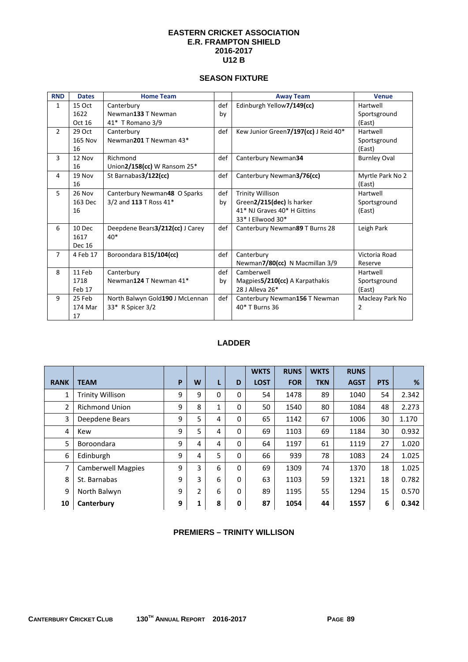#### **EASTERN CRICKET ASSOCIATION E.R. FRAMPTON SHIELD 2016-2017 U12 B**

## **SEASON FIXTURE**

| <b>RND</b>     | <b>Dates</b>   | <b>Home Team</b>                |     | <b>Away Team</b>                     | <b>Venue</b>        |
|----------------|----------------|---------------------------------|-----|--------------------------------------|---------------------|
| $\mathbf{1}$   | 15 Oct         | Canterbury                      | def | Edinburgh Yellow7/149(cc)            | Hartwell            |
|                | 1622           | Newman133 T Newman              | by  |                                      | Sportsground        |
|                | Oct 16         | 41* T Romano 3/9                |     |                                      | (East)              |
| $\overline{2}$ | 29 Oct         | Canterbury                      | def | Kew Junior Green7/197(cc) J Reid 40* | Hartwell            |
|                | <b>165 Nov</b> | Newman201 T Newman 43*          |     |                                      | Sportsground        |
|                | 16             |                                 |     |                                      | (East)              |
| 3              | 12 Nov         | Richmond                        | def | Canterbury Newman34                  | <b>Burnley Oval</b> |
|                | 16             | Union2/158(cc) W Ransom 25*     |     |                                      |                     |
| 4              | 19 Nov         | St Barnabas3/122(cc)            | def | Canterbury Newman3/76(cc)            | Myrtle Park No 2    |
|                | 16             |                                 |     |                                      | (East)              |
| 5              | 26 Nov         | Canterbury Newman48 O Sparks    | def | <b>Trinity Willison</b>              | Hartwell            |
|                | 163 Dec        | 3/2 and 113 T Ross 41*          | by  | Green2/215(dec) Is harker            | Sportsground        |
|                | 16             |                                 |     | 41* NJ Graves 40* H Gittins          | (East)              |
|                |                |                                 |     | 33* I Ellwood 30*                    |                     |
| 6              | 10 Dec         | Deepdene Bears3/212(cc) J Carey | def | Canterbury Newman89 T Burns 28       | Leigh Park          |
|                | 1617           | $40*$                           |     |                                      |                     |
|                | <b>Dec 16</b>  |                                 |     |                                      |                     |
| $\overline{7}$ | 4 Feb 17       | Boroondara B15/104(cc)          | def | Canterbury                           | Victoria Road       |
|                |                |                                 |     | Newman7/80(cc) N Macmillan 3/9       | Reserve             |
| 8              | 11 Feb         | Canterbury                      | def | Camberwell                           | Hartwell            |
|                | 1718           | Newman124 T Newman 41*          | by  | Magpies 5/210(cc) A Karpathakis      | Sportsground        |
|                | Feb 17         |                                 |     | 28 J Alleva 26*                      | (East)              |
| 9              | 25 Feb         | North Balwyn Gold190 J McLennan | def | Canterbury Newman156 T Newman        | Macleay Park No     |
|                | 174 Mar        | 33* R Spicer 3/2                |     | 40* T Burns 36                       | 2                   |
|                | 17             |                                 |     |                                      |                     |

## **LADDER**

|             |                           |   |   |             |             | <b>WKTS</b> | <b>RUNS</b> | <b>WKTS</b> | <b>RUNS</b> |            |       |
|-------------|---------------------------|---|---|-------------|-------------|-------------|-------------|-------------|-------------|------------|-------|
| <b>RANK</b> | <b>TEAM</b>               | P | W | L           | D           | <b>LOST</b> | <b>FOR</b>  | <b>TKN</b>  | <b>AGST</b> | <b>PTS</b> | %     |
| 1           | <b>Trinity Willison</b>   | 9 | 9 | $\mathbf 0$ | 0           | 54          | 1478        | 89          | 1040        | 54         | 2.342 |
| 2           | <b>Richmond Union</b>     | 9 | 8 | 1           | 0           | 50          | 1540        | 80          | 1084        | 48         | 2.273 |
| 3           | Deepdene Bears            | 9 | 5 | 4           | $\mathbf 0$ | 65          | 1142        | 67          | 1006        | 30         | 1.170 |
| 4           | Kew                       | 9 | 5 | 4           | 0           | 69          | 1103        | 69          | 1184        | 30         | 0.932 |
| 5           | Boroondara                | 9 | 4 | 4           | $\Omega$    | 64          | 1197        | 61          | 1119        | 27         | 1.020 |
| 6           | Edinburgh                 | 9 | 4 | 5           | $\Omega$    | 66          | 939         | 78          | 1083        | 24         | 1.025 |
| 7           | <b>Camberwell Magpies</b> | 9 | 3 | 6           | $\Omega$    | 69          | 1309        | 74          | 1370        | 18         | 1.025 |
| 8           | St. Barnabas              | 9 | 3 | 6           | 0           | 63          | 1103        | 59          | 1321        | 18         | 0.782 |
| 9           | North Balwyn              | 9 | 2 | 6           | 0           | 89          | 1195        | 55          | 1294        | 15         | 0.570 |
| 10          | Canterbury                | 9 | 1 | 8           | $\mathbf 0$ | 87          | 1054        | 44          | 1557        | 6          | 0.342 |

#### **PREMIERS – TRINITY WILLISON**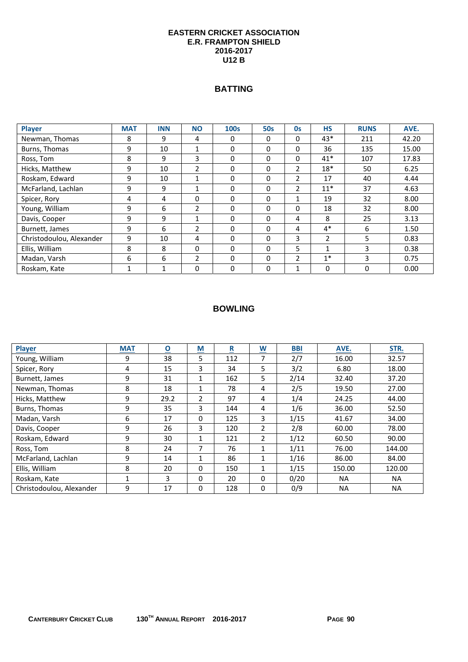#### **EASTERN CRICKET ASSOCIATION E.R. FRAMPTON SHIELD 2016-2017 U12 B**

## **BATTING**

| <b>Player</b>            | <b>MAT</b> | <b>INN</b> | <b>NO</b>      | <b>100s</b> | <b>50s</b> | 0s           | <b>HS</b>      | <b>RUNS</b> | AVE.  |
|--------------------------|------------|------------|----------------|-------------|------------|--------------|----------------|-------------|-------|
| Newman, Thomas           | 8          | 9          | 4              | 0           | 0          | $\mathbf{0}$ | $43*$          | 211         | 42.20 |
| Burns, Thomas            | 9          | 10         | 1              | 0           | 0          | 0            | 36             | 135         | 15.00 |
| Ross, Tom                | 8          | 9          | 3              | $\Omega$    | 0          | 0            | $41*$          | 107         | 17.83 |
| Hicks, Matthew           | 9          | 10         | 2              | $\Omega$    | 0          | 2            | $18*$          | 50          | 6.25  |
| Roskam, Edward           | 9          | 10         | 1              | $\Omega$    | 0          | 2            | 17             | 40          | 4.44  |
| McFarland, Lachlan       | 9          | 9          | 1              | $\Omega$    | 0          | 2            | $11*$          | 37          | 4.63  |
| Spicer, Rory             | 4          | 4          | $\Omega$       | $\Omega$    | 0          | 1            | 19             | 32          | 8.00  |
| Young, William           | 9          | 6          | $\overline{2}$ | 0           | 0          | 0            | 18             | 32          | 8.00  |
| Davis, Cooper            | 9          | 9          | 1              | $\Omega$    | 0          | 4            | 8              | 25          | 3.13  |
| Burnett, James           | 9          | 6          | $\overline{2}$ | $\Omega$    | 0          | 4            | $4*$           | 6           | 1.50  |
| Christodoulou, Alexander | 9          | 10         | 4              | $\Omega$    | 0          | 3            | $\overline{2}$ | 5           | 0.83  |
| Ellis, William           | 8          | 8          | $\Omega$       | $\Omega$    | 0          | 5            | 1              | 3           | 0.38  |
| Madan, Varsh             | 6          | 6          | 2              | $\Omega$    | 0          | 2            | $1^*$          | 3           | 0.75  |
| Roskam, Kate             | 1          | 1          | 0              | $\Omega$    | 0          | 1            | $\Omega$       | $\Omega$    | 0.00  |

| <b>Player</b>            | <b>MAT</b> | $\overline{\mathbf{o}}$ | $\underline{\mathsf{M}}$ | $\underline{\mathbf{R}}$ | $\underline{\mathsf{W}}$ | <b>BBI</b> | AVE.      | STR.      |
|--------------------------|------------|-------------------------|--------------------------|--------------------------|--------------------------|------------|-----------|-----------|
| Young, William           | 9          | 38                      | 5                        | 112                      | 7                        | 2/7        | 16.00     | 32.57     |
| Spicer, Rory             | 4          | 15                      | 3                        | 34                       | 5                        | 3/2        | 6.80      | 18.00     |
| Burnett, James           | 9          | 31                      | 1                        | 162                      | 5                        | 2/14       | 32.40     | 37.20     |
| Newman, Thomas           | 8          | 18                      | $\mathbf{1}$             | 78                       | 4                        | 2/5        | 19.50     | 27.00     |
| Hicks, Matthew           | 9          | 29.2                    | 2                        | 97                       | 4                        | 1/4        | 24.25     | 44.00     |
| Burns, Thomas            | 9          | 35                      | 3                        | 144                      | 4                        | 1/6        | 36.00     | 52.50     |
| Madan, Varsh             | 6          | 17                      | 0                        | 125                      | 3                        | 1/15       | 41.67     | 34.00     |
| Davis, Cooper            | 9          | 26                      | 3                        | 120                      | 2                        | 2/8        | 60.00     | 78.00     |
| Roskam, Edward           | 9          | 30                      | 1                        | 121                      | 2                        | 1/12       | 60.50     | 90.00     |
| Ross, Tom                | 8          | 24                      | 7                        | 76                       | 1                        | 1/11       | 76.00     | 144.00    |
| McFarland, Lachlan       | 9          | 14                      | 1                        | 86                       | 1                        | 1/16       | 86.00     | 84.00     |
| Ellis, William           | 8          | 20                      | 0                        | 150                      | 1                        | 1/15       | 150.00    | 120.00    |
| Roskam, Kate             | 1          | 3                       | 0                        | 20                       | 0                        | 0/20       | <b>NA</b> | <b>NA</b> |
| Christodoulou, Alexander | 9          | 17                      | 0                        | 128                      | 0                        | 0/9        | <b>NA</b> | <b>NA</b> |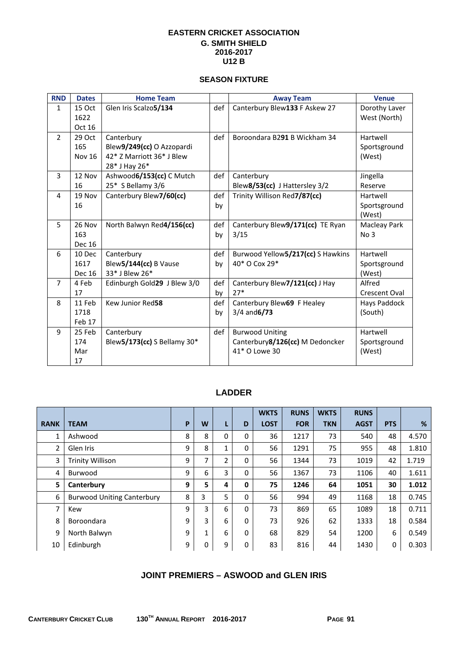## **EASTERN CRICKET ASSOCIATION G. SMITH SHIELD 2016-2017 U12 B**

# **SEASON FIXTURE**

| <b>RND</b>     | <b>Dates</b>  | <b>Home Team</b>            |     | <b>Away Team</b>                  | <b>Venue</b>    |
|----------------|---------------|-----------------------------|-----|-----------------------------------|-----------------|
| $\mathbf{1}$   | 15 Oct        | Glen Iris Scalzo5/134       | def | Canterbury Blew133 F Askew 27     | Dorothy Laver   |
|                | 1622          |                             |     |                                   | West (North)    |
|                | Oct 16        |                             |     |                                   |                 |
| $\overline{2}$ | 29 Oct        | Canterbury                  | def | Boroondara B291 B Wickham 34      | Hartwell        |
|                | 165           | Blew9/249(cc) O Azzopardi   |     |                                   | Sportsground    |
|                | <b>Nov 16</b> | 42* Z Marriott 36* J Blew   |     |                                   | (West)          |
|                |               | 28* J Hay 26*               |     |                                   |                 |
| 3              | 12 Nov        | Ashwood6/153(cc) C Mutch    | def | Canterbury                        | Jingella        |
|                | 16            | 25* S Bellamy 3/6           |     | Blew8/53(cc) J Hattersley 3/2     | Reserve         |
| 4              | 19 Nov        | Canterbury Blew7/60(cc)     | def | Trinity Willison Red7/87(cc)      | Hartwell        |
|                | 16            |                             | by  |                                   | Sportsground    |
|                |               |                             |     |                                   | (West)          |
| 5              | 26 Nov        | North Balwyn Red4/156(cc)   | def | Canterbury Blew9/171(cc) TE Ryan  | Macleay Park    |
|                | 163           |                             | by  | 3/15                              | No <sub>3</sub> |
|                | <b>Dec 16</b> |                             |     |                                   |                 |
| 6              | 10 Dec        | Canterbury                  | def | Burwood Yellow5/217(cc) S Hawkins | Hartwell        |
|                | 1617          | Blew5/144(cc) B Vause       | by  | 40* O Cox 29*                     | Sportsground    |
|                | <b>Dec 16</b> | 33* J Blew 26*              |     |                                   | (West)          |
| $\overline{7}$ | 4 Feb         | Edinburgh Gold29 J Blew 3/0 | def | Canterbury Blew7/121(cc) J Hay    | Alfred          |
|                | 17            |                             | by  | $27*$                             | Crescent Oval   |
| 8              | 11 Feb        | Kew Junior Red58            | def | Canterbury Blew69 F Healey        | Hays Paddock    |
|                | 1718          |                             | by  | $3/4$ and $6/73$                  | (South)         |
|                | Feb 17        |                             |     |                                   |                 |
| 9              | 25 Feb        | Canterbury                  | def | <b>Burwood Uniting</b>            | Hartwell        |
|                | 174           | Blew5/173(cc) S Bellamy 30* |     | Canterbury8/126(cc) M Dedoncker   | Sportsground    |
|                | Mar           |                             |     | 41* O Lowe 30                     | (West)          |
|                | 17            |                             |     |                                   |                 |

# **LADDER**

|             |                                   |   |   |   |   | <b>WKTS</b> | <b>RUNS</b> | <b>WKTS</b> | <b>RUNS</b> |            |       |
|-------------|-----------------------------------|---|---|---|---|-------------|-------------|-------------|-------------|------------|-------|
| <b>RANK</b> | <b>TEAM</b>                       | P | W | L | D | <b>LOST</b> | <b>FOR</b>  | <b>TKN</b>  | <b>AGST</b> | <b>PTS</b> | %     |
| 1           | Ashwood                           | 8 | 8 | 0 | 0 | 36          | 1217        | 73          | 540         | 48         | 4.570 |
| 2           | Glen Iris                         | 9 | 8 |   | 0 | 56          | 1291        | 75          | 955         | 48         | 1.810 |
| 3           | <b>Trinity Willison</b>           | 9 | 7 | 2 | 0 | 56          | 1344        | 73          | 1019        | 42         | 1.719 |
| 4           | Burwood                           | 9 | 6 | 3 | 0 | 56          | 1367        | 73          | 1106        | 40         | 1.611 |
| 5           | Canterbury                        | 9 | 5 | 4 | 0 | 75          | 1246        | 64          | 1051        | 30         | 1.012 |
| 6           | <b>Burwood Uniting Canterbury</b> | 8 | 3 | 5 | 0 | 56          | 994         | 49          | 1168        | 18         | 0.745 |
| 7           | Kew                               | 9 | 3 | 6 | 0 | 73          | 869         | 65          | 1089        | 18         | 0.711 |
| 8           | Boroondara                        | 9 | 3 | 6 | 0 | 73          | 926         | 62          | 1333        | 18         | 0.584 |
| 9           | North Balwyn                      | 9 | 1 | 6 | 0 | 68          | 829         | 54          | 1200        | 6          | 0.549 |
| 10          | Edinburgh                         | 9 | 0 | 9 | 0 | 83          | 816         | 44          | 1430        | 0          | 0.303 |

# **JOINT PREMIERS – ASWOOD and GLEN IRIS**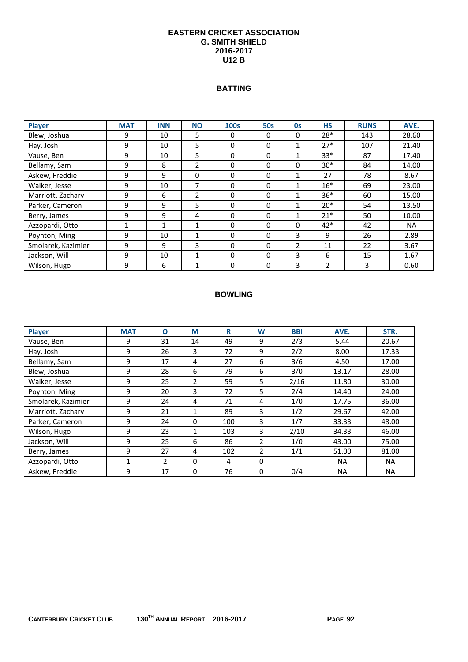#### **EASTERN CRICKET ASSOCIATION G. SMITH SHIELD 2016-2017 U12 B**

#### **BATTING**

| Player             | <b>MAT</b> | <b>INN</b> | <b>NO</b>      | 100s     | <b>50s</b> | <b>Os</b>    | <b>HS</b> | <b>RUNS</b> | AVE.      |
|--------------------|------------|------------|----------------|----------|------------|--------------|-----------|-------------|-----------|
| Blew, Joshua       | 9          | 10         | 5              | $\Omega$ | $\Omega$   | 0            | $28*$     | 143         | 28.60     |
| Hay, Josh          | 9          | 10         | 5              | 0        | 0          | $\mathbf{1}$ | $27*$     | 107         | 21.40     |
| Vause, Ben         | 9          | 10         | 5              | $\Omega$ | $\Omega$   |              | $33*$     | 87          | 17.40     |
| Bellamy, Sam       | 9          | 8          | $\overline{2}$ | 0        | 0          | 0            | $30*$     | 84          | 14.00     |
| Askew, Freddie     | 9          | 9          | $\Omega$       | $\Omega$ | 0          | 1            | 27        | 78          | 8.67      |
| Walker, Jesse      | 9          | 10         | $\overline{7}$ | 0        | 0          | $\mathbf{1}$ | $16*$     | 69          | 23.00     |
| Marriott, Zachary  | 9          | 6          | $\mathfrak{p}$ | $\Omega$ | 0          |              | $36*$     | 60          | 15.00     |
| Parker, Cameron    | 9          | 9          | 5              | $\Omega$ | 0          |              | $20*$     | 54          | 13.50     |
| Berry, James       | 9          | 9          | 4              | 0        | $\Omega$   |              | $21*$     | 50          | 10.00     |
| Azzopardi, Otto    | 1          | 1          | $\mathbf{1}$   | 0        | 0          | 0            | 42*       | 42          | <b>NA</b> |
| Poynton, Ming      | 9          | 10         | 1              | $\Omega$ | $\Omega$   | 3            | 9         | 26          | 2.89      |
| Smolarek, Kazimier | 9          | 9          | 3              | $\Omega$ | 0          | 2            | 11        | 22          | 3.67      |
| Jackson, Will      | 9          | 10         | 1              | $\Omega$ | $\Omega$   | 3            | 6         | 15          | 1.67      |
| Wilson, Hugo       | 9          | 6          | 1              | $\Omega$ | 0          | 3            | 2         | 3           | 0.60      |

| <b>Player</b>      | <b>MAT</b> | $\overline{\mathbf{0}}$ | M              | R   | $\overline{\mathsf{W}}$ | <b>BBI</b> | AVE.      | STR.      |
|--------------------|------------|-------------------------|----------------|-----|-------------------------|------------|-----------|-----------|
| Vause, Ben         | 9          | 31                      | 14             | 49  | 9                       | 2/3        | 5.44      | 20.67     |
| Hay, Josh          | 9          | 26                      | 3              | 72  | 9                       | 2/2        | 8.00      | 17.33     |
| Bellamy, Sam       | 9          | 17                      | 4              | 27  | 6                       | 3/6        | 4.50      | 17.00     |
| Blew, Joshua       | 9          | 28                      | 6              | 79  | 6                       | 3/0        | 13.17     | 28.00     |
| Walker, Jesse      | 9          | 25                      | $\overline{2}$ | 59  | 5                       | 2/16       | 11.80     | 30.00     |
| Poynton, Ming      | 9          | 20                      | 3              | 72  | 5                       | 2/4        | 14.40     | 24.00     |
| Smolarek, Kazimier | 9          | 24                      | 4              | 71  | 4                       | 1/0        | 17.75     | 36.00     |
| Marriott, Zachary  | 9          | 21                      | 1              | 89  | 3                       | 1/2        | 29.67     | 42.00     |
| Parker, Cameron    | 9          | 24                      | 0              | 100 | 3                       | 1/7        | 33.33     | 48.00     |
| Wilson, Hugo       | 9          | 23                      | 1              | 103 | 3                       | 2/10       | 34.33     | 46.00     |
| Jackson, Will      | 9          | 25                      | 6              | 86  | 2                       | 1/0        | 43.00     | 75.00     |
| Berry, James       | 9          | 27                      | 4              | 102 | $\mathfrak{p}$          | 1/1        | 51.00     | 81.00     |
| Azzopardi, Otto    |            | $\overline{2}$          | $\Omega$       | 4   | $\Omega$                |            | <b>NA</b> | <b>NA</b> |
| Askew, Freddie     | 9          | 17                      | 0              | 76  | $\Omega$                | 0/4        | <b>NA</b> | <b>NA</b> |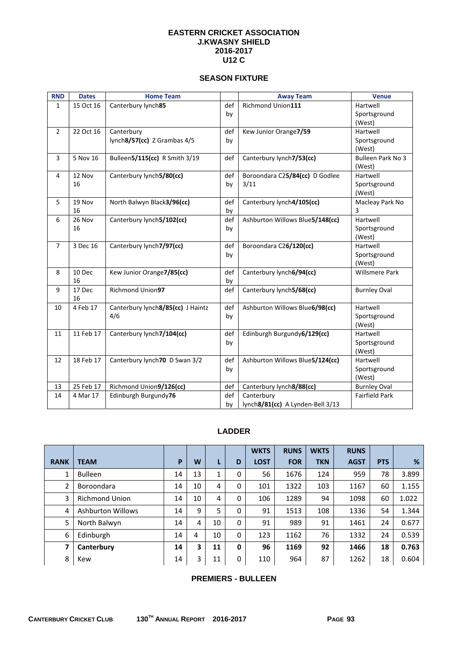#### **EASTERN CRICKET ASSOCIATION J.KWASNY SHIELD 2016-2017 U12 C**

## **SEASON FIXTURE**

| <b>RND</b>     | <b>Dates</b> | <b>Home Team</b>                         |           | <b>Away Team</b>                 | <b>Venue</b>             |
|----------------|--------------|------------------------------------------|-----------|----------------------------------|--------------------------|
| $\mathbf{1}$   | 15 Oct 16    | Canterbury lynch85                       | def       | Richmond Union111                | Hartwell                 |
|                |              |                                          | by        |                                  | Sportsground             |
| $\overline{2}$ | 22 Oct 16    | Canterbury                               | def       | Kew Junior Orange7/59            | (West)<br>Hartwell       |
|                |              | lynch8/57(cc) Z Grambas 4/5              | by        |                                  | Sportsground             |
|                |              |                                          |           |                                  | (West)                   |
| $\overline{3}$ | 5 Nov 16     | Bulleen5/115(cc) R Smith 3/19            | def       | Canterbury lynch7/53(cc)         | Bulleen Park No 3        |
|                |              |                                          |           |                                  | (West)                   |
| 4              | 12 Nov       | Canterbury lynch5/80(cc)                 | def       | Boroondara C25/84(cc) D Godlee   | Hartwell                 |
|                | 16           |                                          | by        | 3/11                             | Sportsground             |
|                |              |                                          |           |                                  | (West)                   |
| 5              | 19 Nov       | North Balwyn Black3/96(cc)               | def       | Canterbury lynch4/105(cc)        | Macleay Park No          |
| 6              | 16<br>26 Nov | Canterbury lynch5/102(cc)                | by<br>def | Ashburton Willows Blue5/148(cc)  | 3<br>Hartwell            |
|                | 16           |                                          | by        |                                  | Sportsground             |
|                |              |                                          |           |                                  | (West)                   |
| $\overline{7}$ | 3 Dec 16     | Canterbury lynch7/97(cc)                 | def       | Boroondara C26/120(cc)           | Hartwell                 |
|                |              |                                          | by        |                                  | Sportsground             |
|                |              |                                          |           |                                  | (West)                   |
| 8              | 10 Dec       | Kew Junior Orange7/85(cc)                | def       | Canterbury lynch6/94(cc)         | <b>Willsmere Park</b>    |
|                | 16           |                                          | by        |                                  |                          |
| 9              | 17 Dec       | <b>Richmond Union97</b>                  | def       | Canterbury lynch5/68(cc)         | <b>Burnley Oval</b>      |
|                | 16           |                                          |           |                                  |                          |
| 10             | 4 Feb 17     | Canterbury lynch8/85(cc) J Haintz<br>4/6 | def<br>by | Ashburton Willows Blue6/98(cc)   | Hartwell<br>Sportsground |
|                |              |                                          |           |                                  | (West)                   |
| 11             | 11 Feb 17    | Canterbury lynch7/104(cc)                | def       | Edinburgh Burgundy6/129(cc)      | Hartwell                 |
|                |              |                                          | by        |                                  | Sportsground             |
|                |              |                                          |           |                                  | (West)                   |
| 12             | 18 Feb 17    | Canterbury lynch70 D Swan 3/2            | def       | Ashburton Willows Blue5/124(cc)  | Hartwell                 |
|                |              |                                          | by        |                                  | Sportsground             |
|                |              |                                          |           |                                  | (West)                   |
| 13             | 25 Feb 17    | Richmond Union9/126(cc)                  | def       | Canterbury lynch8/88(cc)         | <b>Burnley Oval</b>      |
| 14             | 4 Mar 17     | Edinburgh Burgundy76                     | def       | Canterbury                       | <b>Fairfield Park</b>    |
|                |              |                                          | by        | lynch8/81(cc) A Lynden-Bell 3/13 |                          |

#### **LADDER**

|                |                          |    |    |    |             | <b>WKTS</b> | <b>RUNS</b> | <b>WKTS</b> | <b>RUNS</b> |            |       |
|----------------|--------------------------|----|----|----|-------------|-------------|-------------|-------------|-------------|------------|-------|
| <b>RANK</b>    | <b>TEAM</b>              | P  | W  | L  | D           | <b>LOST</b> | <b>FOR</b>  | <b>TKN</b>  | <b>AGST</b> | <b>PTS</b> | %     |
|                | Bulleen                  | 14 | 13 | 1  | 0           | 56          | 1676        | 124         | 959         | 78         | 3.899 |
| $\overline{2}$ | Boroondara               | 14 | 10 | 4  | 0           | 101         | 1322        | 103         | 1167        | 60         | 1.155 |
| 3              | <b>Richmond Union</b>    | 14 | 10 | 4  | 0           | 106         | 1289        | 94          | 1098        | 60         | 1.022 |
| 4              | <b>Ashburton Willows</b> | 14 | 9  | 5  | 0           | 91          | 1513        | 108         | 1336        | 54         | 1.344 |
| 5.             | North Balwyn             | 14 | 4  | 10 | $\Omega$    | 91          | 989         | 91          | 1461        | 24         | 0.677 |
| 6              | Edinburgh                | 14 | 4  | 10 | 0           | 123         | 1162        | 76          | 1332        | 24         | 0.539 |
| 7              | Canterbury               | 14 | 3  | 11 | $\mathbf 0$ | 96          | 1169        | 92          | 1466        | 18         | 0.763 |
| 8              | Kew                      | 14 | 3  | 11 | 0           | 110         | 964         | 87          | 1262        | 18         | 0.604 |

## **PREMIERS - BULLEEN**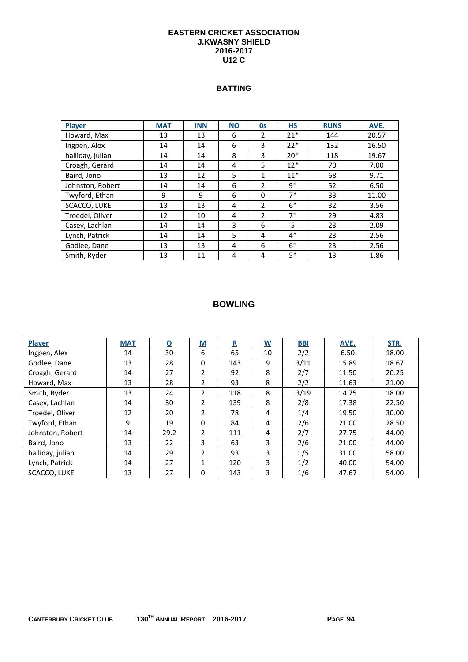#### **EASTERN CRICKET ASSOCIATION J.KWASNY SHIELD 2016-2017 U12 C**

## **BATTING**

| <b>Player</b>    | <b>MAT</b> | <b>INN</b> | <b>NO</b> | <b>Os</b>                | <b>HS</b> | <b>RUNS</b> | AVE.  |
|------------------|------------|------------|-----------|--------------------------|-----------|-------------|-------|
| Howard, Max      | 13         | 13         | 6         | 2                        | $21*$     | 144         | 20.57 |
| Ingpen, Alex     | 14         | 14         | 6         | 3                        | $22*$     | 132         | 16.50 |
| halliday, julian | 14         | 14         | 8         | 3                        | $20*$     | 118         | 19.67 |
| Croagh, Gerard   | 14         | 14         | 4         | 5                        | $12*$     | 70          | 7.00  |
| Baird, Jono      | 13         | 12         | 5         | 1                        | $11*$     | 68          | 9.71  |
| Johnston, Robert | 14         | 14         | 6         | $\overline{2}$           | $9*$      | 52          | 6.50  |
| Twyford, Ethan   | 9          | q          | 6         | $\Omega$                 | $7*$      | 33          | 11.00 |
| SCACCO, LUKE     | 13         | 13         | 4         | $\overline{\phantom{a}}$ | $6*$      | 32          | 3.56  |
| Troedel, Oliver  | 12         | 10         | 4         | $\overline{2}$           | $7*$      | 29          | 4.83  |
| Casey, Lachlan   | 14         | 14         | 3         | 6                        | 5         | 23          | 2.09  |
| Lynch, Patrick   | 14         | 14         | 5         | 4                        | $4*$      | 23          | 2.56  |
| Godlee, Dane     | 13         | 13         | 4         | 6                        | $6*$      | 23          | 2.56  |
| Smith, Ryder     | 13         | 11         | 4         | 4                        | $5*$      | 13          | 1.86  |

| Player              | <b>MAT</b> | $\overline{\mathbf{o}}$ | $\underline{\mathsf{M}}$ | $\mathbf R$ | $\underline{\mathsf{W}}$ | <b>BBI</b> | AVE.  | STR.  |
|---------------------|------------|-------------------------|--------------------------|-------------|--------------------------|------------|-------|-------|
| Ingpen, Alex        | 14         | 30                      | 6                        | 65          | 10                       | 2/2        | 6.50  | 18.00 |
| Godlee, Dane        | 13         | 28                      | 0                        | 143         | 9                        | 3/11       | 15.89 | 18.67 |
| Croagh, Gerard      | 14         | 27                      | 2                        | 92          | 8                        | 2/7        | 11.50 | 20.25 |
| Howard, Max         | 13         | 28                      | 2                        | 93          | 8                        | 2/2        | 11.63 | 21.00 |
| Smith, Ryder        | 13         | 24                      | $\overline{2}$           | 118         | 8                        | 3/19       | 14.75 | 18.00 |
| Casey, Lachlan      | 14         | 30                      | $\overline{2}$           | 139         | 8                        | 2/8        | 17.38 | 22.50 |
| Troedel, Oliver     | 12         | 20                      | $\overline{2}$           | 78          | 4                        | 1/4        | 19.50 | 30.00 |
| Twyford, Ethan      | 9          | 19                      | $\Omega$                 | 84          | 4                        | 2/6        | 21.00 | 28.50 |
| Johnston, Robert    | 14         | 29.2                    | $\overline{2}$           | 111         | 4                        | 2/7        | 27.75 | 44.00 |
| Baird, Jono         | 13         | 22                      | 3                        | 63          | 3                        | 2/6        | 21.00 | 44.00 |
| halliday, julian    | 14         | 29                      | $\overline{2}$           | 93          | 3                        | 1/5        | 31.00 | 58.00 |
| Lynch, Patrick      | 14         | 27                      | 1                        | 120         | 3                        | 1/2        | 40.00 | 54.00 |
| <b>SCACCO, LUKE</b> | 13         | 27                      | $\Omega$                 | 143         | 3                        | 1/6        | 47.67 | 54.00 |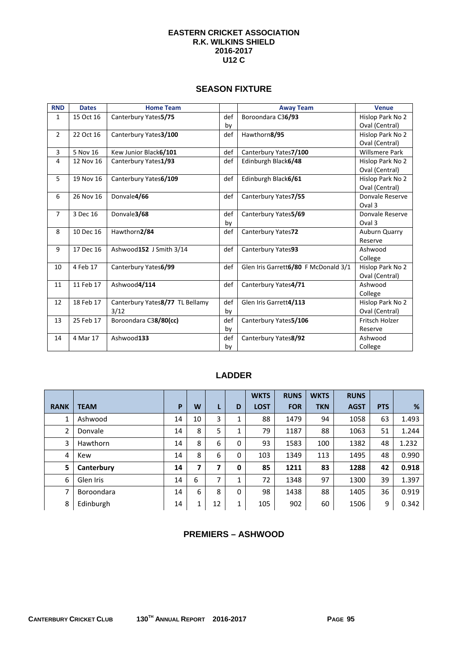#### **EASTERN CRICKET ASSOCIATION R.K. WILKINS SHIELD 2016-2017 U12 C**

#### **SEASON FIXTURE**

| <b>RND</b>     | <b>Dates</b> | <b>Home Team</b>                |     | <b>Away Team</b>                     | <b>Venue</b>          |
|----------------|--------------|---------------------------------|-----|--------------------------------------|-----------------------|
| 1              | 15 Oct 16    | Canterbury Yates5/75            | def | Boroondara C36/93                    | Hislop Park No 2      |
|                |              |                                 | by  |                                      | Oval (Central)        |
| $\overline{2}$ | 22 Oct 16    | Canterbury Yates3/100           | def | Hawthorn8/95                         | Hislop Park No 2      |
|                |              |                                 |     |                                      | Oval (Central)        |
| 3              | 5 Nov 16     | Kew Junior Black6/101           | def | Canterbury Yates7/100                | <b>Willsmere Park</b> |
| 4              | 12 Nov 16    | Canterbury Yates1/93            | def | Edinburgh Black6/48                  | Hislop Park No 2      |
|                |              |                                 |     |                                      | Oval (Central)        |
| 5              | 19 Nov 16    | Canterbury Yates6/109           | def | Edinburgh Black6/61                  | Hislop Park No 2      |
|                |              |                                 |     |                                      | Oval (Central)        |
| 6              | 26 Nov 16    | Donvale4/66                     | def | Canterbury Yates7/55                 | Donvale Reserve       |
|                |              |                                 |     |                                      | Oval 3                |
| $\overline{7}$ | 3 Dec 16     | Donvale3/68                     | def | Canterbury Yates5/69                 | Donvale Reserve       |
|                |              |                                 | by  |                                      | Oval 3                |
| 8              | 10 Dec 16    | Hawthorn2/84                    | def | Canterbury Yates72                   | Auburn Quarry         |
|                |              |                                 |     |                                      | Reserve               |
| 9              | 17 Dec 16    | Ashwood152 J Smith 3/14         | def | Canterbury Yates93                   | Ashwood               |
|                |              |                                 |     |                                      | College               |
| 10             | 4 Feb 17     | Canterbury Yates6/99            | def | Glen Iris Garrett6/80 F McDonald 3/1 | Hislop Park No 2      |
|                |              |                                 |     |                                      | Oval (Central)        |
| 11             | 11 Feb 17    | Ashwood4/114                    | def | Canterbury Yates4/71                 | Ashwood               |
|                |              |                                 |     |                                      | College               |
| 12             | 18 Feb 17    | Canterbury Yates8/77 TL Bellamy | def | Glen Iris Garrett4/113               | Hislop Park No 2      |
|                |              | 3/12                            | by  |                                      | Oval (Central)        |
| 13             | 25 Feb 17    | Boroondara C38/80(cc)           | def | Canterbury Yates5/106                | Fritsch Holzer        |
|                |              |                                 | by  |                                      | Reserve               |
| 14             | 4 Mar 17     | Ashwood133                      | def | Canterbury Yates8/92                 | Ashwood               |
|                |              |                                 | by  |                                      | College               |

# **LADDER**

|                |             |    |    |    |              | <b>WKTS</b> | <b>RUNS</b> | <b>WKTS</b> | <b>RUNS</b> |            |       |
|----------------|-------------|----|----|----|--------------|-------------|-------------|-------------|-------------|------------|-------|
| <b>RANK</b>    | <b>TEAM</b> | P  | W  | L  | D            | <b>LOST</b> | <b>FOR</b>  | <b>TKN</b>  | <b>AGST</b> | <b>PTS</b> | %     |
| 1              | Ashwood     | 14 | 10 | 3  | 1            | 88          | 1479        | 94          | 1058        | 63         | 1.493 |
| $\overline{2}$ | Donvale     | 14 | 8  | 5  | 1            | 79          | 1187        | 88          | 1063        | 51         | 1.244 |
| 3              | Hawthorn    | 14 | 8  | 6  | 0            | 93          | 1583        | 100         | 1382        | 48         | 1.232 |
| 4              | Kew         | 14 | 8  | 6  | 0            | 103         | 1349        | 113         | 1495        | 48         | 0.990 |
| 5              | Canterbury  | 14 | 7  | 7  | 0            | 85          | 1211        | 83          | 1288        | 42         | 0.918 |
| 6              | Glen Iris   | 14 | 6  | 7  | 1            | 72          | 1348        | 97          | 1300        | 39         | 1.397 |
| 7              | Boroondara  | 14 | 6  | 8  | $\mathbf{0}$ | 98          | 1438        | 88          | 1405        | 36         | 0.919 |
| 8              | Edinburgh   | 14 | 1  | 12 | 1            | 105         | 902         | 60          | 1506        | 9          | 0.342 |

# **PREMIERS – ASHWOOD**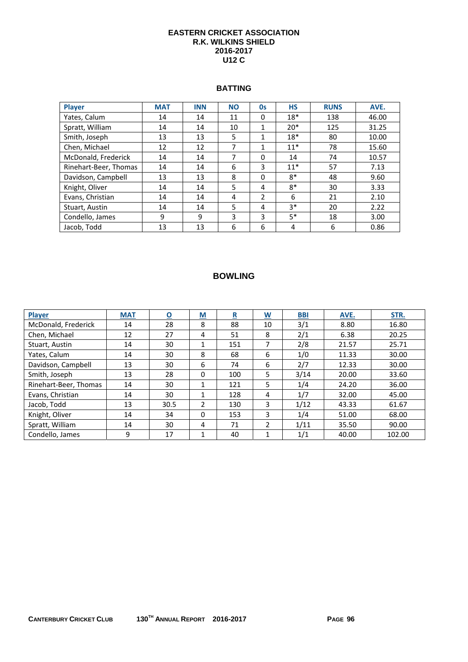#### **EASTERN CRICKET ASSOCIATION R.K. WILKINS SHIELD 2016-2017 U12 C**

#### **BATTING**

| Player                | <b>MAT</b> | <b>INN</b> | <b>NO</b> | <b>Os</b>      | <b>HS</b> | <b>RUNS</b> | AVE.  |
|-----------------------|------------|------------|-----------|----------------|-----------|-------------|-------|
| Yates, Calum          | 14         | 14         | 11        | 0              | $18*$     | 138         | 46.00 |
| Spratt, William       | 14         | 14         | 10        | 1              | $20*$     | 125         | 31.25 |
| Smith, Joseph         | 13         | 13         | 5         | 1              | $18*$     | 80          | 10.00 |
| Chen, Michael         | 12         | 12         | 7         | 1              | $11*$     | 78          | 15.60 |
| McDonald, Frederick   | 14         | 14         | 7         | $\Omega$       | 14        | 74          | 10.57 |
| Rinehart-Beer, Thomas | 14         | 14         | 6         | 3              | $11*$     | 57          | 7.13  |
| Davidson, Campbell    | 13         | 13         | 8         | $\Omega$       | $8*$      | 48          | 9.60  |
| Knight, Oliver        | 14         | 14         | 5         | 4              | $8*$      | 30          | 3.33  |
| Evans, Christian      | 14         | 14         | 4         | $\overline{2}$ | 6         | 21          | 2.10  |
| Stuart, Austin        | 14         | 14         | 5         | 4              | $3*$      | 20          | 2.22  |
| Condello, James       | 9          | 9          | 3         | 3              | $5*$      | 18          | 3.00  |
| Jacob, Todd           | 13         | 13         | 6         | 6              | 4         | 6           | 0.86  |

| Player                | <b>MAT</b> | $\overline{\mathbf{o}}$ | $\underline{\mathsf{M}}$ | <u>R</u> | $\underline{\mathsf{w}}$ | <b>BBI</b> | AVE.  | STR.   |
|-----------------------|------------|-------------------------|--------------------------|----------|--------------------------|------------|-------|--------|
| McDonald, Frederick   | 14         | 28                      | 8                        | 88       | 10                       | 3/1        | 8.80  | 16.80  |
| Chen, Michael         | 12         | 27                      | 4                        | 51       | 8                        | 2/1        | 6.38  | 20.25  |
| Stuart, Austin        | 14         | 30                      | 1                        | 151      | 7                        | 2/8        | 21.57 | 25.71  |
| Yates, Calum          | 14         | 30                      | 8                        | 68       | 6                        | 1/0        | 11.33 | 30.00  |
| Davidson, Campbell    | 13         | 30                      | 6                        | 74       | 6                        | 2/7        | 12.33 | 30.00  |
| Smith, Joseph         | 13         | 28                      | 0                        | 100      | 5                        | 3/14       | 20.00 | 33.60  |
| Rinehart-Beer, Thomas | 14         | 30                      | 1                        | 121      | 5                        | 1/4        | 24.20 | 36.00  |
| Evans, Christian      | 14         | 30                      |                          | 128      | 4                        | 1/7        | 32.00 | 45.00  |
| Jacob, Todd           | 13         | 30.5                    | $\mathfrak{p}$           | 130      | 3                        | 1/12       | 43.33 | 61.67  |
| Knight, Oliver        | 14         | 34                      | $\Omega$                 | 153      | 3                        | 1/4        | 51.00 | 68.00  |
| Spratt, William       | 14         | 30                      | 4                        | 71       | $\overline{\phantom{a}}$ | 1/11       | 35.50 | 90.00  |
| Condello, James       | 9          | 17                      | 1                        | 40       | 1                        | 1/1        | 40.00 | 102.00 |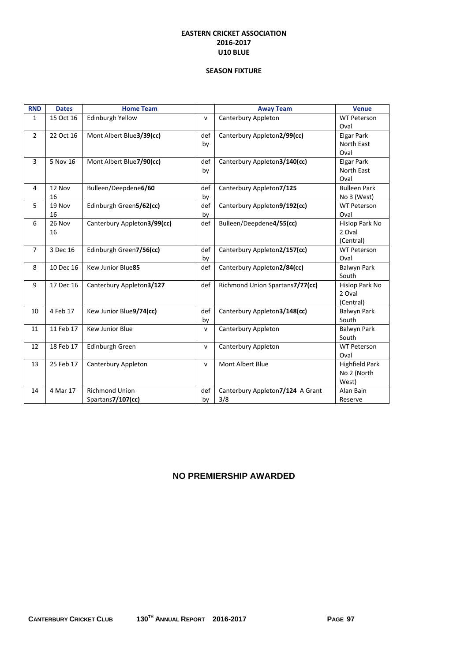#### **EASTERN CRICKET ASSOCIATION 2016‐2017 U10 BLUE**

#### **SEASON FIXTURE**

| <b>RND</b>     | <b>Dates</b> | <b>Home Team</b>            |              | <b>Away Team</b>                 | <b>Venue</b>          |
|----------------|--------------|-----------------------------|--------------|----------------------------------|-----------------------|
| $\mathbf{1}$   | 15 Oct 16    | Edinburgh Yellow            | $\mathsf{v}$ | Canterbury Appleton              | <b>WT Peterson</b>    |
|                |              |                             |              |                                  | Oval                  |
| $\overline{2}$ | 22 Oct 16    | Mont Albert Blue3/39(cc)    | def          | Canterbury Appleton2/99(cc)      | Elgar Park            |
|                |              |                             | by           |                                  | North East            |
|                |              |                             |              |                                  | Oval                  |
| 3              | 5 Nov 16     | Mont Albert Blue7/90(cc)    | def          | Canterbury Appleton3/140(cc)     | <b>Elgar Park</b>     |
|                |              |                             | by           |                                  | North East            |
|                |              |                             |              |                                  | Oval                  |
| $\overline{4}$ | 12 Nov       | Bulleen/Deepdene6/60        | def          | Canterbury Appleton7/125         | <b>Bulleen Park</b>   |
|                | 16           |                             | by           |                                  | No 3 (West)           |
| 5              | 19 Nov       | Edinburgh Green5/62(cc)     | def          | Canterbury Appleton9/192(cc)     | <b>WT Peterson</b>    |
|                | 16           |                             | by           |                                  | Oval                  |
| 6              | 26 Nov       | Canterbury Appleton3/99(cc) | def          | Bulleen/Deepdene4/55(cc)         | Hislop Park No        |
|                | 16           |                             |              |                                  | 2 Oval                |
|                |              |                             |              |                                  | (Central)             |
| $\overline{7}$ | 3 Dec 16     | Edinburgh Green7/56(cc)     | def          | Canterbury Appleton2/157(cc)     | <b>WT Peterson</b>    |
|                |              |                             | by           |                                  | Oval                  |
| 8              | 10 Dec 16    | Kew Junior Blue85           | def          | Canterbury Appleton2/84(cc)      | <b>Balwyn Park</b>    |
|                |              |                             |              |                                  | South                 |
| 9              | 17 Dec 16    | Canterbury Appleton3/127    | def          | Richmond Union Spartans7/77(cc)  | Hislop Park No        |
|                |              |                             |              |                                  | 2 Oval                |
|                |              |                             |              |                                  | (Central)             |
| 10             | 4 Feb 17     | Kew Junior Blue9/74(cc)     | def          | Canterbury Appleton3/148(cc)     | Balwyn Park           |
|                |              |                             | by           |                                  | South                 |
| 11             | 11 Feb 17    | <b>Kew Junior Blue</b>      | $\mathsf{v}$ | Canterbury Appleton              | Balwyn Park           |
|                |              |                             |              |                                  | South                 |
| 12             | 18 Feb 17    | Edinburgh Green             | v            | Canterbury Appleton              | <b>WT Peterson</b>    |
|                |              |                             |              |                                  | Oval                  |
| 13             | 25 Feb 17    | Canterbury Appleton         | $\mathsf{v}$ | Mont Albert Blue                 | <b>Highfield Park</b> |
|                |              |                             |              |                                  | No 2 (North           |
|                |              |                             |              |                                  | West)                 |
| 14             | 4 Mar 17     | <b>Richmond Union</b>       | def          | Canterbury Appleton7/124 A Grant | Alan Bain             |
|                |              | Spartans7/107(cc)           | by           | 3/8                              | Reserve               |

## **NO PREMIERSHIP AWARDED**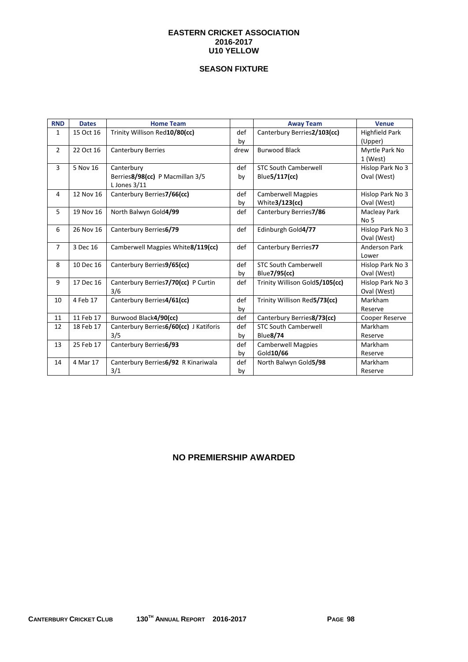#### **EASTERN CRICKET ASSOCIATION 2016-2017 U10 YELLOW**

## **SEASON FIXTURE**

| <b>RND</b>     | <b>Dates</b> | <b>Home Team</b>                                  |           | <b>Away Team</b>               | <b>Venue</b>                     |
|----------------|--------------|---------------------------------------------------|-----------|--------------------------------|----------------------------------|
| 1              | 15 Oct 16    | Trinity Willison Red10/80(cc)                     | def<br>by | Canterbury Berries2/103(cc)    | <b>Highfield Park</b><br>(Upper) |
| $\overline{2}$ | 22 Oct 16    | <b>Canterbury Berries</b>                         | drew      | <b>Burwood Black</b>           | Myrtle Park No<br>1 (West)       |
| 3              | 5 Nov 16     | Canterbury                                        | def       | <b>STC South Camberwell</b>    | Hislop Park No 3                 |
|                |              | Berries8/98(cc) P Macmillan 3/5<br>L Jones $3/11$ | by        | Blue5/117(cc)                  | Oval (West)                      |
| $\overline{4}$ | 12 Nov 16    | Canterbury Berries7/66(cc)                        | def       | <b>Camberwell Magpies</b>      | Hislop Park No 3                 |
|                |              |                                                   | by        | White3/123(cc)                 | Oval (West)                      |
| 5              | 19 Nov 16    | North Balwyn Gold4/99                             | def       | Canterbury Berries7/86         | Macleay Park                     |
|                |              |                                                   |           |                                | No <sub>5</sub>                  |
| 6              | 26 Nov 16    | Canterbury Berries6/79                            | def       | Edinburgh Gold4/77             | Hislop Park No 3                 |
|                |              |                                                   |           |                                | Oval (West)                      |
| $\overline{7}$ | 3 Dec 16     | Camberwell Magpies White8/119(cc)                 | def       | Canterbury Berries77           | Anderson Park                    |
|                |              |                                                   |           |                                | Lower                            |
| 8              | 10 Dec 16    | Canterbury Berries9/65(cc)                        | def       | <b>STC South Camberwell</b>    | Hislop Park No 3                 |
|                |              |                                                   | by        | Blue7/95(cc)                   | Oval (West)                      |
| 9              | 17 Dec 16    | Canterbury Berries7/70(cc) P Curtin               | def       | Trinity Willison Gold5/105(cc) | Hislop Park No 3                 |
|                |              | 3/6                                               |           |                                | Oval (West)                      |
| 10             | 4 Feb 17     | Canterbury Berries4/61(cc)                        | def       | Trinity Willison Red5/73(cc)   | Markham                          |
|                |              |                                                   | by        |                                | Reserve                          |
| 11             | 11 Feb 17    | Burwood Black4/90(cc)                             | def       | Canterbury Berries8/73(cc)     | Cooper Reserve                   |
| 12             | 18 Feb 17    | Canterbury Berries6/60(cc) J Katiforis            | def       | <b>STC South Camberwell</b>    | Markham                          |
|                |              | 3/5                                               | by        | <b>Blue8/74</b>                | Reserve                          |
| 13             | 25 Feb 17    | Canterbury Berries6/93                            | def       | <b>Camberwell Magpies</b>      | Markham                          |
|                |              |                                                   | by        | Gold10/66                      | Reserve                          |
| 14             | 4 Mar 17     | Canterbury Berries6/92 R Kinariwala               | def       | North Balwyn Gold5/98          | Markham                          |
|                |              | 3/1                                               | by        |                                | Reserve                          |

# **NO PREMIERSHIP AWARDED**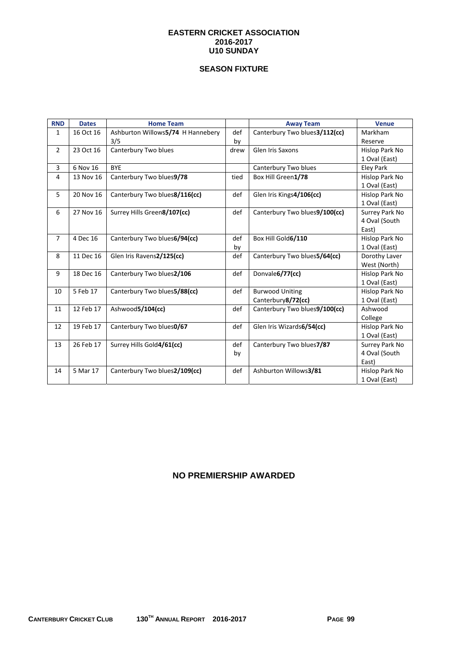#### **EASTERN CRICKET ASSOCIATION 2016-2017 U10 SUNDAY**

## **SEASON FIXTURE**

| <b>RND</b>     | <b>Dates</b> | <b>Home Team</b>                  |      | <b>Away Team</b>               | <b>Venue</b>   |
|----------------|--------------|-----------------------------------|------|--------------------------------|----------------|
| 1              | 16 Oct 16    | Ashburton Willows5/74 H Hannebery | def  | Canterbury Two blues 3/112(cc) | Markham        |
|                |              | 3/5                               | by   |                                | Reserve        |
| $\overline{2}$ | 23 Oct 16    | Canterbury Two blues              | drew | <b>Glen Iris Saxons</b>        | Hislop Park No |
|                |              |                                   |      |                                | 1 Oval (East)  |
| 3              | 6 Nov 16     | <b>BYE</b>                        |      | Canterbury Two blues           | Eley Park      |
| 4              | 13 Nov 16    | Canterbury Two blues9/78          | tied | Box Hill Green1/78             | Hislop Park No |
|                |              |                                   |      |                                | 1 Oval (East)  |
| 5              | 20 Nov 16    | Canterbury Two blues8/116(cc)     | def  | Glen Iris Kings4/106(cc)       | Hislop Park No |
|                |              |                                   |      |                                | 1 Oval (East)  |
| 6              | 27 Nov 16    | Surrey Hills Green8/107(cc)       | def  | Canterbury Two blues9/100(cc)  | Surrey Park No |
|                |              |                                   |      |                                | 4 Oval (South  |
|                |              |                                   |      |                                | East)          |
| $\overline{7}$ | 4 Dec 16     | Canterbury Two blues6/94(cc)      | def  | Box Hill Gold6/110             | Hislop Park No |
|                |              |                                   | by   |                                | 1 Oval (East)  |
| 8              | 11 Dec 16    | Glen Iris Ravens2/125(cc)         | def  | Canterbury Two blues5/64(cc)   | Dorothy Laver  |
|                |              |                                   |      |                                | West (North)   |
| 9              | 18 Dec 16    | Canterbury Two blues2/106         | def  | Donvale6/77(cc)                | Hislop Park No |
|                |              |                                   |      |                                | 1 Oval (East)  |
| 10             | 5 Feb 17     | Canterbury Two blues5/88(cc)      | def  | <b>Burwood Uniting</b>         | Hislop Park No |
|                |              |                                   |      | Canterbury8/72(cc)             | 1 Oval (East)  |
| 11             | 12 Feb 17    | Ashwood5/104(cc)                  | def  | Canterbury Two blues9/100(cc)  | Ashwood        |
|                |              |                                   |      |                                | College        |
| 12             | 19 Feb 17    | Canterbury Two blues0/67          | def  | Glen Iris Wizards6/54(cc)      | Hislop Park No |
|                |              |                                   |      |                                | 1 Oval (East)  |
| 13             | 26 Feb 17    | Surrey Hills Gold4/61(cc)         | def  | Canterbury Two blues7/87       | Surrey Park No |
|                |              |                                   | by   |                                | 4 Oval (South  |
|                |              |                                   |      |                                | East)          |
| 14             | 5 Mar 17     | Canterbury Two blues2/109(cc)     | def  | Ashburton Willows3/81          | Hislop Park No |
|                |              |                                   |      |                                | 1 Oval (East)  |

# **NO PREMIERSHIP AWARDED**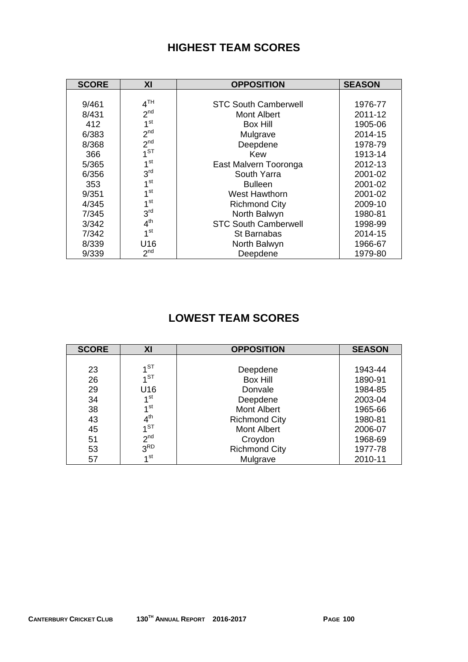# **HIGHEST TEAM SCORES**

| <b>SCORE</b> | XI              | <b>OPPOSITION</b>           | <b>SEASON</b> |
|--------------|-----------------|-----------------------------|---------------|
|              |                 |                             |               |
| 9/461        | 4 <sup>TH</sup> | <b>STC South Camberwell</b> | 1976-77       |
| 8/431        | 2 <sup>nd</sup> | Mont Albert                 | 2011-12       |
| 412          | 1 <sup>st</sup> | Box Hill                    | 1905-06       |
| 6/383        | 2 <sup>nd</sup> | Mulgrave                    | 2014-15       |
| 8/368        | 2 <sup>nd</sup> | Deepdene                    | 1978-79       |
| 366          | 1 <sup>ST</sup> | Kew                         | 1913-14       |
| 5/365        | 1 <sup>st</sup> | East Malvern Tooronga       | 2012-13       |
| 6/356        | 3 <sup>rd</sup> | South Yarra                 | 2001-02       |
| 353          | 1 <sup>st</sup> | <b>Bulleen</b>              | 2001-02       |
| 9/351        | 1 <sup>st</sup> | West Hawthorn               | 2001-02       |
| 4/345        | 1 <sup>st</sup> | <b>Richmond City</b>        | 2009-10       |
| 7/345        | 3 <sup>rd</sup> | North Balwyn                | 1980-81       |
| 3/342        | 4 <sup>th</sup> | <b>STC South Camberwell</b> | 1998-99       |
| 7/342        | 1 <sup>st</sup> | St Barnabas                 | 2014-15       |
| 8/339        | U16             | North Balwyn                | 1966-67       |
| 9/339        | 2 <sup>nd</sup> | Deepdene                    | 1979-80       |

# **LOWEST TEAM SCORES**

| <b>SCORE</b> | XI              | <b>OPPOSITION</b>    | <b>SEASON</b> |
|--------------|-----------------|----------------------|---------------|
|              |                 |                      |               |
| 23           | 1 <sup>ST</sup> | Deepdene             | 1943-44       |
| 26           | 1 <sub>ST</sub> | <b>Box Hill</b>      | 1890-91       |
| 29           | U16             | Donvale              | 1984-85       |
| 34           | 1 <sup>st</sup> | Deepdene             | 2003-04       |
| 38           | 1 <sup>st</sup> | <b>Mont Albert</b>   | 1965-66       |
| 43           | $4^{\text{th}}$ | <b>Richmond City</b> | 1980-81       |
| 45           | $1^{ST}$        | Mont Albert          | 2006-07       |
| 51           | 2 <sup>nd</sup> | Croydon              | 1968-69       |
| 53           | 3 <sup>RD</sup> | <b>Richmond City</b> | 1977-78       |
| 57           | 1 <sup>st</sup> | Mulgrave             | 2010-11       |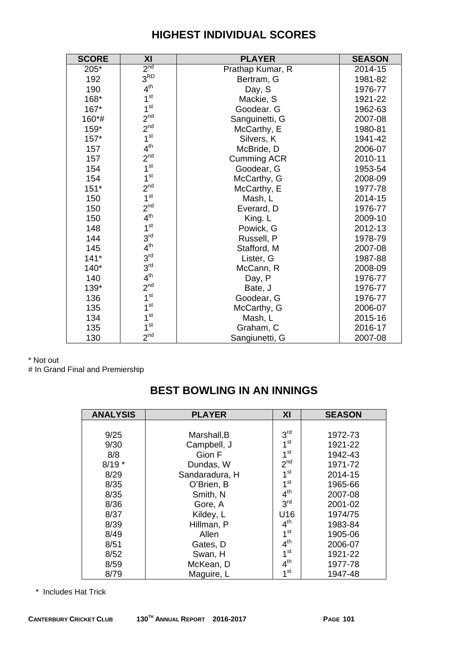# **HIGHEST INDIVIDUAL SCORES**

| <b>SCORE</b> | XI              | <b>PLAYER</b>      | <b>SEASON</b> |
|--------------|-----------------|--------------------|---------------|
| 205*         | 2 <sup>nd</sup> | Prathap Kumar, R   | 2014-15       |
| 192          | 3 <sup>RD</sup> | Bertram, G         | 1981-82       |
| 190          | 4 <sup>th</sup> | Day, S             | 1976-77       |
| 168*         | 1 <sup>st</sup> | Mackie, S          | 1921-22       |
| 167*         | 1 <sup>st</sup> | Goodear. G         | 1962-63       |
| 160*#        | 2 <sup>nd</sup> | Sanguinetti, G     | 2007-08       |
| $159*$       | 2 <sup>nd</sup> | McCarthy, E        | 1980-81       |
| $157*$       | 1 <sup>st</sup> | Silvers, K         | 1941-42       |
| 157          | 4 <sup>th</sup> | McBride, D         | 2006-07       |
| 157          | 2 <sup>nd</sup> | <b>Cumming ACR</b> | 2010-11       |
| 154          | 1 <sup>st</sup> | Goodear, G         | 1953-54       |
| 154          | 1 <sup>st</sup> | McCarthy, G        | 2008-09       |
| $151*$       | 2 <sup>nd</sup> | McCarthy, E        | 1977-78       |
| 150          | 1 <sup>st</sup> | Mash, L            | 2014-15       |
| 150          | 2 <sup>nd</sup> | Everard, D         | 1976-77       |
| 150          | 4 <sup>th</sup> | King. L            | 2009-10       |
| 148          | 1 <sup>st</sup> | Powick, G          | 2012-13       |
| 144          | 3 <sup>rd</sup> | Russell, P         | 1978-79       |
| 145          | 4 <sup>th</sup> | Stafford, M        | 2007-08       |
| $141*$       | 3 <sup>rd</sup> | Lister, G          | 1987-88       |
| $140*$       | 3 <sup>rd</sup> | McCann, R          | 2008-09       |
| 140          | 4 <sup>th</sup> | Day, P             | 1976-77       |
| 139*         | 2 <sup>nd</sup> | Bate, J            | 1976-77       |
| 136          | 1 <sup>st</sup> | Goodear, G         | 1976-77       |
| 135          | 1 <sup>st</sup> | McCarthy, G        | 2006-07       |
| 134          | 1 <sup>st</sup> | Mash, L            | 2015-16       |
| 135          | 1 <sup>st</sup> | Graham, C          | 2016-17       |
| 130          | 2 <sup>nd</sup> | Sangiunetti, G     | 2007-08       |

\* Not out # In Grand Final and Premiership

# **BEST BOWLING IN AN INNINGS**

| <b>ANALYSIS</b> | <b>PLAYER</b>  | XI              | <b>SEASON</b> |
|-----------------|----------------|-----------------|---------------|
|                 |                |                 |               |
| 9/25            | Marshall, B    | 3 <sup>rd</sup> | 1972-73       |
| 9/30            | Campbell, J    | 1 <sup>st</sup> | 1921-22       |
| 8/8             | Gion F         | 1 <sup>st</sup> | 1942-43       |
| $8/19*$         | Dundas, W      | 2 <sup>nd</sup> | 1971-72       |
| 8/29            | Sandaradura, H | 1 <sup>st</sup> | 2014-15       |
| 8/35            | O'Brien, B     | 1 <sup>st</sup> | 1965-66       |
| 8/35            | Smith, N       | 4 <sup>th</sup> | 2007-08       |
| 8/36            | Gore, A        | 3 <sup>rd</sup> | 2001-02       |
| 8/37            | Kildey, L      | U16             | 1974/75       |
| 8/39            | Hillman, P     | 4 <sup>th</sup> | 1983-84       |
| 8/49            | Allen          | 1 <sup>st</sup> | 1905-06       |
| 8/51            | Gates, D       | 4 <sup>th</sup> | 2006-07       |
| 8/52            | Swan, H        | 1 <sup>st</sup> | 1921-22       |
| 8/59            | McKean, D      | 4 <sup>th</sup> | 1977-78       |
| 8/79            | Maguire, L     | 1 <sup>st</sup> | 1947-48       |

\* Includes Hat Trick